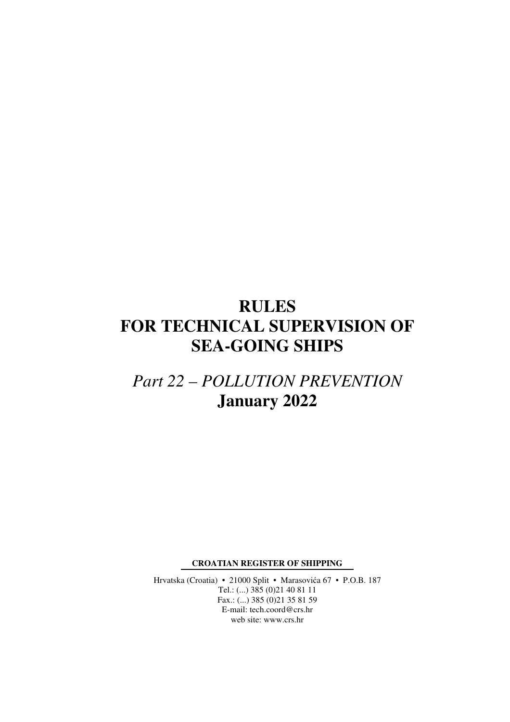# **RULES FOR TECHNICAL SUPERVISION OF SEA-GOING SHIPS**

# *Part 22 – POLLUTION PREVENTION*  **January 2022**

**CROATIAN REGISTER OF SHIPPING** 

Hrvatska (Croatia) • 21000 Split • Marasovića 67 • P.O.B. 187 Tel.: (...) 385 (0)21 40 81 11 Fax.: (...) 385 (0)21 35 81 59 E-mail: tech.coord@crs.hr web site: www.crs.hr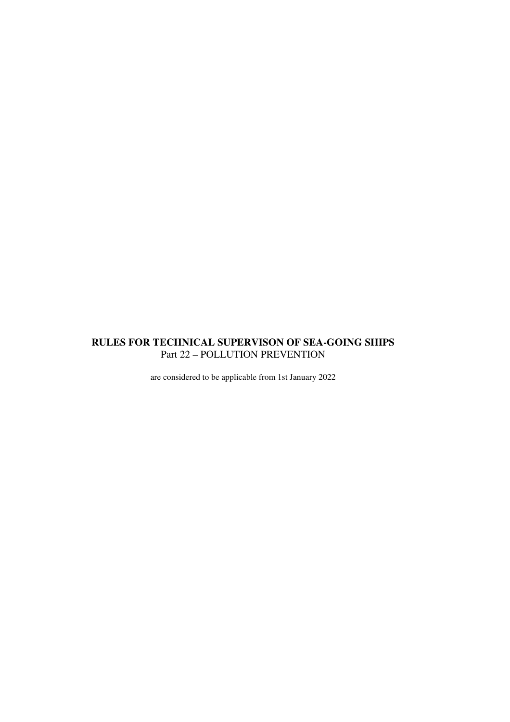# **RULES FOR TECHNICAL SUPERVISON OF SEA-GOING SHIPS**  Part 22 – POLLUTION PREVENTION

are considered to be applicable from 1st January 2022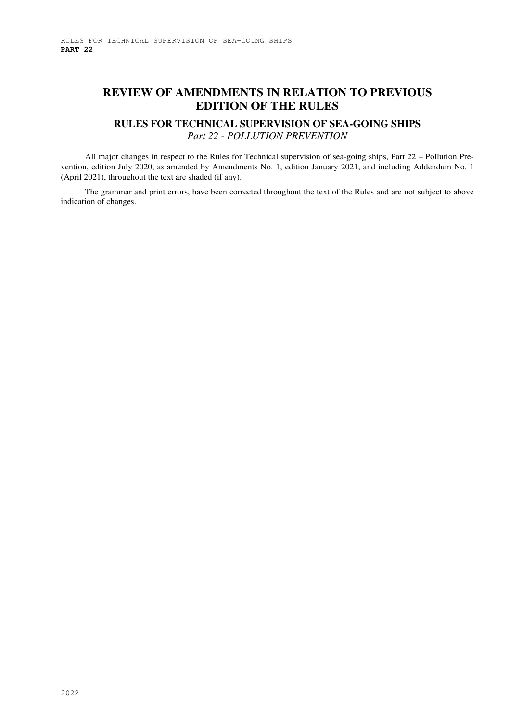# **REVIEW OF AMENDMENTS IN RELATION TO PREVIOUS EDITION OF THE RULES**

# **RULES FOR TECHNICAL SUPERVISION OF SEA-GOING SHIPS**  *Part 22 - POLLUTION PREVENTION*

All major changes in respect to the Rules for Technical supervision of sea-going ships, Part 22 – Pollution Prevention, edition July 2020, as amended by Amendments No. 1, edition January 2021, and including Addendum No. 1 (April 2021), throughout the text are shaded (if any).

The grammar and print errors, have been corrected throughout the text of the Rules and are not subject to above indication of changes.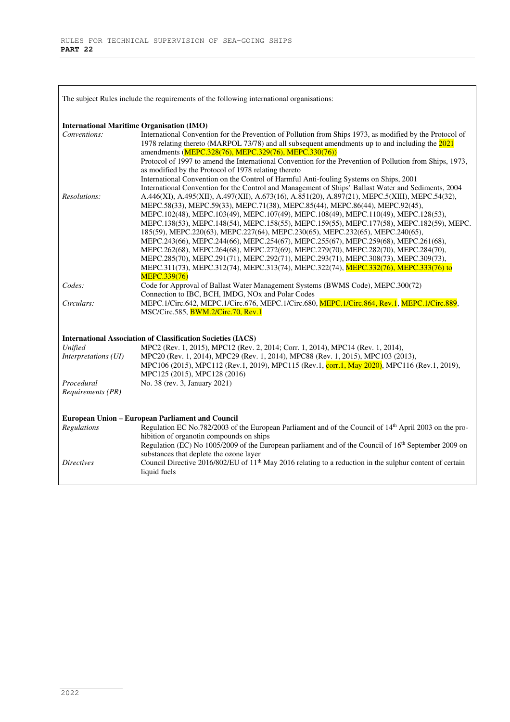| The subject Rules include the requirements of the following international organisations: |                                                                                                                                                                                                                                                                                                                                                                                                                                                                                                                                                                                                                                                                                                                                                                                                                                     |  |  |
|------------------------------------------------------------------------------------------|-------------------------------------------------------------------------------------------------------------------------------------------------------------------------------------------------------------------------------------------------------------------------------------------------------------------------------------------------------------------------------------------------------------------------------------------------------------------------------------------------------------------------------------------------------------------------------------------------------------------------------------------------------------------------------------------------------------------------------------------------------------------------------------------------------------------------------------|--|--|
| <b>International Maritime Organisation (IMO)</b>                                         |                                                                                                                                                                                                                                                                                                                                                                                                                                                                                                                                                                                                                                                                                                                                                                                                                                     |  |  |
| Conventions:                                                                             | International Convention for the Prevention of Pollution from Ships 1973, as modified by the Protocol of<br>1978 relating thereto (MARPOL 73/78) and all subsequent amendments up to and including the 2021<br>amendments (MEPC.328(76), MEPC.329(76), MEPC.330(76))                                                                                                                                                                                                                                                                                                                                                                                                                                                                                                                                                                |  |  |
|                                                                                          | Protocol of 1997 to amend the International Convention for the Prevention of Pollution from Ships, 1973,<br>as modified by the Protocol of 1978 relating thereto<br>International Convention on the Control of Harmful Anti-fouling Systems on Ships, 2001<br>International Convention for the Control and Management of Ships' Ballast Water and Sediments, 2004                                                                                                                                                                                                                                                                                                                                                                                                                                                                   |  |  |
| Resolutions:                                                                             | A.446(XI), A.495(XII), A.497(XII), A.673(16), A.851(20), A.897(21), MEPC.5(XIII), MEPC.54(32),<br>MEPC.58(33), MEPC.59(33), MEPC.71(38), MEPC.85(44), MEPC.86(44), MEPC.92(45),<br>MEPC.102(48), MEPC.103(49), MEPC.107(49), MEPC.108(49), MEPC.110(49), MEPC.128(53),<br>MEPC.138(53), MEPC.148(54), MEPC.158(55), MEPC.159(55), MEPC.177(58), MEPC.182(59), MEPC.<br>185(59), MEPC.220(63), MEPC.227(64), MEPC.230(65), MEPC.232(65), MEPC.240(65),<br>MEPC.243(66), MEPC.244(66), MEPC.254(67), MEPC.255(67), MEPC.259(68), MEPC.261(68),<br>MEPC.262(68), MEPC.264(68), MEPC.272(69), MEPC.279(70), MEPC.282(70), MEPC.284(70),<br>MEPC.285(70), MEPC.291(71), MEPC.292(71), MEPC.293(71), MEPC.308(73), MEPC.309(73),<br>MEPC.311(73), MEPC.312(74), MEPC.313(74), MEPC.322(74), MEPC.332(76), MEPC.333(76) to<br>MEPC.339(76) |  |  |
| Codes:                                                                                   | Code for Approval of Ballast Water Management Systems (BWMS Code), MEPC.300(72)<br>Connection to IBC, BCH, IMDG, NOx and Polar Codes                                                                                                                                                                                                                                                                                                                                                                                                                                                                                                                                                                                                                                                                                                |  |  |
| Circulars:                                                                               | MEPC.1/Circ.642, MEPC.1/Circ.676, MEPC.1/Circ.680, MEPC.1/Circ.864, Rev.1, MEPC.1/Circ.889,<br>MSC/Circ.585, <b>BWM.2/Circ.70, Rev.1</b>                                                                                                                                                                                                                                                                                                                                                                                                                                                                                                                                                                                                                                                                                            |  |  |
|                                                                                          | <b>International Association of Classification Societies (IACS)</b>                                                                                                                                                                                                                                                                                                                                                                                                                                                                                                                                                                                                                                                                                                                                                                 |  |  |
| Unified                                                                                  | MPC2 (Rev. 1, 2015), MPC12 (Rev. 2, 2014; Corr. 1, 2014), MPC14 (Rev. 1, 2014),                                                                                                                                                                                                                                                                                                                                                                                                                                                                                                                                                                                                                                                                                                                                                     |  |  |
| Interpretations (UI)                                                                     | MPC20 (Rev. 1, 2014), MPC29 (Rev. 1, 2014), MPC88 (Rev. 1, 2015), MPC103 (2013),<br>MPC106 (2015), MPC112 (Rev.1, 2019), MPC115 (Rev.1, corr.1, May 2020), MPC116 (Rev.1, 2019),<br>MPC125 (2015), MPC128 (2016)                                                                                                                                                                                                                                                                                                                                                                                                                                                                                                                                                                                                                    |  |  |
| Procedural<br>Requirements (PR)                                                          | No. 38 (rev. 3, January 2021)                                                                                                                                                                                                                                                                                                                                                                                                                                                                                                                                                                                                                                                                                                                                                                                                       |  |  |
| Regulations                                                                              | European Union - European Parliament and Council<br>Regulation EC No.782/2003 of the European Parliament and of the Council of $14th$ April 2003 on the pro-<br>hibition of organotin compounds on ships<br>Regulation (EC) No 1005/2009 of the European parliament and of the Council of 16 <sup>th</sup> September 2009 on                                                                                                                                                                                                                                                                                                                                                                                                                                                                                                        |  |  |
| <i>Directives</i>                                                                        | substances that deplete the ozone layer<br>Council Directive 2016/802/EU of $11th$ May 2016 relating to a reduction in the sulphur content of certain<br>liquid fuels                                                                                                                                                                                                                                                                                                                                                                                                                                                                                                                                                                                                                                                               |  |  |

 $\overline{a}$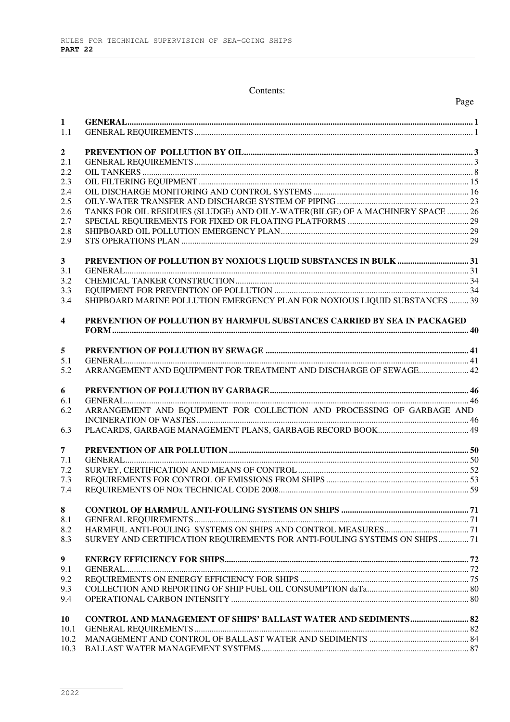# Contents:

Page

| $\mathbf{1}$<br>1.1     |                                                                                |  |
|-------------------------|--------------------------------------------------------------------------------|--|
|                         |                                                                                |  |
| $\boldsymbol{2}$        |                                                                                |  |
| 2.1                     |                                                                                |  |
| 2.2                     |                                                                                |  |
| 2.3                     |                                                                                |  |
| 2.4                     |                                                                                |  |
| 2.5                     |                                                                                |  |
| 2.6                     | TANKS FOR OIL RESIDUES (SLUDGE) AND OILY-WATER(BILGE) OF A MACHINERY SPACE  26 |  |
| 2.7                     |                                                                                |  |
| 2.8                     |                                                                                |  |
| 2.9                     |                                                                                |  |
| $\mathbf{3}$            |                                                                                |  |
| 3.1                     |                                                                                |  |
| 3.2                     |                                                                                |  |
| 3.3                     |                                                                                |  |
| 3.4                     | SHIPBOARD MARINE POLLUTION EMERGENCY PLAN FOR NOXIOUS LIQUID SUBSTANCES  39    |  |
|                         |                                                                                |  |
| $\overline{\mathbf{4}}$ | PREVENTION OF POLLUTION BY HARMFUL SUBSTANCES CARRIED BY SEA IN PACKAGED       |  |
|                         |                                                                                |  |
| 5                       |                                                                                |  |
| 5.1                     |                                                                                |  |
| 5.2                     | ARRANGEMENT AND EQUIPMENT FOR TREATMENT AND DISCHARGE OF SEWAGE 42             |  |
|                         |                                                                                |  |
| 6                       |                                                                                |  |
| 6.1<br>6.2              | ARRANGEMENT AND EQUIPMENT FOR COLLECTION AND PROCESSING OF GARBAGE AND         |  |
|                         |                                                                                |  |
| 6.3                     |                                                                                |  |
|                         |                                                                                |  |
| $\overline{7}$          |                                                                                |  |
| 7.1                     |                                                                                |  |
| 7.2                     |                                                                                |  |
| 7.3                     |                                                                                |  |
| 7.4                     |                                                                                |  |
|                         |                                                                                |  |
| 8                       |                                                                                |  |
| 8.1                     |                                                                                |  |
| 8.2                     |                                                                                |  |
| 8.3                     | SURVEY AND CERTIFICATION REQUIREMENTS FOR ANTI-FOULING SYSTEMS ON SHIPS 71     |  |
| $\boldsymbol{9}$        |                                                                                |  |
| 9.1                     |                                                                                |  |
| 9.2                     |                                                                                |  |
| 9.3                     |                                                                                |  |
| 9.4                     |                                                                                |  |
|                         |                                                                                |  |
| 10                      | CONTROL AND MANAGEMENT OF SHIPS' BALLAST WATER AND SEDIMENTS 82                |  |
| 10.1                    |                                                                                |  |
|                         |                                                                                |  |
| 10.2<br>10.3            |                                                                                |  |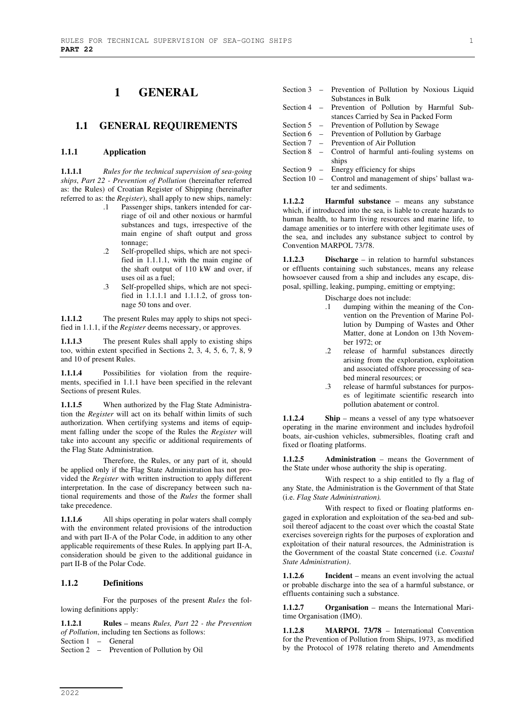# **1 GENERAL**

### **1.1 GENERAL REQUIREMENTS**

#### **1.1.1 Application**

**1.1.1.1** *Rules for the technical supervision of sea-going ships*, *Part 22 - Prevention of Pollution* (hereinafter referred as: the Rules) of Croatian Register of Shipping (hereinafter referred to as: the *Register*), shall apply to new ships, namely:

- .1 Passenger ships, tankers intended for carriage of oil and other noxious or harmful substances and tugs, irrespective of the main engine of shaft output and gross tonnage;
- .2 Self-propelled ships, which are not specified in 1.1.1.1, with the main engine of the shaft output of 110 kW and over, if uses oil as a fuel;
- .3 Self-propelled ships, which are not specified in 1.1.1.1 and 1.1.1.2, of gross tonnage 50 tons and over.

**1.1.1.2** The present Rules may apply to ships not specified in 1.1.1, if the *Register* deems necessary, or approves.

**1.1.1.3** The present Rules shall apply to existing ships too, within extent specified in Sections 2, 3, 4, 5, 6, 7, 8, 9 and 10 of present Rules.

**1.1.1.4** Possibilities for violation from the requirements, specified in 1.1.1 have been specified in the relevant Sections of present Rules.

**1.1.1.5** When authorized by the Flag State Administration the *Register* will act on its behalf within limits of such authorization. When certifying systems and items of equipment falling under the scope of the Rules the *Register* will take into account any specific or additional requirements of the Flag State Administration.

Therefore, the Rules, or any part of it, should be applied only if the Flag State Administration has not provided the *Register* with written instruction to apply different interpretation. In the case of discrepancy between such national requirements and those of the *Rules* the former shall take precedence.

**1.1.1.6** All ships operating in polar waters shall comply with the environment related provisions of the introduction and with part II-A of the Polar Code, in addition to any other applicable requirements of these Rules. In applying part II-A, consideration should be given to the additional guidance in part II-B of the Polar Code.

#### **1.1.2 Definitions**

For the purposes of the present *Rules* the following definitions apply:

**1.1.2.1 Rules** – means *Rules, Part 22 - the Prevention of Pollution*, including ten Sections as follows:

Section 1 – General

Section 2 – Prevention of Pollution by Oil

- Section 3 Prevention of Pollution by Noxious Liquid Substances in Bulk Section 4 – Prevention of Pollution by Harmful Sub-
- stances Carried by Sea in Packed Form Section 5 – Prevention of Pollution by Sewage
	-
- Section 6 Prevention of Pollution by Garbage<br>Section 7 Prevention of Air Pollution
- Prevention of Air Pollution
- Section 8 Control of harmful anti-fouling systems on ships
- Section 9 Energy efficiency for ships
- Section 10 Control and management of ships' ballast water and sediments.

**1.1.2.2 Harmful substance** – means any substance which, if introduced into the sea, is liable to create hazards to human health, to harm living resources and marine life, to damage amenities or to interfere with other legitimate uses of the sea, and includes any substance subject to control by Convention MARPOL 73/78.

**1.1.2.3 Discharge** – in relation to harmful substances or effluents containing such substances, means any release howsoever caused from a ship and includes any escape, disposal, spilling, leaking, pumping, emitting or emptying;

Discharge does not include:

- .1 dumping within the meaning of the Convention on the Prevention of Marine Pollution by Dumping of Wastes and Other Matter, done at London on 13th November 1972; or
- release of harmful substances directly arising from the exploration, exploitation and associated offshore processing of seabed mineral resources; or
- .3 release of harmful substances for purposes of legitimate scientific research into pollution abatement or control.

**1.1.2.4 Ship** – means a vessel of any type whatsoever operating in the marine environment and includes hydrofoil boats, air-cushion vehicles, submersibles, floating craft and fixed or floating platforms.

**1.1.2.5 Administration** – means the Government of the State under whose authority the ship is operating.

With respect to a ship entitled to fly a flag of any State, the Administration is the Government of that State (i.e. *Flag State Administration).* 

With respect to fixed or floating platforms engaged in exploration and exploitation of the sea-bed and subsoil thereof adjacent to the coast over which the coastal State exercises sovereign rights for the purposes of exploration and exploitation of their natural resources, the Administration is the Government of the coastal State concerned (i.e. *Coastal State Administration)*.

**Incident** – means an event involving the actual or probable discharge into the sea of a harmful substance, or effluents containing such a substance.

**1.1.2.7 Organisation** – means the International Maritime Organisation (IMO).

**1.1.2.8 MARPOL 73/78** – International Convention for the Prevention of Pollution from Ships, 1973, as modified by the Protocol of 1978 relating thereto and Amendments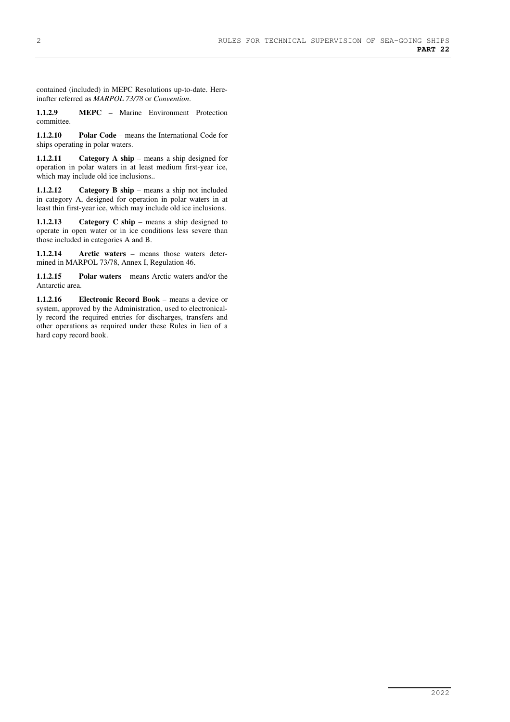contained (included) in MEPC Resolutions up-to-date. Hereinafter referred as *MARPOL 73/78* or *Convention*.

**1.1.2.9 MEPC** – Marine Environment Protection committee.

**1.1.2.10 Polar Code** – means the International Code for ships operating in polar waters.

**1.1.2.11** Category A ship – means a ship designed for operation in polar waters in at least medium first-year ice, which may include old ice inclusions..

**1.1.2.12 Category B ship** – means a ship not included in category A, designed for operation in polar waters in at least thin first-year ice, which may include old ice inclusions.

**1.1.2.13 Category C ship** – means a ship designed to operate in open water or in ice conditions less severe than those included in categories A and B.

**1.1.2.14 Arctic waters** – means those waters determined in MARPOL 73/78, Annex I, Regulation 46.

**1.1.2.15 Polar waters** – means Arctic waters and/or the Antarctic area.

**1.1.2.16 Electronic Record Book** – means a device or system, approved by the Administration, used to electronically record the required entries for discharges, transfers and other operations as required under these Rules in lieu of a hard copy record book.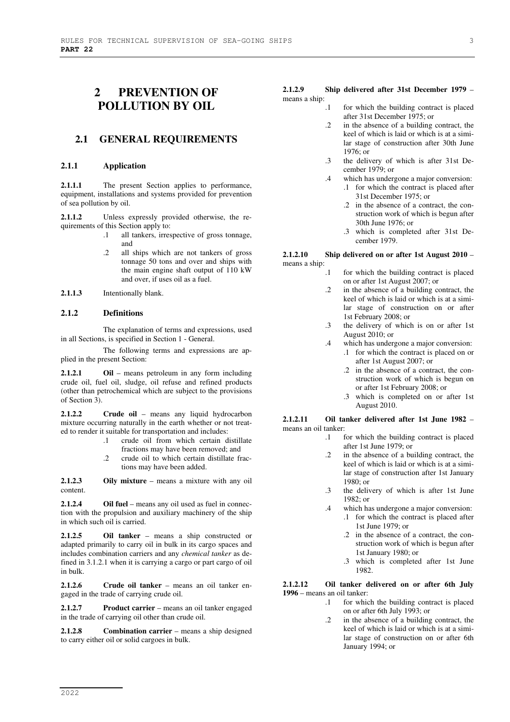# **2 PREVENTION OF POLLUTION BY OIL**

# **2.1 GENERAL REQUIREMENTS**

#### **2.1.1 Application**

**2.1.1.1** The present Section applies to performance, equipment, installations and systems provided for prevention of sea pollution by oil.

**2.1.1.2** Unless expressly provided otherwise, the requirements of this Section apply to:

- .1 all tankers, irrespective of gross tonnage, and
	- .2 all ships which are not tankers of gross tonnage 50 tons and over and ships with the main engine shaft output of 110 kW and over, if uses oil as a fuel.
- **2.1.1.3** Intentionally blank.

#### **2.1.2 Definitions**

The explanation of terms and expressions, used in all Sections, is specified in Section 1 - General.

The following terms and expressions are applied in the present Section:

**2.1.2.1 Oil** – means petroleum in any form including crude oil, fuel oil, sludge, oil refuse and refined products (other than petrochemical which are subject to the provisions of Section 3).

**2.1.2.2 Crude oil** – means any liquid hydrocarbon mixture occurring naturally in the earth whether or not treated to render it suitable for transportation and includes:

- .1 crude oil from which certain distillate fractions may have been removed; and
- .2 crude oil to which certain distillate fractions may have been added.

**2.1.2.3 Oily mixture** – means a mixture with any oil content.

**2.1.2.4 Oil fuel** – means any oil used as fuel in connection with the propulsion and auxiliary machinery of the ship in which such oil is carried.

**2.1.2.5 Oil tanker** – means a ship constructed or adapted primarily to carry oil in bulk in its cargo spaces and includes combination carriers and any *chemical tanker* as defined in 3.1.2.1 when it is carrying a cargo or part cargo of oil in bulk.

**2.1.2.6 Crude oil tanker** – means an oil tanker engaged in the trade of carrying crude oil.

**2.1.2.7 Product carrier** – means an oil tanker engaged in the trade of carrying oil other than crude oil.

**2.1.2.8 Combination carrier** – means a ship designed to carry either oil or solid cargoes in bulk.

#### **2.1.2.9 Ship delivered after 31st December 1979** – means a ship:

- .1 for which the building contract is placed after 31st December 1975; or
- .2 in the absence of a building contract, the keel of which is laid or which is at a similar stage of construction after 30th June  $1976$ ; or
- .3 the delivery of which is after 31st December 1979; or
- .4 which has undergone a major conversion: .1 for which the contract is placed after 31st December 1975; or
	- .2 in the absence of a contract, the construction work of which is begun after 30th June 1976; or
	- .3 which is completed after 31st December 1979.

#### **2.1.2.10 Ship delivered on or after 1st August 2010** – means a ship:

- .1 for which the building contract is placed on or after 1st August 2007; or
- .2 in the absence of a building contract, the keel of which is laid or which is at a similar stage of construction on or after 1st February 2008; or
- .3 the delivery of which is on or after 1st August 2010; or
- .4 which has undergone a major conversion:
	- .1 for which the contract is placed on or after 1st August 2007; or
	- .2 in the absence of a contract, the construction work of which is begun on or after 1st February 2008; or
	- .3 which is completed on or after 1st August 2010.

#### **2.1.2.11 Oil tanker delivered after 1st June 1982** – means an oil tanker:

- .1 for which the building contract is placed after 1st June 1979; or
- .2 in the absence of a building contract, the keel of which is laid or which is at a similar stage of construction after 1st January 1980; or
- .3 the delivery of which is after 1st June 1982; or
- .4 which has undergone a major conversion:
	- .1 for which the contract is placed after 1st June 1979; or
	- .2 in the absence of a contract, the construction work of which is begun after 1st January 1980; or
	- .3 which is completed after 1st June 1982.

#### **2.1.2.12 Oil tanker delivered on or after 6th July 1996** – means an oil tanker:

- .1 for which the building contract is placed on or after 6th July 1993; or
- in the absence of a building contract, the keel of which is laid or which is at a similar stage of construction on or after 6th January 1994; or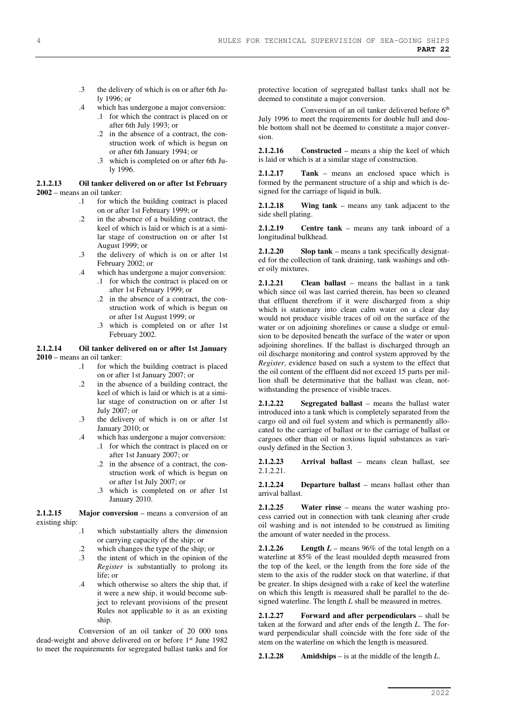- .3 the delivery of which is on or after 6th July 1996; or
- .4 which has undergone a major conversion: .1 for which the contract is placed on or
	- after 6th July 1993; or .2 in the absence of a contract, the construction work of which is begun on
	- or after 6th January 1994; or .3 which is completed on or after 6th Ju-

#### **2.1.2.13 Oil tanker delivered on or after 1st February 2002** – means an oil tanker:

ly 1996.

- .1 for which the building contract is placed on or after 1st February 1999; or
- .2 in the absence of a building contract, the keel of which is laid or which is at a similar stage of construction on or after 1st August 1999; or
- .3 the delivery of which is on or after 1st February 2002; or
- .4 which has undergone a major conversion: .1 for which the contract is placed on or after 1st February 1999; or
	- .2 in the absence of a contract, the construction work of which is begun on or after 1st August 1999; or
	- .3 which is completed on or after 1st February 2002.

#### **2.1.2.14 Oil tanker delivered on or after 1st January 2010** – means an oil tanker:

- .1 for which the building contract is placed on or after 1st January 2007; or
- .2 in the absence of a building contract, the keel of which is laid or which is at a similar stage of construction on or after 1st July 2007; or
- .3 the delivery of which is on or after 1st January 2010; or
- .4 which has undergone a major conversion: .1 for which the contract is placed on or after 1st January 2007; or
	- .2 in the absence of a contract, the construction work of which is begun on or after 1st July 2007; or
	- .3 which is completed on or after 1st January 2010.

**2.1.2.15 Major conversion** – means a conversion of an existing ship:

- .1 which substantially alters the dimension or carrying capacity of the ship; or
- .2 which changes the type of the ship; or<br>
.3 the intent of which in the opinion of
- the intent of which in the opinion of the *Register* is substantially to prolong its life; or
- .4 which otherwise so alters the ship that, if it were a new ship, it would become subject to relevant provisions of the present Rules not applicable to it as an existing ship.

Conversion of an oil tanker of 20 000 tons dead-weight and above delivered on or before 1st June 1982 to meet the requirements for segregated ballast tanks and for

protective location of segregated ballast tanks shall not be deemed to constitute a major conversion.

Conversion of an oil tanker delivered before 6<sup>th</sup> July 1996 to meet the requirements for double hull and double bottom shall not be deemed to constitute a major conversion.

**2.1.2.16 Constructed** – means a ship the keel of which is laid or which is at a similar stage of construction.

**2.1.2.17 Tank** – means an enclosed space which is formed by the permanent structure of a ship and which is designed for the carriage of liquid in bulk.

**2.1.2.18 Wing tank** – means any tank adjacent to the side shell plating.

**2.1.2.19 Centre tank** – means any tank inboard of a longitudinal bulkhead.

**2.1.2.20 Slop tank** – means a tank specifically designated for the collection of tank draining, tank washings and other oily mixtures.

**2.1.2.21 Clean ballast** – means the ballast in a tank which since oil was last carried therein, has been so cleaned that effluent therefrom if it were discharged from a ship which is stationary into clean calm water on a clear day would not produce visible traces of oil on the surface of the water or on adjoining shorelines or cause a sludge or emulsion to be deposited beneath the surface of the water or upon adjoining shorelines. If the ballast is discharged through an oil discharge monitoring and control system approved by the *Register*, evidence based on such a system to the effect that the oil content of the effluent did not exceed 15 parts per million shall be determinative that the ballast was clean, notwithstanding the presence of visible traces.

**2.1.2.22 Segregated ballast** – means the ballast water introduced into a tank which is completely separated from the cargo oil and oil fuel system and which is permanently allocated to the carriage of ballast or to the carriage of ballast or cargoes other than oil or noxious liquid substances as variously defined in the Section 3.

**2.1.2.23 Arrival ballast** – means clean ballast, see 2.1.2.21.

**2.1.2.24 Departure ballast** – means ballast other than arrival ballast.

**2.1.2.25 Water rinse** – means the water washing process carried out in connection with tank cleaning after crude oil washing and is not intended to be construed as limiting the amount of water needed in the process.

**2.1.2.26 Length**  $L$  – means 96% of the total length on a waterline at 85% of the least moulded depth measured from the top of the keel, or the length from the fore side of the stem to the axis of the rudder stock on that waterline, if that be greater. In ships designed with a rake of keel the waterline on which this length is measured shall be parallel to the designed waterline. The length *L* shall be measured in metres.

**2.1.2.27 Forward and after perpendiculars** – shall be taken at the forward and after ends of the length *L*. The forward perpendicular shall coincide with the fore side of the stem on the waterline on which the length is measured.

**2.1.2.28 Amidships** – is at the middle of the length *L*.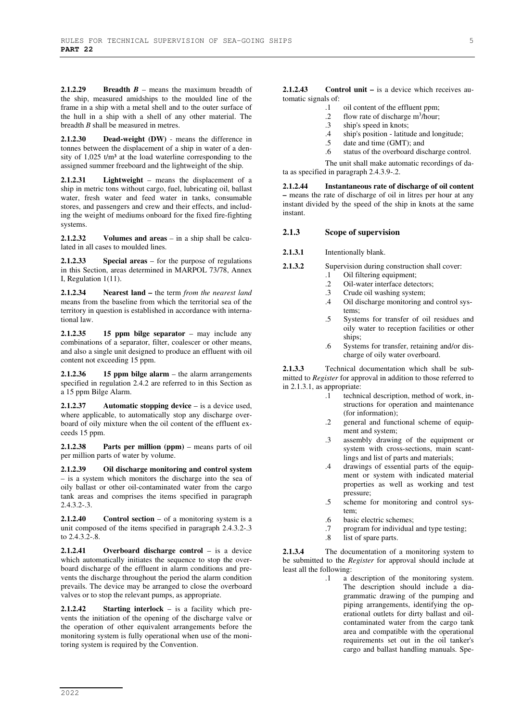**2.1.2.29 Breadth** *B* – means the maximum breadth of the ship, measured amidships to the moulded line of the frame in a ship with a metal shell and to the outer surface of the hull in a ship with a shell of any other material. The breadth *B* shall be measured in metres.

**2.1.2.30 Dead-weight (DW)** - means the difference in tonnes between the displacement of a ship in water of a density of  $1,025$  t/m<sup>3</sup> at the load waterline corresponding to the assigned summer freeboard and the lightweight of the ship.

**2.1.2.31 Lightweight** – means the displacement of a ship in metric tons without cargo, fuel, lubricating oil, ballast water, fresh water and feed water in tanks, consumable stores, and passengers and crew and their effects, and including the weight of mediums onboard for the fixed fire-fighting systems.

**2.1.2.32 Volumes and areas** – in a ship shall be calculated in all cases to moulded lines.

**2.1.2.33 Special areas** – for the purpose of regulations in this Section, areas determined in MARPOL 73/78, Annex I, Regulation 1(11).

**2.1.2.34 Nearest land –** the term *from the nearest land* means from the baseline from which the territorial sea of the territory in question is established in accordance with international law.

**2.1.2.35 15 ppm bilge separator** – may include any combinations of a separator, filter, coalescer or other means, and also a single unit designed to produce an effluent with oil content not exceeding 15 ppm.

**2.1.2.36 15 ppm bilge alarm** – the alarm arrangements specified in regulation 2.4.2 are referred to in this Section as a 15 ppm Bilge Alarm.

**2.1.2.37 Automatic stopping device** – is a device used, where applicable, to automatically stop any discharge overboard of oily mixture when the oil content of the effluent exceeds 15 ppm.

**2.1.2.38 Parts per million (ppm)** – means parts of oil per million parts of water by volume.

**2.1.2.39 Oil discharge monitoring and control system** – is a system which monitors the discharge into the sea of oily ballast or other oil-contaminated water from the cargo tank areas and comprises the items specified in paragraph 2.4.3.2-.3.

**2.1.2.40 Control section** – of a monitoring system is a unit composed of the items specified in paragraph 2.4.3.2-.3 to 2.4.3.2-.8.

**2.1.2.41 Overboard discharge control** – is a device which automatically initiates the sequence to stop the overboard discharge of the effluent in alarm conditions and prevents the discharge throughout the period the alarm condition prevails. The device may be arranged to close the overboard valves or to stop the relevant pumps, as appropriate.

**2.1.2.42 Starting interlock** – is a facility which prevents the initiation of the opening of the discharge valve or the operation of other equivalent arrangements before the monitoring system is fully operational when use of the monitoring system is required by the Convention.

**2.1.2.43 Control unit –** is a device which receives automatic signals of:

- .1 oil content of the effluent ppm;<br>2 flow rate of discharge  $\frac{m^3}{h}$  our
- .2 flow rate of discharge m<sup>3</sup> /hour;
- .3 ship's speed in knots;
- .4 ship's position latitude and longitude;
- .5 date and time (GMT); and
- .6 status of the overboard discharge control.

The unit shall make automatic recordings of data as specified in paragraph 2.4.3.9-.2.

**2.1.2.44 Instantaneous rate of discharge of oil content –** means the rate of discharge of oil in litres per hour at any instant divided by the speed of the ship in knots at the same instant.

| 2.1.3 | Scope of supervision |
|-------|----------------------|
|-------|----------------------|

- **2.1.3.1** Intentionally blank.
- 2.1.3.2 Supervision during construction shall cover:
	- .1 Oil filtering equipment;
	- .2 Oil-water interface detectors;
	- .3 Crude oil washing system;
	- Oil discharge monitoring and control systems;
	- .5 Systems for transfer of oil residues and oily water to reception facilities or other ships;
	- .6 Systems for transfer, retaining and/or discharge of oily water overboard.

**2.1.3.3** Technical documentation which shall be submitted to *Register* for approval in addition to those referred to in 2.1.3.1, as appropriate:

- .1 technical description, method of work, instructions for operation and maintenance (for information);
- .2 general and functional scheme of equipment and system;
- .3 assembly drawing of the equipment or system with cross-sections, main scantlings and list of parts and materials;
- .4 drawings of essential parts of the equipment or system with indicated material properties as well as working and test pressure;
- .5 scheme for monitoring and control system;
- .6 basic electric schemes;
- .7 program for individual and type testing;
- .8 list of spare parts.

**2.1.3.4** The documentation of a monitoring system to be submitted to the *Register* for approval should include at least all the following:

a description of the monitoring system. The description should include a diagrammatic drawing of the pumping and piping arrangements, identifying the operational outlets for dirty ballast and oilcontaminated water from the cargo tank area and compatible with the operational requirements set out in the oil tanker's cargo and ballast handling manuals. Spe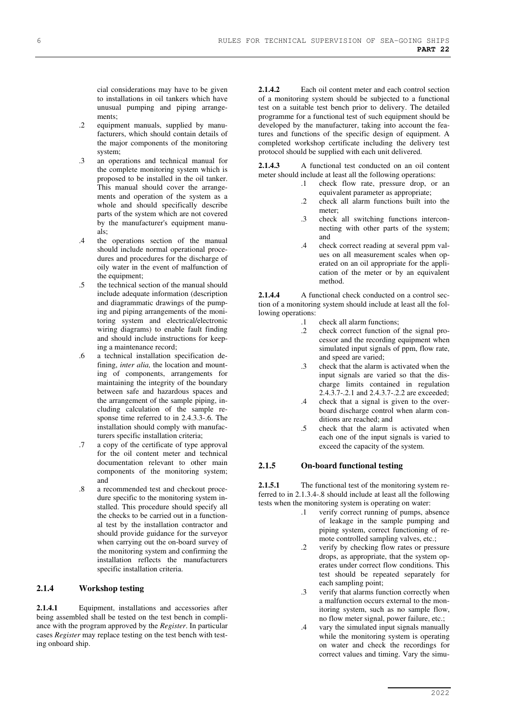cial considerations may have to be given to installations in oil tankers which have unusual pumping and piping arrangements;

- .2 equipment manuals, supplied by manufacturers, which should contain details of the major components of the monitoring system;
- .3 an operations and technical manual for the complete monitoring system which is proposed to be installed in the oil tanker. This manual should cover the arrangements and operation of the system as a whole and should specifically describe parts of the system which are not covered by the manufacturer's equipment manuals;
- .4 the operations section of the manual should include normal operational procedures and procedures for the discharge of oily water in the event of malfunction of the equipment;
- .5 the technical section of the manual should include adequate information (description and diagrammatic drawings of the pumping and piping arrangements of the monitoring system and electrical/electronic wiring diagrams) to enable fault finding and should include instructions for keeping a maintenance record;
- .6 a technical installation specification defining, *inter alia,* the location and mounting of components, arrangements for maintaining the integrity of the boundary between safe and hazardous spaces and the arrangement of the sample piping, including calculation of the sample response time referred to in 2.4.3.3-.6. The installation should comply with manufacturers specific installation criteria;
- .7 a copy of the certificate of type approval for the oil content meter and technical documentation relevant to other main components of the monitoring system; and
- .8 a recommended test and checkout procedure specific to the monitoring system installed. This procedure should specify all the checks to be carried out in a functional test by the installation contractor and should provide guidance for the surveyor when carrying out the on-board survey of the monitoring system and confirming the installation reflects the manufacturers specific installation criteria.

### **2.1.4 Workshop testing**

**2.1.4.1** Equipment, installations and accessories after being assembled shall be tested on the test bench in compliance with the program approved by the *Register*. In particular cases *Register* may replace testing on the test bench with testing onboard ship.

**2.1.4.2** Each oil content meter and each control section of a monitoring system should be subjected to a functional test on a suitable test bench prior to delivery. The detailed programme for a functional test of such equipment should be developed by the manufacturer, taking into account the features and functions of the specific design of equipment. A completed workshop certificate including the delivery test protocol should be supplied with each unit delivered.

**2.1.4.3** A functional test conducted on an oil content meter should include at least all the following operations:

- .1 check flow rate, pressure drop, or an equivalent parameter as appropriate;
- .2 check all alarm functions built into the meter;
- .3 check all switching functions interconnecting with other parts of the system; and
- .4 check correct reading at several ppm values on all measurement scales when operated on an oil appropriate for the application of the meter or by an equivalent method.

**2.1.4.4** A functional check conducted on a control section of a monitoring system should include at least all the following operations:

- .1 check all alarm functions;<br>2 check correct function of
- check correct function of the signal processor and the recording equipment when simulated input signals of ppm, flow rate, and speed are varied;
- .3 check that the alarm is activated when the input signals are varied so that the discharge limits contained in regulation 2.4.3.7-.2.1 and 2.4.3.7-.2.2 are exceeded;
- .4 check that a signal is given to the overboard discharge control when alarm conditions are reached; and
- .5 check that the alarm is activated when each one of the input signals is varied to exceed the capacity of the system.

### **2.1.5 On-board functional testing**

**2.1.5.1** The functional test of the monitoring system referred to in 2.1.3.4-.8 should include at least all the following tests when the monitoring system is operating on water:

- .1 verify correct running of pumps, absence of leakage in the sample pumping and piping system, correct functioning of remote controlled sampling valves, etc.;
- .2 verify by checking flow rates or pressure drops, as appropriate, that the system operates under correct flow conditions. This test should be repeated separately for each sampling point;
- .3 verify that alarms function correctly when a malfunction occurs external to the monitoring system, such as no sample flow, no flow meter signal, power failure, etc.;
- .4 vary the simulated input signals manually while the monitoring system is operating on water and check the recordings for correct values and timing. Vary the simu-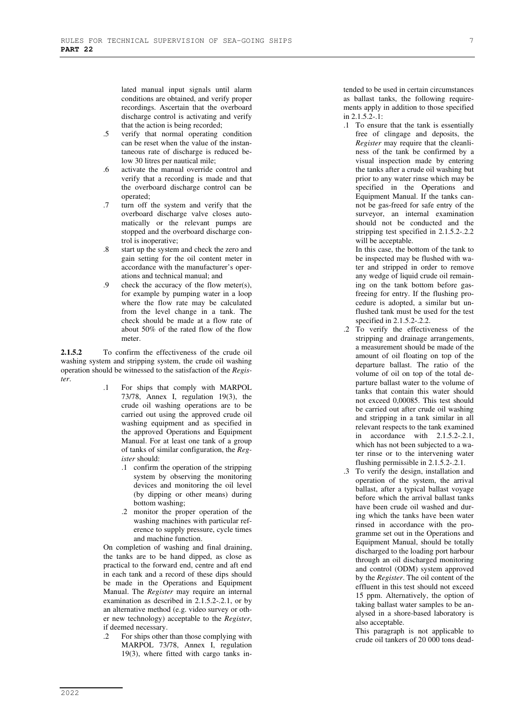lated manual input signals until alarm conditions are obtained, and verify proper recordings. Ascertain that the overboard discharge control is activating and verify that the action is being recorded;

- .5 verify that normal operating condition can be reset when the value of the instantaneous rate of discharge is reduced below 30 litres per nautical mile;
- .6 activate the manual override control and verify that a recording is made and that the overboard discharge control can be operated;
- .7 turn off the system and verify that the overboard discharge valve closes automatically or the relevant pumps are stopped and the overboard discharge control is inoperative;
- .8 start up the system and check the zero and gain setting for the oil content meter in accordance with the manufacturer's operations and technical manual; and
- .9 check the accuracy of the flow meter(s), for example by pumping water in a loop where the flow rate may be calculated from the level change in a tank. The check should be made at a flow rate of about 50% of the rated flow of the flow meter.

**2.1.5.2** To confirm the effectiveness of the crude oil washing system and stripping system, the crude oil washing operation should be witnessed to the satisfaction of the *Register*.

- .1 For ships that comply with MARPOL 73/78, Annex I, regulation 19(3), the crude oil washing operations are to be carried out using the approved crude oil washing equipment and as specified in the approved Operations and Equipment Manual. For at least one tank of a group of tanks of similar configuration, the *Register* should:
	- .1 confirm the operation of the stripping system by observing the monitoring devices and monitoring the oil level (by dipping or other means) during bottom washing;
	- .2 monitor the proper operation of the washing machines with particular reference to supply pressure, cycle times and machine function.

On completion of washing and final draining, the tanks are to be hand dipped, as close as practical to the forward end, centre and aft end in each tank and a record of these dips should be made in the Operations and Equipment Manual. The *Register* may require an internal examination as described in 2.1.5.2-.2.1, or by an alternative method (e.g. video survey or other new technology) acceptable to the *Register*, if deemed necessary.

.2 For ships other than those complying with MARPOL 73/78, Annex I, regulation 19(3), where fitted with cargo tanks intended to be used in certain circumstances as ballast tanks, the following requirements apply in addition to those specified in  $2.1.5.2 - 1$ 

.1 To ensure that the tank is essentially free of clingage and deposits, the *Register* may require that the cleanliness of the tank be confirmed by a visual inspection made by entering the tanks after a crude oil washing but prior to any water rinse which may be specified in the Operations and Equipment Manual. If the tanks cannot be gas-freed for safe entry of the surveyor, an internal examination should not be conducted and the stripping test specified in 2.1.5.2-.2.2 will be acceptable.

In this case, the bottom of the tank to be inspected may be flushed with water and stripped in order to remove any wedge of liquid crude oil remaining on the tank bottom before gasfreeing for entry. If the flushing procedure is adopted, a similar but unflushed tank must be used for the test specified in 2.1.5.2-.2.2.

- .2 To verify the effectiveness of the stripping and drainage arrangements, a measurement should be made of the amount of oil floating on top of the departure ballast. The ratio of the volume of oil on top of the total departure ballast water to the volume of tanks that contain this water should not exceed 0,00085. This test should be carried out after crude oil washing and stripping in a tank similar in all relevant respects to the tank examined in accordance with 2.1.5.2-.2.1, which has not been subjected to a water rinse or to the intervening water flushing permissible in 2.1.5.2-.2.1.
- .3 To verify the design, installation and operation of the system, the arrival ballast, after a typical ballast voyage before which the arrival ballast tanks have been crude oil washed and during which the tanks have been water rinsed in accordance with the programme set out in the Operations and Equipment Manual, should be totally discharged to the loading port harbour through an oil discharged monitoring and control (ODM) system approved by the *Register*. The oil content of the effluent in this test should not exceed 15 ppm. Alternatively, the option of taking ballast water samples to be analysed in a shore-based laboratory is also acceptable.

This paragraph is not applicable to crude oil tankers of 20 000 tons dead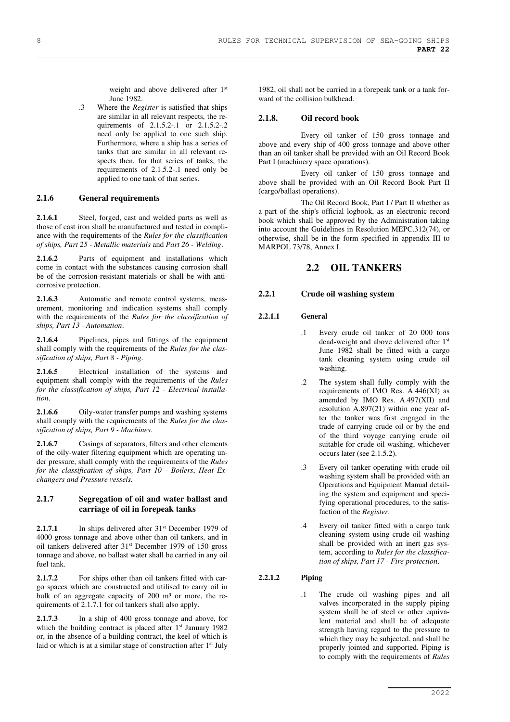weight and above delivered after 1<sup>st</sup> June 1982.

.3 Where the *Register* is satisfied that ships are similar in all relevant respects, the requirements of 2.1.5.2-.1 or 2.1.5.2-.2 need only be applied to one such ship. Furthermore, where a ship has a series of tanks that are similar in all relevant respects then, for that series of tanks, the requirements of 2.1.5.2-.1 need only be applied to one tank of that series.

#### **2.1.6 General requirements**

**2.1.6.1** Steel, forged, cast and welded parts as well as those of cast iron shall be manufactured and tested in compliance with the requirements of the *Rules for the classification of ships, Part 25 - Metallic materials* and *Part 26 - Welding*.

**2.1.6.2** Parts of equipment and installations which come in contact with the substances causing corrosion shall be of the corrosion-resistant materials or shall be with anticorrosive protection.

**2.1.6.3** Automatic and remote control systems, measurement, monitoring and indication systems shall comply with the requirements of the *Rules for the classification of ships, Part 13 - Automation*.

2.1.6.4 Pipelines, pipes and fittings of the equipment shall comply with the requirements of the *Rules for the classification of ships, Part 8 - Piping*.

**2.1.6.5** Electrical installation of the systems and equipment shall comply with the requirements of the *Rules for the classification of ships, Part 12 - Electrical installation*.

2.1.6.6 Oily-water transfer pumps and washing systems shall comply with the requirements of the *Rules for the classification of ships, Part 9 - Machines*.

**2.1.6.7** Casings of separators, filters and other elements of the oily-water filtering equipment which are operating under pressure, shall comply with the requirements of the *Rules for the classification of ships, Part 10 - Boilers*, *Heat Exchangers and Pressure vessels.*

#### **2.1.7 Segregation of oil and water ballast and carriage of oil in forepeak tanks**

**2.1.7.1** In ships delivered after 31<sup>st</sup> December 1979 of 4000 gross tonnage and above other than oil tankers, and in oil tankers delivered after 31st December 1979 of 150 gross tonnage and above, no ballast water shall be carried in any oil fuel tank.

**2.1.7.2** For ships other than oil tankers fitted with cargo spaces which are constructed and utilised to carry oil in bulk of an aggregate capacity of 200 m<sup>3</sup> or more, the requirements of 2.1.7.1 for oil tankers shall also apply.

**2.1.7.3** In a ship of 400 gross tonnage and above, for which the building contract is placed after 1<sup>st</sup> January 1982 or, in the absence of a building contract, the keel of which is laid or which is at a similar stage of construction after 1<sup>st</sup> July

1982, oil shall not be carried in a forepeak tank or a tank forward of the collision bulkhead.

#### **2.1.8. Oil record book**

Every oil tanker of 150 gross tonnage and above and every ship of 400 gross tonnage and above other than an oil tanker shall be provided with an Oil Record Book Part I (machinery space oparations).

Every oil tanker of 150 gross tonnage and above shall be provided with an Oil Record Book Part II (cargo/ballast operations).

The Oil Record Book, Part I / Part II whether as a part of the ship's official logbook, as an electronic record book which shall be approved by the Administration taking into account the Guidelines in Resolution MEPC.312(74), or otherwise, shall be in the form specified in appendix III to MARPOL 73/78, Annex I.

# **2.2 OIL TANKERS**

#### **2.2.1 Crude oil washing system**

#### **2.2.1.1 General**

- .1 Every crude oil tanker of 20 000 tons dead-weight and above delivered after 1<sup>st</sup> June 1982 shall be fitted with a cargo tank cleaning system using crude oil washing.
- .2 The system shall fully comply with the requirements of IMO Res. A.446(XI) as amended by IMO Res. A.497(XII) and resolution A.897(21) within one year after the tanker was first engaged in the trade of carrying crude oil or by the end of the third voyage carrying crude oil suitable for crude oil washing, whichever occurs later (see 2.1.5.2).
- .3 Every oil tanker operating with crude oil washing system shall be provided with an Operations and Equipment Manual detailing the system and equipment and specifying operational procedures, to the satisfaction of the *Register*.
- .4 Every oil tanker fitted with a cargo tank cleaning system using crude oil washing shall be provided with an inert gas system, according to *Rules for the classification of ships, Part 17 - Fire protection*.

### **2.2.1.2 Piping**

.1 The crude oil washing pipes and all valves incorporated in the supply piping system shall be of steel or other equivalent material and shall be of adequate strength having regard to the pressure to which they may be subjected, and shall be properly jointed and supported. Piping is to comply with the requirements of *Rules*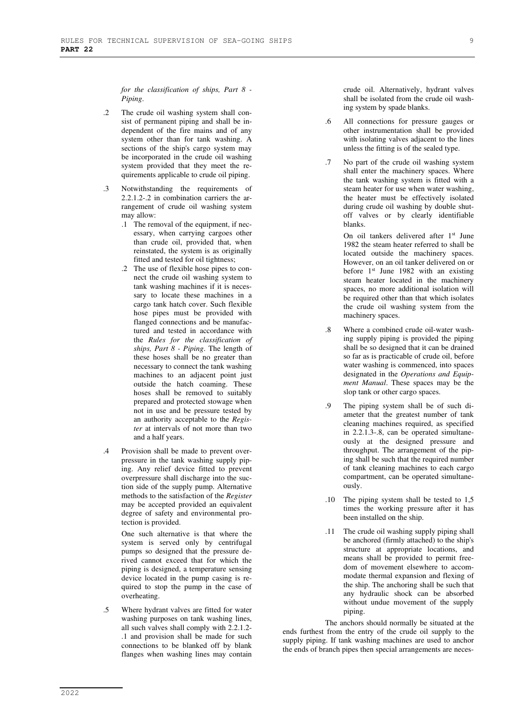*for the classification of ships, Part 8 - Piping*.

- .2 The crude oil washing system shall consist of permanent piping and shall be independent of the fire mains and of any system other than for tank washing. A sections of the ship's cargo system may be incorporated in the crude oil washing system provided that they meet the requirements applicable to crude oil piping.
- .3 Notwithstanding the requirements of 2.2.1.2-.2 in combination carriers the arrangement of crude oil washing system may allow:
	- .1 The removal of the equipment, if necessary, when carrying cargoes other than crude oil, provided that, when reinstated, the system is as originally fitted and tested for oil tightness;
	- .2 The use of flexible hose pipes to connect the crude oil washing system to tank washing machines if it is necessary to locate these machines in a cargo tank hatch cover. Such flexible hose pipes must be provided with flanged connections and be manufactured and tested in accordance with the *Rules for the classification of ships, Part 8 - Piping*. The length of these hoses shall be no greater than necessary to connect the tank washing machines to an adjacent point just outside the hatch coaming. These hoses shall be removed to suitably prepared and protected stowage when not in use and be pressure tested by an authority acceptable to the *Register* at intervals of not more than two and a half years.
- .4 Provision shall be made to prevent overpressure in the tank washing supply piping. Any relief device fitted to prevent overpressure shall discharge into the suction side of the supply pump. Alternative methods to the satisfaction of the *Register* may be accepted provided an equivalent degree of safety and environmental protection is provided.

One such alternative is that where the system is served only by centrifugal pumps so designed that the pressure derived cannot exceed that for which the piping is designed, a temperature sensing device located in the pump casing is required to stop the pump in the case of overheating.

.5 Where hydrant valves are fitted for water washing purposes on tank washing lines, all such valves shall comply with 2.2.1.2- .1 and provision shall be made for such connections to be blanked off by blank flanges when washing lines may contain

crude oil. Alternatively, hydrant valves shall be isolated from the crude oil washing system by spade blanks.

- .6 All connections for pressure gauges or other instrumentation shall be provided with isolating valves adjacent to the lines unless the fitting is of the sealed type.
- .7 No part of the crude oil washing system shall enter the machinery spaces. Where the tank washing system is fitted with a steam heater for use when water washing, the heater must be effectively isolated during crude oil washing by double shutoff valves or by clearly identifiable blanks.

On oil tankers delivered after 1<sup>st</sup> June 1982 the steam heater referred to shall be located outside the machinery spaces. However, on an oil tanker delivered on or before 1st June 1982 with an existing steam heater located in the machinery spaces, no more additional isolation will be required other than that which isolates the crude oil washing system from the machinery spaces.

- Where a combined crude oil-water washing supply piping is provided the piping shall be so designed that it can be drained so far as is practicable of crude oil, before water washing is commenced, into spaces designated in the *Operations and Equipment Manual*. These spaces may be the slop tank or other cargo spaces.
- .9 The piping system shall be of such diameter that the greatest number of tank cleaning machines required, as specified in 2.2.1.3-.8, can be operated simultaneously at the designed pressure and throughput. The arrangement of the piping shall be such that the required number of tank cleaning machines to each cargo compartment, can be operated simultaneously.
- .10 The piping system shall be tested to 1,5 times the working pressure after it has been installed on the ship.
- .11 The crude oil washing supply piping shall be anchored (firmly attached) to the ship's structure at appropriate locations, and means shall be provided to permit freedom of movement elsewhere to accommodate thermal expansion and flexing of the ship. The anchoring shall be such that any hydraulic shock can be absorbed without undue movement of the supply piping.

The anchors should normally be situated at the ends furthest from the entry of the crude oil supply to the supply piping. If tank washing machines are used to anchor the ends of branch pipes then special arrangements are neces-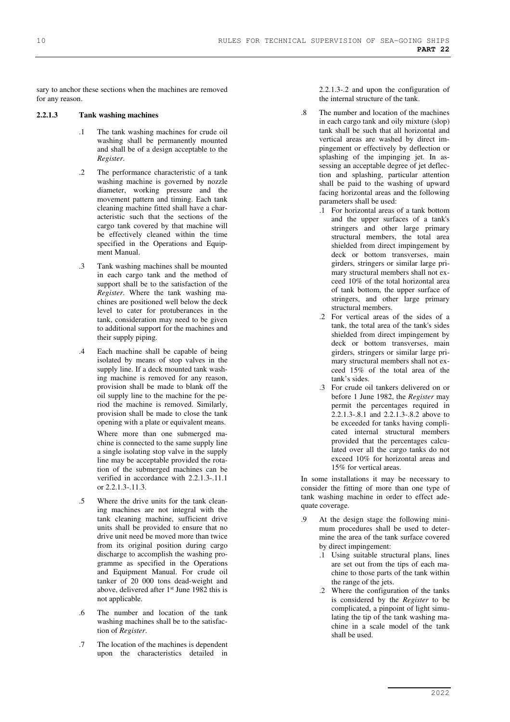sary to anchor these sections when the machines are removed for any reason.

#### **2.2.1.3 Tank washing machines**

- .1 The tank washing machines for crude oil washing shall be permanently mounted and shall be of a design acceptable to the *Register*.
- .2 The performance characteristic of a tank washing machine is governed by nozzle diameter, working pressure and the movement pattern and timing. Each tank cleaning machine fitted shall have a characteristic such that the sections of the cargo tank covered by that machine will be effectively cleaned within the time specified in the Operations and Equipment Manual.
- .3 Tank washing machines shall be mounted in each cargo tank and the method of support shall be to the satisfaction of the *Register*. Where the tank washing machines are positioned well below the deck level to cater for protuberances in the tank, consideration may need to be given to additional support for the machines and their supply piping.
- .4 Each machine shall be capable of being isolated by means of stop valves in the supply line. If a deck mounted tank washing machine is removed for any reason, provision shall be made to blank off the oil supply line to the machine for the period the machine is removed. Similarly, provision shall be made to close the tank opening with a plate or equivalent means.

Where more than one submerged machine is connected to the same supply line a single isolating stop valve in the supply line may be acceptable provided the rotation of the submerged machines can be verified in accordance with 2.2.1.3-.11.1 or 2.2.1.3-.11.3.

- .5 Where the drive units for the tank cleaning machines are not integral with the tank cleaning machine, sufficient drive units shall be provided to ensure that no drive unit need be moved more than twice from its original position during cargo discharge to accomplish the washing programme as specified in the Operations and Equipment Manual. For crude oil tanker of 20 000 tons dead-weight and above, delivered after  $1<sup>st</sup>$  June 1982 this is not applicable.
- .6 The number and location of the tank washing machines shall be to the satisfaction of *Register*.
- .7 The location of the machines is dependent upon the characteristics detailed in

2.2.1.3-.2 and upon the configuration of the internal structure of the tank.

- .8 The number and location of the machines in each cargo tank and oily mixture (slop) tank shall be such that all horizontal and vertical areas are washed by direct impingement or effectively by deflection or splashing of the impinging jet. In assessing an acceptable degree of jet deflection and splashing, particular attention shall be paid to the washing of upward facing horizontal areas and the following parameters shall be used:
	- .1 For horizontal areas of a tank bottom and the upper surfaces of a tank's stringers and other large primary structural members, the total area shielded from direct impingement by deck or bottom transverses, main girders, stringers or similar large primary structural members shall not exceed 10% of the total horizontal area of tank bottom, the upper surface of stringers, and other large primary structural members.
	- .2 For vertical areas of the sides of a tank, the total area of the tank's sides shielded from direct impingement by deck or bottom transverses, main girders, stringers or similar large primary structural members shall not exceed 15% of the total area of the tank's sides.
	- .3 For crude oil tankers delivered on or before 1 June 1982, the *Register* may permit the percentages required in 2.2.1.3-.8.1 and 2.2.1.3-.8.2 above to be exceeded for tanks having complicated internal structural members provided that the percentages calculated over all the cargo tanks do not exceed 10% for horizontal areas and 15% for vertical areas.

In some installations it may be necessary to consider the fitting of more than one type of tank washing machine in order to effect adequate coverage.

- .9 At the design stage the following minimum procedures shall be used to determine the area of the tank surface covered by direct impingement:
	- .1 Using suitable structural plans, lines are set out from the tips of each machine to those parts of the tank within the range of the jets.
	- .2 Where the configuration of the tanks is considered by the *Register* to be complicated, a pinpoint of light simulating the tip of the tank washing machine in a scale model of the tank shall be used.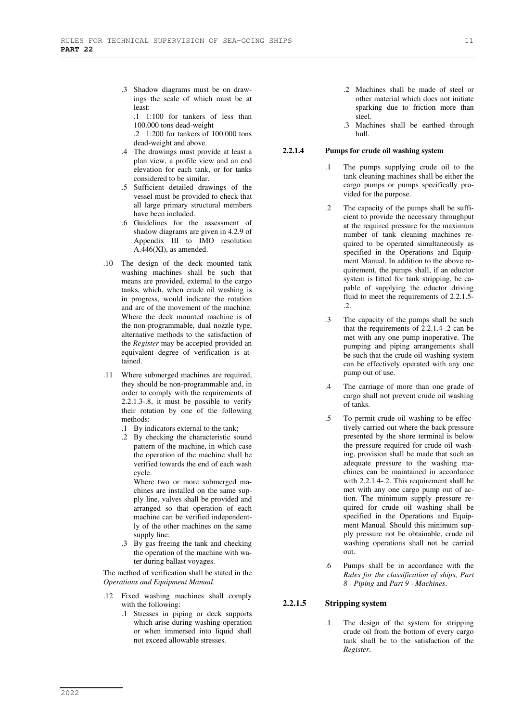.3 Shadow diagrams must be on drawings the scale of which must be at least:

.1 1:100 for tankers of less than 100.000 tons dead-weight

.2 1:200 for tankers of 100.000 tons dead-weight and above.

- .4 The drawings must provide at least a plan view, a profile view and an end elevation for each tank, or for tanks considered to be similar.
- .5 Sufficient detailed drawings of the vessel must be provided to check that all large primary structural members have been included.
- .6 Guidelines for the assessment of shadow diagrams are given in 4.2.9 of Appendix III to IMO resolution A.446(XI), as amended.
- .10 The design of the deck mounted tank washing machines shall be such that means are provided, external to the cargo tanks, which, when crude oil washing is in progress, would indicate the rotation and arc of the movement of the machine. Where the deck mounted machine is of the non-programmable, dual nozzle type, alternative methods to the satisfaction of the *Register* may be accepted provided an equivalent degree of verification is attained.
- .11 Where submerged machines are required, they should be non-programmable and, in order to comply with the requirements of 2.2.1.3-.8, it must be possible to verify their rotation by one of the following methods:
	- .1 By indicators external to the tank;
	- .2 By checking the characteristic sound pattern of the machine, in which case the operation of the machine shall be verified towards the end of each wash cycle.

Where two or more submerged machines are installed on the same supply line, valves shall be provided and arranged so that operation of each machine can be verified independently of the other machines on the same supply line;

.3 By gas freeing the tank and checking the operation of the machine with water during ballast voyages.

The method of verification shall be stated in the *Operations and Equipment Manual*.

- .12 Fixed washing machines shall comply with the following:
	- .1 Stresses in piping or deck supports which arise during washing operation or when immersed into liquid shall not exceed allowable stresses.
- .2 Machines shall be made of steel or other material which does not initiate sparking due to friction more than steel.
- .3 Machines shall be earthed through hull.

### **2.2.1.4 Pumps for crude oil washing system**

- The pumps supplying crude oil to the tank cleaning machines shall be either the cargo pumps or pumps specifically provided for the purpose.
- .2 The capacity of the pumps shall be sufficient to provide the necessary throughput at the required pressure for the maximum number of tank cleaning machines required to be operated simultaneously as specified in the Operations and Equipment Manual. In addition to the above requirement, the pumps shall, if an eductor system is fitted for tank stripping, be capable of supplying the eductor driving fluid to meet the requirements of 2.2.1.5- .2.
- .3 The capacity of the pumps shall be such that the requirements of 2.2.1.4-.2 can be met with any one pump inoperative. The pumping and piping arrangements shall be such that the crude oil washing system can be effectively operated with any one pump out of use.
- .4 The carriage of more than one grade of cargo shall not prevent crude oil washing of tanks.
- .5 To permit crude oil washing to be effectively carried out where the back pressure presented by the shore terminal is below the pressure required for crude oil washing, provision shall be made that such an adequate pressure to the washing machines can be maintained in accordance with 2.2.1.4-.2. This requirement shall be met with any one cargo pump out of action. The minimum supply pressure required for crude oil washing shall be specified in the Operations and Equipment Manual. Should this minimum supply pressure not be obtainable, crude oil washing operations shall not be carried out.
- .6 Pumps shall be in accordance with the *Rules for the classification of ships, Part 8 - Piping* and *Part 9 - Machines*.

#### **2.2.1.5 Stripping system**

.1 The design of the system for stripping crude oil from the bottom of every cargo tank shall be to the satisfaction of the *Register*.

2022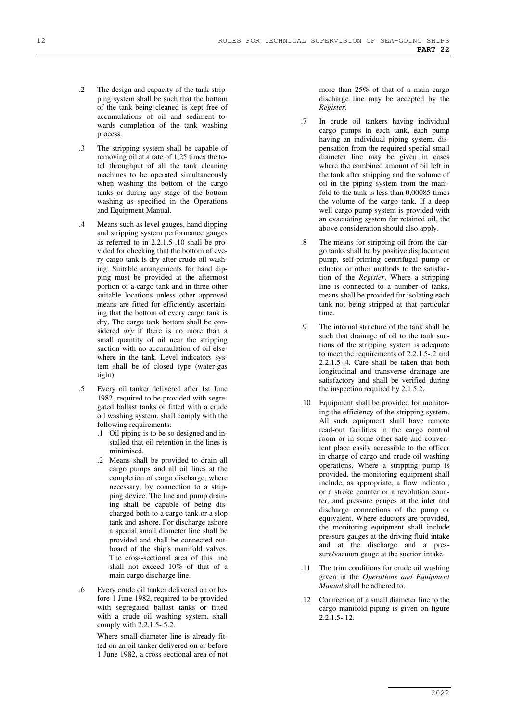- .2 The design and capacity of the tank stripping system shall be such that the bottom of the tank being cleaned is kept free of accumulations of oil and sediment towards completion of the tank washing process.
- .3 The stripping system shall be capable of removing oil at a rate of 1,25 times the total throughput of all the tank cleaning machines to be operated simultaneously when washing the bottom of the cargo tanks or during any stage of the bottom washing as specified in the Operations and Equipment Manual.
- .4 Means such as level gauges, hand dipping and stripping system performance gauges as referred to in 2.2.1.5-.10 shall be provided for checking that the bottom of every cargo tank is dry after crude oil washing. Suitable arrangements for hand dipping must be provided at the aftermost portion of a cargo tank and in three other suitable locations unless other approved means are fitted for efficiently ascertaining that the bottom of every cargo tank is dry. The cargo tank bottom shall be considered *dry* if there is no more than a small quantity of oil near the stripping suction with no accumulation of oil elsewhere in the tank. Level indicators system shall be of closed type (water-gas tight).
- .5 Every oil tanker delivered after 1st June 1982, required to be provided with segregated ballast tanks or fitted with a crude oil washing system, shall comply with the following requirements:
	- .1 Oil piping is to be so designed and installed that oil retention in the lines is minimised.
	- .2 Means shall be provided to drain all cargo pumps and all oil lines at the completion of cargo discharge, where necessary, by connection to a stripping device. The line and pump draining shall be capable of being discharged both to a cargo tank or a slop tank and ashore. For discharge ashore a special small diameter line shall be provided and shall be connected outboard of the ship's manifold valves. The cross-sectional area of this line shall not exceed 10% of that of a main cargo discharge line.
- .6 Every crude oil tanker delivered on or before 1 June 1982, required to be provided with segregated ballast tanks or fitted with a crude oil washing system, shall comply with 2.2.1.5-.5.2.

Where small diameter line is already fitted on an oil tanker delivered on or before 1 June 1982, a cross-sectional area of not more than 25% of that of a main cargo discharge line may be accepted by the *Register*.

- .7 In crude oil tankers having individual cargo pumps in each tank, each pump having an individual piping system, dispensation from the required special small diameter line may be given in cases where the combined amount of oil left in the tank after stripping and the volume of oil in the piping system from the manifold to the tank is less than 0,00085 times the volume of the cargo tank. If a deep well cargo pump system is provided with an evacuating system for retained oil, the above consideration should also apply.
- .8 The means for stripping oil from the cargo tanks shall be by positive displacement pump, self-priming centrifugal pump or eductor or other methods to the satisfaction of the *Register*. Where a stripping line is connected to a number of tanks, means shall be provided for isolating each tank not being stripped at that particular time.
- .9 The internal structure of the tank shall be such that drainage of oil to the tank suctions of the stripping system is adequate to meet the requirements of 2.2.1.5-.2 and 2.2.1.5-.4. Care shall be taken that both longitudinal and transverse drainage are satisfactory and shall be verified during the inspection required by 2.1.5.2.
- .10 Equipment shall be provided for monitoring the efficiency of the stripping system. All such equipment shall have remote read-out facilities in the cargo control room or in some other safe and convenient place easily accessible to the officer in charge of cargo and crude oil washing operations. Where a stripping pump is provided, the monitoring equipment shall include, as appropriate, a flow indicator, or a stroke counter or a revolution counter, and pressure gauges at the inlet and discharge connections of the pump or equivalent. Where eductors are provided, the monitoring equipment shall include pressure gauges at the driving fluid intake and at the discharge and a pressure/vacuum gauge at the suction intake.
- .11 The trim conditions for crude oil washing given in the *Operations and Equipment Manual* shall be adhered to.
- .12 Connection of a small diameter line to the cargo manifold piping is given on figure 2.2.1.5-.12.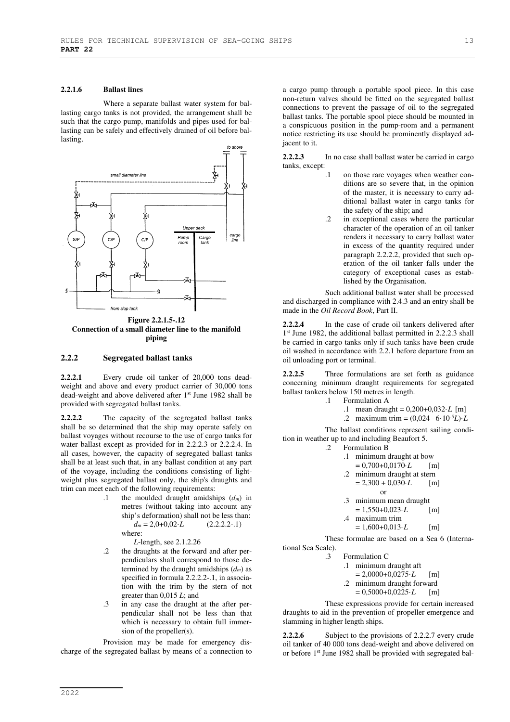#### **2.2.1.6 Ballast lines**

Where a separate ballast water system for ballasting cargo tanks is not provided, the arrangement shall be such that the cargo pump, manifolds and pipes used for ballasting can be safely and effectively drained of oil before ballasting.



**Figure 2.2.1.5-.12 Connection of a small diameter line to the manifold piping** 

#### **2.2.2 Segregated ballast tanks**

**2.2.2.1** Every crude oil tanker of 20,000 tons deadweight and above and every product carrier of 30,000 tons dead-weight and above delivered after 1<sup>st</sup> June 1982 shall be provided with segregated ballast tanks.

**2.2.2.2** The capacity of the segregated ballast tanks shall be so determined that the ship may operate safely on ballast voyages without recourse to the use of cargo tanks for water ballast except as provided for in 2.2.2.3 or 2.2.2.4. In all cases, however, the capacity of segregated ballast tanks shall be at least such that, in any ballast condition at any part of the voyage, including the conditions consisting of lightweight plus segregated ballast only, the ship's draughts and trim can meet each of the following requirements:

> .1 the moulded draught amidships (*dm*) in metres (without taking into account any ship's deformation) shall not be less than:  $d_m = 2.0 + 0.02 \cdot L$  (2.2.2.2-.1) where:

*L*-length, see 2.1.2.26

- .2 the draughts at the forward and after perpendiculars shall correspond to those determined by the draught amidships  $(d_m)$  as specified in formula 2.2.2.2-.1, in association with the trim by the stern of not greater than 0,015 *L*; and
- .3 in any case the draught at the after perpendicular shall not be less than that which is necessary to obtain full immersion of the propeller(s).

Provision may be made for emergency discharge of the segregated ballast by means of a connection to a cargo pump through a portable spool piece. In this case non-return valves should be fitted on the segregated ballast connections to prevent the passage of oil to the segregated ballast tanks. The portable spool piece should be mounted in a conspicuous position in the pump-room and a permanent notice restricting its use should be prominently displayed adiacent to it.

**2.2.2.3** In no case shall ballast water be carried in cargo tanks, except:

- .1 on those rare voyages when weather conditions are so severe that, in the opinion of the master, it is necessary to carry additional ballast water in cargo tanks for the safety of the ship; and
- .2 in exceptional cases where the particular character of the operation of an oil tanker renders it necessary to carry ballast water in excess of the quantity required under paragraph 2.2.2.2, provided that such operation of the oil tanker falls under the category of exceptional cases as established by the Organisation.

Such additional ballast water shall be processed and discharged in compliance with 2.4.3 and an entry shall be made in the *Oil Record Book*, Part II.

**2.2.2.4** In the case of crude oil tankers delivered after 1 st June 1982, the additional ballast permitted in 2.2.2.3 shall be carried in cargo tanks only if such tanks have been crude oil washed in accordance with 2.2.1 before departure from an oil unloading port or terminal.

**2.2.2.5** Three formulations are set forth as guidance concerning minimum draught requirements for segregated ballast tankers below 150 metres in length.

- .1 Formulation A
	- .1 mean draught = 0,200+0,032·*L* [m]
	- .2 maximum trim =  $(0.024 6.10^{-5}L) \cdot L$

The ballast conditions represent sailing condition in weather up to and including Beaufort 5.

|               | $= 0.700 + 0.0170 \cdot L$ | [m]                                                                                               |
|---------------|----------------------------|---------------------------------------------------------------------------------------------------|
|               |                            |                                                                                                   |
|               | $= 2,300 + 0,030 \cdot L$  | $\lceil m \rceil$                                                                                 |
|               | or                         |                                                                                                   |
| $\mathcal{E}$ |                            |                                                                                                   |
|               | $= 1,550+0,023 \cdot L$    | $\lceil m \rceil$                                                                                 |
| $\mathcal{A}$ | maximum trim               |                                                                                                   |
|               | $= 1,600+0,013 \cdot L$    | m                                                                                                 |
|               |                            | Formulation B<br>.1 minimum draught at bow<br>.2 minimum draught at stern<br>minimum mean draught |

These formulae are based on a Sea 6 (International Sea Scale).

- .1 minimum draught aft
	- $= 2,0000+0,0275 \cdot L$  [m]

.2 minimum draught forward

 $= 0,5000+0,0225 \cdot L$  [m]

These expressions provide for certain increased draughts to aid in the prevention of propeller emergence and slamming in higher length ships.

**2.2.2.6** Subject to the provisions of 2.2.2.7 every crude oil tanker of 40 000 tons dead-weight and above delivered on or before 1st June 1982 shall be provided with segregated bal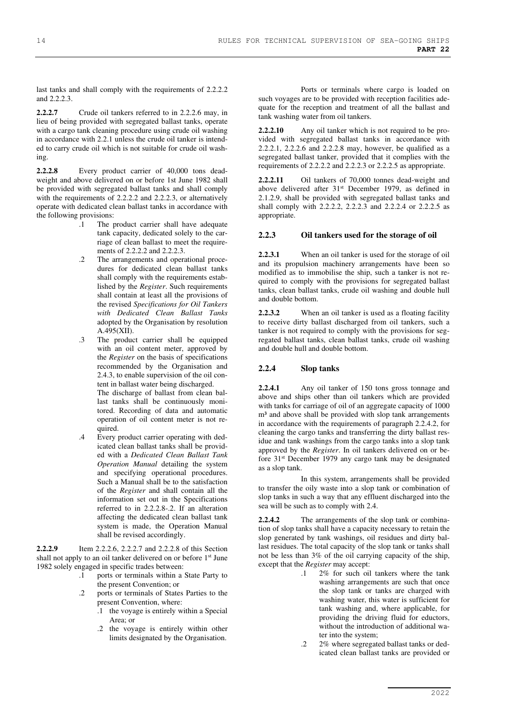last tanks and shall comply with the requirements of 2.2.2.2 and 2.2.2.3.

**2.2.2.7** Crude oil tankers referred to in 2.2.2.6 may, in lieu of being provided with segregated ballast tanks, operate with a cargo tank cleaning procedure using crude oil washing in accordance with 2.2.1 unless the crude oil tanker is intended to carry crude oil which is not suitable for crude oil washing.

**2.2.2.8** Every product carrier of 40,000 tons deadweight and above delivered on or before 1st June 1982 shall be provided with segregated ballast tanks and shall comply with the requirements of 2.2.2.2 and 2.2.2.3, or alternatively operate with dedicated clean ballast tanks in accordance with the following provisions:

- .1 The product carrier shall have adequate tank capacity, dedicated solely to the carriage of clean ballast to meet the requirements of 2.2.2.2 and 2.2.2.3.
- .2 The arrangements and operational procedures for dedicated clean ballast tanks shall comply with the requirements established by the *Register*. Such requirements shall contain at least all the provisions of the revised *Specifications for Oil Tankers with Dedicated Clean Ballast Tanks* adopted by the Organisation by resolution A.495(XII).
- .3 The product carrier shall be equipped with an oil content meter, approved by the *Register* on the basis of specifications recommended by the Organisation and 2.4.3, to enable supervision of the oil content in ballast water being discharged.

The discharge of ballast from clean ballast tanks shall be continuously monitored. Recording of data and automatic operation of oil content meter is not required.

.4 Every product carrier operating with dedicated clean ballast tanks shall be provided with a *Dedicated Clean Ballast Tank Operation Manual* detailing the system and specifying operational procedures. Such a Manual shall be to the satisfaction of the *Register* and shall contain all the information set out in the Specifications referred to in 2.2.2.8-.2. If an alteration affecting the dedicated clean ballast tank system is made, the Operation Manual shall be revised accordingly.

**2.2.2.9** Item 2.2.2.6, 2.2.2.7 and 2.2.2.8 of this Section shall not apply to an oil tanker delivered on or before 1<sup>st</sup> June 1982 solely engaged in specific trades between:

- .1 ports or terminals within a State Party to the present Convention; or
- .2 ports or terminals of States Parties to the present Convention, where:
	- .1 the voyage is entirely within a Special Area; or
	- .2 the voyage is entirely within other limits designated by the Organisation.

Ports or terminals where cargo is loaded on such voyages are to be provided with reception facilities adequate for the reception and treatment of all the ballast and tank washing water from oil tankers.

**2.2.2.10** Any oil tanker which is not required to be provided with segregated ballast tanks in accordance with 2.2.2.1, 2.2.2.6 and 2.2.2.8 may, however, be qualified as a segregated ballast tanker, provided that it complies with the requirements of 2.2.2.2 and 2.2.2.3 or 2.2.2.5 as appropriate.

**2.2.2.11** Oil tankers of 70,000 tonnes dead-weight and above delivered after 31<sup>st</sup> December 1979, as defined in 2.1.2.9, shall be provided with segregated ballast tanks and shall comply with 2.2.2.2, 2.2.2.3 and 2.2.2.4 or 2.2.2.5 as appropriate.

### **2.2.3 Oil tankers used for the storage of oil**

**2.2.3.1** When an oil tanker is used for the storage of oil and its propulsion machinery arrangements have been so modified as to immobilise the ship, such a tanker is not required to comply with the provisions for segregated ballast tanks, clean ballast tanks, crude oil washing and double hull and double bottom.

**2.2.3.2** When an oil tanker is used as a floating facility to receive dirty ballast discharged from oil tankers, such a tanker is not required to comply with the provisions for segregated ballast tanks, clean ballast tanks, crude oil washing and double hull and double bottom.

### **2.2.4 Slop tanks**

**2.2.4.1** Any oil tanker of 150 tons gross tonnage and above and ships other than oil tankers which are provided with tanks for carriage of oil of an aggregate capacity of 1000 m<sup>3</sup> and above shall be provided with slop tank arrangements in accordance with the requirements of paragraph 2.2.4.2, for cleaning the cargo tanks and transferring the dirty ballast residue and tank washings from the cargo tanks into a slop tank approved by the *Register*. In oil tankers delivered on or before 31st December 1979 any cargo tank may be designated as a slop tank.

In this system, arrangements shall be provided to transfer the oily waste into a slop tank or combination of slop tanks in such a way that any effluent discharged into the sea will be such as to comply with 2.4.

**2.2.4.2** The arrangements of the slop tank or combination of slop tanks shall have a capacity necessary to retain the slop generated by tank washings, oil residues and dirty ballast residues. The total capacity of the slop tank or tanks shall not be less than 3% of the oil carrying capacity of the ship, except that the *Register* may accept:

- .1 2% for such oil tankers where the tank washing arrangements are such that once the slop tank or tanks are charged with washing water, this water is sufficient for tank washing and, where applicable, for providing the driving fluid for eductors, without the introduction of additional water into the system;
- .2 2% where segregated ballast tanks or dedicated clean ballast tanks are provided or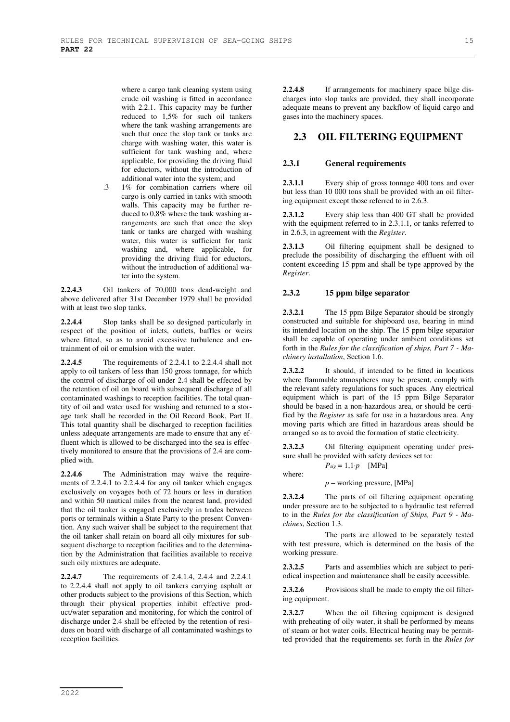where a cargo tank cleaning system using crude oil washing is fitted in accordance with 2.2.1. This capacity may be further reduced to 1,5% for such oil tankers where the tank washing arrangements are such that once the slop tank or tanks are charge with washing water, this water is sufficient for tank washing and, where applicable, for providing the driving fluid for eductors, without the introduction of additional water into the system; and

.3 1% for combination carriers where oil cargo is only carried in tanks with smooth walls. This capacity may be further reduced to 0,8% where the tank washing arrangements are such that once the slop tank or tanks are charged with washing water, this water is sufficient for tank washing and, where applicable, for providing the driving fluid for eductors, without the introduction of additional water into the system.

**2.2.4.3** Oil tankers of 70,000 tons dead-weight and above delivered after 31st December 1979 shall be provided with at least two slop tanks.

**2.2.4.4** Slop tanks shall be so designed particularly in respect of the position of inlets, outlets, baffles or weirs where fitted, so as to avoid excessive turbulence and entrainment of oil or emulsion with the water.

**2.2.4.5** The requirements of 2.2.4.1 to 2.2.4.4 shall not apply to oil tankers of less than 150 gross tonnage, for which the control of discharge of oil under 2.4 shall be effected by the retention of oil on board with subsequent discharge of all contaminated washings to reception facilities. The total quantity of oil and water used for washing and returned to a storage tank shall be recorded in the Oil Record Book, Part II. This total quantity shall be discharged to reception facilities unless adequate arrangements are made to ensure that any effluent which is allowed to be discharged into the sea is effectively monitored to ensure that the provisions of 2.4 are complied with.

**2.2.4.6** The Administration may waive the requirements of 2.2.4.1 to 2.2.4.4 for any oil tanker which engages exclusively on voyages both of 72 hours or less in duration and within 50 nautical miles from the nearest land, provided that the oil tanker is engaged exclusively in trades between ports or terminals within a State Party to the present Convention. Any such waiver shall be subject to the requirement that the oil tanker shall retain on board all oily mixtures for subsequent discharge to reception facilities and to the determination by the Administration that facilities available to receive such oily mixtures are adequate.

**2.2.4.7** The requirements of 2.4.1.4, 2.4.4 and 2.2.4.1 to 2.2.4.4 shall not apply to oil tankers carrying asphalt or other products subject to the provisions of this Section, which through their physical properties inhibit effective product/water separation and monitoring, for which the control of discharge under 2.4 shall be effected by the retention of residues on board with discharge of all contaminated washings to reception facilities.

**2.2.4.8** If arrangements for machinery space bilge discharges into slop tanks are provided, they shall incorporate adequate means to prevent any backflow of liquid cargo and gases into the machinery spaces.

# **2.3 OIL FILTERING EQUIPMENT**

### **2.3.1 General requirements**

**2.3.1.1** Every ship of gross tonnage 400 tons and over but less than 10 000 tons shall be provided with an oil filtering equipment except those referred to in 2.6.3.

**2.3.1.2** Every ship less than 400 GT shall be provided with the equipment referred to in 2.3.1.1, or tanks referred to in 2.6.3, in agreement with the *Register*.

**2.3.1.3** Oil filtering equipment shall be designed to preclude the possibility of discharging the effluent with oil content exceeding 15 ppm and shall be type approved by the *Register*.

### **2.3.2 15 ppm bilge separator**

**2.3.2.1** The 15 ppm Bilge Separator should be strongly constructed and suitable for shipboard use, bearing in mind its intended location on the ship. The 15 ppm bilge separator shall be capable of operating under ambient conditions set forth in the *Rules for the classification of ships, Part 7 - Machinery installation*, Section 1.6.

**2.3.2.2** It should, if intended to be fitted in locations where flammable atmospheres may be present, comply with the relevant safety regulations for such spaces. Any electrical equipment which is part of the 15 ppm Bilge Separator should be based in a non-hazardous area, or should be certified by the *Register* as safe for use in a hazardous area. Any moving parts which are fitted in hazardous areas should be arranged so as to avoid the formation of static electricity.

**2.3.2.3** Oil filtering equipment operating under pressure shall be provided with safety devices set to:  $P_{sig} = 1, 1 \cdot p$  [MPa]

where:

 *p* – working pressure, [MPa]

**2.3.2.4** The parts of oil filtering equipment operating under pressure are to be subjected to a hydraulic test referred to in the *Rules for the classification of Ships, Part 9 - Machines*, Section 1.3.

The parts are allowed to be separately tested with test pressure, which is determined on the basis of the working pressure.

**2.3.2.5** Parts and assemblies which are subject to periodical inspection and maintenance shall be easily accessible.

**2.3.2.6** Provisions shall be made to empty the oil filtering equipment.

**2.3.2.7** When the oil filtering equipment is designed with preheating of oily water, it shall be performed by means of steam or hot water coils. Electrical heating may be permitted provided that the requirements set forth in the *Rules for*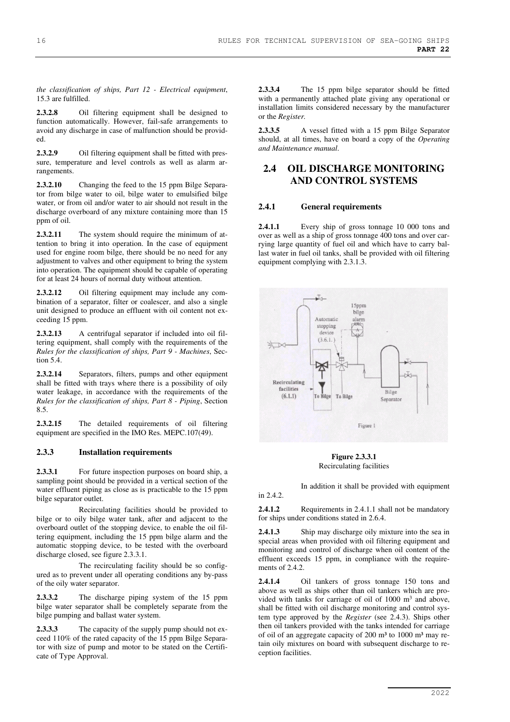*the classification of ships, Part 12 - Electrical equipment*, 15.3 are fulfilled.

**2.3.2.8** Oil filtering equipment shall be designed to function automatically. However, fail-safe arrangements to avoid any discharge in case of malfunction should be provided.

**2.3.2.9** Oil filtering equipment shall be fitted with pressure, temperature and level controls as well as alarm arrangements.

**2.3.2.10** Changing the feed to the 15 ppm Bilge Separator from bilge water to oil, bilge water to emulsified bilge water, or from oil and/or water to air should not result in the discharge overboard of any mixture containing more than 15 ppm of oil.

**2.3.2.11** The system should require the minimum of attention to bring it into operation. In the case of equipment used for engine room bilge, there should be no need for any adjustment to valves and other equipment to bring the system into operation. The equipment should be capable of operating for at least 24 hours of normal duty without attention.

**2.3.2.12** Oil filtering equipment may include any combination of a separator, filter or coalescer, and also a single unit designed to produce an effluent with oil content not exceeding 15 ppm.

**2.3.2.13** A centrifugal separator if included into oil filtering equipment, shall comply with the requirements of the *Rules for the classification of ships, Part 9 - Machines*, Section 5.4.

**2.3.2.14** Separators, filters, pumps and other equipment shall be fitted with trays where there is a possibility of oily water leakage, in accordance with the requirements of the *Rules for the classification of ships, Part 8 - Piping*, Section 8.5.

**2.3.2.15** The detailed requirements of oil filtering equipment are specified in the IMO Res. MEPC.107(49).

#### **2.3.3 Installation requirements**

**2.3.3.1** For future inspection purposes on board ship, a sampling point should be provided in a vertical section of the water effluent piping as close as is practicable to the 15 ppm bilge separator outlet.

Recirculating facilities should be provided to bilge or to oily bilge water tank, after and adjacent to the overboard outlet of the stopping device, to enable the oil filtering equipment, including the 15 ppm bilge alarm and the automatic stopping device, to be tested with the overboard discharge closed, see figure 2.3.3.1.

The recirculating facility should be so configured as to prevent under all operating conditions any by-pass of the oily water separator.

**2.3.3.2** The discharge piping system of the 15 ppm bilge water separator shall be completely separate from the bilge pumping and ballast water system.

**2.3.3.3** The capacity of the supply pump should not exceed 110% of the rated capacity of the 15 ppm Bilge Separator with size of pump and motor to be stated on the Certificate of Type Approval.

**2.3.3.4** The 15 ppm bilge separator should be fitted with a permanently attached plate giving any operational or installation limits considered necessary by the manufacturer or the *Register.*

**2.3.3.5** A vessel fitted with a 15 ppm Bilge Separator should, at all times, have on board a copy of the *Operating and Maintenance manual*.

### **2.4 OIL DISCHARGE MONITORING AND CONTROL SYSTEMS**

#### **2.4.1 General requirements**

**2.4.1.1** Every ship of gross tonnage 10 000 tons and over as well as a ship of gross tonnage 400 tons and over carrying large quantity of fuel oil and which have to carry ballast water in fuel oil tanks, shall be provided with oil filtering equipment complying with 2.3.1.3.



**Figure 2.3.3.1**  Recirculating facilities

In addition it shall be provided with equipment in 2.4.2.

**2.4.1.2** Requirements in 2.4.1.1 shall not be mandatory for ships under conditions stated in 2.6.4.

**2.4.1.3** Ship may discharge oily mixture into the sea in special areas when provided with oil filtering equipment and monitoring and control of discharge when oil content of the effluent exceeds 15 ppm, in compliance with the requirements of 2.4.2.

**2.4.1.4** Oil tankers of gross tonnage 150 tons and above as well as ships other than oil tankers which are provided with tanks for carriage of oil of  $1000 \text{ m}^3$  and above, shall be fitted with oil discharge monitoring and control system type approved by the *Register* (see 2.4.3). Ships other then oil tankers provided with the tanks intended for carriage of oil of an aggregate capacity of 200 m<sup>3</sup> to 1000 m<sup>3</sup> may retain oily mixtures on board with subsequent discharge to reception facilities.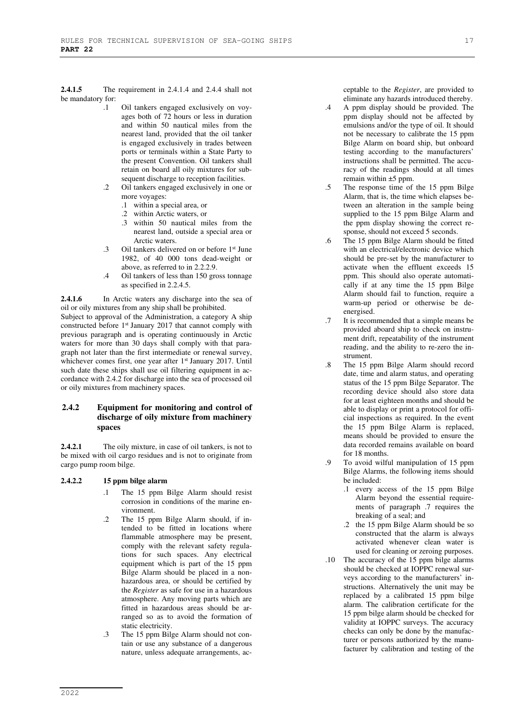**2.4.1.5** The requirement in 2.4.1.4 and 2.4.4 shall not be mandatory for:

- .1 Oil tankers engaged exclusively on voyages both of 72 hours or less in duration and within 50 nautical miles from the nearest land, provided that the oil tanker is engaged exclusively in trades between ports or terminals within a State Party to the present Convention. Oil tankers shall retain on board all oily mixtures for subsequent discharge to reception facilities.
- .2 Oil tankers engaged exclusively in one or more voyages:
	- .1 within a special area, or
	- .2 within Arctic waters, or
	- .3 within 50 nautical miles from the nearest land, outside a special area or Arctic waters.
- .3 Oil tankers delivered on or before 1st June 1982, of 40 000 tons dead-weight or above, as referred to in 2.2.2.9.
- .4 Oil tankers of less than 150 gross tonnage as specified in 2.2.4.5.

**2.4.1.6** In Arctic waters any discharge into the sea of oil or oily mixtures from any ship shall be prohibited. Subject to approval of the Administration, a category A ship constructed before 1st January 2017 that cannot comply with previous paragraph and is operating continuously in Arctic waters for more than 30 days shall comply with that paragraph not later than the first intermediate or renewal survey, whichever comes first, one year after 1<sup>st</sup> January 2017. Until such date these ships shall use oil filtering equipment in accordance with 2.4.2 for discharge into the sea of processed oil or oily mixtures from machinery spaces.

### **2.4.2 Equipment for monitoring and control of discharge of oily mixture from machinery spaces**

**2.4.2.1** The oily mixture, in case of oil tankers, is not to be mixed with oil cargo residues and is not to originate from cargo pump room bilge.

### **2.4.2.2 15 ppm bilge alarm**

- .1 The 15 ppm Bilge Alarm should resist corrosion in conditions of the marine environment.
- .2 The 15 ppm Bilge Alarm should, if intended to be fitted in locations where flammable atmosphere may be present, comply with the relevant safety regulations for such spaces. Any electrical equipment which is part of the 15 ppm Bilge Alarm should be placed in a nonhazardous area, or should be certified by the *Register* as safe for use in a hazardous atmosphere. Any moving parts which are fitted in hazardous areas should be arranged so as to avoid the formation of static electricity.
- .3 The 15 ppm Bilge Alarm should not contain or use any substance of a dangerous nature, unless adequate arrangements, ac-

ceptable to the *Register*, are provided to eliminate any hazards introduced thereby.

- .4 A ppm display should be provided. The ppm display should not be affected by emulsions and/or the type of oil. It should not be necessary to calibrate the 15 ppm Bilge Alarm on board ship, but onboard testing according to the manufacturers' instructions shall be permitted. The accuracy of the readings should at all times remain within ±5 ppm.
- .5 The response time of the 15 ppm Bilge Alarm, that is, the time which elapses between an alteration in the sample being supplied to the 15 ppm Bilge Alarm and the ppm display showing the correct response, should not exceed 5 seconds.
- .6 The 15 ppm Bilge Alarm should be fitted with an electrical/electronic device which should be pre-set by the manufacturer to activate when the effluent exceeds 15 ppm. This should also operate automatically if at any time the 15 ppm Bilge Alarm should fail to function, require a warm-up period or otherwise be deenergised.
- .7 It is recommended that a simple means be provided aboard ship to check on instrument drift, repeatability of the instrument reading, and the ability to re-zero the instrument.
- .8 The 15 ppm Bilge Alarm should record date, time and alarm status, and operating status of the 15 ppm Bilge Separator. The recording device should also store data for at least eighteen months and should be able to display or print a protocol for official inspections as required. In the event the 15 ppm Bilge Alarm is replaced, means should be provided to ensure the data recorded remains available on board for 18 months.
- .9 To avoid wilful manipulation of 15 ppm Bilge Alarms, the following items should be included:
	- .1 every access of the 15 ppm Bilge Alarm beyond the essential requirements of paragraph .7 requires the breaking of a seal; and
	- .2 the 15 ppm Bilge Alarm should be so constructed that the alarm is always activated whenever clean water is used for cleaning or zeroing purposes.
- .10 The accuracy of the 15 ppm bilge alarms should be checked at IOPPC renewal surveys according to the manufacturers' instructions. Alternatively the unit may be replaced by a calibrated 15 ppm bilge alarm. The calibration certificate for the 15 ppm bilge alarm should be checked for validity at IOPPC surveys. The accuracy checks can only be done by the manufacturer or persons authorized by the manufacturer by calibration and testing of the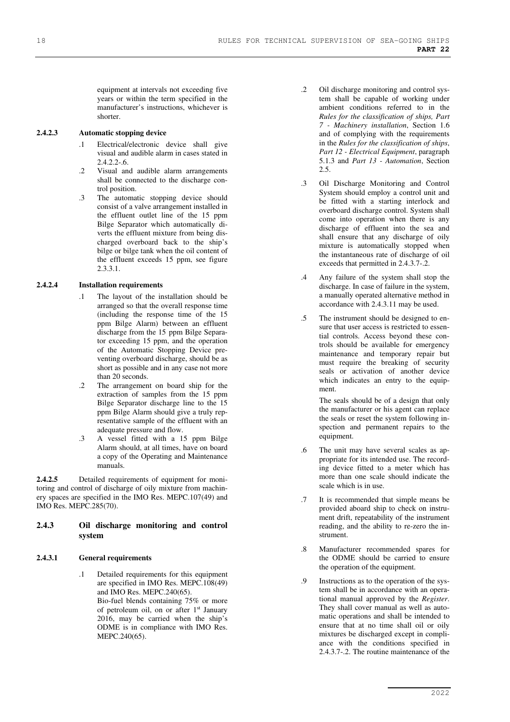equipment at intervals not exceeding five years or within the term specified in the manufacturer's instructions, whichever is shorter.

#### **2.4.2.3 Automatic stopping device**

- .1 Electrical/electronic device shall give visual and audible alarm in cases stated in  $2.4.2.2 - 6.$
- .2 Visual and audible alarm arrangements shall be connected to the discharge control position.
- .3 The automatic stopping device should consist of a valve arrangement installed in the effluent outlet line of the 15 ppm Bilge Separator which automatically diverts the effluent mixture from being discharged overboard back to the ship's bilge or bilge tank when the oil content of the effluent exceeds 15 ppm, see figure 2.3.3.1.

#### **2.4.2.4 Installation requirements**

- .1 The layout of the installation should be arranged so that the overall response time (including the response time of the 15 ppm Bilge Alarm) between an effluent discharge from the 15 ppm Bilge Separator exceeding 15 ppm, and the operation of the Automatic Stopping Device preventing overboard discharge, should be as short as possible and in any case not more than 20 seconds.
- .2 The arrangement on board ship for the extraction of samples from the 15 ppm Bilge Separator discharge line to the 15 ppm Bilge Alarm should give a truly representative sample of the effluent with an adequate pressure and flow.
- .3 A vessel fitted with a 15 ppm Bilge Alarm should, at all times, have on board a copy of the Operating and Maintenance manuals.

**2.4.2.5** Detailed requirements of equipment for monitoring and control of discharge of oily mixture from machinery spaces are specified in the IMO Res. MEPC.107(49) and IMO Res. MEPC.285(70).

#### **2.4.3 Oil discharge monitoring and control system**

#### **2.4.3.1 General requirements**

.1 Detailed requirements for this equipment are specified in IMO Res. MEPC.108(49) and IMO Res. MEPC.240(65). Bio-fuel blends containing 75% or more of petroleum oil, on or after 1<sup>st</sup> January 2016, may be carried when the ship's ODME is in compliance with IMO Res. MEPC.240(65).

- .2 Oil discharge monitoring and control system shall be capable of working under ambient conditions referred to in the *Rules for the classification of ships, Part 7 - Machinery installation*, Section 1.6 and of complying with the requirements in the *Rules for the classification of ships*, *Part 12 - Electrical Equipment*, paragraph 5.1.3 and *Part 13 - Automation*, Section 2.5.
- .3 Oil Discharge Monitoring and Control System should employ a control unit and be fitted with a starting interlock and overboard discharge control. System shall come into operation when there is any discharge of effluent into the sea and shall ensure that any discharge of oily mixture is automatically stopped when the instantaneous rate of discharge of oil exceeds that permitted in 2.4.3.7-.2.
- .4 Any failure of the system shall stop the discharge. In case of failure in the system, a manually operated alternative method in accordance with 2.4.3.11 may be used.
- .5 The instrument should be designed to ensure that user access is restricted to essential controls. Access beyond these controls should be available for emergency maintenance and temporary repair but must require the breaking of security seals or activation of another device which indicates an entry to the equipment.

The seals should be of a design that only the manufacturer or his agent can replace the seals or reset the system following inspection and permanent repairs to the equipment.

- .6 The unit may have several scales as appropriate for its intended use. The recording device fitted to a meter which has more than one scale should indicate the scale which is in use.
- .7 It is recommended that simple means be provided aboard ship to check on instrument drift, repeatability of the instrument reading, and the ability to re-zero the instrument.
- .8 Manufacturer recommended spares for the ODME should be carried to ensure the operation of the equipment.
- .9 Instructions as to the operation of the system shall be in accordance with an operational manual approved by the *Register*. They shall cover manual as well as automatic operations and shall be intended to ensure that at no time shall oil or oily mixtures be discharged except in compliance with the conditions specified in 2.4.3.7-.2. The routine maintenance of the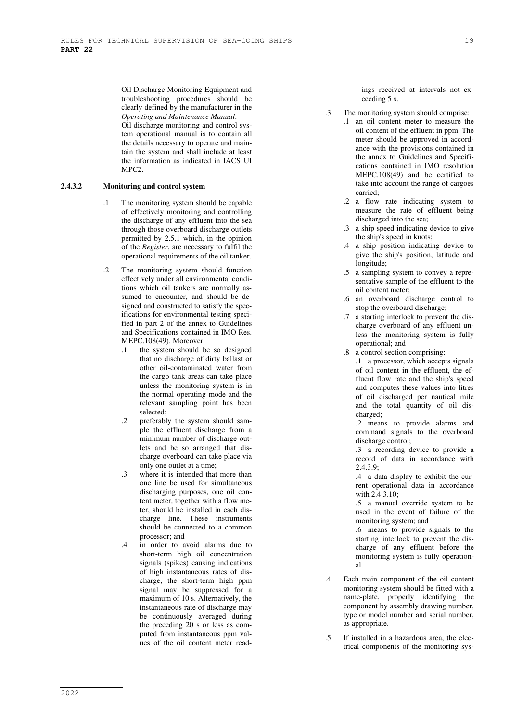Oil Discharge Monitoring Equipment and troubleshooting procedures should be clearly defined by the manufacturer in the *Operating and Maintenance Manual*. Oil discharge monitoring and control sys-

tem operational manual is to contain all the details necessary to operate and maintain the system and shall include at least the information as indicated in IACS UI MPC<sub>2</sub>

### **2.4.3.2 Monitoring and control system**

- .1 The monitoring system should be capable of effectively monitoring and controlling the discharge of any effluent into the sea through those overboard discharge outlets permitted by 2.5.1 which, in the opinion of the *Register*, are necessary to fulfil the operational requirements of the oil tanker.
- .2 The monitoring system should function effectively under all environmental conditions which oil tankers are normally assumed to encounter, and should be designed and constructed to satisfy the specifications for environmental testing specified in part 2 of the annex to Guidelines and Specifications contained in IMO Res. MEPC.108(49). Moreover:
	- .1 the system should be so designed that no discharge of dirty ballast or other oil-contaminated water from the cargo tank areas can take place unless the monitoring system is in the normal operating mode and the relevant sampling point has been selected;
	- .2 preferably the system should sample the effluent discharge from a minimum number of discharge outlets and be so arranged that discharge overboard can take place via only one outlet at a time;
	- .3 where it is intended that more than one line be used for simultaneous discharging purposes, one oil content meter, together with a flow meter, should be installed in each discharge line. These instruments should be connected to a common processor; and
	- .4 in order to avoid alarms due to short-term high oil concentration signals (spikes) causing indications of high instantaneous rates of discharge, the short-term high ppm signal may be suppressed for a maximum of 10 s. Alternatively, the instantaneous rate of discharge may be continuously averaged during the preceding 20 s or less as computed from instantaneous ppm values of the oil content meter read-

ings received at intervals not exceeding 5 s.

- .3 The monitoring system should comprise:
	- .1 an oil content meter to measure the oil content of the effluent in ppm. The meter should be approved in accordance with the provisions contained in the annex to Guidelines and Specifications contained in IMO resolution MEPC.108(49) and be certified to take into account the range of cargoes carried;
	- .2 a flow rate indicating system to measure the rate of effluent being discharged into the sea;
	- .3 a ship speed indicating device to give the ship's speed in knots;
	- .4 a ship position indicating device to give the ship's position, latitude and longitude;
	- .5 a sampling system to convey a representative sample of the effluent to the oil content meter;
	- .6 an overboard discharge control to stop the overboard discharge;
	- .7 a starting interlock to prevent the discharge overboard of any effluent unless the monitoring system is fully operational; and
	- .8 a control section comprising:
		- .1 a processor, which accepts signals of oil content in the effluent, the effluent flow rate and the ship's speed and computes these values into litres of oil discharged per nautical mile and the total quantity of oil discharged;

.2 means to provide alarms and command signals to the overboard discharge control;

.3 a recording device to provide a record of data in accordance with  $2.4.3.9$ 

.4 a data display to exhibit the current operational data in accordance with 2.4.3.10;

.5 a manual override system to be used in the event of failure of the monitoring system; and

.6 means to provide signals to the starting interlock to prevent the discharge of any effluent before the monitoring system is fully operational.

- .4 Each main component of the oil content monitoring system should be fitted with a name-plate, properly identifying the component by assembly drawing number, type or model number and serial number, as appropriate.
- .5 If installed in a hazardous area, the electrical components of the monitoring sys-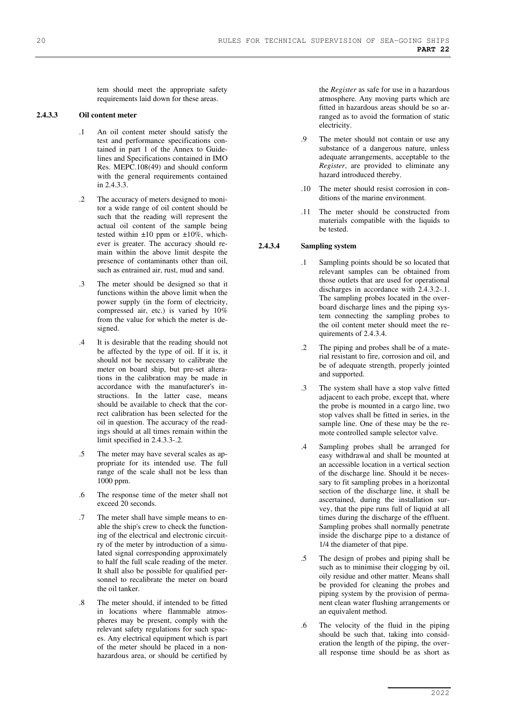tem should meet the appropriate safety requirements laid down for these areas.

#### **2.4.3.3 Oil content meter**

- .1 An oil content meter should satisfy the test and performance specifications contained in part 1 of the Annex to Guidelines and Specifications contained in IMO Res. MEPC.108(49) and should conform with the general requirements contained in 2.4.3.3.
- .2 The accuracy of meters designed to monitor a wide range of oil content should be such that the reading will represent the actual oil content of the sample being tested within  $\pm 10$  ppm or  $\pm 10\%$ , whichever is greater. The accuracy should remain within the above limit despite the presence of contaminants other than oil, such as entrained air, rust, mud and sand.
- .3 The meter should be designed so that it functions within the above limit when the power supply (in the form of electricity, compressed air, etc.) is varied by 10% from the value for which the meter is designed.
- .4 It is desirable that the reading should not be affected by the type of oil. If it is, it should not be necessary to calibrate the meter on board ship, but pre-set alterations in the calibration may be made in accordance with the manufacturer's instructions. In the latter case, means should be available to check that the correct calibration has been selected for the oil in question. The accuracy of the readings should at all times remain within the limit specified in 2.4.3.3-.2.
- .5 The meter may have several scales as appropriate for its intended use. The full range of the scale shall not be less than 1000 ppm.
- .6 The response time of the meter shall not exceed 20 seconds.
- .7 The meter shall have simple means to enable the ship's crew to check the functioning of the electrical and electronic circuitry of the meter by introduction of a simulated signal corresponding approximately to half the full scale reading of the meter. It shall also be possible for qualified personnel to recalibrate the meter on board the oil tanker.
- .8 The meter should, if intended to be fitted in locations where flammable atmospheres may be present, comply with the relevant safety regulations for such spaces. Any electrical equipment which is part of the meter should be placed in a nonhazardous area, or should be certified by

the *Register* as safe for use in a hazardous atmosphere. Any moving parts which are fitted in hazardous areas should be so arranged as to avoid the formation of static electricity.

- .9 The meter should not contain or use any substance of a dangerous nature, unless adequate arrangements, acceptable to the *Register*, are provided to eliminate any hazard introduced thereby.
- .10 The meter should resist corrosion in conditions of the marine environment.
- .11 The meter should be constructed from materials compatible with the liquids to be tested.

### **2.4.3.4 Sampling system**

- Sampling points should be so located that relevant samples can be obtained from those outlets that are used for operational discharges in accordance with 2.4.3.2-.1. The sampling probes located in the overboard discharge lines and the piping system connecting the sampling probes to the oil content meter should meet the requirements of 2.4.3.4.
- .2 The piping and probes shall be of a material resistant to fire, corrosion and oil, and be of adequate strength, properly jointed and supported.
- .3 The system shall have a stop valve fitted adjacent to each probe, except that, where the probe is mounted in a cargo line, two stop valves shall be fitted in series, in the sample line. One of these may be the remote controlled sample selector valve.
- .4 Sampling probes shall be arranged for easy withdrawal and shall be mounted at an accessible location in a vertical section of the discharge line. Should it be necessary to fit sampling probes in a horizontal section of the discharge line, it shall be ascertained, during the installation survey, that the pipe runs full of liquid at all times during the discharge of the effluent. Sampling probes shall normally penetrate inside the discharge pipe to a distance of 1/4 the diameter of that pipe.
- .5 The design of probes and piping shall be such as to minimise their clogging by oil, oily residue and other matter. Means shall be provided for cleaning the probes and piping system by the provision of permanent clean water flushing arrangements or an equivalent method.
- .6 The velocity of the fluid in the piping should be such that, taking into consideration the length of the piping, the overall response time should be as short as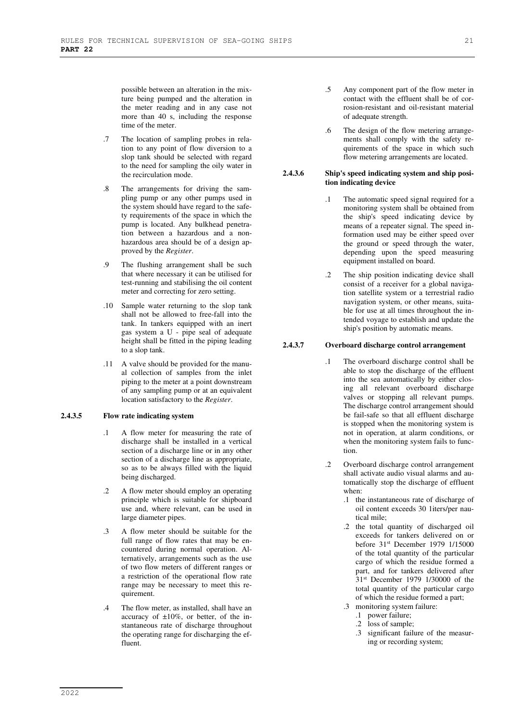possible between an alteration in the mixture being pumped and the alteration in the meter reading and in any case not more than 40 s, including the response time of the meter.

- .7 The location of sampling probes in relation to any point of flow diversion to a slop tank should be selected with regard to the need for sampling the oily water in the recirculation mode.
- .8 The arrangements for driving the sampling pump or any other pumps used in the system should have regard to the safety requirements of the space in which the pump is located. Any bulkhead penetration between a hazardous and a nonhazardous area should be of a design approved by the *Register*.
- .9 The flushing arrangement shall be such that where necessary it can be utilised for test-running and stabilising the oil content meter and correcting for zero setting.
- .10 Sample water returning to the slop tank shall not be allowed to free-fall into the tank. In tankers equipped with an inert gas system a U - pipe seal of adequate height shall be fitted in the piping leading to a slop tank.
- .11 A valve should be provided for the manual collection of samples from the inlet piping to the meter at a point downstream of any sampling pump or at an equivalent location satisfactory to the *Register*.

#### **2.4.3.5 Flow rate indicating system**

- .1 A flow meter for measuring the rate of discharge shall be installed in a vertical section of a discharge line or in any other section of a discharge line as appropriate, so as to be always filled with the liquid being discharged.
- .2 A flow meter should employ an operating principle which is suitable for shipboard use and, where relevant, can be used in large diameter pipes.
- .3 A flow meter should be suitable for the full range of flow rates that may be encountered during normal operation. Alternatively, arrangements such as the use of two flow meters of different ranges or a restriction of the operational flow rate range may be necessary to meet this requirement.
- .4 The flow meter, as installed, shall have an accuracy of  $\pm 10\%$ , or better, of the instantaneous rate of discharge throughout the operating range for discharging the effluent.
- .5 Any component part of the flow meter in contact with the effluent shall be of corrosion-resistant and oil-resistant material of adequate strength.
- .6 The design of the flow metering arrangements shall comply with the safety requirements of the space in which such flow metering arrangements are located.

#### **2.4.3.6 Ship's speed indicating system and ship position indicating device**

- .1 The automatic speed signal required for a monitoring system shall be obtained from the ship's speed indicating device by means of a repeater signal. The speed information used may be either speed over the ground or speed through the water, depending upon the speed measuring equipment installed on board.
- .2 The ship position indicating device shall consist of a receiver for a global navigation satellite system or a terrestrial radio navigation system, or other means, suitable for use at all times throughout the intended voyage to establish and update the ship's position by automatic means.

#### **2.4.3.7 Overboard discharge control arrangement**

- .1 The overboard discharge control shall be able to stop the discharge of the effluent into the sea automatically by either closing all relevant overboard discharge valves or stopping all relevant pumps. The discharge control arrangement should be fail-safe so that all effluent discharge is stopped when the monitoring system is not in operation, at alarm conditions, or when the monitoring system fails to function.
- .2 Overboard discharge control arrangement shall activate audio visual alarms and automatically stop the discharge of effluent when:
	- .1 the instantaneous rate of discharge of oil content exceeds 30 1iters/per nautical mile;
	- .2 the total quantity of discharged oil exceeds for tankers delivered on or before 31st December 1979 1/15000 of the total quantity of the particular cargo of which the residue formed a part, and for tankers delivered after 31st December 1979 1/30000 of the total quantity of the particular cargo of which the residue formed a part;
	- .3 monitoring system failure:
		- .1 power failure;
		- .2 loss of sample;
		- .3 significant failure of the measuring or recording system;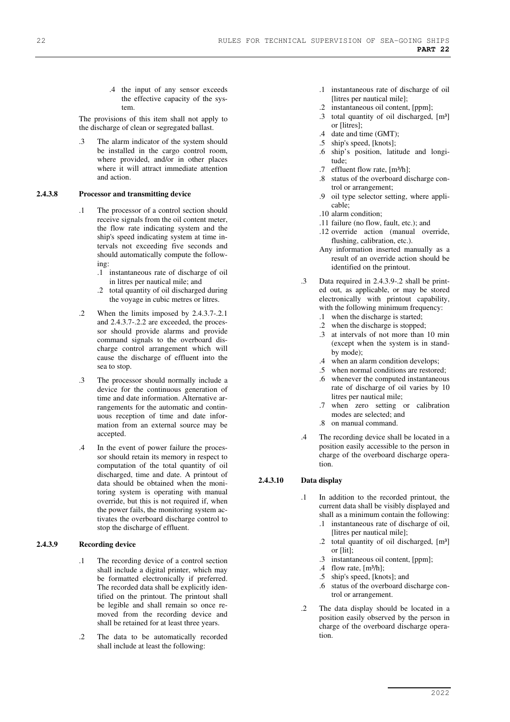.4 the input of any sensor exceeds the effective capacity of the system.

The provisions of this item shall not apply to the discharge of clean or segregated ballast.

.3 The alarm indicator of the system should be installed in the cargo control room, where provided, and/or in other places where it will attract immediate attention and action.

#### **2.4.3.8 Processor and transmitting device**

- .1 The processor of a control section should receive signals from the oil content meter, the flow rate indicating system and the ship's speed indicating system at time intervals not exceeding five seconds and should automatically compute the following:
	- .1 instantaneous rate of discharge of oil in litres per nautical mile; and
	- .2 total quantity of oil discharged during the voyage in cubic metres or litres.
- .2 When the limits imposed by 2.4.3.7-.2.1 and 2.4.3.7-.2.2 are exceeded, the processor should provide alarms and provide command signals to the overboard discharge control arrangement which will cause the discharge of effluent into the sea to stop.
- .3 The processor should normally include a device for the continuous generation of time and date information. Alternative arrangements for the automatic and continuous reception of time and date information from an external source may be accepted.
- .4 In the event of power failure the processor should retain its memory in respect to computation of the total quantity of oil discharged, time and date. A printout of data should be obtained when the monitoring system is operating with manual override, but this is not required if, when the power fails, the monitoring system activates the overboard discharge control to stop the discharge of effluent.

#### **2.4.3.9 Recording device**

- .1 The recording device of a control section shall include a digital printer, which may be formatted electronically if preferred. The recorded data shall be explicitly identified on the printout. The printout shall be legible and shall remain so once removed from the recording device and shall be retained for at least three years.
- .2 The data to be automatically recorded shall include at least the following:
- .1 instantaneous rate of discharge of oil [litres per nautical mile];
- .2 instantaneous oil content, [ppm];
- .3 total quantity of oil discharged, [m³] or [litres];
- .4 date and time (GMT);
- .5 ship's speed, [knots];
- .6 ship's position, latitude and longitude;
- .7 effluent flow rate, [m<sup>3</sup>/h];
- .8 status of the overboard discharge control or arrangement;
- .9 oil type selector setting, where applicable;
- .10 alarm condition;
- .11 failure (no flow, fault, etc.); and
- .12 override action (manual override, flushing, calibration, etc.).
- Any information inserted manually as a result of an override action should be identified on the printout.
- .3 Data required in 2.4.3.9-.2 shall be printed out, as applicable, or may be stored electronically with printout capability, with the following minimum frequency:
	- .1 when the discharge is started;
	- .2 when the discharge is stopped;
	- .3 at intervals of not more than 10 min (except when the system is in standby mode);
	- .4 when an alarm condition develops;
	- .5 when normal conditions are restored;
	- .6 whenever the computed instantaneous rate of discharge of oil varies by 10 litres per nautical mile;
	- .7 when zero setting or calibration modes are selected; and
	- .8 on manual command.
- .4 The recording device shall be located in a position easily accessible to the person in charge of the overboard discharge operation.

#### **2.4.3.10 Data display**

- .1 In addition to the recorded printout, the current data shall be visibly displayed and shall as a minimum contain the following:
	- .1 instantaneous rate of discharge of oil, [litres per nautical mile];
	- .2 total quantity of oil discharged,  $[m<sup>3</sup>]$ or [lit];
	- .3 instantaneous oil content, [ppm];
	- .4 flow rate,  $[m<sup>3</sup>/h]$ ;
	- .5 ship's speed, [knots]; and
	- .6 status of the overboard discharge control or arrangement.
- .2 The data display should be located in a position easily observed by the person in charge of the overboard discharge operation.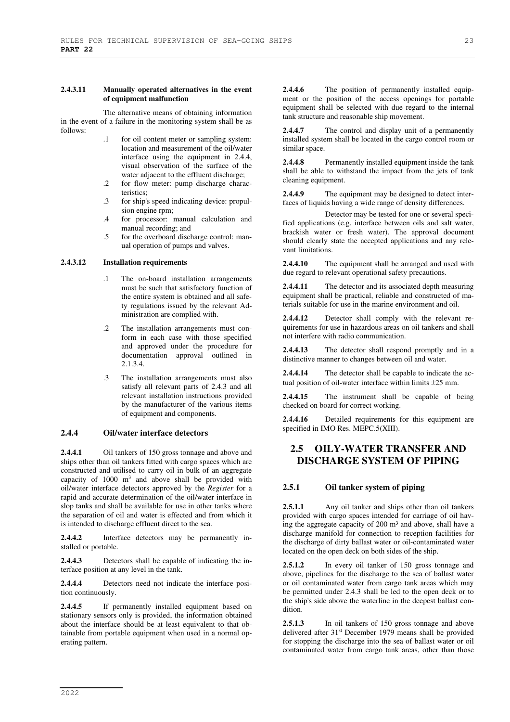#### **2.4.3.11 Manually operated alternatives in the event of equipment malfunction**

The alternative means of obtaining information in the event of a failure in the monitoring system shall be as follows:

- .1 for oil content meter or sampling system: location and measurement of the oil/water interface using the equipment in 2.4.4, visual observation of the surface of the water adjacent to the effluent discharge;
- .2 for flow meter: pump discharge characteristics;
- .3 for ship's speed indicating device: propulsion engine rpm;
- .4 for processor: manual calculation and manual recording; and
- .5 for the overboard discharge control: manual operation of pumps and valves.

#### **2.4.3.12 Installation requirements**

- .1 The on-board installation arrangements must be such that satisfactory function of the entire system is obtained and all safety regulations issued by the relevant Administration are complied with.
- .2 The installation arrangements must conform in each case with those specified and approved under the procedure for documentation approval outlined in 2.1.3.4.
- .3 The installation arrangements must also satisfy all relevant parts of 2.4.3 and all relevant installation instructions provided by the manufacturer of the various items of equipment and components.

#### **2.4.4 Oil/water interface detectors**

**2.4.4.1** Oil tankers of 150 gross tonnage and above and ships other than oil tankers fitted with cargo spaces which are constructed and utilised to carry oil in bulk of an aggregate capacity of  $1000 \text{ m}^3$  and above shall be provided with oil/water interface detectors approved by the *Register* for a rapid and accurate determination of the oil/water interface in slop tanks and shall be available for use in other tanks where the separation of oil and water is effected and from which it is intended to discharge effluent direct to the sea.

**2.4.4.2** Interface detectors may be permanently installed or portable.

**2.4.4.3** Detectors shall be capable of indicating the interface position at any level in the tank.

**2.4.4.4** Detectors need not indicate the interface position continuously.

2.4.4.5 If permanently installed equipment based on stationary sensors only is provided, the information obtained about the interface should be at least equivalent to that obtainable from portable equipment when used in a normal operating pattern.

**2.4.4.6** The position of permanently installed equipment or the position of the access openings for portable equipment shall be selected with due regard to the internal tank structure and reasonable ship movement.

**2.4.4.7** The control and display unit of a permanently installed system shall be located in the cargo control room or similar space.

**2.4.4.8** Permanently installed equipment inside the tank shall be able to withstand the impact from the jets of tank cleaning equipment.

**2.4.4.9** The equipment may be designed to detect interfaces of liquids having a wide range of density differences.

Detector may be tested for one or several specified applications (e.g. interface between oils and salt water, brackish water or fresh water). The approval document should clearly state the accepted applications and any relevant limitations.

**2.4.4.10** The equipment shall be arranged and used with due regard to relevant operational safety precautions.

**2.4.4.11** The detector and its associated depth measuring equipment shall be practical, reliable and constructed of materials suitable for use in the marine environment and oil.

**2.4.4.12** Detector shall comply with the relevant requirements for use in hazardous areas on oil tankers and shall not interfere with radio communication.

**2.4.4.13** The detector shall respond promptly and in a distinctive manner to changes between oil and water.

**2.4.4.14** The detector shall be capable to indicate the actual position of oil-water interface within limits ±25 mm.

**2.4.4.15** The instrument shall be capable of being checked on board for correct working.

2.4.4.16 Detailed requirements for this equipment are specified in IMO Res. MEPC.5(XIII).

# **2.5 OILY-WATER TRANSFER AND DISCHARGE SYSTEM OF PIPING**

#### **2.5.1 Oil tanker system of piping**

**2.5.1.1** Any oil tanker and ships other than oil tankers provided with cargo spaces intended for carriage of oil having the aggregate capacity of  $200 \text{ m}^3$  and above, shall have a discharge manifold for connection to reception facilities for the discharge of dirty ballast water or oil-contaminated water located on the open deck on both sides of the ship.

**2.5.1.2** In every oil tanker of 150 gross tonnage and above, pipelines for the discharge to the sea of ballast water or oil contaminated water from cargo tank areas which may be permitted under 2.4.3 shall be led to the open deck or to the ship's side above the waterline in the deepest ballast condition.

**2.5.1.3** In oil tankers of 150 gross tonnage and above delivered after 31st December 1979 means shall be provided for stopping the discharge into the sea of ballast water or oil contaminated water from cargo tank areas, other than those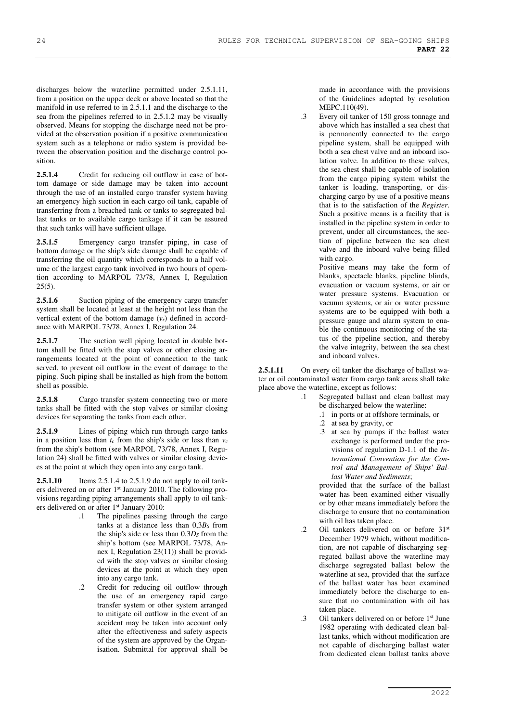discharges below the waterline permitted under 2.5.1.11, from a position on the upper deck or above located so that the manifold in use referred to in 2.5.1.1 and the discharge to the sea from the pipelines referred to in 2.5.1.2 may be visually observed. Means for stopping the discharge need not be provided at the observation position if a positive communication system such as a telephone or radio system is provided between the observation position and the discharge control position.

**2.5.1.4** Credit for reducing oil outflow in case of bottom damage or side damage may be taken into account through the use of an installed cargo transfer system having an emergency high suction in each cargo oil tank, capable of transferring from a breached tank or tanks to segregated ballast tanks or to available cargo tankage if it can be assured that such tanks will have sufficient ullage.

**2.5.1.5** Emergency cargo transfer piping, in case of bottom damage or the ship's side damage shall be capable of transferring the oil quantity which corresponds to a half volume of the largest cargo tank involved in two hours of operation according to MARPOL 73/78, Annex I, Regulation 25(5).

2.5.1.6 Suction piping of the emergency cargo transfer system shall be located at least at the height not less than the vertical extent of the bottom damage  $(v_s)$  defined in accordance with MARPOL 73/78, Annex I, Regulation 24.

**2.5.1.7** The suction well piping located in double bottom shall be fitted with the stop valves or other closing arrangements located at the point of connection to the tank served, to prevent oil outflow in the event of damage to the piping. Such piping shall be installed as high from the bottom shell as possible.

2.5.1.8 Cargo transfer system connecting two or more tanks shall be fitted with the stop valves or similar closing devices for separating the tanks from each other.

**2.5.1.9** Lines of piping which run through cargo tanks in a position less than  $t_c$  from the ship's side or less than  $v_c$ from the ship's bottom (see MARPOL 73/78, Annex I, Regulation 24) shall be fitted with valves or similar closing devices at the point at which they open into any cargo tank.

Items 2.5.1.4 to 2.5.1.9 do not apply to oil tankers delivered on or after 1st January 2010. The following provisions regarding piping arrangements shall apply to oil tankers delivered on or after 1<sup>st</sup> January 2010:

- .1 The pipelines passing through the cargo tanks at a distance less than 0,3*BS* from the ship's side or less than 0,3*DS* from the ship's bottom (see MARPOL 73/78, Annex I, Regulation 23(11)) shall be provided with the stop valves or similar closing devices at the point at which they open into any cargo tank.
- .2 Credit for reducing oil outflow through the use of an emergency rapid cargo transfer system or other system arranged to mitigate oil outflow in the event of an accident may be taken into account only after the effectiveness and safety aspects of the system are approved by the Organisation. Submittal for approval shall be

made in accordance with the provisions of the Guidelines adopted by resolution MEPC.110(49).

.3 Every oil tanker of 150 gross tonnage and above which has installed a sea chest that is permanently connected to the cargo pipeline system, shall be equipped with both a sea chest valve and an inboard isolation valve. In addition to these valves, the sea chest shall be capable of isolation from the cargo piping system whilst the tanker is loading, transporting, or discharging cargo by use of a positive means that is to the satisfaction of the *Register*. Such a positive means is a facility that is installed in the pipeline system in order to prevent, under all circumstances, the section of pipeline between the sea chest valve and the inboard valve being filled with cargo.

> Positive means may take the form of blanks, spectacle blanks, pipeline blinds, evacuation or vacuum systems, or air or water pressure systems. Evacuation or vacuum systems, or air or water pressure systems are to be equipped with both a pressure gauge and alarm system to enable the continuous monitoring of the status of the pipeline section, and thereby the valve integrity, between the sea chest and inboard valves.

**2.5.1.11** On every oil tanker the discharge of ballast water or oil contaminated water from cargo tank areas shall take place above the waterline, except as follows:

- .1 Segregated ballast and clean ballast may be discharged below the waterline:
	- .1 in ports or at offshore terminals, or
	- .2 at sea by gravity, or
	- .3 at sea by pumps if the ballast water exchange is performed under the provisions of regulation D-1.1 of the *International Convention for the Control and Management of Ships' Ballast Water and Sediments*;

provided that the surface of the ballast water has been examined either visually or by other means immediately before the discharge to ensure that no contamination with oil has taken place.

- .2 Oil tankers delivered on or before 31st December 1979 which, without modification, are not capable of discharging segregated ballast above the waterline may discharge segregated ballast below the waterline at sea, provided that the surface of the ballast water has been examined immediately before the discharge to ensure that no contamination with oil has taken place.
- .3 Oil tankers delivered on or before 1st June 1982 operating with dedicated clean ballast tanks, which without modification are not capable of discharging ballast water from dedicated clean ballast tanks above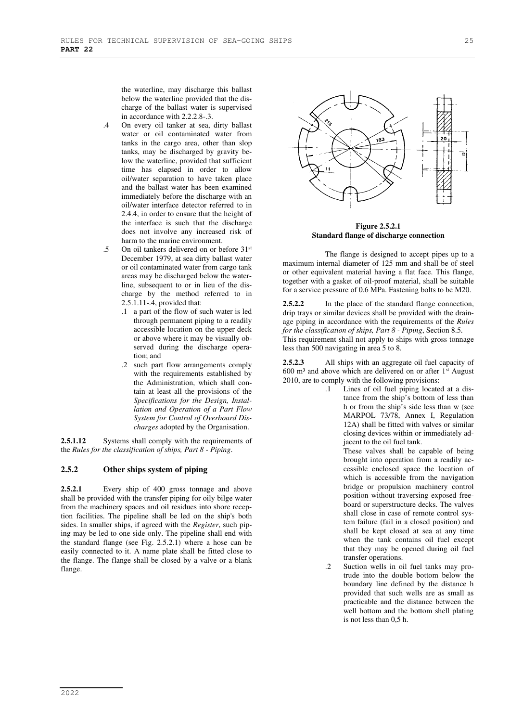the waterline, may discharge this ballast below the waterline provided that the discharge of the ballast water is supervised in accordance with 2.2.2.8-.3.

- .4 On every oil tanker at sea, dirty ballast water or oil contaminated water from tanks in the cargo area, other than slop tanks, may be discharged by gravity below the waterline, provided that sufficient time has elapsed in order to allow oil/water separation to have taken place and the ballast water has been examined immediately before the discharge with an oil/water interface detector referred to in 2.4.4, in order to ensure that the height of the interface is such that the discharge does not involve any increased risk of harm to the marine environment.
- .5 On oil tankers delivered on or before 31st December 1979, at sea dirty ballast water or oil contaminated water from cargo tank areas may be discharged below the waterline, subsequent to or in lieu of the discharge by the method referred to in 2.5.1.11-.4, provided that:
	- .1 a part of the flow of such water is led through permanent piping to a readily accessible location on the upper deck or above where it may be visually observed during the discharge operation; and
	- .2 such part flow arrangements comply with the requirements established by the Administration, which shall contain at least all the provisions of the *Specifications for the Design, Installation and Operation of a Part Flow System for Control of Overboard Discharges* adopted by the Organisation.

2.5.1.12 Systems shall comply with the requirements of the *Rules for the classification of ships, Part 8 - Piping*.

### **2.5.2 Other ships system of piping**

**2.5.2.1** Every ship of 400 gross tonnage and above shall be provided with the transfer piping for oily bilge water from the machinery spaces and oil residues into shore reception facilities. The pipeline shall be led on the ship's both sides. In smaller ships, if agreed with the *Register*, such piping may be led to one side only. The pipeline shall end with the standard flange (see Fig. 2.5.2.1) where a hose can be easily connected to it. A name plate shall be fitted close to the flange. The flange shall be closed by a valve or a blank flange.



**Figure 2.5.2.1 Standard flange of discharge connection** 

The flange is designed to accept pipes up to a maximum internal diameter of 125 mm and shall be of steel or other equivalent material having a flat face. This flange, together with a gasket of oil-proof material, shall be suitable for a service pressure of 0.6 MPa. Fastening bolts to be M20.

**2.5.2.2** In the place of the standard flange connection, drip trays or similar devices shall be provided with the drainage piping in accordance with the requirements of the *Rules for the classification of ships, Part 8 - Piping*, Section 8.5.

This requirement shall not apply to ships with gross tonnage less than 500 navigating in area 5 to 8.

**2.5.2.3** All ships with an aggregate oil fuel capacity of  $600$  m<sup>3</sup> and above which are delivered on or after 1<sup>st</sup> August 2010, are to comply with the following provisions:

> .1 Lines of oil fuel piping located at a distance from the ship's bottom of less than h or from the ship's side less than w (see MARPOL 73/78, Annex I, Regulation 12A) shall be fitted with valves or similar closing devices within or immediately adjacent to the oil fuel tank.

> > These valves shall be capable of being brought into operation from a readily accessible enclosed space the location of which is accessible from the navigation bridge or propulsion machinery control position without traversing exposed freeboard or superstructure decks. The valves shall close in case of remote control system failure (fail in a closed position) and shall be kept closed at sea at any time when the tank contains oil fuel except that they may be opened during oil fuel transfer operations.

.2 Suction wells in oil fuel tanks may protrude into the double bottom below the boundary line defined by the distance h provided that such wells are as small as practicable and the distance between the well bottom and the bottom shell plating is not less than 0,5 h.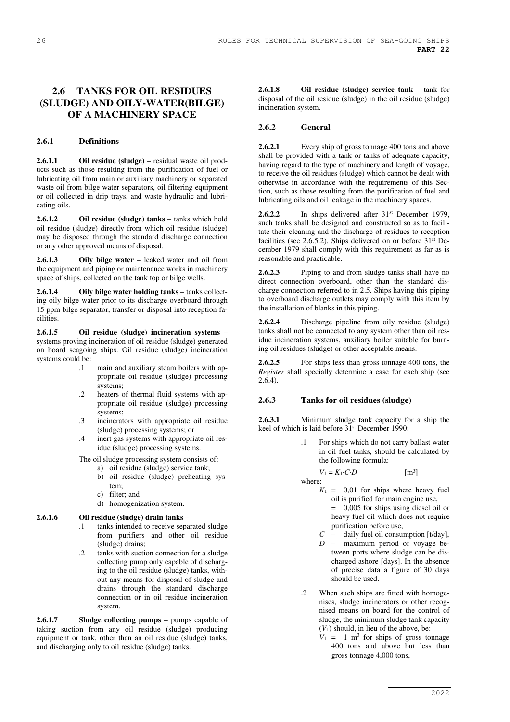# **2.6 TANKS FOR OIL RESIDUES (SLUDGE) AND OILY-WATER(BILGE) OF A MACHINERY SPACE**

### **2.6.1 Definitions**

**2.6.1.1 Oil residue (sludge)** – residual waste oil products such as those resulting from the purification of fuel or lubricating oil from main or auxiliary machinery or separated waste oil from bilge water separators, oil filtering equipment or oil collected in drip trays, and waste hydraulic and lubricating oils.

**2.6.1.2 Oil residue (sludge) tanks** – tanks which hold oil residue (sludge) directly from which oil residue (sludge) may be disposed through the standard discharge connection or any other approved means of disposal.

**2.6.1.3 Oily bilge water** – leaked water and oil from the equipment and piping or maintenance works in machinery space of ships, collected on the tank top or bilge wells.

**2.6.1.4 Oily bilge water holding tanks** – tanks collecting oily bilge water prior to its discharge overboard through 15 ppm bilge separator, transfer or disposal into reception facilities.

**2.6.1.5 Oil residue (sludge) incineration systems** – systems proving incineration of oil residue (sludge) generated on board seagoing ships. Oil residue (sludge) incineration systems could be:

- .1 main and auxiliary steam boilers with appropriate oil residue (sludge) processing systems;
- .2 heaters of thermal fluid systems with appropriate oil residue (sludge) processing systems;
- .3 incinerators with appropriate oil residue (sludge) processing systems; or
- .4 inert gas systems with appropriate oil residue (sludge) processing systems.

The oil sludge processing system consists of:

- a) oil residue (sludge) service tank;
- b) oil residue (sludge) preheating system;
- c) filter; and
- d) homogenization system.

#### **2.6.1.6 Oil residue (sludge) drain tanks** –

- tanks intended to receive separated sludge from purifiers and other oil residue (sludge) drains;
- .2 tanks with suction connection for a sludge collecting pump only capable of discharging to the oil residue (sludge) tanks, without any means for disposal of sludge and drains through the standard discharge connection or in oil residue incineration system.

**2.6.1.7 Sludge collecting pumps** – pumps capable of taking suction from any oil residue (sludge) producing equipment or tank, other than an oil residue (sludge) tanks, and discharging only to oil residue (sludge) tanks.

**2.6.1.8 Oil residue (sludge) service tank** – tank for disposal of the oil residue (sludge) in the oil residue (sludge) incineration system.

#### **2.6.2 General**

**2.6.2.1** Every ship of gross tonnage 400 tons and above shall be provided with a tank or tanks of adequate capacity, having regard to the type of machinery and length of voyage, to receive the oil residues (sludge) which cannot be dealt with otherwise in accordance with the requirements of this Section, such as those resulting from the purification of fuel and lubricating oils and oil leakage in the machinery spaces.

**2.6.2.2** In ships delivered after 31<sup>st</sup> December 1979, such tanks shall be designed and constructed so as to facilitate their cleaning and the discharge of residues to reception facilities (see 2.6.5.2). Ships delivered on or before  $31<sup>st</sup>$  December 1979 shall comply with this requirement as far as is reasonable and practicable.

**2.6.2.3** Piping to and from sludge tanks shall have no direct connection overboard, other than the standard discharge connection referred to in 2.5. Ships having this piping to overboard discharge outlets may comply with this item by the installation of blanks in this piping.

**2.6.2.4** Discharge pipeline from oily residue (sludge) tanks shall not be connected to any system other than oil residue incineration systems, auxiliary boiler suitable for burning oil residues (sludge) or other acceptable means.

**2.6.2.5** For ships less than gross tonnage 400 tons, the *Register* shall specially determine a case for each ship (see 2.6.4).

#### **2.6.3 Tanks for oil residues (sludge)**

**2.6.3.1** Minimum sludge tank capacity for a ship the keel of which is laid before  $31<sup>st</sup>$  December 1990:

> .1 For ships which do not carry ballast water in oil fuel tanks, should be calculated by the following formula:

$$
V_1 = K_1 \cdot C \cdot D \qquad \qquad [m^3]
$$

where:

- $K_1 = 0.01$  for ships where heavy fuel oil is purified for main engine use,
- = 0,005 for ships using diesel oil or heavy fuel oil which does not require purification before use,
- $C$  daily fuel oil consumption [t/day], *D* – maximum period of voyage between ports where sludge can be discharged ashore [days]. In the absence of precise data a figure of 30 days
- .2 When such ships are fitted with homogenises, sludge incinerators or other recognised means on board for the control of sludge, the minimum sludge tank capacity  $(V_1)$  should, in lieu of the above, be:

should be used.

 $V_1 = 1$  m<sup>3</sup> for ships of gross tonnage 400 tons and above but less than gross tonnage 4,000 tons,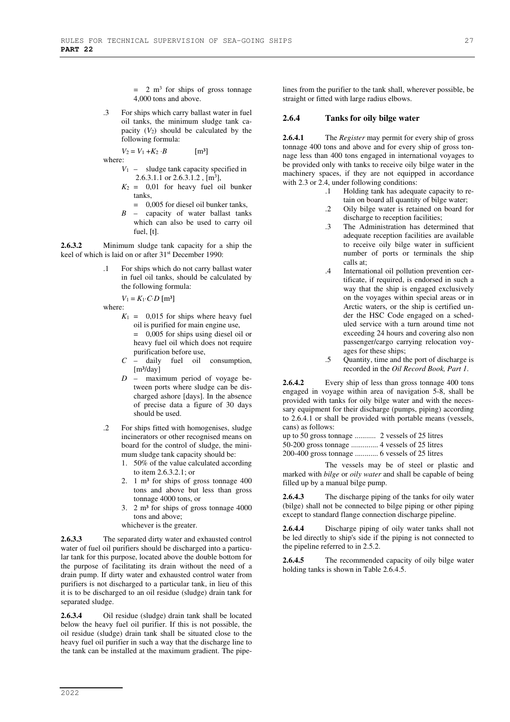$= 2 \text{ m}^3$  for ships of gross tonnage 4,000 tons and above.

.3 For ships which carry ballast water in fuel oil tanks, the minimum sludge tank capacity  $(V_2)$  should be calculated by the following formula:

$$
V_2 = V_1 + K_2 \cdot B \qquad \qquad [m^3]
$$

where:

- *V*1 sludge tank capacity specified in 2.6.3.1.1 or 2.6.3.1.2 , [m<sup>3</sup> ],
- $K_2 = 0.01$  for heavy fuel oil bunker tanks,
	- = 0,005 for diesel oil bunker tanks,
- *B* capacity of water ballast tanks which can also be used to carry oil fuel, [t].

**2.6.3.2** Minimum sludge tank capacity for a ship the keel of which is laid on or after 31<sup>st</sup> December 1990:

> .1 For ships which do not carry ballast water in fuel oil tanks, should be calculated by the following formula:

 $V_1 = K_1 \cdot C \cdot D$  [m<sup>3</sup>]

where:

- $K_1 = 0.015$  for ships where heavy fuel oil is purified for main engine use, = 0,005 for ships using diesel oil or heavy fuel oil which does not require purification before use,
- *C* daily fuel oil consumption,  $[m<sup>3</sup>/day]$
- *D* maximum period of voyage between ports where sludge can be discharged ashore [days]. In the absence of precise data a figure of 30 days should be used.
- .2 For ships fitted with homogenises, sludge incinerators or other recognised means on board for the control of sludge, the minimum sludge tank capacity should be:
	- 1. 50% of the value calculated according to item 2.6.3.2.1; or
	- 2. 1  $m<sup>3</sup>$  for ships of gross tonnage 400 tons and above but less than gross tonnage 4000 tons, or
	- 3. 2 m³ for ships of gross tonnage 4000 tons and above;
	- whichever is the greater.

**2.6.3.3** The separated dirty water and exhausted control water of fuel oil purifiers should be discharged into a particular tank for this purpose, located above the double bottom for the purpose of facilitating its drain without the need of a drain pump. If dirty water and exhausted control water from purifiers is not discharged to a particular tank, in lieu of this it is to be discharged to an oil residue (sludge) drain tank for separated sludge.

**2.6.3.4** Oil residue (sludge) drain tank shall be located below the heavy fuel oil purifier. If this is not possible, the oil residue (sludge) drain tank shall be situated close to the heavy fuel oil purifier in such a way that the discharge line to the tank can be installed at the maximum gradient. The pipelines from the purifier to the tank shall, wherever possible, be straight or fitted with large radius elbows.

#### **2.6.4 Tanks for oily bilge water**

**2.6.4.1** The *Register* may permit for every ship of gross tonnage 400 tons and above and for every ship of gross tonnage less than 400 tons engaged in international voyages to be provided only with tanks to receive oily bilge water in the machinery spaces, if they are not equipped in accordance with 2.3 or 2.4, under following conditions:

- .1 Holding tank has adequate capacity to retain on board all quantity of bilge water;
- .2 Oily bilge water is retained on board for discharge to reception facilities;
- .3 The Administration has determined that adequate reception facilities are available to receive oily bilge water in sufficient number of ports or terminals the ship calls at;
- .4 International oil pollution prevention certificate, if required, is endorsed in such a way that the ship is engaged exclusively on the voyages within special areas or in Arctic waters, or the ship is certified under the HSC Code engaged on a scheduled service with a turn around time not exceeding 24 hours and covering also non passenger/cargo carrying relocation voyages for these ships;
- .5 Quantity, time and the port of discharge is recorded in the *Oil Record Book, Part 1*.

**2.6.4.2** Every ship of less than gross tonnage 400 tons engaged in voyage within area of navigation 5-8, shall be provided with tanks for oily bilge water and with the necessary equipment for their discharge (pumps, piping) according to 2.6.4.1 or shall be provided with portable means (vessels, cans) as follows:

up to 50 gross tonnage ........... 2 vessels of 25 litres

50-200 gross tonnage .............. 4 vessels of 25 litres

200-400 gross tonnage ............ 6 vessels of 25 litres

The vessels may be of steel or plastic and marked with *bilge* or *oily water* and shall be capable of being filled up by a manual bilge pump.

**2.6.4.3** The discharge piping of the tanks for oily water (bilge) shall not be connected to bilge piping or other piping except to standard flange connection discharge pipeline.

**2.6.4.4** Discharge piping of oily water tanks shall not be led directly to ship's side if the piping is not connected to the pipeline referred to in 2.5.2.

2.6.4.5 The recommended capacity of oily bilge water holding tanks is shown in Table 2.6.4.5.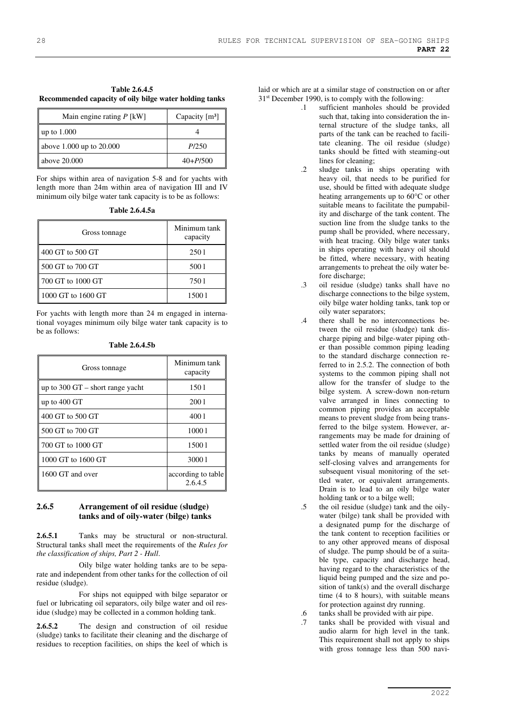| Main engine rating $P$ [kW] | Capacity $\lceil m^3 \rceil$ |
|-----------------------------|------------------------------|
| up to $1.000$               |                              |
| above 1.000 up to 20.000    | P/250                        |
| above 20.000                | $40 + P/500$                 |

**Table 2.6.4.5 Recommended capacity of oily bilge water holding tanks** 

For ships within area of navigation 5-8 and for yachts with length more than 24m within area of navigation III and IV minimum oily bilge water tank capacity is to be as follows:

**Table 2.6.4.5a** 

| Gross tonnage      | Minimum tank<br>capacity |
|--------------------|--------------------------|
| 400 GT to 500 GT   | 2501                     |
| 500 GT to 700 GT   | 5001                     |
| 700 GT to 1000 GT  | 7501                     |
| 1000 GT to 1600 GT | 1500 1                   |

For yachts with length more than 24 m engaged in international voyages minimum oily bilge water tank capacity is to be as follows:

| Table 2.6.4.5b |  |  |
|----------------|--|--|
|                |  |  |

| Gross tonnage                              | Minimum tank<br>capacity      |
|--------------------------------------------|-------------------------------|
| up to $300 \text{ GT}$ – short range yacht | 1501                          |
| up to $400$ GT                             | 2001                          |
| 400 GT to 500 GT                           | 4001                          |
| 500 GT to 700 GT                           | 10001                         |
| 700 GT to 1000 GT                          | 15001                         |
| 1000 GT to 1600 GT                         | 30001                         |
| 1600 GT and over                           | according to table<br>2.6.4.5 |

### **2.6.5 Arrangement of oil residue (sludge) tanks and of oily-water (bilge) tanks**

**2.6.5.1** Tanks may be structural or non-structural. Structural tanks shall meet the requirements of the *Rules for the classification of ships, Part 2 - Hull*.

Oily bilge water holding tanks are to be separate and independent from other tanks for the collection of oil residue (sludge).

For ships not equipped with bilge separator or fuel or lubricating oil separators, oily bilge water and oil residue (sludge) may be collected in a common holding tank.

**2.6.5.2** The design and construction of oil residue (sludge) tanks to facilitate their cleaning and the discharge of residues to reception facilities, on ships the keel of which is

laid or which are at a similar stage of construction on or after 31st December 1990, is to comply with the following:

- .1 sufficient manholes should be provided such that, taking into consideration the internal structure of the sludge tanks, all parts of the tank can be reached to facilitate cleaning. The oil residue (sludge) tanks should be fitted with steaming-out lines for cleaning;
- .2 sludge tanks in ships operating with heavy oil, that needs to be purified for use, should be fitted with adequate sludge heating arrangements up to 60°C or other suitable means to facilitate the pumpability and discharge of the tank content. The suction line from the sludge tanks to the pump shall be provided, where necessary, with heat tracing. Oily bilge water tanks in ships operating with heavy oil should be fitted, where necessary, with heating arrangements to preheat the oily water before discharge;
- .3 oil residue (sludge) tanks shall have no discharge connections to the bilge system, oily bilge water holding tanks, tank top or oily water separators;
- .4 there shall be no interconnections between the oil residue (sludge) tank discharge piping and bilge-water piping other than possible common piping leading to the standard discharge connection referred to in 2.5.2. The connection of both systems to the common piping shall not allow for the transfer of sludge to the bilge system. A screw-down non-return valve arranged in lines connecting to common piping provides an acceptable means to prevent sludge from being transferred to the bilge system. However, arrangements may be made for draining of settled water from the oil residue (sludge) tanks by means of manually operated self-closing valves and arrangements for subsequent visual monitoring of the settled water, or equivalent arrangements. Drain is to lead to an oily bilge water holding tank or to a bilge well;
- .5 the oil residue (sludge) tank and the oilywater (bilge) tank shall be provided with a designated pump for the discharge of the tank content to reception facilities or to any other approved means of disposal of sludge. The pump should be of a suitable type, capacity and discharge head, having regard to the characteristics of the liquid being pumped and the size and position of tank(s) and the overall discharge time (4 to 8 hours), with suitable means for protection against dry running.
- .6 tanks shall be provided with air pipe.
- .7 tanks shall be provided with visual and audio alarm for high level in the tank. This requirement shall not apply to ships with gross tonnage less than 500 navi-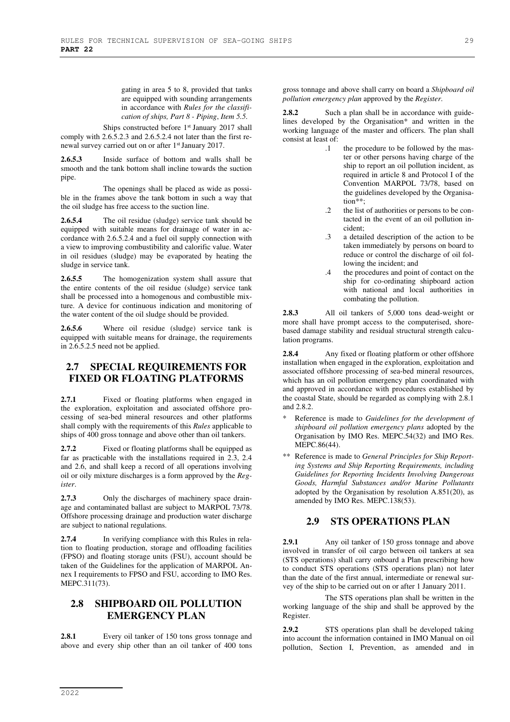gating in area 5 to 8, provided that tanks are equipped with sounding arrangements in accordance with *Rules for the classification of ships, Part 8 - Piping*, *Item 5.5.*

Ships constructed before 1<sup>st</sup> January 2017 shall comply with 2.6.5.2.3 and 2.6.5.2.4 not later than the first renewal survey carried out on or after 1<sup>st</sup> January 2017.

**2.6.5.3** Inside surface of bottom and walls shall be smooth and the tank bottom shall incline towards the suction pipe.

The openings shall be placed as wide as possible in the frames above the tank bottom in such a way that the oil sludge has free access to the suction line.

**2.6.5.4** The oil residue (sludge) service tank should be equipped with suitable means for drainage of water in accordance with 2.6.5.2.4 and a fuel oil supply connection with a view to improving combustibility and calorific value. Water in oil residues (sludge) may be evaporated by heating the sludge in service tank.

**2.6.5.5** The homogenization system shall assure that the entire contents of the oil residue (sludge) service tank shall be processed into a homogenous and combustible mixture. A device for continuous indication and monitoring of the water content of the oil sludge should be provided.

**2.6.5.6** Where oil residue (sludge) service tank is equipped with suitable means for drainage, the requirements in 2.6.5.2.5 need not be applied.

# **2.7 SPECIAL REQUIREMENTS FOR FIXED OR FLOATING PLATFORMS**

**2.7.1** Fixed or floating platforms when engaged in the exploration, exploitation and associated offshore processing of sea-bed mineral resources and other platforms shall comply with the requirements of this *Rules* applicable to ships of 400 gross tonnage and above other than oil tankers.

**2.7.2** Fixed or floating platforms shall be equipped as far as practicable with the installations required in 2.3, 2.4 and 2.6, and shall keep a record of all operations involving oil or oily mixture discharges is a form approved by the *Register*.

2.7.3 Only the discharges of machinery space drainage and contaminated ballast are subject to MARPOL 73/78. Offshore processing drainage and production water discharge are subject to national regulations.

**2.7.4** In verifying compliance with this Rules in relation to floating production, storage and offloading facilities (FPSO) and floating storage units (FSU), account should be taken of the Guidelines for the application of MARPOL Annex I requirements to FPSO and FSU, according to IMO Res. MEPC.311(73).

# **2.8 SHIPBOARD OIL POLLUTION EMERGENCY PLAN**

**2.8.1** Every oil tanker of 150 tons gross tonnage and above and every ship other than an oil tanker of 400 tons

gross tonnage and above shall carry on board a *Shipboard oil pollution emergency plan* approved by the *Register*.

**2.8.2** Such a plan shall be in accordance with guidelines developed by the Organisation\* and written in the working language of the master and officers. The plan shall consist at least of:

- .1 the procedure to be followed by the master or other persons having charge of the ship to report an oil pollution incident, as required in article 8 and Protocol I of the Convention MARPOL 73/78, based on the guidelines developed by the Organisation\*\*;
- .2 the list of authorities or persons to be contacted in the event of an oil pollution incident;
- .3 a detailed description of the action to be taken immediately by persons on board to reduce or control the discharge of oil following the incident; and
- .4 the procedures and point of contact on the ship for co-ordinating shipboard action with national and local authorities in combating the pollution.

**2.8.3** All oil tankers of 5,000 tons dead-weight or more shall have prompt access to the computerised, shorebased damage stability and residual structural strength calculation programs.

**2.8.4** Any fixed or floating platform or other offshore installation when engaged in the exploration, exploitation and associated offshore processing of sea-bed mineral resources, which has an oil pollution emergency plan coordinated with and approved in accordance with procedures established by the coastal State, should be regarded as complying with 2.8.1 and 2.8.2.

- \* Reference is made to *Guidelines for the development of shipboard oil pollution emergency plans* adopted by the Organisation by IMO Res. MEPC.54(32) and IMO Res. MEPC.86(44).
- \*\* Reference is made to *General Principles for Ship Reporting Systems and Ship Reporting Requirements, including Guidelines for Reporting Incidents Involving Dangerous Goods, Harmful Substances and/or Marine Pollutants* adopted by the Organisation by resolution A.851(20), as amended by IMO Res. MEPC.138(53).

# **2.9 STS OPERATIONS PLAN**

**2.9.1** Any oil tanker of 150 gross tonnage and above involved in transfer of oil cargo between oil tankers at sea (STS operations) shall carry onboard a Plan prescribing how to conduct STS operations (STS operations plan) not later than the date of the first annual, intermediate or renewal survey of the ship to be carried out on or after 1 January 2011.

The STS operations plan shall be written in the working language of the ship and shall be approved by the Register.

**2.9.2** STS operations plan shall be developed taking into account the information contained in IMO Manual on oil pollution, Section I, Prevention, as amended and in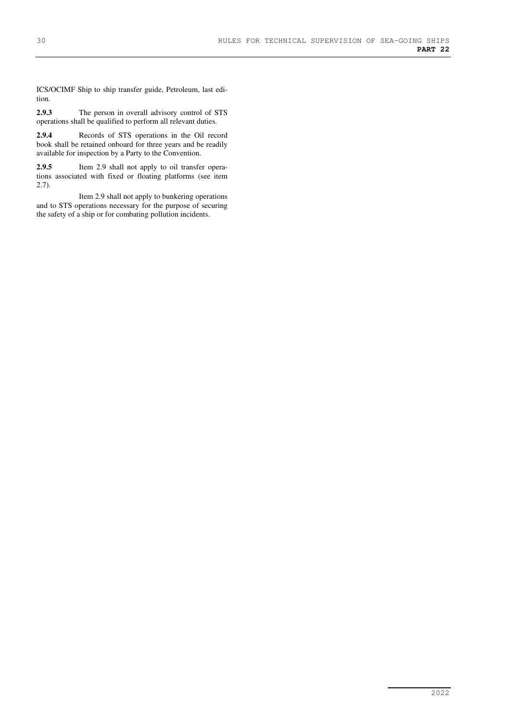ICS/OCIMF Ship to ship transfer guide, Petroleum, last edition.

**2.9.3** The person in overall advisory control of STS operations shall be qualified to perform all relevant duties.

**2.9.4** Records of STS operations in the Oil record book shall be retained onboard for three years and be readily available for inspection by a Party to the Convention.

**2.9.5** Item 2.9 shall not apply to oil transfer operations associated with fixed or floating platforms (see item 2.7).

Item 2.9 shall not apply to bunkering operations and to STS operations necessary for the purpose of securing the safety of a ship or for combating pollution incidents.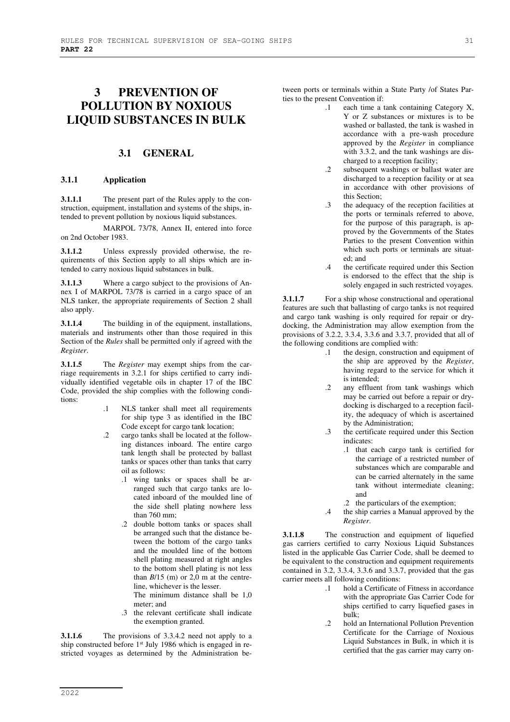# **3 PREVENTION OF POLLUTION BY NOXIOUS LIQUID SUBSTANCES IN BULK**

# **3.1 GENERAL**

#### **3.1.1 Application**

**3.1.1.1** The present part of the Rules apply to the construction, equipment, installation and systems of the ships, intended to prevent pollution by noxious liquid substances.

MARPOL 73/78, Annex II, entered into force on 2nd October 1983.

**3.1.1.2** Unless expressly provided otherwise, the requirements of this Section apply to all ships which are intended to carry noxious liquid substances in bulk.

**3.1.1.3** Where a cargo subject to the provisions of Annex I of MARPOL 73/78 is carried in a cargo space of an NLS tanker, the appropriate requirements of Section 2 shall also apply.

**3.1.1.4** The building in of the equipment, installations, materials and instruments other than those required in this Section of the *Rules* shall be permitted only if agreed with the *Register*.

**3.1.1.5** The *Register* may exempt ships from the carriage requirements in 3.2.1 for ships certified to carry individually identified vegetable oils in chapter 17 of the IBC Code, provided the ship complies with the following conditions:

- .1 NLS tanker shall meet all requirements for ship type 3 as identified in the IBC Code except for cargo tank location;
- .2 cargo tanks shall be located at the following distances inboard. The entire cargo tank length shall be protected by ballast tanks or spaces other than tanks that carry oil as follows:
	- .1 wing tanks or spaces shall be arranged such that cargo tanks are located inboard of the moulded line of the side shell plating nowhere less than 760 mm;
	- .2 double bottom tanks or spaces shall be arranged such that the distance between the bottom of the cargo tanks and the moulded line of the bottom shell plating measured at right angles to the bottom shell plating is not less than  $B/15$  (m) or 2,0 m at the centreline, whichever is the lesser.

The minimum distance shall be 1,0 meter; and

.3 the relevant certificate shall indicate the exemption granted.

**3.1.1.6** The provisions of 3.3.4.2 need not apply to a ship constructed before 1st July 1986 which is engaged in restricted voyages as determined by the Administration between ports or terminals within a State Party /of States Parties to the present Convention if:<br>1 each time a

- each time a tank containing Category X, Y or Z substances or mixtures is to be washed or ballasted, the tank is washed in accordance with a pre-wash procedure approved by the *Register* in compliance with 3.3.2, and the tank washings are discharged to a reception facility;
- .2 subsequent washings or ballast water are discharged to a reception facility or at sea in accordance with other provisions of this Section;
- .3 the adequacy of the reception facilities at the ports or terminals referred to above, for the purpose of this paragraph, is approved by the Governments of the States Parties to the present Convention within which such ports or terminals are situated; and
- .4 the certificate required under this Section is endorsed to the effect that the ship is solely engaged in such restricted voyages.

**3.1.1.7** For a ship whose constructional and operational features are such that ballasting of cargo tanks is not required and cargo tank washing is only required for repair or drydocking, the Administration may allow exemption from the provisions of 3.2.2, 3.3.4, 3.3.6 and 3.3.7, provided that all of the following conditions are complied with:

- .1 the design, construction and equipment of the ship are approved by the *Register*, having regard to the service for which it is intended;
- .2 any effluent from tank washings which may be carried out before a repair or drydocking is discharged to a reception facility, the adequacy of which is ascertained by the Administration;
- .3 the certificate required under this Section indicates:
	- .1 that each cargo tank is certified for the carriage of a restricted number of substances which are comparable and can be carried alternately in the same tank without intermediate cleaning; and
	- .2 the particulars of the exemption;
- .4 the ship carries a Manual approved by the *Register*.

**3.1.1.8** The construction and equipment of liquefied gas carriers certified to carry Noxious Liquid Substances listed in the applicable Gas Carrier Code, shall be deemed to be equivalent to the construction and equipment requirements contained in 3.2, 3.3.4, 3.3.6 and 3.3.7, provided that the gas carrier meets all following conditions:

- .1 hold a Certificate of Fitness in accordance with the appropriate Gas Carrier Code for ships certified to carry liquefied gases in bulk;
- .2 hold an International Pollution Prevention Certificate for the Carriage of Noxious Liquid Substances in Bulk, in which it is certified that the gas carrier may carry on-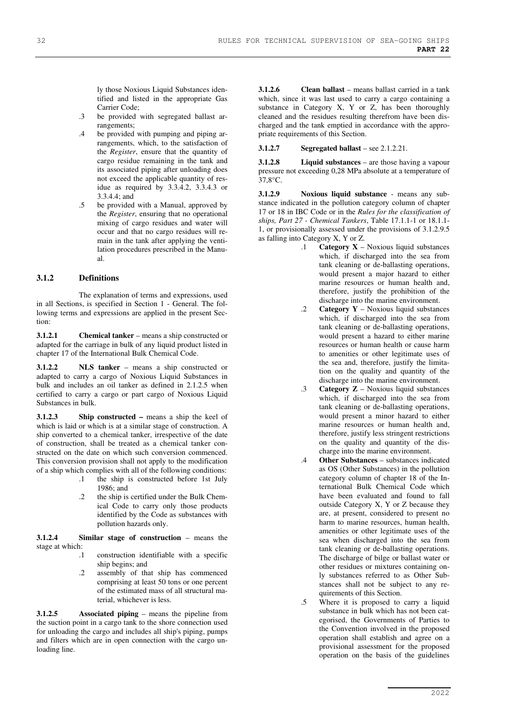ly those Noxious Liquid Substances identified and listed in the appropriate Gas Carrier Code;

- .3 be provided with segregated ballast arrangements;
- .4 be provided with pumping and piping arrangements, which, to the satisfaction of the *Register*, ensure that the quantity of cargo residue remaining in the tank and its associated piping after unloading does not exceed the applicable quantity of residue as required by 3.3.4.2, 3.3.4.3 or 3.3.4.4; and
- .5 be provided with a Manual, approved by the *Register*, ensuring that no operational mixing of cargo residues and water will occur and that no cargo residues will remain in the tank after applying the ventilation procedures prescribed in the Manual.

# **3.1.2 Definitions**

The explanation of terms and expressions, used in all Sections, is specified in Section 1 - General. The following terms and expressions are applied in the present Section:

**3.1.2.1 Chemical tanker** – means a ship constructed or adapted for the carriage in bulk of any liquid product listed in chapter 17 of the International Bulk Chemical Code.

**3.1.2.2 NLS tanker** – means a ship constructed or adapted to carry a cargo of Noxious Liquid Substances in bulk and includes an oil tanker as defined in 2.1.2.5 when certified to carry a cargo or part cargo of Noxious Liquid Substances in bulk.

**3.1.2.3 Ship constructed –** means a ship the keel of which is laid or which is at a similar stage of construction. A ship converted to a chemical tanker, irrespective of the date of construction, shall be treated as a chemical tanker constructed on the date on which such conversion commenced. This conversion provision shall not apply to the modification of a ship which complies with all of the following conditions:

- .1 the ship is constructed before 1st July 1986; and
- .2 the ship is certified under the Bulk Chemical Code to carry only those products identified by the Code as substances with pollution hazards only.

**3.1.2.4 Similar stage of construction** – means the stage at which:

- .1 construction identifiable with a specific ship begins; and
- assembly of that ship has commenced comprising at least 50 tons or one percent of the estimated mass of all structural material, whichever is less.

**3.1.2.5 Associated piping** – means the pipeline from the suction point in a cargo tank to the shore connection used for unloading the cargo and includes all ship's piping, pumps and filters which are in open connection with the cargo unloading line.

**3.1.2.6 Clean ballast** – means ballast carried in a tank which, since it was last used to carry a cargo containing a substance in Category X, Y or Z, has been thoroughly cleaned and the residues resulting therefrom have been discharged and the tank emptied in accordance with the appropriate requirements of this Section.

**3.1.2.7 Segregated ballast** – see 2.1.2.21.

**3.1.2.8 Liquid substances** – are those having a vapour pressure not exceeding 0,28 MPa absolute at a temperature of 37,8°C.

**3.1.2.9 Noxious liquid substance** - means any substance indicated in the pollution category column of chapter 17 or 18 in IBC Code or in the *Rules for the classification of ships, Part 27 - Chemical Tankers*, Table 17.1.1-1 or 18.1.1- 1, or provisionally assessed under the provisions of 3.1.2.9.5 as falling into Category X, Y or Z.

- .1 **Category X** Noxious liquid substances which, if discharged into the sea from tank cleaning or de-ballasting operations, would present a major hazard to either marine resources or human health and, therefore, justify the prohibition of the discharge into the marine environment.
- .2 **Category Y**  Noxious liquid substances which, if discharged into the sea from tank cleaning or de-ballasting operations, would present a hazard to either marine resources or human health or cause harm to amenities or other legitimate uses of the sea and, therefore, justify the limitation on the quality and quantity of the discharge into the marine environment.
- .3 **Category Z**  Noxious liquid substances which, if discharged into the sea from tank cleaning or de-ballasting operations, would present a minor hazard to either marine resources or human health and, therefore, justify less stringent restrictions on the quality and quantity of the discharge into the marine environment.
- .4 **Other Substances** substances indicated as OS (Other Substances) in the pollution category column of chapter 18 of the International Bulk Chemical Code which have been evaluated and found to fall outside Category X, Y or Z because they are, at present, considered to present no harm to marine resources, human health, amenities or other legitimate uses of the sea when discharged into the sea from tank cleaning or de-ballasting operations. The discharge of bilge or ballast water or other residues or mixtures containing only substances referred to as Other Substances shall not be subject to any requirements of this Section.
- .5 Where it is proposed to carry a liquid substance in bulk which has not been categorised, the Governments of Parties to the Convention involved in the proposed operation shall establish and agree on a provisional assessment for the proposed operation on the basis of the guidelines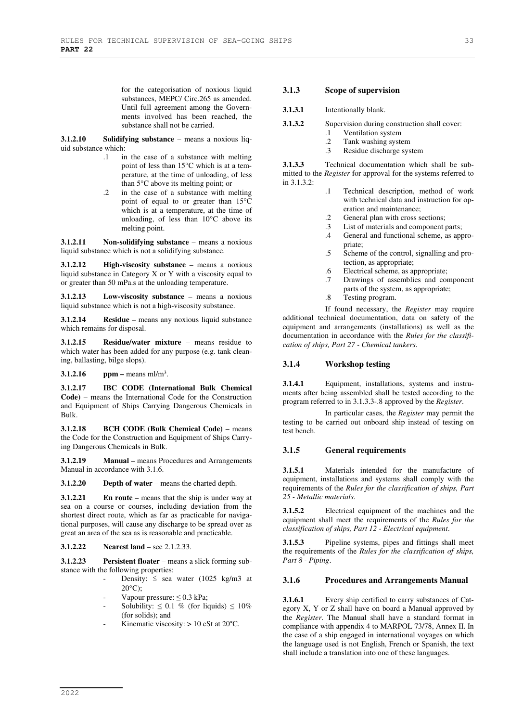for the categorisation of noxious liquid substances, MEPC/ Circ.265 as amended. Until full agreement among the Governments involved has been reached, the substance shall not be carried.

**3.1.2.10 Solidifying substance** – means a noxious liquid substance which:

- .1 in the case of a substance with melting point of less than 15°C which is at a temperature, at the time of unloading, of less than 5°C above its melting point; or
- .2 in the case of a substance with melting point of equal to or greater than 15°C which is at a temperature, at the time of unloading, of less than 10°C above its melting point.

**3.1.2.11 Non-solidifying substance** – means a noxious liquid substance which is not a solidifying substance.

**3.1.2.12 High-viscosity substance** – means a noxious liquid substance in Category X or Y with a viscosity equal to or greater than 50 mPa.s at the unloading temperature.

**3.1.2.13 Low-viscosity substance** – means a noxious liquid substance which is not a high-viscosity substance.

**3.1.2.14 Residue** – means any noxious liquid substance which remains for disposal.

**3.1.2.15 Residue/water mixture** – means residue to which water has been added for any purpose (e.g. tank cleaning, ballasting, bilge slops).

**3.1.2.16 ppm** – means ml/m<sup>3</sup>.

**3.1.2.17 IBC CODE (International Bulk Chemical Code)** – means the International Code for the Construction and Equipment of Ships Carrying Dangerous Chemicals in Bulk.

**3.1.2.18 BCH CODE (Bulk Chemical Code)** – means the Code for the Construction and Equipment of Ships Carrying Dangerous Chemicals in Bulk.

**3.1.2.19 Manual** – means Procedures and Arrangements Manual in accordance with 3.1.6.

**3.1.2.20 Depth of water** – means the charted depth.

**3.1.2.21 En route** – means that the ship is under way at sea on a course or courses, including deviation from the shortest direct route, which as far as practicable for navigational purposes, will cause any discharge to be spread over as great an area of the sea as is reasonable and practicable.

**3.1.2.22 Nearest land** – see 2.1.2.33.

**3.1.2.23 Persistent floater** – means a slick forming substance with the following properties:

- Density:  $\le$  sea water (1025 kg/m3 at  $20^{\circ}$ C);
- Vapour pressure:  $\leq 0.3$  kPa;
- Solubility:  $\leq 0.1$  % (for liquids)  $\leq 10\%$ (for solids); and
- Kinematic viscosity:  $> 10$  cSt at 20 $^{\circ}$ C.

## **3.1.3 Scope of supervision**

| 3.1.3.1 | Intentionally blank. |
|---------|----------------------|
|---------|----------------------|

- **3.1.3.2** Supervision during construction shall cover:
	- .1 Ventilation system
	- .2 Tank washing system
	- .3 Residue discharge system

**3.1.3.3** Technical documentation which shall be submitted to the *Register* for approval for the systems referred to in 3.1.3.2:

- .1 Technical description, method of work with technical data and instruction for operation and maintenance;
- .2 General plan with cross sections;
- .3 List of materials and component parts;
- .4 General and functional scheme, as appropriate;
- .5 Scheme of the control, signalling and protection, as appropriate;
- .6 Electrical scheme, as appropriate;
- .7 Drawings of assemblies and component parts of the system, as appropriate;
- .8 Testing program.

If found necessary, the *Register* may require additional technical documentation, data on safety of the equipment and arrangements (installations) as well as the documentation in accordance with the *Rules for the classification of ships, Part 27 - Chemical tankers*.

## **3.1.4 Workshop testing**

**3.1.4.1** Equipment, installations, systems and instruments after being assembled shall be tested according to the program referred to in 3.1.3.3-.8 approved by the *Register*.

In particular cases, the *Register* may permit the testing to be carried out onboard ship instead of testing on test bench.

#### **3.1.5 General requirements**

**3.1.5.1** Materials intended for the manufacture of equipment, installations and systems shall comply with the requirements of the *Rules for the classification of ships, Part 25 - Metallic materials*.

**3.1.5.2** Electrical equipment of the machines and the equipment shall meet the requirements of the *Rules for the classification of ships, Part 12 - Electrical equipment*.

**3.1.5.3** Pipeline systems, pipes and fittings shall meet the requirements of the *Rules for the classification of ships, Part 8 - Piping*.

#### **3.1.6 Procedures and Arrangements Manual**

**3.1.6.1** Every ship certified to carry substances of Category X, Y or Z shall have on board a Manual approved by the *Register*. The Manual shall have a standard format in compliance with appendix 4 to MARPOL 73/78, Annex II. In the case of a ship engaged in international voyages on which the language used is not English, French or Spanish, the text shall include a translation into one of these languages.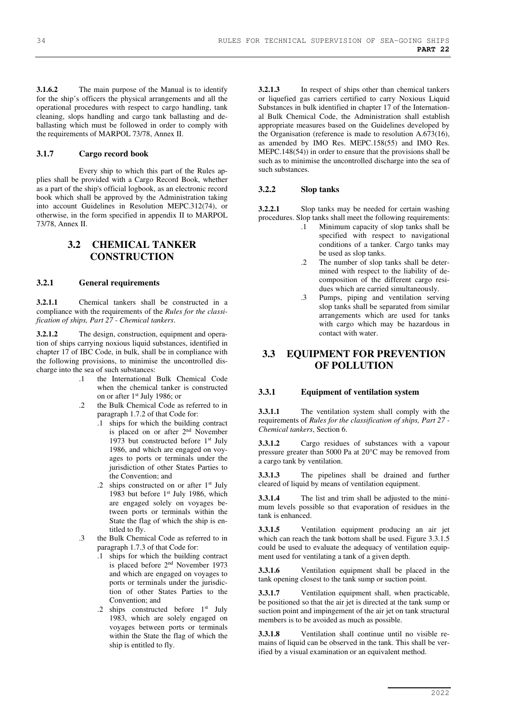**3.1.6.2** The main purpose of the Manual is to identify for the ship's officers the physical arrangements and all the operational procedures with respect to cargo handling, tank cleaning, slops handling and cargo tank ballasting and deballasting which must be followed in order to comply with the requirements of MARPOL 73/78, Annex II.

## **3.1.7 Cargo record book**

Every ship to which this part of the Rules applies shall be provided with a Cargo Record Book, whether as a part of the ship's official logbook, as an electronic record book which shall be approved by the Administration taking into account Guidelines in Resolution MEPC.312(74), or otherwise, in the form specified in appendix II to MARPOL 73/78, Annex II.

# **3.2 CHEMICAL TANKER CONSTRUCTION**

#### **3.2.1 General requirements**

**3.2.1.1** Chemical tankers shall be constructed in a compliance with the requirements of the *Rules for the classification of ships, Part 27 - Chemical tankers*.

**3.2.1.2** The design, construction, equipment and operation of ships carrying noxious liquid substances, identified in chapter 17 of IBC Code, in bulk, shall be in compliance with the following provisions, to minimise the uncontrolled discharge into the sea of such substances:

- .1 the International Bulk Chemical Code when the chemical tanker is constructed on or after 1<sup>st</sup> July 1986; or
- .2 the Bulk Chemical Code as referred to in paragraph 1.7.2 of that Code for:
	- .1 ships for which the building contract is placed on or after 2nd November 1973 but constructed before  $1<sup>st</sup>$  July 1986, and which are engaged on voyages to ports or terminals under the jurisdiction of other States Parties to the Convention; and
	- .2 ships constructed on or after  $1<sup>st</sup>$  July 1983 but before  $1<sup>st</sup>$  July 1986, which are engaged solely on voyages between ports or terminals within the State the flag of which the ship is entitled to fly.
- .3 the Bulk Chemical Code as referred to in paragraph 1.7.3 of that Code for:
	- .1 ships for which the building contract is placed before 2nd November 1973 and which are engaged on voyages to ports or terminals under the jurisdiction of other States Parties to the Convention; and
	- .2 ships constructed before 1st July 1983, which are solely engaged on voyages between ports or terminals within the State the flag of which the ship is entitled to fly.

**3.2.1.3** In respect of ships other than chemical tankers or liquefied gas carriers certified to carry Noxious Liquid Substances in bulk identified in chapter 17 of the International Bulk Chemical Code, the Administration shall establish appropriate measures based on the Guidelines developed by the Organisation (reference is made to resolution A.673(16), as amended by IMO Res. MEPC.158(55) and IMO Res. MEPC.148(54)) in order to ensure that the provisions shall be such as to minimise the uncontrolled discharge into the sea of such substances.

#### **3.2.2 Slop tanks**

**3.2.2.1** Slop tanks may be needed for certain washing procedures. Slop tanks shall meet the following requirements:

- .1 Minimum capacity of slop tanks shall be specified with respect to navigational conditions of a tanker. Cargo tanks may be used as slop tanks.
- .2 The number of slop tanks shall be determined with respect to the liability of decomposition of the different cargo residues which are carried simultaneously.
- .3 Pumps, piping and ventilation serving slop tanks shall be separated from similar arrangements which are used for tanks with cargo which may be hazardous in contact with water.

# **3.3 EQUIPMENT FOR PREVENTION OF POLLUTION**

#### **3.3.1 Equipment of ventilation system**

**3.3.1.1** The ventilation system shall comply with the requirements of *Rules for the classification of ships, Part 27 - Chemical tankers*, Section 6.

**3.3.1.2** Cargo residues of substances with a vapour pressure greater than 5000 Pa at 20°C may be removed from a cargo tank by ventilation.

**3.3.1.3** The pipelines shall be drained and further cleared of liquid by means of ventilation equipment.

The list and trim shall be adjusted to the minimum levels possible so that evaporation of residues in the tank is enhanced.

**3.3.1.5** Ventilation equipment producing an air jet which can reach the tank bottom shall be used. Figure 3.3.1.5 could be used to evaluate the adequacy of ventilation equipment used for ventilating a tank of a given depth.

**3.3.1.6** Ventilation equipment shall be placed in the tank opening closest to the tank sump or suction point.

**3.3.1.7** Ventilation equipment shall, when practicable, be positioned so that the air jet is directed at the tank sump or suction point and impingement of the air jet on tank structural members is to be avoided as much as possible.

**3.3.1.8** Ventilation shall continue until no visible remains of liquid can be observed in the tank. This shall be verified by a visual examination or an equivalent method.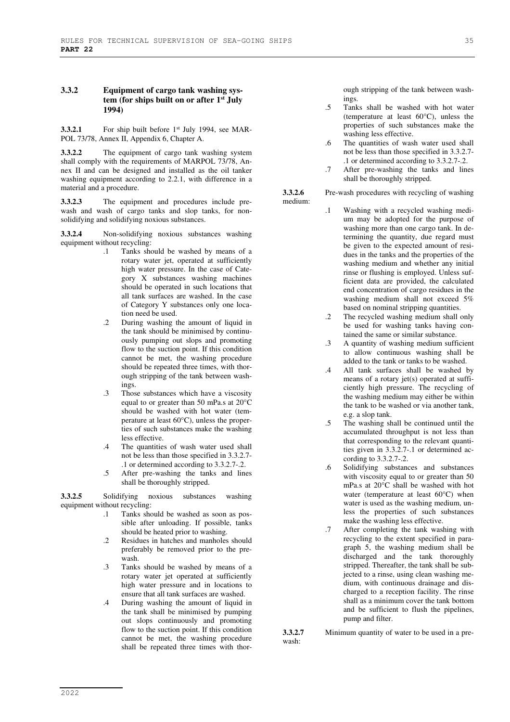### **3.3.2 Equipment of cargo tank washing system (for ships built on or after 1st July 1994)**

**3.3.2.1** For ship built before 1<sup>st</sup> July 1994, see MAR-POL 73/78, Annex II, Appendix 6, Chapter A.

**3.3.2.2** The equipment of cargo tank washing system shall comply with the requirements of MARPOL 73/78, Annex II and can be designed and installed as the oil tanker washing equipment according to 2.2.1, with difference in a material and a procedure.

**3.3.2.3** The equipment and procedures include prewash and wash of cargo tanks and slop tanks, for nonsolidifying and solidifying noxious substances.

**3.3.2.4** Non-solidifying noxious substances washing equipment without recycling:

- .1 Tanks should be washed by means of a rotary water jet, operated at sufficiently high water pressure. In the case of Category X substances washing machines should be operated in such locations that all tank surfaces are washed. In the case of Category Y substances only one location need be used.
- .2 During washing the amount of liquid in the tank should be minimised by continuously pumping out slops and promoting flow to the suction point. If this condition cannot be met, the washing procedure should be repeated three times, with thorough stripping of the tank between washings.
- .3 Those substances which have a viscosity equal to or greater than 50 mPa.s at 20°C should be washed with hot water (temperature at least 60°C), unless the properties of such substances make the washing less effective.
- .4 The quantities of wash water used shall not be less than those specified in 3.3.2.7- .1 or determined according to 3.3.2.7-.2.
- .5 After pre-washing the tanks and lines shall be thoroughly stripped.

**3.3.2.5** Solidifying noxious substances washing equipment without recycling:

- .1 Tanks should be washed as soon as possible after unloading. If possible, tanks should be heated prior to washing.
- .2 Residues in hatches and manholes should preferably be removed prior to the prewash.
- .3 Tanks should be washed by means of a rotary water jet operated at sufficiently high water pressure and in locations to ensure that all tank surfaces are washed.
- .4 During washing the amount of liquid in the tank shall be minimised by pumping out slops continuously and promoting flow to the suction point. If this condition cannot be met, the washing procedure shall be repeated three times with thor-

ough stripping of the tank between washings.

- .5 Tanks shall be washed with hot water (temperature at least 60°C), unless the properties of such substances make the washing less effective.
- .6 The quantities of wash water used shall not be less than those specified in 3.3.2.7- .1 or determined according to 3.3.2.7-.2.
- .7 After pre-washing the tanks and lines shall be thoroughly stripped.

**3.3.2.6** Pre-wash procedures with recycling of washing medium:

- -
- .1 Washing with a recycled washing medium may be adopted for the purpose of washing more than one cargo tank. In determining the quantity, due regard must be given to the expected amount of residues in the tanks and the properties of the washing medium and whether any initial rinse or flushing is employed. Unless sufficient data are provided, the calculated end concentration of cargo residues in the washing medium shall not exceed 5% based on nominal stripping quantities.
- .2 The recycled washing medium shall only be used for washing tanks having contained the same or similar substance.
- .3 A quantity of washing medium sufficient to allow continuous washing shall be added to the tank or tanks to be washed.
- .4 All tank surfaces shall be washed by means of a rotary jet(s) operated at sufficiently high pressure. The recycling of the washing medium may either be within the tank to be washed or via another tank, e.g. a slop tank.
- .5 The washing shall be continued until the accumulated throughput is not less than that corresponding to the relevant quantities given in 3.3.2.7-.1 or determined according to 3.3.2.7-.2.
- .6 Solidifying substances and substances with viscosity equal to or greater than 50 mPa.s at 20°C shall be washed with hot water (temperature at least 60°C) when water is used as the washing medium, unless the properties of such substances make the washing less effective.
- .7 After completing the tank washing with recycling to the extent specified in paragraph 5, the washing medium shall be discharged and the tank thoroughly stripped. Thereafter, the tank shall be subjected to a rinse, using clean washing medium, with continuous drainage and discharged to a reception facility. The rinse shall as a minimum cover the tank bottom and be sufficient to flush the pipelines, pump and filter.

**3.3.2.7** Minimum quantity of water to be used in a prewash: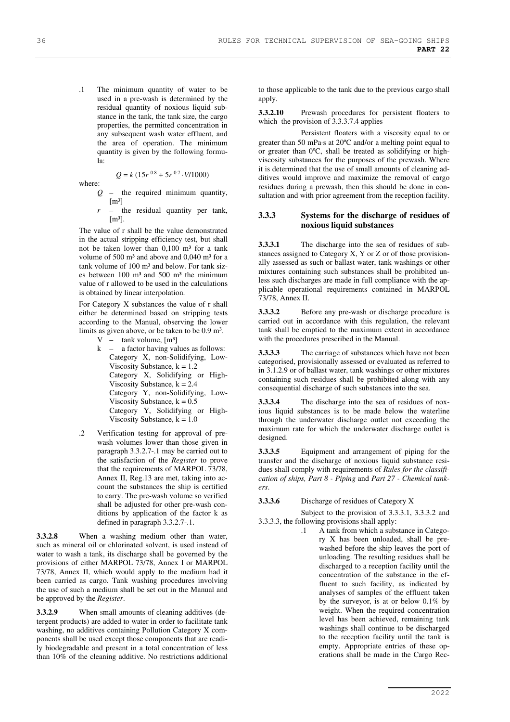.1 The minimum quantity of water to be used in a pre-wash is determined by the residual quantity of noxious liquid substance in the tank, the tank size, the cargo properties, the permitted concentration in any subsequent wash water effluent, and the area of operation. The minimum quantity is given by the following formula:

$$
Q = k (15r^{0.8} + 5r^{0.7} \cdot V/1000)
$$

where:

- *Q* the required minimum quantity,  $[m<sup>3</sup>]$
- $r$  the residual quantity per tank,  $[m<sup>3</sup>].$

The value of r shall be the value demonstrated in the actual stripping efficiency test, but shall not be taken lower than  $0,100$  m<sup>3</sup> for a tank volume of 500  $m<sup>3</sup>$  and above and 0,040  $m<sup>3</sup>$  for a tank volume of 100 m<sup>3</sup> and below. For tank sizes between  $100 \text{ m}^3$  and  $500 \text{ m}^3$  the minimum value of r allowed to be used in the calculations is obtained by linear interpolation.

For Category X substances the value of r shall either be determined based on stripping tests according to the Manual, observing the lower limits as given above, or be taken to be  $0.9 \text{ m}^3$ .

- $V$  tank volume,  $[m^3]$
- k a factor having values as follows: Category X, non-Solidifying, Low-Viscosity Substance,  $k = 1.2$ Category X, Solidifying or High-Viscosity Substance,  $k = 2.4$ Category Y, non-Solidifying, Low-Viscosity Substance,  $k = 0.5$ Category Y, Solidifying or High-Viscosity Substance,  $k = 1.0$
- .2 Verification testing for approval of prewash volumes lower than those given in paragraph 3.3.2.7-.1 may be carried out to the satisfaction of the *Register* to prove that the requirements of MARPOL 73/78, Annex II, Reg.13 are met, taking into account the substances the ship is certified to carry. The pre-wash volume so verified shall be adjusted for other pre-wash conditions by application of the factor k as defined in paragraph 3.3.2.7-.1.

**3.3.2.8** When a washing medium other than water, such as mineral oil or chlorinated solvent, is used instead of water to wash a tank, its discharge shall be governed by the provisions of either MARPOL 73/78, Annex I or MARPOL 73/78, Annex II, which would apply to the medium had it been carried as cargo. Tank washing procedures involving the use of such a medium shall be set out in the Manual and be approved by the *Register*.

**3.3.2.9** When small amounts of cleaning additives (detergent products) are added to water in order to facilitate tank washing, no additives containing Pollution Category X components shall be used except those components that are readily biodegradable and present in a total concentration of less than 10% of the cleaning additive. No restrictions additional

to those applicable to the tank due to the previous cargo shall apply.

**3.3.2.10** Prewash procedures for persistent floaters to which the provision of  $3.3.3.7.4$  applies

Persistent floaters with a viscosity equal to or greater than 50 mPa⋅s at 20ºC and/or a melting point equal to or greater than 0ºC, shall be treated as solidifying or highviscosity substances for the purposes of the prewash. Where it is determined that the use of small amounts of cleaning additives would improve and maximize the removal of cargo residues during a prewash, then this should be done in consultation and with prior agreement from the reception facility.

## **3.3.3 Systems for the discharge of residues of noxious liquid substances**

**3.3.3.1** The discharge into the sea of residues of substances assigned to Category X, Y or Z or of those provisionally assessed as such or ballast water, tank washings or other mixtures containing such substances shall be prohibited unless such discharges are made in full compliance with the applicable operational requirements contained in MARPOL 73/78, Annex II.

**3.3.3.2** Before any pre-wash or discharge procedure is carried out in accordance with this regulation, the relevant tank shall be emptied to the maximum extent in accordance with the procedures prescribed in the Manual.

**3.3.3.3** The carriage of substances which have not been categorised, provisionally assessed or evaluated as referred to in 3.1.2.9 or of ballast water, tank washings or other mixtures containing such residues shall be prohibited along with any consequential discharge of such substances into the sea.

**3.3.3.4** The discharge into the sea of residues of noxious liquid substances is to be made below the waterline through the underwater discharge outlet not exceeding the maximum rate for which the underwater discharge outlet is designed.

**3.3.3.5** Equipment and arrangement of piping for the transfer and the discharge of noxious liquid substance residues shall comply with requirements of *Rules for the classification of ships, Part 8 - Piping* and *Part 27 - Chemical tankers*.

**3.3.3.6** Discharge of residues of Category X

Subject to the provision of 3.3.3.1, 3.3.3.2 and 3.3.3.3, the following provisions shall apply:

.1 A tank from which a substance in Category X has been unloaded, shall be prewashed before the ship leaves the port of unloading. The resulting residues shall be discharged to a reception facility until the concentration of the substance in the effluent to such facility, as indicated by analyses of samples of the effluent taken by the surveyor, is at or below 0.1% by weight. When the required concentration level has been achieved, remaining tank washings shall continue to be discharged to the reception facility until the tank is empty. Appropriate entries of these operations shall be made in the Cargo Rec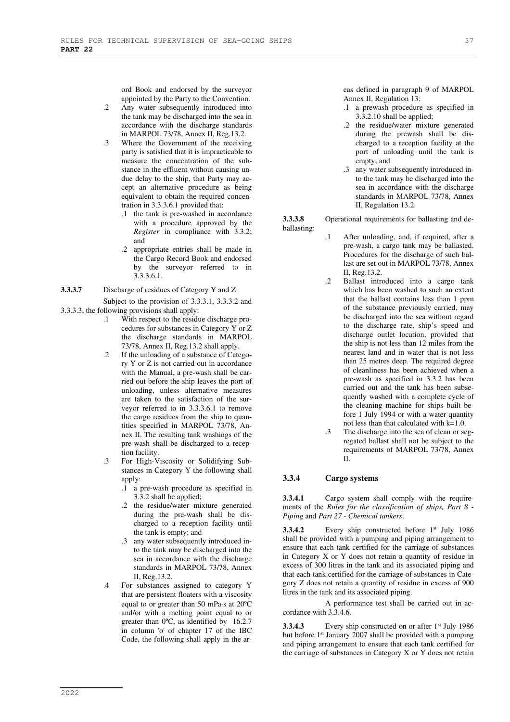ord Book and endorsed by the surveyor appointed by the Party to the Convention.

- .2 Any water subsequently introduced into the tank may be discharged into the sea in accordance with the discharge standards in MARPOL 73/78, Annex II, Reg.13.2.
- .3 Where the Government of the receiving party is satisfied that it is impracticable to measure the concentration of the substance in the effluent without causing undue delay to the ship, that Party may accept an alternative procedure as being equivalent to obtain the required concentration in 3.3.3.6.1 provided that:
	- .1 the tank is pre-washed in accordance with a procedure approved by the *Register* in compliance with 3.3.2; and
	- .2 appropriate entries shall be made in the Cargo Record Book and endorsed by the surveyor referred to in 3.3.3.6.1.

**3.3.3.7** Discharge of residues of Category Y and Z

Subject to the provision of 3.3.3.1, 3.3.3.2 and

- 3.3.3.3, the following provisions shall apply:
	- .1 With respect to the residue discharge procedures for substances in Category Y or Z the discharge standards in MARPOL 73/78, Annex II, Reg.13.2 shall apply.
	- .2 If the unloading of a substance of Category Y or Z is not carried out in accordance with the Manual, a pre-wash shall be carried out before the ship leaves the port of unloading, unless alternative measures are taken to the satisfaction of the surveyor referred to in 3.3.3.6.1 to remove the cargo residues from the ship to quantities specified in MARPOL 73/78, Annex II. The resulting tank washings of the pre-wash shall be discharged to a reception facility.
	- .3 For High-Viscosity or Solidifying Substances in Category Y the following shall apply:
		- .1 a pre-wash procedure as specified in 3.3.2 shall be applied;
		- .2 the residue/water mixture generated during the pre-wash shall be discharged to a reception facility until the tank is empty; and
		- .3 any water subsequently introduced into the tank may be discharged into the sea in accordance with the discharge standards in MARPOL 73/78, Annex II, Reg.13.2.
	- .4 For substances assigned to category Y that are persistent floaters with a viscosity equal to or greater than 50 mPa⋅s at 20ºC and/or with a melting point equal to or greater than 0ºC, as identified by 16.2.7 in column 'o' of chapter 17 of the IBC Code, the following shall apply in the ar-

eas defined in paragraph 9 of MARPOL Annex II, Regulation 13:

- .1 a prewash procedure as specified in 3.3.2.10 shall be applied;
- .2 the residue/water mixture generated during the prewash shall be discharged to a reception facility at the port of unloading until the tank is empty; and
- .3 any water subsequently introduced into the tank may be discharged into the sea in accordance with the discharge standards in MARPOL 73/78, Annex II, Regulation 13.2.

**3.3.3.8** Operational requirements for ballasting and deballasting:

- .1 After unloading, and, if required, after a pre-wash, a cargo tank may be ballasted. Procedures for the discharge of such ballast are set out in MARPOL 73/78, Annex II, Reg.13.2.
	- .2 Ballast introduced into a cargo tank which has been washed to such an extent that the ballast contains less than 1 ppm of the substance previously carried, may be discharged into the sea without regard to the discharge rate, ship's speed and discharge outlet location, provided that the ship is not less than 12 miles from the nearest land and in water that is not less than 25 metres deep. The required degree of cleanliness has been achieved when a pre-wash as specified in 3.3.2 has been carried out and the tank has been subsequently washed with a complete cycle of the cleaning machine for ships built before 1 July 1994 or with a water quantity not less than that calculated with k=1.0.
	- .3 The discharge into the sea of clean or segregated ballast shall not be subject to the requirements of MARPOL 73/78, Annex II.

# **3.3.4 Cargo systems**

**3.3.4.1** Cargo system shall comply with the requirements of the *Rules for the classification of ships, Part 8 - Piping* and *Part 27 - Chemical tankers*.

**3.3.4.2** Every ship constructed before 1st July 1986 shall be provided with a pumping and piping arrangement to ensure that each tank certified for the carriage of substances in Category X or Y does not retain a quantity of residue in excess of 300 litres in the tank and its associated piping and that each tank certified for the carriage of substances in Category Z does not retain a quantity of residue in excess of 900 litres in the tank and its associated piping.

A performance test shall be carried out in accordance with 3.3.4.6.

**3.3.4.3** Every ship constructed on or after 1<sup>st</sup> July 1986 but before 1st January 2007 shall be provided with a pumping and piping arrangement to ensure that each tank certified for the carriage of substances in Category X or Y does not retain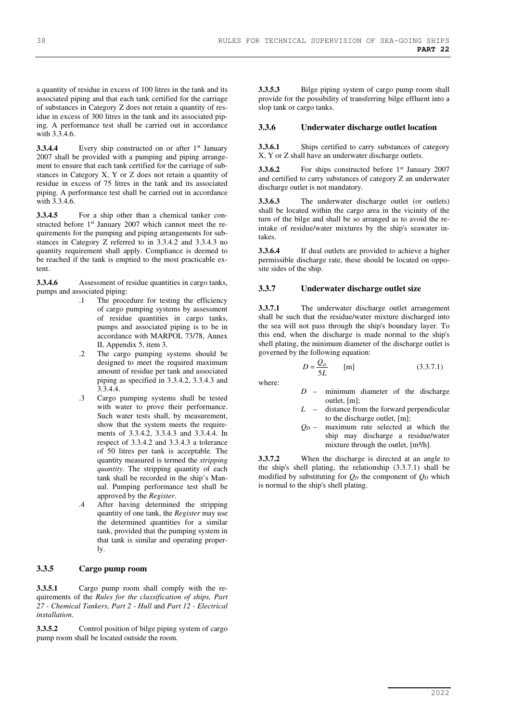a quantity of residue in excess of 100 litres in the tank and its associated piping and that each tank certified for the carriage of substances in Category Z does not retain a quantity of residue in excess of 300 litres in the tank and its associated piping. A performance test shall be carried out in accordance with 3.3.4.6.

**3.3.4.4** Every ship constructed on or after 1<sup>st</sup> January 2007 shall be provided with a pumping and piping arrangement to ensure that each tank certified for the carriage of substances in Category X, Y or Z does not retain a quantity of residue in excess of 75 litres in the tank and its associated piping. A performance test shall be carried out in accordance with 3.3.4.6.

**3.3.4.5** For a ship other than a chemical tanker constructed before 1<sup>st</sup> January 2007 which cannot meet the requirements for the pumping and piping arrangements for substances in Category Z referred to in 3.3.4.2 and 3.3.4.3 no quantity requirement shall apply. Compliance is deemed to be reached if the tank is emptied to the most practicable extent.

**3.3.4.6** Assessment of residue quantities in cargo tanks, pumps and associated piping:

- .1 The procedure for testing the efficiency of cargo pumping systems by assessment of residue quantities in cargo tanks, pumps and associated piping is to be in accordance with MARPOL 73/78, Annex II, Appendix 5, item 3.
- .2 The cargo pumping systems should be designed to meet the required maximum amount of residue per tank and associated piping as specified in 3.3.4.2, 3.3.4.3 and 3.3.4.4.
- .3 Cargo pumping systems shall be tested with water to prove their performance. Such water tests shall, by measurement, show that the system meets the requirements of 3.3.4.2, 3.3.4.3 and 3.3.4.4. In respect of 3.3.4.2 and 3.3.4.3 a tolerance of 50 litres per tank is acceptable. The quantity measured is termed the *stripping quantity*. The stripping quantity of each tank shall be recorded in the ship's Manual. Pumping performance test shall be approved by the *Register*.
- .4 After having determined the stripping quantity of one tank, the *Register* may use the determined quantities for a similar tank, provided that the pumping system in that tank is similar and operating properly.

## **3.3.5 Cargo pump room**

**3.3.5.1** Cargo pump room shall comply with the requirements of the *Rules for the classification of ships, Part 27 - Chemical Tankers*, *Part 2 - Hull* and *Part 12 - Electrical installation*.

**3.3.5.2** Control position of bilge piping system of cargo pump room shall be located outside the room.

**3.3.5.3** Bilge piping system of cargo pump room shall provide for the possibility of transferring bilge effluent into a slop tank or cargo tanks.

#### **3.3.6 Underwater discharge outlet location**

**3.3.6.1** Ships certified to carry substances of category X, Y or Z shall have an underwater discharge outlets.

**3.3.6.2** For ships constructed before 1<sup>st</sup> January 2007 and certified to carry substances of category Z an underwater discharge outlet is not mandatory.

**3.3.6.3** The underwater discharge outlet (or outlets) shall be located within the cargo area in the vicinity of the turn of the bilge and shall be so arranged as to avoid the reintake of residue/water mixtures by the ship's seawater intakes.

**3.3.6.4** If dual outlets are provided to achieve a higher permissible discharge rate, these should be located on opposite sides of the ship.

#### **3.3.7 Underwater discharge outlet size**

**3.3.7.1** The underwater discharge outlet arrangement shall be such that the residue/water mixture discharged into the sea will not pass through the ship's boundary layer. To this end, when the discharge is made normal to the ship's shell plating, the minimum diameter of the discharge outlet is governed by the following equation:

$$
D = \frac{Q_D}{5L} \qquad [m] \tag{3.3.7.1}
$$

where:

- *D* minimum diameter of the discharge outlet, [m];
- *L* distance from the forward perpendicular to the discharge outlet, [m];
- *QD* maximum rate selected at which the ship may discharge a residue/water mixture through the outlet, [m3/h].

**3.3.7.2** When the discharge is directed at an angle to the ship's shell plating, the relationship (3.3.7.1) shall be modified by substituting for  $O_D$  the component of  $O_D$  which is normal to the ship's shell plating.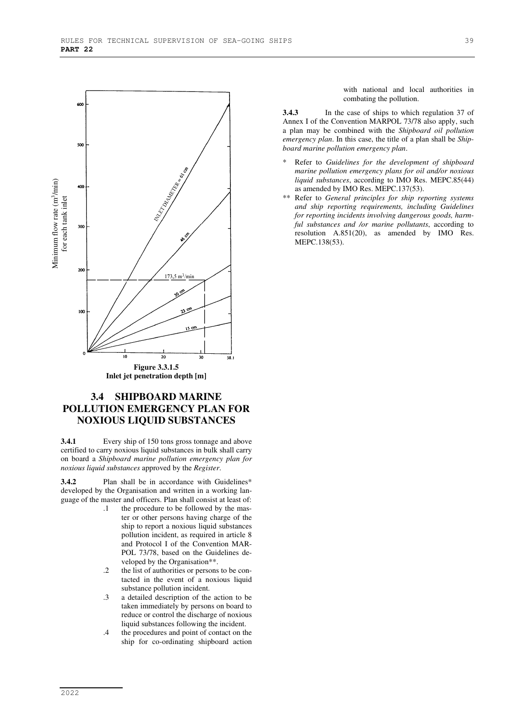

# **3.4 SHIPBOARD MARINE POLLUTION EMERGENCY PLAN FOR NOXIOUS LIQUID SUBSTANCES**

**3.4.1** Every ship of 150 tons gross tonnage and above certified to carry noxious liquid substances in bulk shall carry on board a *Shipboard marine pollution emergency plan for noxious liquid substances* approved by the *Register*.

**3.4.2** Plan shall be in accordance with Guidelines\* developed by the Organisation and written in a working language of the master and officers. Plan shall consist at least of:

- .1 the procedure to be followed by the master or other persons having charge of the ship to report a noxious liquid substances pollution incident, as required in article 8 and Protocol I of the Convention MAR-POL 73/78, based on the Guidelines developed by the Organisation\*\*.
- .2 the list of authorities or persons to be contacted in the event of a noxious liquid substance pollution incident.
- .3 a detailed description of the action to be taken immediately by persons on board to reduce or control the discharge of noxious liquid substances following the incident.
- .4 the procedures and point of contact on the ship for co-ordinating shipboard action

with national and local authorities in combating the pollution.

**3.4.3** In the case of ships to which regulation 37 of Annex I of the Convention MARPOL 73/78 also apply, such a plan may be combined with the *Shipboard oil pollution emergency plan*. In this case, the title of a plan shall be *Shipboard marine pollution emergency plan*.

- \* Refer to *Guidelines for the development of shipboard marine pollution emergency plans for oil and/or noxious liquid substances*, according to IMO Res. MEPC.85(44) as amended by IMO Res. MEPC.137(53).
- \*\* Refer to *General principles for ship reporting systems and ship reporting requirements, including Guidelines for reporting incidents involving dangerous goods, harmful substances and /or marine pollutants*, according to resolution A.851(20), as amended by IMO Res. MEPC.138(53).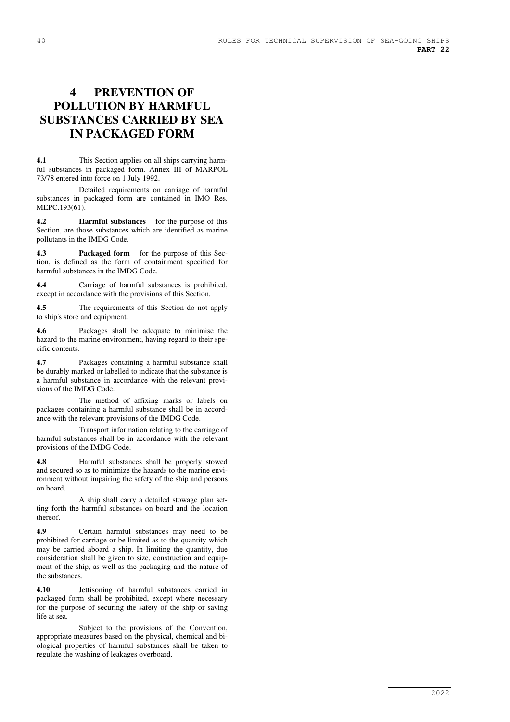# **4 PREVENTION OF POLLUTION BY HARMFUL SUBSTANCES CARRIED BY SEA IN PACKAGED FORM**

**4.1** This Section applies on all ships carrying harmful substances in packaged form. Annex III of MARPOL 73/78 entered into force on 1 July 1992.

Detailed requirements on carriage of harmful substances in packaged form are contained in IMO Res. MEPC.193(61).

**4.2 Harmful substances** – for the purpose of this Section, are those substances which are identified as marine pollutants in the IMDG Code.

**4.3 Packaged form** – for the purpose of this Section, is defined as the form of containment specified for harmful substances in the IMDG Code.

**4.4** Carriage of harmful substances is prohibited, except in accordance with the provisions of this Section.

**4.5** The requirements of this Section do not apply to ship's store and equipment.

**4.6** Packages shall be adequate to minimise the hazard to the marine environment, having regard to their specific contents.

**4.7** Packages containing a harmful substance shall be durably marked or labelled to indicate that the substance is a harmful substance in accordance with the relevant provisions of the IMDG Code.

The method of affixing marks or labels on packages containing a harmful substance shall be in accordance with the relevant provisions of the IMDG Code.

Transport information relating to the carriage of harmful substances shall be in accordance with the relevant provisions of the IMDG Code.

**4.8** Harmful substances shall be properly stowed and secured so as to minimize the hazards to the marine environment without impairing the safety of the ship and persons on board.

A ship shall carry a detailed stowage plan setting forth the harmful substances on board and the location thereof.

**4.9** Certain harmful substances may need to be prohibited for carriage or be limited as to the quantity which may be carried aboard a ship. In limiting the quantity, due consideration shall be given to size, construction and equipment of the ship, as well as the packaging and the nature of the substances.

**4.10** Jettisoning of harmful substances carried in packaged form shall be prohibited, except where necessary for the purpose of securing the safety of the ship or saving life at sea.

Subject to the provisions of the Convention, appropriate measures based on the physical, chemical and biological properties of harmful substances shall be taken to regulate the washing of leakages overboard.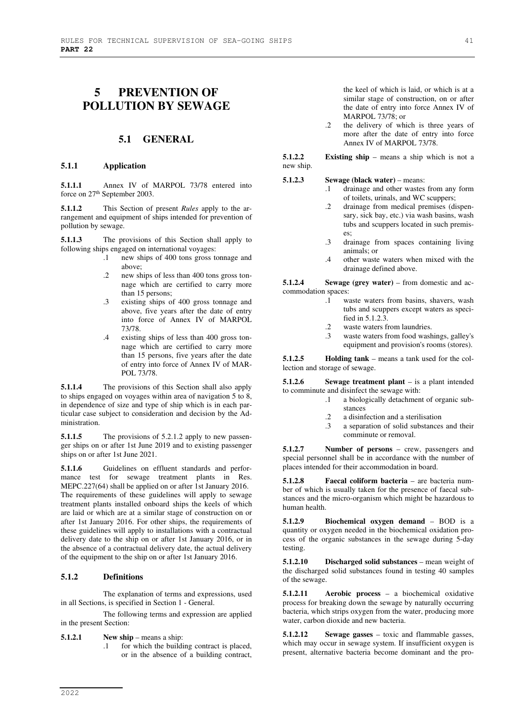# **5 PREVENTION OF POLLUTION BY SEWAGE**

## **5.1 GENERAL**

#### **5.1.1 Application**

**5.1.1.1** Annex IV of MARPOL 73/78 entered into force on 27th September 2003.

**5.1.1.2** This Section of present *Rules* apply to the arrangement and equipment of ships intended for prevention of pollution by sewage.

**5.1.1.3** The provisions of this Section shall apply to following ships engaged on international voyages:

- .1 new ships of 400 tons gross tonnage and above;
- .2 new ships of less than 400 tons gross tonnage which are certified to carry more than 15 persons;
- .3 existing ships of 400 gross tonnage and above, five years after the date of entry into force of Annex IV of MARPOL 73/78.
- .4 existing ships of less than 400 gross tonnage which are certified to carry more than 15 persons, five years after the date of entry into force of Annex IV of MAR-POL 73/78.

**5.1.1.4** The provisions of this Section shall also apply to ships engaged on voyages within area of navigation 5 to 8, in dependence of size and type of ship which is in each particular case subject to consideration and decision by the Administration.

**5.1.1.5** The provisions of 5.2.1.2 apply to new passenger ships on or after 1st June 2019 and to existing passenger ships on or after 1st June 2021.

**5.1.1.6** Guidelines on effluent standards and performance test for sewage treatment plants in Res. MEPC.227(64) shall be applied on or after 1st January 2016. The requirements of these guidelines will apply to sewage treatment plants installed onboard ships the keels of which are laid or which are at a similar stage of construction on or after 1st January 2016. For other ships, the requirements of these guidelines will apply to installations with a contractual delivery date to the ship on or after 1st January 2016, or in the absence of a contractual delivery date, the actual delivery of the equipment to the ship on or after 1st January 2016.

## **5.1.2 Definitions**

The explanation of terms and expressions, used in all Sections, is specified in Section 1 - General.

The following terms and expression are applied in the present Section:

**5.1.2.1 New ship** – means a ship:

.1 for which the building contract is placed, or in the absence of a building contract,

the keel of which is laid, or which is at a similar stage of construction, on or after the date of entry into force Annex IV of MARPOL 73/78; or

.2 the delivery of which is three years of more after the date of entry into force Annex IV of MARPOL 73/78.

**5.1.2.2 Existing ship** – means a ship which is not a new ship.

**5.1.2.3 Sewage (black water)** – means:

- .1 drainage and other wastes from any form of toilets, urinals, and WC scuppers;
- .2 drainage from medical premises (dispensary, sick bay, etc.) via wash basins, wash tubs and scuppers located in such premises;
- .3 drainage from spaces containing living animals; or
- .4 other waste waters when mixed with the drainage defined above.

**5.1.2.4 Sewage (grey water)** – from domestic and accommodation spaces:

- .1 waste waters from basins, shavers, wash tubs and scuppers except waters as specified in 5.1.2.3.
- 2 waste waters from laundries.<br>3 waste waters from food wash
- waste waters from food washings, galley's equipment and provision's rooms (stores).

**5.1.2.5 Holding tank** – means a tank used for the collection and storage of sewage.

**5.1.2.6 Sewage treatment plant** – is a plant intended to comminute and disinfect the sewage with:

- .1 a biologically detachment of organic substances
- .2 a disinfection and a sterilisation
- .3 a separation of solid substances and their comminute or removal.

**5.1.2.7 Number of persons** – crew, passengers and special personnel shall be in accordance with the number of places intended for their accommodation in board.

**5.1.2.8 Faecal coliform bacteria** – are bacteria number of which is usually taken for the presence of faecal substances and the micro-organism which might be hazardous to human health.

**5.1.2.9 Biochemical oxygen demand** – BOD is a quantity or oxygen needed in the biochemical oxidation process of the organic substances in the sewage during 5-day testing.

**5.1.2.10 Discharged solid substances** – mean weight of the discharged solid substances found in testing 40 samples of the sewage.

**5.1.2.11 Aerobic process** – a biochemical oxidative process for breaking down the sewage by naturally occurring bacteria, which strips oxygen from the water, producing more water, carbon dioxide and new bacteria.

**5.1.2.12 Sewage gasses** – toxic and flammable gasses, which may occur in sewage system. If insufficient oxygen is present, alternative bacteria become dominant and the pro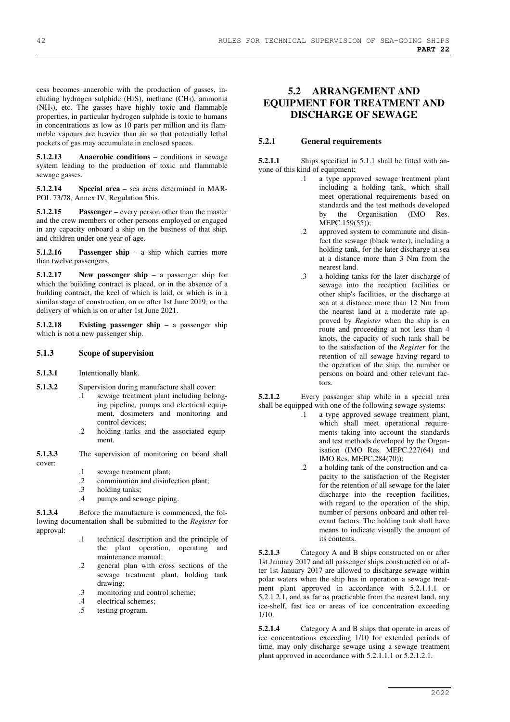cess becomes anaerobic with the production of gasses, including hydrogen sulphide (H2S), methane (CH4), ammonia (NH3), etc. The gasses have highly toxic and flammable properties, in particular hydrogen sulphide is toxic to humans in concentrations as low as 10 parts per million and its flammable vapours are heavier than air so that potentially lethal pockets of gas may accumulate in enclosed spaces.

**5.1.2.13 Anaerobic conditions** – conditions in sewage system leading to the production of toxic and flammable sewage gasses.

**5.1.2.14 Special area** – sea areas determined in MAR-POL 73/78, Annex IV, Regulation 5bis.

**5.1.2.15 Passenger** – every person other than the master and the crew members or other persons employed or engaged in any capacity onboard a ship on the business of that ship, and children under one year of age.

**5.1.2.16 Passenger ship** – a ship which carries more than twelve passengers.

**5.1.2.17 New passenger ship** – a passenger ship for which the building contract is placed, or in the absence of a building contract, the keel of which is laid, or which is in a similar stage of construction, on or after 1st June 2019, or the delivery of which is on or after 1st June 2021.

**5.1.2.18 Existing passenger ship** – a passenger ship which is not a new passenger ship.

## **5.1.3 Scope of supervision**

- **5.1.3.1** Intentionally blank.
- **5.1.3.2** Supervision during manufacture shall cover:
	- .1 sewage treatment plant including belonging pipeline, pumps and electrical equipment, dosimeters and monitoring and control devices;
		- .2 holding tanks and the associated equipment.
- **5.1.3.3** The supervision of monitoring on board shall cover:
	- .1 sewage treatment plant;
	- .2 comminution and disinfection plant;
	- .3 holding tanks;
	- .4 pumps and sewage piping.

**5.1.3.4** Before the manufacture is commenced, the following documentation shall be submitted to the *Register* for approval:

- .1 technical description and the principle of the plant operation, operating and maintenance manual;
- .2 general plan with cross sections of the sewage treatment plant, holding tank drawing;
- .3 monitoring and control scheme;
- .4 electrical schemes;<br>.5 testing program.
- testing program.

# **5.2 ARRANGEMENT AND EQUIPMENT FOR TREATMENT AND DISCHARGE OF SEWAGE**

## **5.2.1 General requirements**

**5.2.1.1** Ships specified in 5.1.1 shall be fitted with anyone of this kind of equipment:

- .1 a type approved sewage treatment plant including a holding tank, which shall meet operational requirements based on standards and the test methods developed by the Organisation (IMO Res. MEPC.159(55));
	- .2 approved system to comminute and disinfect the sewage (black water), including a holding tank, for the later discharge at sea at a distance more than 3 Nm from the nearest land.
	- .3 a holding tanks for the later discharge of sewage into the reception facilities or other ship's facilities, or the discharge at sea at a distance more than 12 Nm from the nearest land at a moderate rate approved by *Register* when the ship is en route and proceeding at not less than 4 knots, the capacity of such tank shall be to the satisfaction of the *Register* for the retention of all sewage having regard to the operation of the ship, the number or persons on board and other relevant factors.

**5.2.1.2** Every passenger ship while in a special area shall be equipped with one of the following sewage systems:

- .1 a type approved sewage treatment plant, which shall meet operational requirements taking into account the standards and test methods developed by the Organisation (IMO Res. MEPC.227(64) and IMO Res. MEPC.284(70));
	- .2 a holding tank of the construction and capacity to the satisfaction of the Register for the retention of all sewage for the later discharge into the reception facilities, with regard to the operation of the ship. number of persons onboard and other relevant factors. The holding tank shall have means to indicate visually the amount of its contents.

**5.2.1.3** Category A and B ships constructed on or after 1st January 2017 and all passenger ships constructed on or after 1st January 2017 are allowed to discharge sewage within polar waters when the ship has in operation a sewage treatment plant approved in accordance with 5.2.1.1.1 or 5.2.1.2.1, and as far as practicable from the nearest land, any ice-shelf, fast ice or areas of ice concentration exceeding 1/10.

**5.2.1.4** Category A and B ships that operate in areas of ice concentrations exceeding 1/10 for extended periods of time, may only discharge sewage using a sewage treatment plant approved in accordance with 5.2.1.1.1 or 5.2.1.2.1.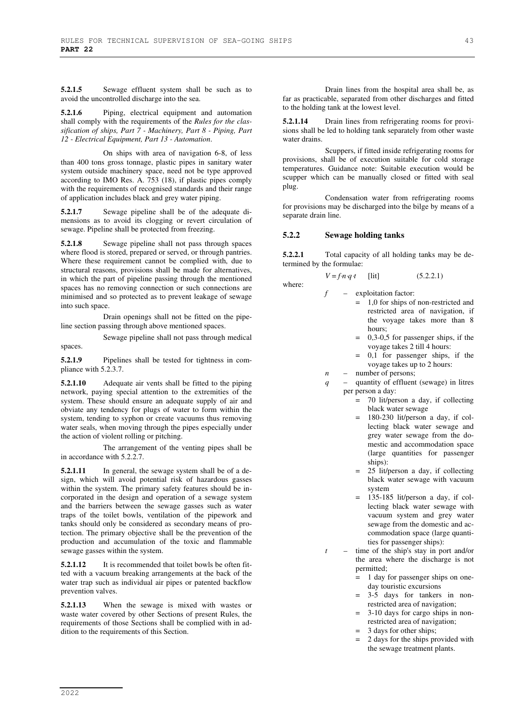**5.2.1.5** Sewage effluent system shall be such as to avoid the uncontrolled discharge into the sea.

**5.2.1.6** Piping, electrical equipment and automation shall comply with the requirements of the *Rules for the classification of ships, Part 7 - Machinery, Part 8 - Piping, Part 12 - Electrical Equipment, Part 13 - Automation*.

 On ships with area of navigation 6-8, of less than 400 tons gross tonnage, plastic pipes in sanitary water system outside machinery space, need not be type approved according to IMO Res. A. 753 (18), if plastic pipes comply with the requirements of recognised standards and their range of application includes black and grey water piping.

**5.2.1.7** Sewage pipeline shall be of the adequate dimensions as to avoid its clogging or revert circulation of sewage. Pipeline shall be protected from freezing.

**5.2.1.8** Sewage pipeline shall not pass through spaces where flood is stored, prepared or served, or through pantries. Where these requirement cannot be complied with, due to structural reasons, provisions shall be made for alternatives, in which the part of pipeline passing through the mentioned spaces has no removing connection or such connections are minimised and so protected as to prevent leakage of sewage into such space.

Drain openings shall not be fitted on the pipeline section passing through above mentioned spaces.

Sewage pipeline shall not pass through medical spaces.

**5.2.1.9** Pipelines shall be tested for tightness in compliance with 5.2.3.7.

**5.2.1.10** Adequate air vents shall be fitted to the piping network, paying special attention to the extremities of the system. These should ensure an adequate supply of air and obviate any tendency for plugs of water to form within the system, tending to syphon or create vacuums thus removing water seals, when moving through the pipes especially under the action of violent rolling or pitching.

The arrangement of the venting pipes shall be in accordance with 5.2.2.7.

**5.2.1.11** In general, the sewage system shall be of a design, which will avoid potential risk of hazardous gasses within the system. The primary safety features should be incorporated in the design and operation of a sewage system and the barriers between the sewage gasses such as water traps of the toilet bowls, ventilation of the pipework and tanks should only be considered as secondary means of protection. The primary objective shall be the prevention of the production and accumulation of the toxic and flammable sewage gasses within the system.

**5.2.1.12** It is recommended that toilet bowls be often fitted with a vacuum breaking arrangements at the back of the water trap such as individual air pipes or patented backflow prevention valves.

**5.2.1.13** When the sewage is mixed with wastes or waste water covered by other Sections of present Rules, the requirements of those Sections shall be complied with in addition to the requirements of this Section.

Drain lines from the hospital area shall be, as far as practicable, separated from other discharges and fitted to the holding tank at the lowest level.

**5.2.1.14** Drain lines from refrigerating rooms for provisions shall be led to holding tank separately from other waste water drains.

Scuppers, if fitted inside refrigerating rooms for provisions, shall be of execution suitable for cold storage temperatures. Guidance note: Suitable execution would be scupper which can be manually closed or fitted with seal plug.

Condensation water from refrigerating rooms for provisions may be discharged into the bilge by means of a separate drain line.

#### **5.2.2 Sewage holding tanks**

**5.2.2.1** Total capacity of all holding tanks may be determined by the formulae:

$$
V = f \cdot n \cdot q \cdot t \qquad \text{[lit]} \tag{5.2.2.1}
$$

$$
f_{\rm{max}}
$$

where:

exploitation factor:

- = 1,0 for ships of non-restricted and restricted area of navigation, if the voyage takes more than 8 hours;
- $= 0,3-0,5$  for passenger ships, if the voyage takes 2 till 4 hours:
- = 0,1 for passenger ships, if the voyage takes up to 2 hours:
- *n* number of persons:
- *q* quantity of effluent (sewage) in litres per person a day:
	- $= 70$  lit/person a day, if collecting black water sewage
	- = 180-230 lit/person a day, if collecting black water sewage and grey water sewage from the domestic and accommodation space (large quantities for passenger ships):
	- = 25 lit/person a day, if collecting black water sewage with vacuum system
	- = 135-185 lit/person a day, if collecting black water sewage with vacuum system and grey water sewage from the domestic and accommodation space (large quantities for passenger ships):
- *t* time of the ship's stay in port and/or the area where the discharge is not permitted;
	- 1 day for passenger ships on oneday touristic excursions
	- $= 3-5$  days for tankers in nonrestricted area of navigation;
	- = 3-10 days for cargo ships in nonrestricted area of navigation;
	- = 3 days for other ships;
	- = 2 days for the ships provided with the sewage treatment plants.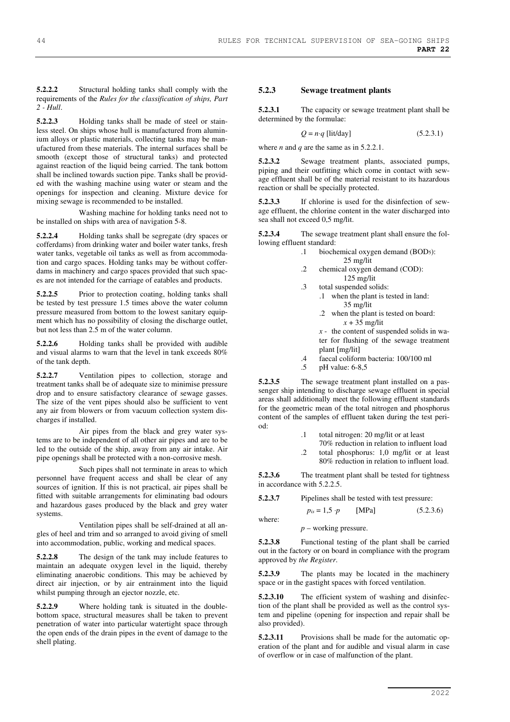**5.2.2.2** Structural holding tanks shall comply with the requirements of the *Rules for the classification of ships, Part 2 - Hull*.

**5.2.2.3** Holding tanks shall be made of steel or stainless steel. On ships whose hull is manufactured from aluminium alloys or plastic materials, collecting tanks may be manufactured from these materials. The internal surfaces shall be smooth (except those of structural tanks) and protected against reaction of the liquid being carried. The tank bottom shall be inclined towards suction pipe. Tanks shall be provided with the washing machine using water or steam and the openings for inspection and cleaning. Mixture device for mixing sewage is recommended to be installed.

Washing machine for holding tanks need not to be installed on ships with area of navigation 5-8.

**5.2.2.4** Holding tanks shall be segregate (dry spaces or cofferdams) from drinking water and boiler water tanks, fresh water tanks, vegetable oil tanks as well as from accommodation and cargo spaces. Holding tanks may be without cofferdams in machinery and cargo spaces provided that such spaces are not intended for the carriage of eatables and products.

**5.2.2.5** Prior to protection coating, holding tanks shall be tested by test pressure 1.5 times above the water column pressure measured from bottom to the lowest sanitary equipment which has no possibility of closing the discharge outlet, but not less than 2.5 m of the water column.

**5.2.2.6** Holding tanks shall be provided with audible and visual alarms to warn that the level in tank exceeds 80% of the tank depth.

**5.2.2.7** Ventilation pipes to collection, storage and treatment tanks shall be of adequate size to minimise pressure drop and to ensure satisfactory clearance of sewage gasses. The size of the vent pipes should also be sufficient to vent any air from blowers or from vacuum collection system discharges if installed.

Air pipes from the black and grey water systems are to be independent of all other air pipes and are to be led to the outside of the ship, away from any air intake. Air pipe openings shall be protected with a non-corrosive mesh.

Such pipes shall not terminate in areas to which personnel have frequent access and shall be clear of any sources of ignition. If this is not practical, air pipes shall be fitted with suitable arrangements for eliminating bad odours and hazardous gases produced by the black and grey water systems.

Ventilation pipes shall be self-drained at all angles of heel and trim and so arranged to avoid giving of smell into accommodation, public, working and medical spaces.

**5.2.2.8** The design of the tank may include features to maintain an adequate oxygen level in the liquid, thereby eliminating anaerobic conditions. This may be achieved by direct air injection, or by air entrainment into the liquid whilst pumping through an ejector nozzle, etc.

**5.2.2.9** Where holding tank is situated in the doublebottom space, structural measures shall be taken to prevent penetration of water into particular watertight space through the open ends of the drain pipes in the event of damage to the shell plating.

#### **5.2.3 Sewage treatment plants**

**5.2.3.1** The capacity or sewage treatment plant shall be determined by the formulae:

$$
Q = n \cdot q \text{ [lit/day]} \tag{5.2.3.1}
$$

where *n* and *q* are the same as in 5.2.2.1.

**5.2.3.2** Sewage treatment plants, associated pumps, piping and their outfitting which come in contact with sewage effluent shall be of the material resistant to its hazardous reaction or shall be specially protected.

**5.2.3.3** If chlorine is used for the disinfection of sewage effluent, the chlorine content in the water discharged into sea shall not exceed 0,5 mg/lit.

**5.2.3.4** The sewage treatment plant shall ensure the following effluent standard:

- .1 biochemical oxygen demand (BOD5): 25 mg/lit
- .2 chemical oxygen demand (COD): 125 mg/lit
- .3 total suspended solids:
	- .1 when the plant is tested in land: 35 mg/lit
		- .2 when the plant is tested on board:  $x + 35$  mg/lit
		- $x -$  the content of suspended solids in water for flushing of the sewage treatment
- plant [mg/lit] .4 faecal coliform bacteria: 100/100 ml
- .5 pH value: 6-8,5

**5.2.3.5** The sewage treatment plant installed on a passenger ship intending to discharge sewage effluent in special areas shall additionally meet the following effluent standards for the geometric mean of the total nitrogen and phosphorus content of the samples of effluent taken during the test period:

- .1 total nitrogen: 20 mg/lit or at least
- 70% reduction in relation to influent load
- .2 total phosphorus: 1,0 mg/lit or at least 80% reduction in relation to influent load.

**5.2.3.6** The treatment plant shall be tested for tightness in accordance with 5.2.2.5.

**5.2.3.7** Pipelines shall be tested with test pressure:

 $p_{is} = 1.5 \cdot p$  [MPa] (5.2.3.6) where:

*p* – working pressure.

**5.2.3.8** Functional testing of the plant shall be carried out in the factory or on board in compliance with the program approved by *the Register*.

**5.2.3.9** The plants may be located in the machinery space or in the gastight spaces with forced ventilation.

**5.2.3.10** The efficient system of washing and disinfection of the plant shall be provided as well as the control system and pipeline (opening for inspection and repair shall be also provided).

**5.2.3.11** Provisions shall be made for the automatic operation of the plant and for audible and visual alarm in case of overflow or in case of malfunction of the plant.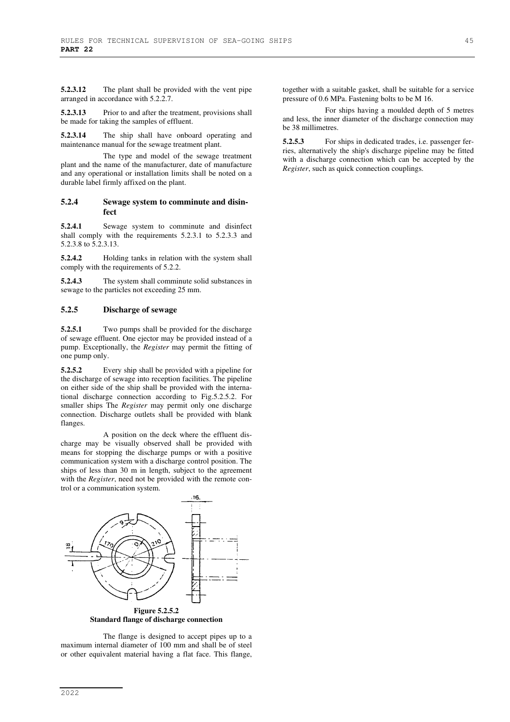**5.2.3.12** The plant shall be provided with the vent pipe arranged in accordance with 5.2.2.7.

**5.2.3.13** Prior to and after the treatment, provisions shall be made for taking the samples of effluent.

**5.2.3.14** The ship shall have onboard operating and maintenance manual for the sewage treatment plant.

The type and model of the sewage treatment plant and the name of the manufacturer, date of manufacture and any operational or installation limits shall be noted on a durable label firmly affixed on the plant.

#### **5.2.4 Sewage system to comminute and disinfect**

**5.2.4.1** Sewage system to comminute and disinfect shall comply with the requirements 5.2.3.1 to 5.2.3.3 and 5.2.3.8 to 5.2.3.13.

**5.2.4.2** Holding tanks in relation with the system shall comply with the requirements of 5.2.2.

**5.2.4.3** The system shall comminute solid substances in sewage to the particles not exceeding 25 mm.

#### **5.2.5 Discharge of sewage**

**5.2.5.1** Two pumps shall be provided for the discharge of sewage effluent. One ejector may be provided instead of a pump. Exceptionally, the *Register* may permit the fitting of one pump only.

**5.2.5.2** Every ship shall be provided with a pipeline for the discharge of sewage into reception facilities. The pipeline on either side of the ship shall be provided with the international discharge connection according to Fig.5.2.5.2. For smaller ships The *Register* may permit only one discharge connection. Discharge outlets shall be provided with blank flanges.

A position on the deck where the effluent discharge may be visually observed shall be provided with means for stopping the discharge pumps or with a positive communication system with a discharge control position. The ships of less than 30 m in length, subject to the agreement with the *Register*, need not be provided with the remote control or a communication system.



**Standard flange of discharge connection** 

The flange is designed to accept pipes up to a maximum internal diameter of 100 mm and shall be of steel or other equivalent material having a flat face. This flange,

together with a suitable gasket, shall be suitable for a service pressure of 0.6 MPa. Fastening bolts to be M 16.

For ships having a moulded depth of 5 metres and less, the inner diameter of the discharge connection may be 38 millimetres.

**5.2.5.3** For ships in dedicated trades, i.e. passenger ferries, alternatively the ship's discharge pipeline may be fitted with a discharge connection which can be accepted by the *Register*, such as quick connection couplings.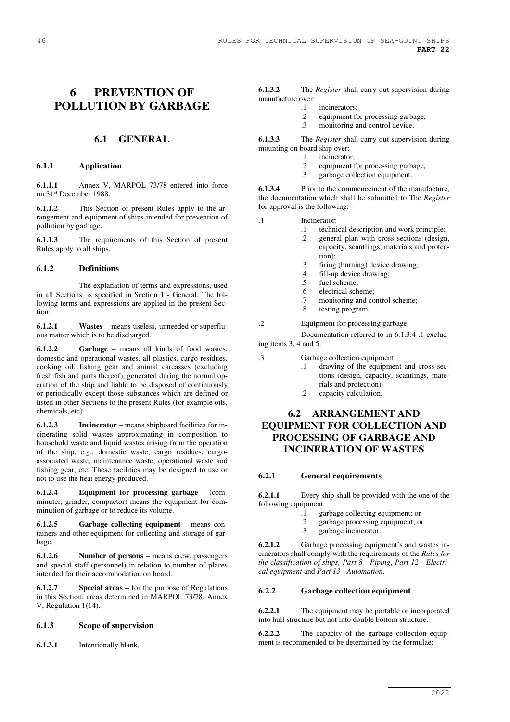# **6 PREVENTION OF POLLUTION BY GARBAGE**

## **6.1 GENERAL**

## **6.1.1 Application**

**6.1.1.1** Annex V, MARPOL 73/78 entered into force on 31st December 1988.

**6.1.1.2** This Section of present Rules apply to the arrangement and equipment of ships intended for prevention of pollution by garbage.

**6.1.1.3** The requirements of this Section of present Rules apply to all ships.

#### **6.1.2 Definitions**

The explanation of terms and expressions, used in all Sections, is specified in Section 1 - General. The following terms and expressions are applied in the present Section:

**6.1.2.1 Wastes** – means useless, unneeded or superfluous matter which is to be discharged.

**6.1.2.2 Garbage** – means all kinds of food wastes, domestic and operational wastes, all plastics, cargo residues, cooking oil, fishing gear and animal carcasses (excluding fresh fish and parts thereof), generated during the normal operation of the ship and liable to be disposed of continuously or periodically except those substances which are defined or listed in other Sections to the present Rules (for example oils, chemicals, etc).

**6.1.2.3 Incinerator** – means shipboard facilities for incinerating solid wastes approximating in composition to household waste and liquid wastes arising from the operation of the ship, e.g., domestic waste, cargo residues, cargoassociated waste, maintenance waste, operational waste and fishing gear, etc. These facilities may be designed to use or not to use the heat energy produced.

**6.1.2.4 Equipment for processing garbage** – (comminuter, grinder, compactor) means the equipment for comminution of garbage or to reduce its volume.

**6.1.2.5 Garbage collecting equipment** – means containers and other equipment for collecting and storage of garbage.

**6.1.2.6 Number of persons** – means crew, passengers and special staff (personnel) in relation to number of places intended for their accommodation on board.

**6.1.2.7 Special areas** – for the purpose of Regulations in this Section, areas determined in MARPOL 73/78, Annex V, Regulation 1(14).

#### **6.1.3 Scope of supervision**

**6.1.3.1** Intentionally blank.

**6.1.3.2** The *Register* shall carry out supervision during manufacture over:

- .1 incinerators;<br>2 equipment for
	- equipment for processing garbage;
	- .3 monitoring and control device.

**6.1.3.3** The *Register* shall carry out supervision during mounting on board ship over:<br>1 incinerato

- .1 incinerator;<br>.2 equipment f
- equipment for processing garbage,
- .3 garbage collection equipment.

**6.1.3.4** Prior to the commencement of the manufacture, the documentation which shall be submitted to The *Register* for approval is the following:

- .1 Incinerator:
	- .1 technical description and work principle;
	- .2 general plan with cross sections (design, capacity, scantlings, materials and protection);
	- .3 firing (burning) device drawing;
	- .4 fill-up device drawing;
	- .5 fuel scheme;
	- .6 electrical scheme;
	- .7 monitoring and control scheme;
	- .8 testing program.

.2 Equipment for processing garbage:

Documentation referred to in 6.1.3.4-.1 excluding items 3, 4 and 5.

- .3 Garbage collection equipment:
	- .1 drawing of the equipment and cross sections (design, capacity, scantlings, materials and protection)
		- .2 capacity calculation.

# **6.2 ARRANGEMENT AND EQUIPMENT FOR COLLECTION AND PROCESSING OF GARBAGE AND INCINERATION OF WASTES**

## **6.2.1 General requirements**

**6.2.1.1** Every ship shall be provided with the one of the following equipment:

- .1 garbage collecting equipment; or
- .2 garbage processing equipment; or
- .3 garbage incinerator.

**6.2.1.2** Garbage processing equipment's and wastes incinerators shall comply with the requirements of the *Rules for the classification of ships, Part 8 - Piping*, *Part 12 - Electrical equipment* and *Part 13 - Automation*.

#### **6.2.2 Garbage collection equipment**

**6.2.2.1** The equipment may be portable or incorporated into hull structure but not into double bottom structure.

**6.2.2.2** The capacity of the garbage collection equipment is recommended to be determined by the formulae: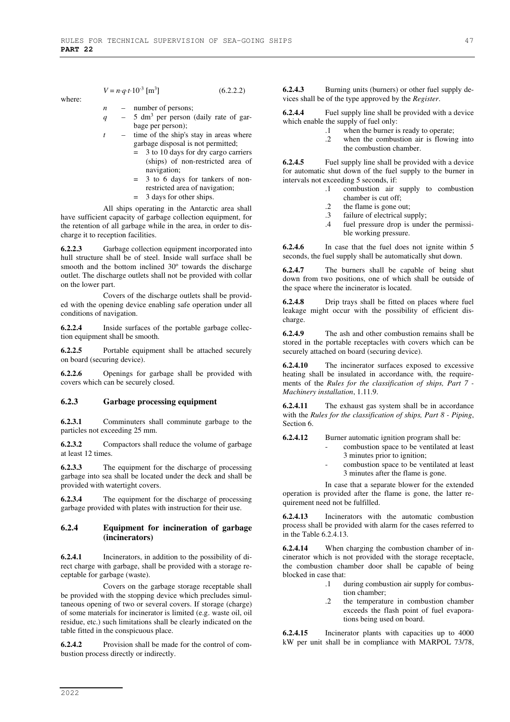where:

 $(6.2.2.2)$ 

*n* – number of persons;

 $V = n \cdot q \cdot t \cdot 10^{-3}$  [m<sup>3</sup>]

- *q* 5 dm<sup>3</sup> per person (daily rate of garbage per person);
- time of the ship's stay in areas where garbage disposal is not permitted;
	- $\overline{3}$  to 10 days for dry cargo carriers (ships) of non-restricted area of navigation;
	- $= 3$  to 6 days for tankers of nonrestricted area of navigation;
	- 3 days for other ships.

All ships operating in the Antarctic area shall have sufficient capacity of garbage collection equipment, for the retention of all garbage while in the area, in order to discharge it to reception facilities.

**6.2.2.3** Garbage collection equipment incorporated into hull structure shall be of steel. Inside wall surface shall be smooth and the bottom inclined  $30^{\circ}$  towards the discharge outlet. The discharge outlets shall not be provided with collar on the lower part.

Covers of the discharge outlets shall be provided with the opening device enabling safe operation under all conditions of navigation.

**6.2.2.4** Inside surfaces of the portable garbage collection equipment shall be smooth.

**6.2.2.5** Portable equipment shall be attached securely on board (securing device).

**6.2.2.6** Openings for garbage shall be provided with covers which can be securely closed.

#### **6.2.3 Garbage processing equipment**

**6.2.3.1** Comminuters shall comminute garbage to the particles not exceeding 25 mm.

**6.2.3.2** Compactors shall reduce the volume of garbage at least 12 times.

**6.2.3.3** The equipment for the discharge of processing garbage into sea shall be located under the deck and shall be provided with watertight covers.

**6.2.3.4** The equipment for the discharge of processing garbage provided with plates with instruction for their use.

#### **6.2.4 Equipment for incineration of garbage (incinerators)**

**6.2.4.1** Incinerators, in addition to the possibility of direct charge with garbage, shall be provided with a storage receptable for garbage (waste).

Covers on the garbage storage receptable shall be provided with the stopping device which precludes simultaneous opening of two or several covers. If storage (charge) of some materials for incinerator is limited (e.g. waste oil, oil residue, etc.) such limitations shall be clearly indicated on the table fitted in the conspicuous place.

**6.2.4.2** Provision shall be made for the control of combustion process directly or indirectly.

**6.2.4.3** Burning units (burners) or other fuel supply devices shall be of the type approved by the *Register*.

**6.2.4.4** Fuel supply line shall be provided with a device which enable the supply of fuel only:

- .1 when the burner is ready to operate;
- .2 when the combustion air is flowing into the combustion chamber.

**6.2.4.5** Fuel supply line shall be provided with a device for automatic shut down of the fuel supply to the burner in intervals not exceeding 5 seconds, if:

- .1 combustion air supply to combustion chamber is cut off;
- 2 the flame is gone out;<br>3 failure of electrical sum
- failure of electrical supply;
- .4 fuel pressure drop is under the permissible working pressure.

**6.2.4.6** In case that the fuel does not ignite within 5 seconds, the fuel supply shall be automatically shut down.

**6.2.4.7** The burners shall be capable of being shut down from two positions, one of which shall be outside of the space where the incinerator is located.

**6.2.4.8** Drip trays shall be fitted on places where fuel leakage might occur with the possibility of efficient discharge.

**6.2.4.9** The ash and other combustion remains shall be stored in the portable receptacles with covers which can be securely attached on board (securing device).

The incinerator surfaces exposed to excessive heating shall be insulated in accordance with, the requirements of the *Rules for the classification of ships, Part 7 - Machinery installation*, 1.11.9.

**6.2.4.11** The exhaust gas system shall be in accordance with the *Rules for the classification of ships, Part 8 - Piping*, Section 6.

**6.2.4.12** Burner automatic ignition program shall be:

- combustion space to be ventilated at least 3 minutes prior to ignition;
- combustion space to be ventilated at least 3 minutes after the flame is gone.

In case that a separate blower for the extended operation is provided after the flame is gone, the latter requirement need not be fulfilled.

**6.2.4.13** Incinerators with the automatic combustion process shall be provided with alarm for the cases referred to in the Table 6.2.4.13.

**6.2.4.14** When charging the combustion chamber of incinerator which is not provided with the storage receptacle, the combustion chamber door shall be capable of being blocked in case that:

- .1 during combustion air supply for combustion chamber;
- .2 the temperature in combustion chamber exceeds the flash point of fuel evaporations being used on board.

**6.2.4.15** Incinerator plants with capacities up to 4000 kW per unit shall be in compliance with MARPOL 73/78,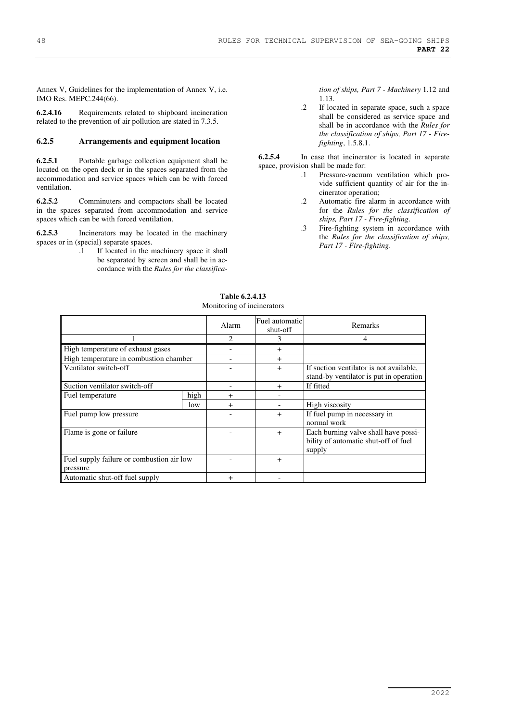Annex V, Guidelines for the implementation of Annex V, i.e. IMO Res. MEPC.244(66).

**6.2.4.16** Requirements related to shipboard incineration related to the prevention of air pollution are stated in 7.3.5.

## **6.2.5 Arrangements and equipment location**

**6.2.5.1** Portable garbage collection equipment shall be located on the open deck or in the spaces separated from the accommodation and service spaces which can be with forced ventilation.

**6.2.5.2** Comminuters and compactors shall be located in the spaces separated from accommodation and service spaces which can be with forced ventilation.

**6.2.5.3** Incinerators may be located in the machinery spaces or in (special) separate spaces.

.1 If located in the machinery space it shall be separated by screen and shall be in accordance with the *Rules for the classifica-* *tion of ships, Part 7 - Machinery* 1.12 and 1.13.

.2 If located in separate space, such a space shall be considered as service space and shall be in accordance with the *Rules for the classification of ships, Part 17 - Firefighting*, 1.5.8.1.

**6.2.5.4** In case that incinerator is located in separate space, provision shall be made for:

- .1 Pressure-vacuum ventilation which provide sufficient quantity of air for the incinerator operation;
	- .2 Automatic fire alarm in accordance with for the *Rules for the classification of ships, Part 17 - Fire-fighting*.
- .3 Fire-fighting system in accordance with the *Rules for the classification of ships, Part 17 - Fire-fighting*.

|                                                       |      | Alarm | Fuel automatic<br>shut-off | Remarks                                                                                |
|-------------------------------------------------------|------|-------|----------------------------|----------------------------------------------------------------------------------------|
|                                                       |      | 2     | 3                          | 4                                                                                      |
| High temperature of exhaust gases                     |      |       | $+$                        |                                                                                        |
| High temperature in combustion chamber                |      |       | $\ddot{}$                  |                                                                                        |
| Ventilator switch-off                                 |      |       | $\ddot{}$                  | If suction ventilator is not available,                                                |
|                                                       |      |       |                            | stand-by ventilator is put in operation                                                |
| Suction ventilator switch-off                         |      |       | $+$                        | If fitted                                                                              |
| Fuel temperature                                      | high | $+$   |                            |                                                                                        |
|                                                       | low  | $+$   |                            | High viscosity                                                                         |
| Fuel pump low pressure                                |      |       | $+$                        | If fuel pump in necessary in<br>normal work                                            |
| Flame is gone or failure                              |      |       | $+$                        | Each burning valve shall have possi-<br>bility of automatic shut-off of fuel<br>supply |
| Fuel supply failure or combustion air low<br>pressure |      |       | $+$                        |                                                                                        |
| Automatic shut-off fuel supply                        |      | $+$   |                            |                                                                                        |

**Table 6.2.4.13**  Monitoring of incinerators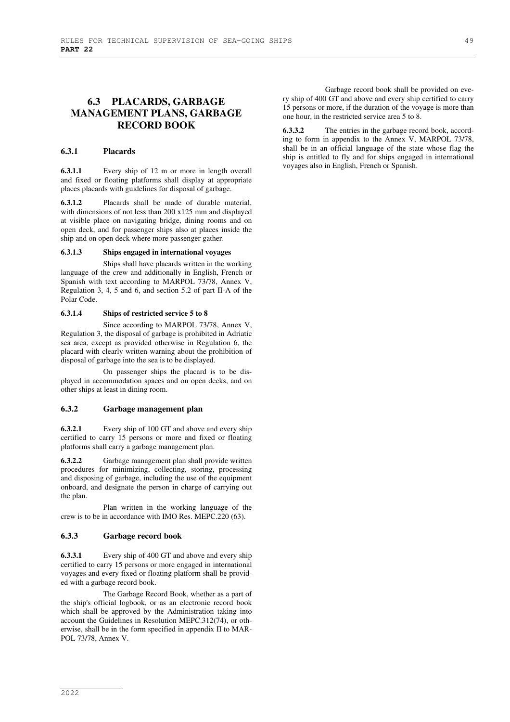# **6.3 PLACARDS, GARBAGE MANAGEMENT PLANS, GARBAGE RECORD BOOK**

## **6.3.1 Placards**

**6.3.1.1** Every ship of 12 m or more in length overall and fixed or floating platforms shall display at appropriate places placards with guidelines for disposal of garbage.

**6.3.1.2** Placards shall be made of durable material, with dimensions of not less than 200 x125 mm and displayed at visible place on navigating bridge, dining rooms and on open deck, and for passenger ships also at places inside the ship and on open deck where more passenger gather.

#### **6.3.1.3 Ships engaged in international voyages**

Ships shall have placards written in the working language of the crew and additionally in English, French or Spanish with text according to MARPOL 73/78, Annex V, Regulation 3, 4, 5 and 6, and section 5.2 of part II-A of the Polar Code.

#### **6.3.1.4 Ships of restricted service 5 to 8**

Since according to MARPOL 73/78, Annex V, Regulation 3, the disposal of garbage is prohibited in Adriatic sea area, except as provided otherwise in Regulation 6, the placard with clearly written warning about the prohibition of disposal of garbage into the sea is to be displayed.

On passenger ships the placard is to be displayed in accommodation spaces and on open decks, and on other ships at least in dining room.

### **6.3.2 Garbage management plan**

**6.3.2.1** Every ship of 100 GT and above and every ship certified to carry 15 persons or more and fixed or floating platforms shall carry a garbage management plan.

**6.3.2.2** Garbage management plan shall provide written procedures for minimizing, collecting, storing, processing and disposing of garbage, including the use of the equipment onboard, and designate the person in charge of carrying out the plan.

Plan written in the working language of the crew is to be in accordance with IMO Res. MEPC.220 (63).

#### **6.3.3 Garbage record book**

**6.3.3.1** Every ship of 400 GT and above and every ship certified to carry 15 persons or more engaged in international voyages and every fixed or floating platform shall be provided with a garbage record book.

The Garbage Record Book, whether as a part of the ship's official logbook, or as an electronic record book which shall be approved by the Administration taking into account the Guidelines in Resolution MEPC.312(74), or otherwise, shall be in the form specified in appendix II to MAR-POL 73/78, Annex V.

Garbage record book shall be provided on every ship of 400 GT and above and every ship certified to carry 15 persons or more, if the duration of the voyage is more than one hour, in the restricted service area 5 to 8.

**6.3.3.2** The entries in the garbage record book, according to form in appendix to the Annex V, MARPOL 73/78, shall be in an official language of the state whose flag the ship is entitled to fly and for ships engaged in international voyages also in English, French or Spanish.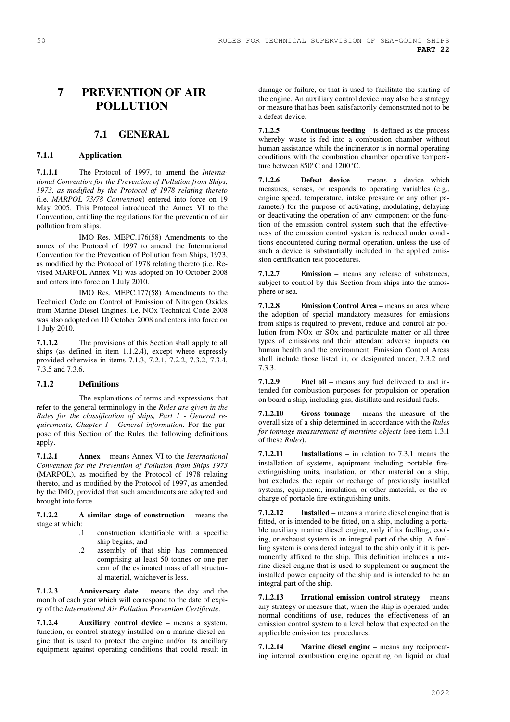# **7 PREVENTION OF AIR POLLUTION**

# **7.1 GENERAL**

## **7.1.1 Application**

**7.1.1.1** The Protocol of 1997, to amend the *International Convention for the Prevention of Pollution from Ships, 1973, as modified by the Protocol of 1978 relating thereto* (i.e. *MARPOL 73/78 Convention*) entered into force on 19 May 2005. This Protocol introduced the Annex VI to the Convention, entitling the regulations for the prevention of air pollution from ships.

IMO Res. MEPC.176(58) Amendments to the annex of the Protocol of 1997 to amend the International Convention for the Prevention of Pollution from Ships, 1973, as modified by the Protocol of 1978 relating thereto (i.e. Revised MARPOL Annex VI) was adopted on 10 October 2008 and enters into force on 1 July 2010.

IMO Res. MEPC.177(58) Amendments to the Technical Code on Control of Emission of Nitrogen Oxides from Marine Diesel Engines, i.e. NOx Technical Code 2008 was also adopted on 10 October 2008 and enters into force on 1 July 2010.

**7.1.1.2** The provisions of this Section shall apply to all ships (as defined in item 1.1.2.4), except where expressly provided otherwise in items 7.1.3, 7.2.1, 7.2.2, 7.3.2, 7.3.4, 7.3.5 and 7.3.6.

### **7.1.2 Definitions**

The explanations of terms and expressions that refer to the general terminology in the *Rules are given in the Rules for the classification of ships, Part 1 - General requirements, Chapter 1 - General information*. For the purpose of this Section of the Rules the following definitions apply.

**7.1.2.1 Annex** – means Annex VI to the *International Convention for the Prevention of Pollution from Ships 1973* (MARPOL), as modified by the Protocol of 1978 relating thereto, and as modified by the Protocol of 1997, as amended by the IMO, provided that such amendments are adopted and brought into force.

**7.1.2.2 A similar stage of construction** – means the stage at which:

- .1 construction identifiable with a specific ship begins; and
- .2 assembly of that ship has commenced comprising at least 50 tonnes or one per cent of the estimated mass of all structural material, whichever is less.

**7.1.2.3 Anniversary date** – means the day and the month of each year which will correspond to the date of expiry of the *International Air Pollution Prevention Certificate*.

**7.1.2.4 Auxiliary control device** – means a system, function, or control strategy installed on a marine diesel engine that is used to protect the engine and/or its ancillary equipment against operating conditions that could result in

damage or failure, or that is used to facilitate the starting of the engine. An auxiliary control device may also be a strategy or measure that has been satisfactorily demonstrated not to be a defeat device.

**7.1.2.5 Continuous feeding** – is defined as the process whereby waste is fed into a combustion chamber without human assistance while the incinerator is in normal operating conditions with the combustion chamber operative temperature between 850°C and 1200°C.

**7.1.2.6 Defeat device** – means a device which measures, senses, or responds to operating variables (e.g., engine speed, temperature, intake pressure or any other parameter) for the purpose of activating, modulating, delaying or deactivating the operation of any component or the function of the emission control system such that the effectiveness of the emission control system is reduced under conditions encountered during normal operation, unless the use of such a device is substantially included in the applied emission certification test procedures.

**7.1.2.7 Emission** – means any release of substances, subject to control by this Section from ships into the atmosphere or sea.

**7.1.2.8** Emission Control Area – means an area where the adoption of special mandatory measures for emissions from ships is required to prevent, reduce and control air pollution from NOx or SOx and particulate matter or all three types of emissions and their attendant adverse impacts on human health and the environment. Emission Control Areas shall include those listed in, or designated under, 7.3.2 and 7.3.3.

**7.1.2.9 Fuel oil** – means any fuel delivered to and intended for combustion purposes for propulsion or operation on board a ship, including gas, distillate and residual fuels.

**7.1.2.10 Gross tonnage** – means the measure of the overall size of a ship determined in accordance with the *Rules for tonnage measurement of maritime objects* (see item 1.3.1 of these *Rules*).

**7.1.2.11 Installations** – in relation to 7.3.1 means the installation of systems, equipment including portable fireextinguishing units, insulation, or other material on a ship, but excludes the repair or recharge of previously installed systems, equipment, insulation, or other material, or the recharge of portable fire-extinguishing units.

**7.1.2.12 Installed** – means a marine diesel engine that is fitted, or is intended to be fitted, on a ship, including a portable auxiliary marine diesel engine, only if its fuelling, cooling, or exhaust system is an integral part of the ship. A fuelling system is considered integral to the ship only if it is permanently affixed to the ship. This definition includes a marine diesel engine that is used to supplement or augment the installed power capacity of the ship and is intended to be an integral part of the ship.

**7.1.2.13 Irrational emission control strategy** – means any strategy or measure that, when the ship is operated under normal conditions of use, reduces the effectiveness of an emission control system to a level below that expected on the applicable emission test procedures.

**7.1.2.14 Marine diesel engine** – means any reciprocating internal combustion engine operating on liquid or dual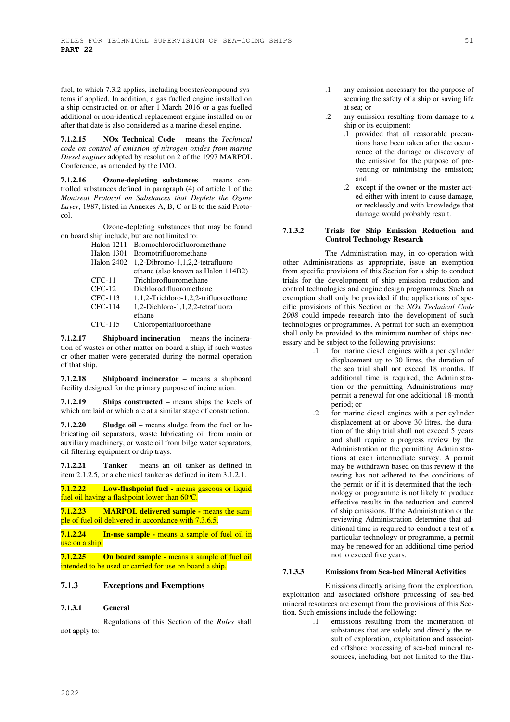fuel, to which 7.3.2 applies, including booster/compound systems if applied. In addition, a gas fuelled engine installed on a ship constructed on or after 1 March 2016 or a gas fuelled additional or non-identical replacement engine installed on or after that date is also considered as a marine diesel engine.

**7.1.2.15 NOx Technical Code** – means the *Technical code on control of emission of nitrogen oxides from marine Diesel engines* adopted by resolution 2 of the 1997 MARPOL Conference, as amended by the IMO.

**7.1.2.16 Ozone-depleting substances** – means controlled substances defined in paragraph (4) of article 1 of the *Montreal Protocol on Substances that Deplete the Ozone Layer*, 1987, listed in Annexes A, B, C or E to the said Protocol.

Ozone-depleting substances that may be found on board ship include, but are not limited to:

| <b>Bromochlorodifluoromethane</b><br>Halon 1211 |  |  |
|-------------------------------------------------|--|--|
| <b>Bromotrifluoromethane</b>                    |  |  |
| 1,2-Dibromo-1,1,2,2-tetrafluoro                 |  |  |
| ethane (also known as Halon 114B2)              |  |  |
| Trichlorofluoromethane                          |  |  |
| Dichlorodifluoromethane                         |  |  |
| 1,1,2-Trichloro-1,2,2-trifluoroethane           |  |  |
| 1,2-Dichloro-1,1,2,2-tetrafluoro                |  |  |
| ethane                                          |  |  |
| Chloropentafluoroethane                         |  |  |
|                                                 |  |  |

**7.1.2.17 Shipboard incineration** – means the incineration of wastes or other matter on board a ship, if such wastes or other matter were generated during the normal operation of that ship.

**7.1.2.18 Shipboard incinerator** – means a shipboard facility designed for the primary purpose of incineration.

**7.1.2.19 Ships constructed** – means ships the keels of which are laid or which are at a similar stage of construction.

**7.1.2.20 Sludge oil** – means sludge from the fuel or lubricating oil separators, waste lubricating oil from main or auxiliary machinery, or waste oil from bilge water separators, oil filtering equipment or drip trays.

**7.1.2.21 Tanker** – means an oil tanker as defined in item 2.1.2.5, or a chemical tanker as defined in item 3.1.2.1.

**7.1.2.22** Low-flashpoint fuel - means gaseous or liquid fuel oil having a flashpoint lower than  $60^{\circ}$ C.

**7.1.2.23 MARPOL delivered sample -** means the sample of fuel oil delivered in accordance with 7.3.6.5.

**7.1.2.24 In-use sample -** means a sample of fuel oil in use on a ship.

**7.1.2.25 On board sample** - means a sample of fuel oil intended to be used or carried for use on board a ship.

## **7.1.3 Exceptions and Exemptions**

## **7.1.3.1 General**

Regulations of this Section of the *Rules* shall not apply to:

- .1 any emission necessary for the purpose of securing the safety of a ship or saving life at sea; or
- .2 any emission resulting from damage to a ship or its equipment:
	- .1 provided that all reasonable precautions have been taken after the occurrence of the damage or discovery of the emission for the purpose of preventing or minimising the emission; and
	- .2 except if the owner or the master acted either with intent to cause damage, or recklessly and with knowledge that damage would probably result.

#### **7.1.3.2 Trials for Ship Emission Reduction and Control Technology Research**

The Administration may, in co-operation with other Administrations as appropriate, issue an exemption from specific provisions of this Section for a ship to conduct trials for the development of ship emission reduction and control technologies and engine design programmes. Such an exemption shall only be provided if the applications of specific provisions of this Section or the *NOx Technical Code 2008* could impede research into the development of such technologies or programmes. A permit for such an exemption shall only be provided to the minimum number of ships necessary and be subject to the following provisions:

- .1 for marine diesel engines with a per cylinder displacement up to 30 litres, the duration of the sea trial shall not exceed 18 months. If additional time is required, the Administration or the permitting Administrations may permit a renewal for one additional 18-month period; or
- .2 for marine diesel engines with a per cylinder displacement at or above 30 litres, the duration of the ship trial shall not exceed 5 years and shall require a progress review by the Administration or the permitting Administrations at each intermediate survey. A permit may be withdrawn based on this review if the testing has not adhered to the conditions of the permit or if it is determined that the technology or programme is not likely to produce effective results in the reduction and control of ship emissions. If the Administration or the reviewing Administration determine that additional time is required to conduct a test of a particular technology or programme, a permit may be renewed for an additional time period not to exceed five years.

## **7.1.3.3 Emissions from Sea-bed Mineral Activities**

Emissions directly arising from the exploration, exploitation and associated offshore processing of sea-bed mineral resources are exempt from the provisions of this Section. Such emissions include the following:

.1 emissions resulting from the incineration of substances that are solely and directly the result of exploration, exploitation and associated offshore processing of sea-bed mineral resources, including but not limited to the flar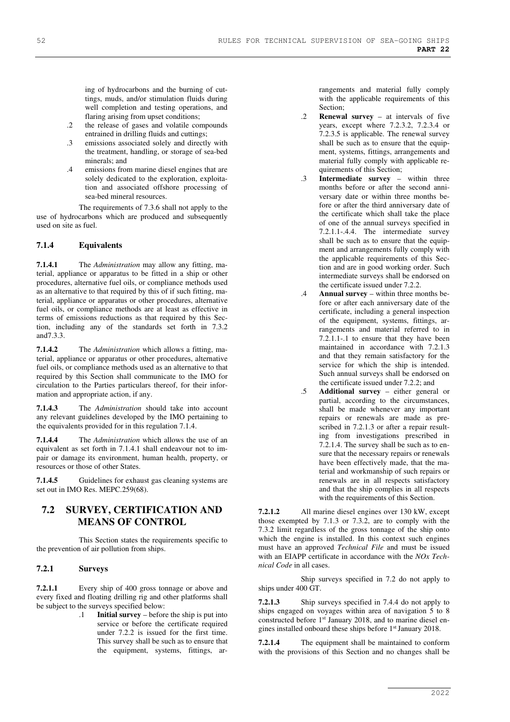ing of hydrocarbons and the burning of cuttings, muds, and/or stimulation fluids during well completion and testing operations, and flaring arising from upset conditions;

- .2 the release of gases and volatile compounds entrained in drilling fluids and cuttings;
- .3 emissions associated solely and directly with the treatment, handling, or storage of sea-bed minerals; and
- .4 emissions from marine diesel engines that are solely dedicated to the exploration, exploitation and associated offshore processing of sea-bed mineral resources.

The requirements of 7.3.6 shall not apply to the use of hydrocarbons which are produced and subsequently used on site as fuel.

## **7.1.4 Equivalents**

**7.1.4.1** The *Administration* may allow any fitting, material, appliance or apparatus to be fitted in a ship or other procedures, alternative fuel oils, or compliance methods used as an alternative to that required by this of if such fitting, material, appliance or apparatus or other procedures, alternative fuel oils, or compliance methods are at least as effective in terms of emissions reductions as that required by this Section, including any of the standards set forth in 7.3.2 and7.3.3.

**7.1.4.2** The *Administration* which allows a fitting, material, appliance or apparatus or other procedures, alternative fuel oils, or compliance methods used as an alternative to that required by this Section shall communicate to the IMO for circulation to the Parties particulars thereof, for their information and appropriate action, if any.

**7.1.4.3** The *Administration* should take into account any relevant guidelines developed by the IMO pertaining to the equivalents provided for in this regulation 7.1.4.

**7.1.4.4** The *Administration* which allows the use of an equivalent as set forth in 7.1.4.1 shall endeavour not to impair or damage its environment, human health, property, or resources or those of other States.

**7.1.4.5** Guidelines for exhaust gas cleaning systems are set out in IMO Res. MEPC.259(68).

# **7.2 SURVEY, CERTIFICATION AND MEANS OF CONTROL**

This Section states the requirements specific to the prevention of air pollution from ships.

## **7.2.1 Surveys**

**7.2.1.1** Every ship of 400 gross tonnage or above and every fixed and floating drilling rig and other platforms shall be subject to the surveys specified below:

.1 **Initial survey** – before the ship is put into service or before the certificate required under 7.2.2 is issued for the first time. This survey shall be such as to ensure that the equipment, systems, fittings, arrangements and material fully comply with the applicable requirements of this Section;

- .2 **Renewal survey** at intervals of five years, except where 7.2.3.2, 7.2.3.4 or 7.2.3.5 is applicable. The renewal survey shall be such as to ensure that the equipment, systems, fittings, arrangements and material fully comply with applicable requirements of this Section;
- .3 **Intermediate survey** within three months before or after the second anniversary date or within three months before or after the third anniversary date of the certificate which shall take the place of one of the annual surveys specified in 7.2.1.1-.4.4. The intermediate survey shall be such as to ensure that the equipment and arrangements fully comply with the applicable requirements of this Section and are in good working order. Such intermediate surveys shall be endorsed on the certificate issued under 7.2.2.
- .4 **Annual survey** within three months before or after each anniversary date of the certificate, including a general inspection of the equipment, systems, fittings, arrangements and material referred to in 7.2.1.1-.1 to ensure that they have been maintained in accordance with 7.2.1.3 and that they remain satisfactory for the service for which the ship is intended. Such annual surveys shall be endorsed on the certificate issued under 7.2.2; and
- .5 **Additional survey** either general or partial, according to the circumstances, shall be made whenever any important repairs or renewals are made as prescribed in 7.2.1.3 or after a repair resulting from investigations prescribed in 7.2.1.4. The survey shall be such as to ensure that the necessary repairs or renewals have been effectively made, that the material and workmanship of such repairs or renewals are in all respects satisfactory and that the ship complies in all respects with the requirements of this Section.

**7.2.1.2** All marine diesel engines over 130 kW, except those exempted by 7.1.3 or 7.3.2, are to comply with the 7.3.2 limit regardless of the gross tonnage of the ship onto which the engine is installed. In this context such engines must have an approved *Technical File* and must be issued with an EIAPP certificate in accordance with the *NOx Technical Code* in all cases.

 Ship surveys specified in 7.2 do not apply to ships under 400 GT.

**7.2.1.3** Ship surveys specified in 7.4.4 do not apply to ships engaged on voyages within area of navigation 5 to 8 constructed before 1<sup>st</sup> January 2018, and to marine diesel engines installed onboard these ships before 1st January 2018.

**7.2.1.4** The equipment shall be maintained to conform with the provisions of this Section and no changes shall be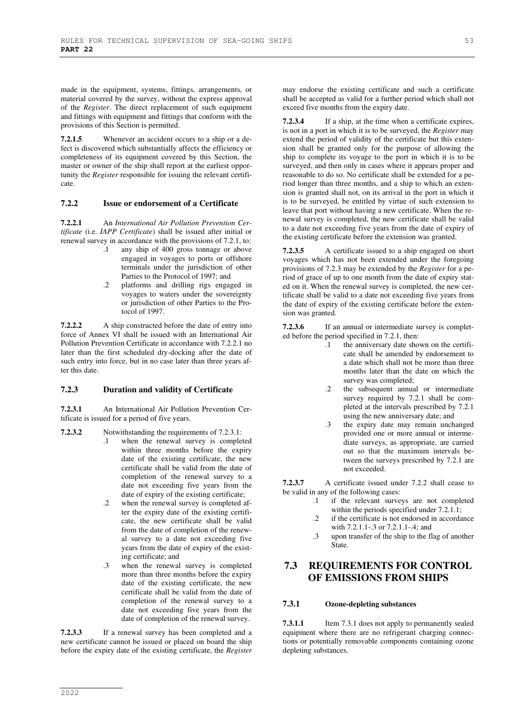made in the equipment, systems, fittings, arrangements, or material covered by the survey, without the express approval of the *Register*. The direct replacement of such equipment and fittings with equipment and fittings that conform with the provisions of this Section is permitted.

**7.2.1.5** Whenever an accident occurs to a ship or a defect is discovered which substantially affects the efficiency or completeness of its equipment covered by this Section, the master or owner of the ship shall report at the earliest opportunity the *Register* responsible for issuing the relevant certificate.

## **7.2.2 Issue or endorsement of a Certificate**

**7.2.2.1** An *International Air Pollution Prevention Certificate* (i.e. *IAPP Certificate*) shall be issued after initial or renewal survey in accordance with the provisions of 7.2.1, to:

- .1 any ship of 400 gross tonnage or above engaged in voyages to ports or offshore terminals under the jurisdiction of other Parties to the Protocol of 1997; and
- .2 platforms and drilling rigs engaged in voyages to waters under the sovereignty or jurisdiction of other Parties to the Protocol of 1997.

**7.2.2.2** A ship constructed before the date of entry into force of Annex VI shall be issued with an International Air Pollution Prevention Certificate in accordance with 7.2.2.1 no later than the first scheduled dry-docking after the date of such entry into force, but in no case later than three years after this date.

## **7.2.3 Duration and validity of Certificate**

**7.2.3.1** An International Air Pollution Prevention Certificate is issued for a period of five years.

- **7.2.3.2** Notwithstanding the requirements of 7.2.3.1:
	- .1 when the renewal survey is completed within three months before the expiry date of the existing certificate, the new certificate shall be valid from the date of completion of the renewal survey to a date not exceeding five years from the date of expiry of the existing certificate;
	- .2 when the renewal survey is completed after the expiry date of the existing certificate, the new certificate shall be valid from the date of completion of the renewal survey to a date not exceeding five years from the date of expiry of the existing certificate; and
	- .3 when the renewal survey is completed more than three months before the expiry date of the existing certificate, the new certificate shall be valid from the date of completion of the renewal survey to a date not exceeding five years from the date of completion of the renewal survey.

**7.2.3.3** If a renewal survey has been completed and a new certificate cannot be issued or placed on board the ship before the expiry date of the existing certificate, the *Register*

may endorse the existing certificate and such a certificate shall be accepted as valid for a further period which shall not exceed five months from the expiry date.

**7.2.3.4** If a ship, at the time when a certificate expires, is not in a port in which it is to be surveyed, the *Register* may extend the period of validity of the certificate but this extension shall be granted only for the purpose of allowing the ship to complete its voyage to the port in which it is to be surveyed, and then only in cases where it appears proper and reasonable to do so. No certificate shall be extended for a period longer than three months, and a ship to which an extension is granted shall not, on its arrival in the port in which it is to be surveyed, be entitled by virtue of such extension to leave that port without having a new certificate. When the renewal survey is completed, the new certificate shall be valid to a date not exceeding five years from the date of expiry of the existing certificate before the extension was granted.

**7.2.3.5** A certificate issued to a ship engaged on short voyages which has not been extended under the foregoing provisions of 7.2.3 may be extended by the *Register* for a period of grace of up to one month from the date of expiry stated on it. When the renewal survey is completed, the new certificate shall be valid to a date not exceeding five years from the date of expiry of the existing certificate before the extension was granted.

**7.2.3.6** If an annual or intermediate survey is completed before the period specified in 7.2.1, then:

- .1 the anniversary date shown on the certificate shall be amended by endorsement to a date which shall not be more than three months later than the date on which the survey was completed;
- .2 the subsequent annual or intermediate survey required by 7.2.1 shall be completed at the intervals prescribed by 7.2.1 using the new anniversary date; and
- .3 the expiry date may remain unchanged provided one or more annual or intermediate surveys, as appropriate, are carried out so that the maximum intervals between the surveys prescribed by 7.2.1 are not exceeded.

**7.2.3.7** A certificate issued under 7.2.2 shall cease to be valid in any of the following cases:<br>.1 if the relevant surve

- if the relevant surveys are not completed within the periods specified under 7.2.1.1;
- .2 if the certificate is not endorsed in accordance with 7.2.1.1-.3 or 7.2.1.1-.4; and
- .3 upon transfer of the ship to the flag of another State.

# **7.3 REQUIREMENTS FOR CONTROL OF EMISSIONS FROM SHIPS**

## **7.3.1 Ozone-depleting substances**

**7.3.1.1** Item 7.3.1 does not apply to permanently sealed equipment where there are no refrigerant charging connections or potentially removable components containing ozone depleting substances.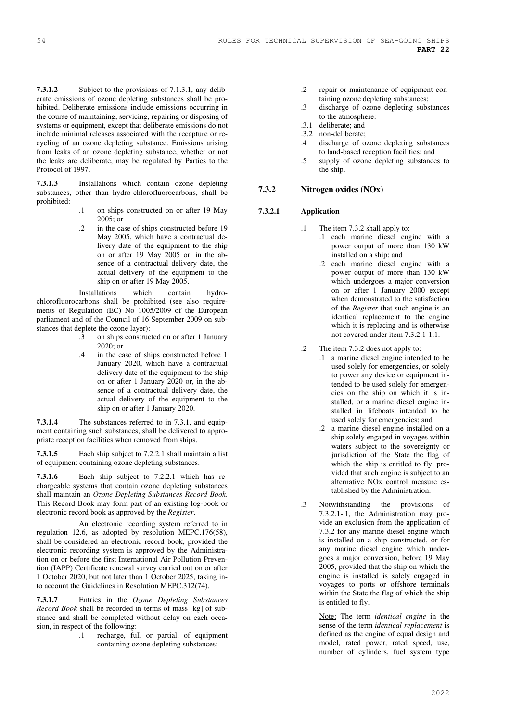**7.3.1.2** Subject to the provisions of 7.1.3.1, any deliberate emissions of ozone depleting substances shall be prohibited. Deliberate emissions include emissions occurring in the course of maintaining, servicing, repairing or disposing of systems or equipment, except that deliberate emissions do not include minimal releases associated with the recapture or recycling of an ozone depleting substance. Emissions arising from leaks of an ozone depleting substance, whether or not the leaks are deliberate, may be regulated by Parties to the Protocol of 1997.

**7.3.1.3** Installations which contain ozone depleting substances, other than hydro-chlorofluorocarbons, shall be prohibited:

- .1 on ships constructed on or after 19 May 2005; or
- .2 in the case of ships constructed before 19 May 2005, which have a contractual delivery date of the equipment to the ship on or after 19 May 2005 or, in the absence of a contractual delivery date, the actual delivery of the equipment to the ship on or after 19 May 2005.

Installations which contain hydrochlorofluorocarbons shall be prohibited (see also requirements of Regulation (EC) No 1005/2009 of the European parliament and of the Council of 16 September 2009 on substances that deplete the ozone layer):

- .3 on ships constructed on or after 1 January  $2020$ ; or
- .4 in the case of ships constructed before 1 January 2020, which have a contractual delivery date of the equipment to the ship on or after 1 January 2020 or, in the absence of a contractual delivery date, the actual delivery of the equipment to the ship on or after 1 January 2020.

**7.3.1.4** The substances referred to in 7.3.1, and equipment containing such substances, shall be delivered to appropriate reception facilities when removed from ships.

**7.3.1.5** Each ship subject to 7.2.2.1 shall maintain a list of equipment containing ozone depleting substances.

**7.3.1.6** Each ship subject to 7.2.2.1 which has rechargeable systems that contain ozone depleting substances shall maintain an *Ozone Depleting Substances Record Book*. This Record Book may form part of an existing log-book or electronic record book as approved by the *Register*.

An electronic recording system referred to in regulation 12.6, as adopted by resolution MEPC.176(58), shall be considered an electronic record book, provided the electronic recording system is approved by the Administration on or before the first International Air Pollution Prevention (IAPP) Certificate renewal survey carried out on or after 1 October 2020, but not later than 1 October 2025, taking into account the Guidelines in Resolution MEPC.312(74).

**7.3.1.7** Entries in the *Ozone Depleting Substances Record Book* shall be recorded in terms of mass [kg] of substance and shall be completed without delay on each occasion, in respect of the following:

.1 recharge, full or partial, of equipment containing ozone depleting substances;

- .2 repair or maintenance of equipment containing ozone depleting substances;
- .3 discharge of ozone depleting substances to the atmosphere:
- .3.1 deliberate; and
- .3.2 non-deliberate;
- .4 discharge of ozone depleting substances to land-based reception facilities; and
- .5 supply of ozone depleting substances to the ship.

## **7.3.2 Nitrogen oxides (NOx)**

## **7.3.2.1 Application**

- .1 The item 7.3.2 shall apply to:
	- .1 each marine diesel engine with a power output of more than 130 kW installed on a ship; and
	- .2 each marine diesel engine with a power output of more than 130 kW which undergoes a major conversion on or after 1 January 2000 except when demonstrated to the satisfaction of the *Register* that such engine is an identical replacement to the engine which it is replacing and is otherwise not covered under item 7.3.2.1-1.1.
- .2 The item 7.3.2 does not apply to:
	- .1 a marine diesel engine intended to be used solely for emergencies, or solely to power any device or equipment intended to be used solely for emergencies on the ship on which it is installed, or a marine diesel engine installed in lifeboats intended to be used solely for emergencies; and
	- .2 a marine diesel engine installed on a ship solely engaged in voyages within waters subject to the sovereignty or jurisdiction of the State the flag of which the ship is entitled to fly, provided that such engine is subject to an alternative NOx control measure established by the Administration.
- .3 Notwithstanding the provisions of 7.3.2.1-.1, the Administration may provide an exclusion from the application of 7.3.2 for any marine diesel engine which is installed on a ship constructed, or for any marine diesel engine which undergoes a major conversion, before 19 May 2005, provided that the ship on which the engine is installed is solely engaged in voyages to ports or offshore terminals within the State the flag of which the ship is entitled to fly.

Note: The term *identical engine* in the sense of the term *identical replacement* is defined as the engine of equal design and model, rated power, rated speed, use, number of cylinders, fuel system type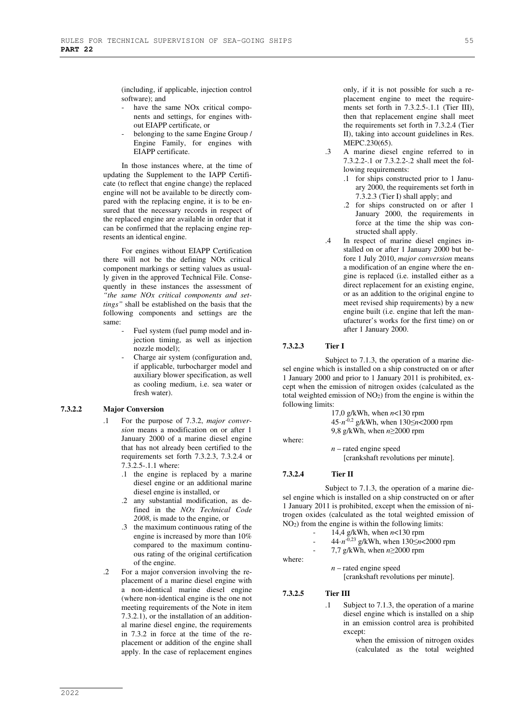(including, if applicable, injection control software); and

- have the same NO<sub>x</sub> critical components and settings, for engines without EIAPP certificate, or
- belonging to the same Engine Group / Engine Family, for engines with EIAPP certificate.

 In those instances where, at the time of updating the Supplement to the IAPP Certificate (to reflect that engine change) the replaced engine will not be available to be directly compared with the replacing engine, it is to be ensured that the necessary records in respect of the replaced engine are available in order that it can be confirmed that the replacing engine represents an identical engine.

 For engines without EIAPP Certification there will not be the defining NOx critical component markings or setting values as usually given in the approved Technical File. Consequently in these instances the assessment of *"the same NOx critical components and settings"* shall be established on the basis that the following components and settings are the same:

- Fuel system (fuel pump model and injection timing, as well as injection nozzle model);
- Charge air system (configuration and, if applicable, turbocharger model and auxiliary blower specification, as well as cooling medium, i.e. sea water or fresh water).

#### **7.3.2.2 Major Conversion**

- .1 For the purpose of 7.3.2, *major conversion* means a modification on or after 1 January 2000 of a marine diesel engine that has not already been certified to the requirements set forth 7.3.2.3, 7.3.2.4 or 7.3.2.5-.1.1 where:
	- .1 the engine is replaced by a marine diesel engine or an additional marine diesel engine is installed, or
	- .2 any substantial modification, as defined in the *NOx Technical Code 2008*, is made to the engine, or
	- .3 the maximum continuous rating of the engine is increased by more than 10% compared to the maximum continuous rating of the original certification of the engine.
- .2 For a major conversion involving the replacement of a marine diesel engine with a non-identical marine diesel engine (where non-identical engine is the one not meeting requirements of the Note in item 7.3.2.1), or the installation of an additional marine diesel engine, the requirements in 7.3.2 in force at the time of the replacement or addition of the engine shall apply. In the case of replacement engines

only, if it is not possible for such a replacement engine to meet the requirements set forth in 7.3.2.5-.1.1 (Tier III), then that replacement engine shall meet the requirements set forth in 7.3.2.4 (Tier II), taking into account guidelines in Res. MEPC.230(65).

- .3 A marine diesel engine referred to in 7.3.2.2-.1 or 7.3.2.2-.2 shall meet the following requirements:
	- .1 for ships constructed prior to 1 January 2000, the requirements set forth in 7.3.2.3 (Tier I) shall apply; and
	- .2 for ships constructed on or after 1 January 2000, the requirements in force at the time the ship was constructed shall apply.
- .4 In respect of marine diesel engines installed on or after 1 January 2000 but before 1 July 2010, *major conversion* means a modification of an engine where the engine is replaced (i.e. installed either as a direct replacement for an existing engine, or as an addition to the original engine to meet revised ship requirements) by a new engine built (i.e. engine that left the manufacturer's works for the first time) on or after 1 January 2000.

## **7.3.2.3 Tier I**

Subject to 7.1.3, the operation of a marine diesel engine which is installed on a ship constructed on or after 1 January 2000 and prior to 1 January 2011 is prohibited, except when the emission of nitrogen oxides (calculated as the total weighted emission of NO2) from the engine is within the following limits:

> 17,0 g/kWh, when *n*<130 rpm 45·*n* -0,2 g/kWh, when 130≤*n*<2000 rpm 9,8 g/kWh, when *n*≥2000 rpm

where:

*n* – rated engine speed [crankshaft revolutions per minute].

#### **7.3.2.4 Tier II**

Subject to 7.1.3, the operation of a marine diesel engine which is installed on a ship constructed on or after 1 January 2011 is prohibited, except when the emission of nitrogen oxides (calculated as the total weighted emission of NO2) from the engine is within the following limits:

- $14.4$  g/kWh, when  $n<130$  rpm
- 44·*n* -0,23 g/kWh, when 130≤*n*<2000 rpm
- 7,7 g/kWh, when *n*≥2000 rpm

where:

*n* – rated engine speed [crankshaft revolutions per minute].

## **7.3.2.5 Tier III**

- .1 Subject to 7.1.3, the operation of a marine diesel engine which is installed on a ship in an emission control area is prohibited except:
	- when the emission of nitrogen oxides (calculated as the total weighted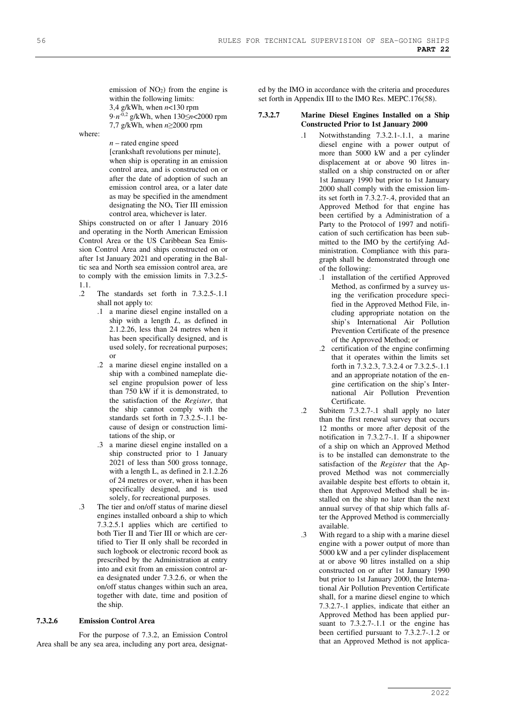emission of NO2) from the engine is within the following limits: 3,4 g/kWh, when *n*<130 rpm 9·*n* -0,2 g/kWh, when 130≤*n*<2000 rpm 7,7 g/kWh, when *n*≥2000 rpm

where:

*n* – rated engine speed [crankshaft revolutions per minute], when ship is operating in an emission control area, and is constructed on or after the date of adoption of such an emission control area, or a later date as may be specified in the amendment designating the  $NO<sub>x</sub>$  Tier III emission control area, whichever is later.

Ships constructed on or after 1 January 2016 and operating in the North American Emission Control Area or the US Caribbean Sea Emission Control Area and ships constructed on or after 1st January 2021 and operating in the Baltic sea and North sea emission control area, are to comply with the emission limits in 7.3.2.5- 1.1.

- .2 The standards set forth in 7.3.2.5-.1.1 shall not apply to:
	- .1 a marine diesel engine installed on a ship with a length *L*, as defined in 2.1.2.26, less than 24 metres when it has been specifically designed, and is used solely, for recreational purposes; or
	- .2 a marine diesel engine installed on a ship with a combined nameplate diesel engine propulsion power of less than 750 kW if it is demonstrated, to the satisfaction of the *Register*, that the ship cannot comply with the standards set forth in 7.3.2.5-.1.1 because of design or construction limitations of the ship, or
	- .3 a marine diesel engine installed on a ship constructed prior to 1 January 2021 of less than 500 gross tonnage, with a length L, as defined in 2.1.2.26 of 24 metres or over, when it has been specifically designed, and is used solely, for recreational purposes.
- .3 The tier and on/off status of marine diesel engines installed onboard a ship to which 7.3.2.5.1 applies which are certified to both Tier II and Tier III or which are certified to Tier II only shall be recorded in such logbook or electronic record book as prescribed by the Administration at entry into and exit from an emission control area designated under 7.3.2.6, or when the on/off status changes within such an area, together with date, time and position of the ship.

#### **7.3.2.6 Emission Control Area**

For the purpose of 7.3.2, an Emission Control Area shall be any sea area, including any port area, designated by the IMO in accordance with the criteria and procedures set forth in Appendix III to the IMO Res. MEPC.176(58).

#### **7.3.2.7 Marine Diesel Engines Installed on a Ship Constructed Prior to 1st January 2000**

- .1 Notwithstanding 7.3.2.1-.1.1, a marine diesel engine with a power output of more than 5000 kW and a per cylinder displacement at or above 90 litres installed on a ship constructed on or after 1st January 1990 but prior to 1st January 2000 shall comply with the emission limits set forth in 7.3.2.7-.4, provided that an Approved Method for that engine has been certified by a Administration of a Party to the Protocol of 1997 and notification of such certification has been submitted to the IMO by the certifying Administration. Compliance with this paragraph shall be demonstrated through one of the following:
	- .1 installation of the certified Approved Method, as confirmed by a survey using the verification procedure specified in the Approved Method File, including appropriate notation on the ship's International Air Pollution Prevention Certificate of the presence of the Approved Method; or
	- .2 certification of the engine confirming that it operates within the limits set forth in 7.3.2.3, 7.3.2.4 or 7.3.2.5-.1.1 and an appropriate notation of the engine certification on the ship's International Air Pollution Prevention Certificate.
- .2 Subitem 7.3.2.7-.1 shall apply no later than the first renewal survey that occurs 12 months or more after deposit of the notification in 7.3.2.7-.1. If a shipowner of a ship on which an Approved Method is to be installed can demonstrate to the satisfaction of the *Register* that the Approved Method was not commercially available despite best efforts to obtain it, then that Approved Method shall be installed on the ship no later than the next annual survey of that ship which falls after the Approved Method is commercially available.
- .3 With regard to a ship with a marine diesel engine with a power output of more than 5000 kW and a per cylinder displacement at or above 90 litres installed on a ship constructed on or after 1st January 1990 but prior to 1st January 2000, the International Air Pollution Prevention Certificate shall, for a marine diesel engine to which 7.3.2.7-.1 applies, indicate that either an Approved Method has been applied pursuant to 7.3.2.7-.1.1 or the engine has been certified pursuant to 7.3.2.7-.1.2 or that an Approved Method is not applica-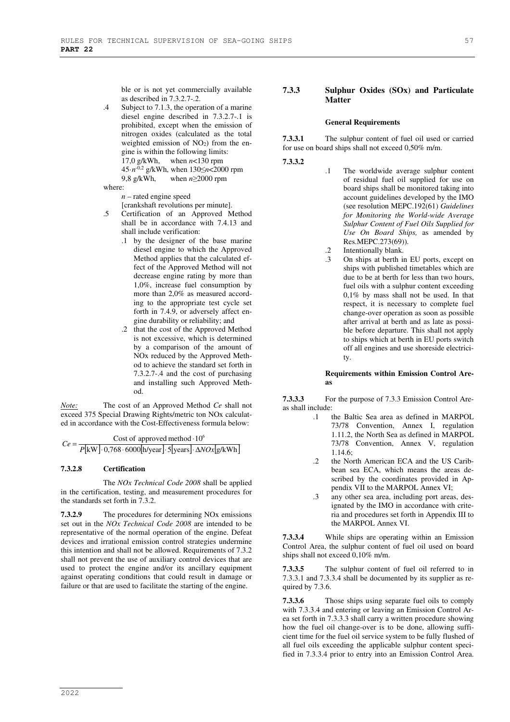ble or is not yet commercially available as described in 7.3.2.7-.2.

.4 Subject to 7.1.3, the operation of a marine diesel engine described in 7.3.2.7-.1 is prohibited, except when the emission of nitrogen oxides (calculated as the total weighted emission of NO<sub>2</sub>) from the engine is within the following limits: 17,0 g/kWh, when *n*<130 rpm 45·*n* -0,2 g/kWh, when 130≤*n*<2000 rpm 9,8 g/kWh, when *n*≥2000 rpm

where:

*n* – rated engine speed

[crankshaft revolutions per minute].

- .5 Certification of an Approved Method shall be in accordance with 7.4.13 and shall include verification:
	- .1 by the designer of the base marine diesel engine to which the Approved Method applies that the calculated effect of the Approved Method will not decrease engine rating by more than 1,0%, increase fuel consumption by more than 2,0% as measured according to the appropriate test cycle set forth in 7.4.9, or adversely affect engine durability or reliability; and
	- .2 that the cost of the Approved Method is not excessive, which is determined by a comparison of the amount of NOx reduced by the Approved Method to achieve the standard set forth in 7.3.2.7-.4 and the cost of purchasing and installing such Approved Method.

*Note:* The cost of an Approved Method *Ce* shall not exceed 375 Special Drawing Rights/metric ton NOx calculated in accordance with the Cost-Effectiveness formula below:

$$
Ce = \frac{\text{Cost of approved method} \cdot 10^6}{P[\text{kW}] \cdot 0.768 \cdot 6000[\text{h/year}] \cdot 5[\text{years}] \cdot \Delta N Ox[\text{g/kWh}]}
$$

#### **7.3.2.8 Certification**

The *NOx Technical Code 2008* shall be applied in the certification, testing, and measurement procedures for the standards set forth in 7.3.2.

The procedures for determining NO<sub>x</sub> emissions set out in the *NOx Technical Code 2008* are intended to be representative of the normal operation of the engine. Defeat devices and irrational emission control strategies undermine this intention and shall not be allowed. Requirements of 7.3.2 shall not prevent the use of auxiliary control devices that are used to protect the engine and/or its ancillary equipment against operating conditions that could result in damage or failure or that are used to facilitate the starting of the engine.

### **7.3.3 Sulphur Oxides (SOx) and Particulate Matter**

#### **General Requirements**

**7.3.3.1** The sulphur content of fuel oil used or carried for use on board ships shall not exceed 0,50% m/m.

- **7.3.3.2**
- .1 The worldwide average sulphur content of residual fuel oil supplied for use on board ships shall be monitored taking into account guidelines developed by the IMO (see resolution MEPC.192(61) *Guidelines for Monitoring the World-wide Average Sulphur Content of Fuel Oils Supplied for Use On Board Ships,* as amended by Res.MEPC.273(69)).
- .2 Intentionally blank.
- .3 On ships at berth in EU ports, except on ships with published timetables which are due to be at berth for less than two hours, fuel oils with a sulphur content exceeding 0,1% by mass shall not be used. In that respect, it is necessary to complete fuel change-over operation as soon as possible after arrival at berth and as late as possible before departure. This shall not apply to ships which at berth in EU ports switch off all engines and use shoreside electricity.

#### **Requirements within Emission Control Areas**

**7.3.3.3** For the purpose of 7.3.3 Emission Control Areas shall include:

- .1 the Baltic Sea area as defined in MARPOL 73/78 Convention, Annex I, regulation 1.11.2, the North Sea as defined in MARPOL 73/78 Convention, Annex V, regulation 1.14.6;
- .2 the North American ECA and the US Caribbean sea ECA, which means the areas described by the coordinates provided in Appendix VII to the MARPOL Annex VI;
- .3 any other sea area, including port areas, designated by the IMO in accordance with criteria and procedures set forth in Appendix III to the MARPOL Annex VI.

**7.3.3.4** While ships are operating within an Emission Control Area, the sulphur content of fuel oil used on board ships shall not exceed 0,10% m/m.

**7.3.3.5** The sulphur content of fuel oil referred to in 7.3.3.1 and 7.3.3.4 shall be documented by its supplier as required by 7.3.6.

**7.3.3.6** Those ships using separate fuel oils to comply with 7.3.3.4 and entering or leaving an Emission Control Area set forth in 7.3.3.3 shall carry a written procedure showing how the fuel oil change-over is to be done, allowing sufficient time for the fuel oil service system to be fully flushed of all fuel oils exceeding the applicable sulphur content specified in 7.3.3.4 prior to entry into an Emission Control Area.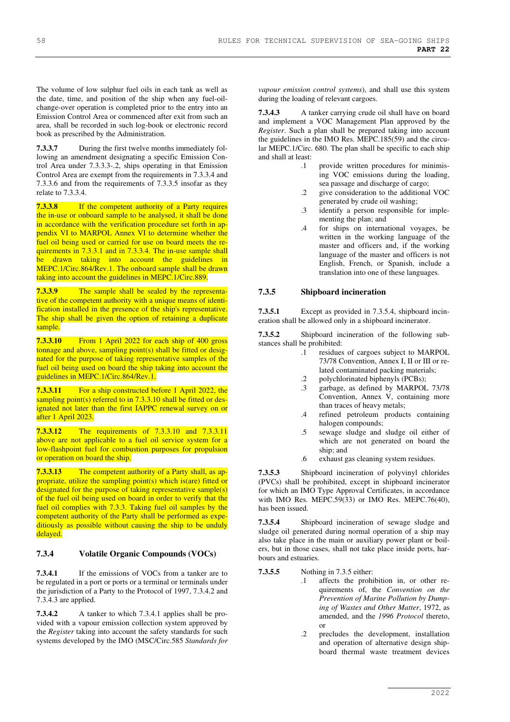The volume of low sulphur fuel oils in each tank as well as the date, time, and position of the ship when any fuel-oilchange-over operation is completed prior to the entry into an Emission Control Area or commenced after exit from such an area, shall be recorded in such log-book or electronic record book as prescribed by the Administration.

**7.3.3.7** During the first twelve months immediately following an amendment designating a specific Emission Control Area under 7.3.3.3-.2, ships operating in that Emission Control Area are exempt from the requirements in 7.3.3.4 and 7.3.3.6 and from the requirements of 7.3.3.5 insofar as they relate to 7.3.3.4.

**7.3.3.8** If the competent authority of a Party requires the in-use or onboard sample to be analysed, it shall be done in accordance with the verification procedure set forth in appendix VI to MARPOL Annex VI to determine whether the fuel oil being used or carried for use on board meets the requirements in 7.3.3.1 and in 7.3.3.4. The in-use sample shall be drawn taking into account the guidelines in MEPC.1/Circ.864/Rev.1. The onboard sample shall be drawn taking into account the guidelines in MEPC.1/Circ.889.

**7.3.3.9** The sample shall be sealed by the representative of the competent authority with a unique means of identification installed in the presence of the ship's representative. The ship shall be given the option of retaining a duplicate sample.

**7.3.3.10** From 1 April 2022 for each ship of 400 gross tonnage and above, sampling point(s) shall be fitted or designated for the purpose of taking representative samples of the fuel oil being used on board the ship taking into account the guidelines in MEPC.1/Circ.864/Rev.1.

**7.3.3.11** For a ship constructed before 1 April 2022, the sampling point(s) referred to in 7.3.3.10 shall be fitted or designated not later than the first IAPPC renewal survey on or after 1 April 2023.

**7.3.3.12** The requirements of 7.3.3.10 and 7.3.3.11 above are not applicable to a fuel oil service system for a low-flashpoint fuel for combustion purposes for propulsion or operation on board the ship.

**7.3.3.13** The competent authority of a Party shall, as appropriate, utilize the sampling point(s) which is(are) fitted or designated for the purpose of taking representative sample(s) of the fuel oil being used on board in order to verify that the fuel oil complies with 7.3.3. Taking fuel oil samples by the competent authority of the Party shall be performed as expeditiously as possible without causing the ship to be unduly delayed.

## **7.3.4 Volatile Organic Compounds (VOCs)**

**7.3.4.1** If the emissions of VOCs from a tanker are to be regulated in a port or ports or a terminal or terminals under the jurisdiction of a Party to the Protocol of 1997, 7.3.4.2 and 7.3.4.3 are applied.

**7.3.4.2** A tanker to which 7.3.4.1 applies shall be provided with a vapour emission collection system approved by the *Register* taking into account the safety standards for such systems developed by the IMO (MSC/Circ.585 *Standards for* 

*vapour emission control systems*), and shall use this system during the loading of relevant cargoes.

**7.3.4.3** A tanker carrying crude oil shall have on board and implement a VOC Management Plan approved by the *Register*. Such a plan shall be prepared taking into account the guidelines in the IMO Res. MEPC.185(59) and the circular MEPC.1/Circ. 680. The plan shall be specific to each ship and shall at least:

- .1 provide written procedures for minimising VOC emissions during the loading, sea passage and discharge of cargo;
- .2 give consideration to the additional VOC generated by crude oil washing;
- .3 identify a person responsible for implementing the plan; and
- .4 for ships on international voyages, be written in the working language of the master and officers and, if the working language of the master and officers is not English, French, or Spanish, include a translation into one of these languages.

## **7.3.5 Shipboard incineration**

**7.3.5.1** Except as provided in 7.3.5.4, shipboard incineration shall be allowed only in a shipboard incinerator.

**7.3.5.2** Shipboard incineration of the following substances shall be prohibited:

- .1 residues of cargoes subject to MARPOL 73/78 Convention, Annex I, II or III or related contaminated packing materials;
- 2 polychlorinated biphenyls (PCBs);<br>3 parhage as defined by MARPOI
- garbage, as defined by MARPOL 73/78 Convention, Annex V, containing more than traces of heavy metals;
- .4 refined petroleum products containing halogen compounds;
- .5 sewage sludge and sludge oil either of which are not generated on board the ship; and
- .6 exhaust gas cleaning system residues.

**7.3.5.3** Shipboard incineration of polyvinyl chlorides (PVCs) shall be prohibited, except in shipboard incinerator for which an IMO Type Approval Certificates, in accordance with IMO Res. MEPC.59(33) or IMO Res. MEPC.76(40), has been issued.

**7.3.5.4** Shipboard incineration of sewage sludge and sludge oil generated during normal operation of a ship may also take place in the main or auxiliary power plant or boilers, but in those cases, shall not take place inside ports, harbours and estuaries.

**7.3.5.5** Nothing in 7.3.5 either:

- .1 affects the prohibition in, or other requirements of, the *Convention on the Prevention of Marine Pollution by Dumping of Wastes and Other Matter*, 1972, as amended, and the *1996 Protocol* thereto, or
- .2 precludes the development, installation and operation of alternative design shipboard thermal waste treatment devices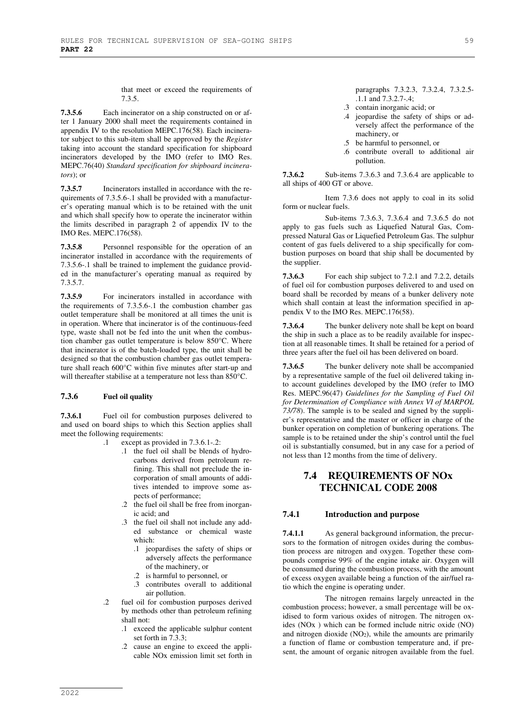that meet or exceed the requirements of 7.3.5.

**7.3.5.6** Each incinerator on a ship constructed on or after 1 January 2000 shall meet the requirements contained in appendix IV to the resolution MEPC.176(58)*.* Each incinerator subject to this sub-item shall be approved by the *Register* taking into account the standard specification for shipboard incinerators developed by the IMO (refer to IMO Res. MEPC.76(40) *Standard specification for shipboard incinerators*); or

**7.3.5.7** Incinerators installed in accordance with the requirements of 7.3.5.6-.1 shall be provided with a manufacturer's operating manual which is to be retained with the unit and which shall specify how to operate the incinerator within the limits described in paragraph 2 of appendix IV to the IMO Res. MEPC.176(58).

**7.3.5.8** Personnel responsible for the operation of an incinerator installed in accordance with the requirements of 7.3.5.6-.1 shall be trained to implement the guidance provided in the manufacturer's operating manual as required by 7.3.5.7.

**7.3.5.9** For incinerators installed in accordance with the requirements of 7.3.5.6-.1 the combustion chamber gas outlet temperature shall be monitored at all times the unit is in operation. Where that incinerator is of the continuous-feed type, waste shall not be fed into the unit when the combustion chamber gas outlet temperature is below 850°C. Where that incinerator is of the batch-loaded type, the unit shall be designed so that the combustion chamber gas outlet temperature shall reach 600°C within five minutes after start-up and will thereafter stabilise at a temperature not less than 850°C.

#### **7.3.6 Fuel oil quality**

**7.3.6.1** Fuel oil for combustion purposes delivered to and used on board ships to which this Section applies shall meet the following requirements:

- .1 except as provided in 7.3.6.1-.2:
	- .1 the fuel oil shall be blends of hydrocarbons derived from petroleum refining. This shall not preclude the incorporation of small amounts of additives intended to improve some aspects of performance;
	- .2 the fuel oil shall be free from inorganic acid; and
	- .3 the fuel oil shall not include any added substance or chemical waste which:
		- .1 jeopardises the safety of ships or adversely affects the performance of the machinery, or
		- .2 is harmful to personnel, or
		- .3 contributes overall to additional air pollution.
- .2 fuel oil for combustion purposes derived by methods other than petroleum refining shall not:
	- .1 exceed the applicable sulphur content set forth in 7.3.3;
	- .2 cause an engine to exceed the applicable NOx emission limit set forth in

paragraphs 7.3.2.3, 7.3.2.4, 7.3.2.5- .1.1 and 7.3.2.7-.4;

- .3 contain inorganic acid; or
- .4 jeopardise the safety of ships or adversely affect the performance of the machinery, or
- .5 be harmful to personnel, or
- .6 contribute overall to additional air pollution.

**7.3.6.2** Sub-items 7.3.6.3 and 7.3.6.4 are applicable to all ships of 400 GT or above.

 Item 7.3.6 does not apply to coal in its solid form or nuclear fuels.

Sub-items 7.3.6.3, 7.3.6.4 and 7.3.6.5 do not apply to gas fuels such as Liquefied Natural Gas, Compressed Natural Gas or Liquefied Petroleum Gas. The sulphur content of gas fuels delivered to a ship specifically for combustion purposes on board that ship shall be documented by the supplier.

**7.3.6.3** For each ship subject to 7.2.1 and 7.2.2, details of fuel oil for combustion purposes delivered to and used on board shall be recorded by means of a bunker delivery note which shall contain at least the information specified in appendix V to the IMO Res. MEPC.176(58).

**7.3.6.4** The bunker delivery note shall be kept on board the ship in such a place as to be readily available for inspection at all reasonable times. It shall be retained for a period of three years after the fuel oil has been delivered on board.

**7.3.6.5** The bunker delivery note shall be accompanied by a representative sample of the fuel oil delivered taking into account guidelines developed by the IMO (refer to IMO Res. MEPC.96(47) *Guidelines for the Sampling of Fuel Oil for Determination of Compliance with Annex VI of MARPOL 73/78*). The sample is to be sealed and signed by the supplier's representative and the master or officer in charge of the bunker operation on completion of bunkering operations. The sample is to be retained under the ship's control until the fuel oil is substantially consumed, but in any case for a period of not less than 12 months from the time of delivery.

# **7.4 REQUIREMENTS OF NOx TECHNICAL CODE 2008**

## **7.4.1 Introduction and purpose**

**7.4.1.1** •• As general background information, the precursors to the formation of nitrogen oxides during the combustion process are nitrogen and oxygen. Together these compounds comprise 99% of the engine intake air. Oxygen will be consumed during the combustion process, with the amount of excess oxygen available being a function of the air/fuel ratio which the engine is operating under.

The nitrogen remains largely unreacted in the combustion process; however, a small percentage will be oxidised to form various oxides of nitrogen. The nitrogen oxides (NOx ) which can be formed include nitric oxide (NO) and nitrogen dioxide  $(NO<sub>2</sub>)$ , while the amounts are primarily a function of flame or combustion temperature and, if present, the amount of organic nitrogen available from the fuel.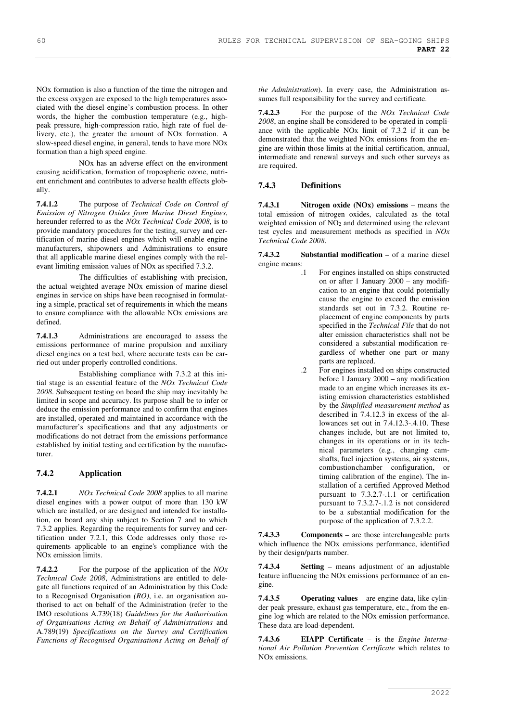NOx formation is also a function of the time the nitrogen and the excess oxygen are exposed to the high temperatures associated with the diesel engine's combustion process. In other words, the higher the combustion temperature (e.g., highpeak pressure, high-compression ratio, high rate of fuel delivery, etc.), the greater the amount of NOx formation. A slow-speed diesel engine, in general, tends to have more NOx formation than a high speed engine.

NOx has an adverse effect on the environment causing acidification, formation of tropospheric ozone, nutrient enrichment and contributes to adverse health effects globally.

**7.4.1.2** The purpose of *Technical Code on Control of Emission of Nitrogen Oxides from Marine Diesel Engines*, hereunder referred to as the *NOx Technical Code 2008*, is to provide mandatory procedures for the testing, survey and certification of marine diesel engines which will enable engine manufacturers, shipowners and Administrations to ensure that all applicable marine diesel engines comply with the relevant limiting emission values of NOx as specified 7.3.2.

The difficulties of establishing with precision, the actual weighted average NOx emission of marine diesel engines in service on ships have been recognised in formulating a simple, practical set of requirements in which the means to ensure compliance with the allowable NOx emissions are defined.

**7.4.1.3** Administrations are encouraged to assess the emissions performance of marine propulsion and auxiliary diesel engines on a test bed, where accurate tests can be carried out under properly controlled conditions.

Establishing compliance with 7.3.2 at this initial stage is an essential feature of the *NOx Technical Code 2008*. Subsequent testing on board the ship may inevitably be limited in scope and accuracy. Its purpose shall be to infer or deduce the emission performance and to confirm that engines are installed, operated and maintained in accordance with the manufacturer's specifications and that any adjustments or modifications do not detract from the emissions performance established by initial testing and certification by the manufacturer.

## **7.4.2 Application**

**7.4.2.1** *NOx Technical Code 2008* applies to all marine diesel engines with a power output of more than 130 kW which are installed, or are designed and intended for installation, on board any ship subject to Section 7 and to which 7.3.2 applies. Regarding the requirements for survey and certification under 7.2.1, this Code addresses only those requirements applicable to an engine's compliance with the NOx emission limits.

**7.4.2.2** For the purpose of the application of the *NOx Technical Code 2008*, Administrations are entitled to delegate all functions required of an Administration by this Code to a Recognised Organisation *(RO)*, i.e. an organisation authorised to act on behalf of the Administration (refer to the IMO resolutions A.739(18) *Guidelines for the Authorisation of Organisations Acting on Behalf of Administrations* and A.789(19) *Specifications on the Survey and Certification Functions of Recognised Organisations Acting on Behalf of*  *the Administration*). In every case, the Administration assumes full responsibility for the survey and certificate.

**7.4.2.3** For the purpose of the *NOx Technical Code 2008*, an engine shall be considered to be operated in compliance with the applicable NOx limit of 7.3.2 if it can be demonstrated that the weighted NOx emissions from the engine are within those limits at the initial certification, annual, intermediate and renewal surveys and such other surveys as are required.

## **7.4.3 Definitions**

**7.4.3.1 Nitrogen oxide (NOx) emissions** – means the total emission of nitrogen oxides, calculated as the total weighted emission of NO<sub>2</sub> and determined using the relevant test cycles and measurement methods as specified in *NOx Technical Code 2008*.

**7.4.3.2 Substantial modification** – of a marine diesel engine means:

- .1 For engines installed on ships constructed on or after 1 January 2000 – any modification to an engine that could potentially cause the engine to exceed the emission standards set out in 7.3.2. Routine replacement of engine components by parts specified in the *Technical File* that do not alter emission characteristics shall not be considered a substantial modification regardless of whether one part or many parts are replaced.
	- .2 For engines installed on ships constructed before 1 January 2000 – any modification made to an engine which increases its existing emission characteristics established by the *Simplified measurement method* as described in 7.4.12.3 in excess of the allowances set out in 7.4.12.3-.4.10. These changes include, but are not limited to, changes in its operations or in its technical parameters (e.g., changing camshafts, fuel injection systems, air systems, combustion chamber configuration, or timing calibration of the engine). The installation of a certified Approved Method pursuant to 7.3.2.7-.1.1 or certification pursuant to 7.3.2.7-.1.2 is not considered to be a substantial modification for the purpose of the application of 7.3.2.2.

**7.4.3.3 Components** – are those interchangeable parts which influence the NOx emissions performance, identified by their design/parts number.

**7.4.3.4 Setting** – means adjustment of an adjustable feature influencing the NOx emissions performance of an engine.

**7.4.3.5 Operating values** – are engine data, like cylinder peak pressure, exhaust gas temperature, etc., from the engine log which are related to the NOx emission performance. These data are load-dependent.

**7.4.3.6 EIAPP Certificate** – is the *Engine International Air Pollution Prevention Certificate* which relates to NOx emissions.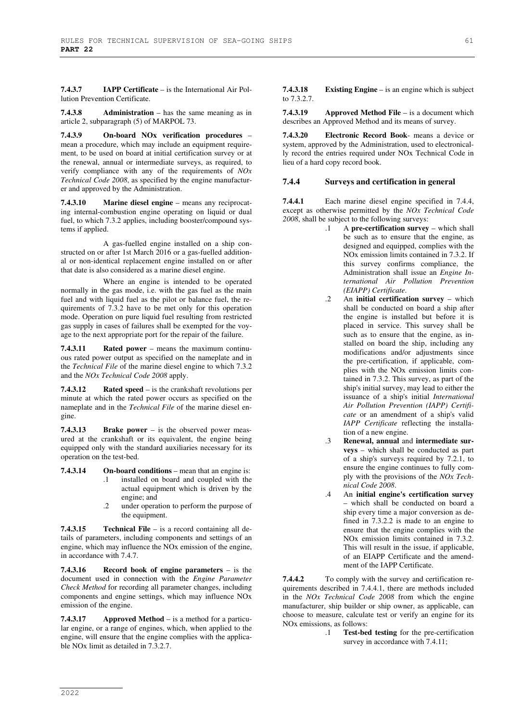**7.4.3.7 IAPP Certificate** – is the International Air Pollution Prevention Certificate.

**7.4.3.8 Administration** – has the same meaning as in article 2, subparagraph (5) of MARPOL 73.

**7.4.3.9 On-board NOx verification procedures** – mean a procedure, which may include an equipment requirement, to be used on board at initial certification survey or at the renewal, annual or intermediate surveys, as required, to verify compliance with any of the requirements of *NOx Technical Code 2008*, as specified by the engine manufacturer and approved by the Administration.

**7.4.3.10 Marine diesel engine** – means any reciprocating internal-combustion engine operating on liquid or dual fuel, to which 7.3.2 applies, including booster/compound systems if applied.

A gas-fuelled engine installed on a ship constructed on or after 1st March 2016 or a gas-fuelled additional or non-identical replacement engine installed on or after that date is also considered as a marine diesel engine.

Where an engine is intended to be operated normally in the gas mode, i.e. with the gas fuel as the main fuel and with liquid fuel as the pilot or balance fuel, the requirements of  $7.3.2$  have to be met only for this operation mode. Operation on pure liquid fuel resulting from restricted gas supply in cases of failures shall be exempted for the voyage to the next appropriate port for the repair of the failure.

**7.4.3.11 Rated power** – means the maximum continuous rated power output as specified on the nameplate and in the *Technical File* of the marine diesel engine to which 7.3.2 and the *NOx Technical Code 2008* apply.

**7.4.3.12 Rated speed** – is the crankshaft revolutions per minute at which the rated power occurs as specified on the nameplate and in the *Technical File* of the marine diesel engine.

**7.4.3.13 Brake power** – is the observed power measured at the crankshaft or its equivalent, the engine being equipped only with the standard auxiliaries necessary for its operation on the test-bed.

**7.4.3.14 On-board conditions** – mean that an engine is:

- .1 installed on board and coupled with the actual equipment which is driven by the engine; and
- .2 under operation to perform the purpose of the equipment.

**7.4.3.15 Technical File** – is a record containing all details of parameters, including components and settings of an engine, which may influence the NOx emission of the engine, in accordance with 7.4.7.

**7.4.3.16 Record book of engine parameters** – is the document used in connection with the *Engine Parameter Check Method* for recording all parameter changes, including components and engine settings, which may influence NOx emission of the engine.

**7.4.3.17 Approved Method** – is a method for a particular engine, or a range of engines, which, when applied to the engine, will ensure that the engine complies with the applicable NOx limit as detailed in 7.3.2.7.

**7.4.3.18 Existing Engine** – is an engine which is subject to 7.3.2.7.

**7.4.3.19 Approved Method File** – is a document which describes an Approved Method and its means of survey.

**7.4.3.20 Electronic Record Book**- means a device or system, approved by the Administration, used to electronically record the entries required under NOx Technical Code in lieu of a hard copy record book.

## **7.4.4 Surveys and certification in general**

**7.4.4.1** Each marine diesel engine specified in 7.4.4, except as otherwise permitted by the *NOx Technical Code 2008*, shall be subject to the following surveys:

- .1 A **pre-certification survey** which shall be such as to ensure that the engine, as designed and equipped, complies with the NOx emission limits contained in 7.3.2. If this survey confirms compliance, the Administration shall issue an *Engine International Air Pollution Prevention (EIAPP) Certificate*.
- .2 An **initial certification survey** which shall be conducted on board a ship after the engine is installed but before it is placed in service. This survey shall be such as to ensure that the engine, as installed on board the ship, including any modifications and/or adjustments since the pre-certification, if applicable, complies with the NOx emission limits contained in 7.3.2. This survey, as part of the ship's initial survey, may lead to either the issuance of a ship's initial *International Air Pollution Prevention (IAPP) Certificate* or an amendment of a ship's valid *IAPP Certificate* reflecting the installation of a new engine.
- .3 **Renewal, annual** and **intermediate surveys** – which shall be conducted as part of a ship's surveys required by 7.2.1, to ensure the engine continues to fully comply with the provisions of the *NOx Technical Code 2008*.
- .4 An **initial engine's certification survey** – which shall be conducted on board a ship every time a major conversion as defined in 7.3.2.2 is made to an engine to ensure that the engine complies with the NOx emission limits contained in 7.3.2. This will result in the issue, if applicable, of an EIAPP Certificate and the amendment of the IAPP Certificate.

**7.4.4.2** To comply with the survey and certification requirements described in 7.4.4.1, there are methods included in the *NOx Technical Code 2008* from which the engine manufacturer, ship builder or ship owner, as applicable, can choose to measure, calculate test or verify an engine for its NOx emissions, as follows:

> .1 **Test-bed testing** for the pre-certification survey in accordance with 7.4.11;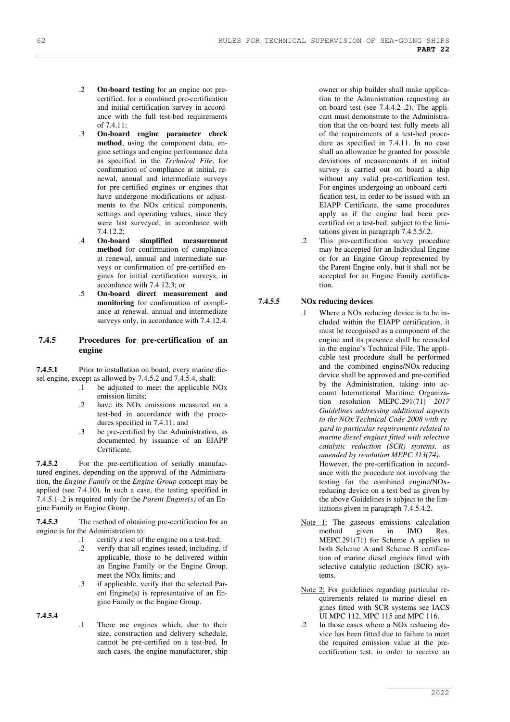- .2 **On-board testing** for an engine not precertified, for a combined pre-certification and initial certification survey in accordance with the full test-bed requirements of  $7.4.11$ ;
- .3 **On-board engine parameter check**  method, using the component data, engine settings and engine performance data as specified in the *Technical File*, for confirmation of compliance at initial, renewal, annual and intermediate surveys for pre-certified engines or engines that have undergone modifications or adjustments to the NOx critical components, settings and operating values, since they were last surveyed, in accordance with 7.4.12.2;<br>**On-board**
- .4 **On-board simplified measurement method** for confirmation of compliance at renewal, annual and intermediate surveys or confirmation of pre-certified engines for initial certification surveys, in accordance with 7.4.12.3; or
- .5 **On-board direct measurement and monitoring** for confirmation of compliance at renewal, annual and intermediate surveys only, in accordance with 7.4.12.4.

### **7.4.5 Procedures for pre-certification of an engine**

**7.4.5.1** Prior to installation on board, every marine diesel engine, except as allowed by 7.4.5.2 and 7.4.5.4, shall:

- .1 be adjusted to meet the applicable NOx emission limits;
- .2 have its NOx emissions measured on a test-bed in accordance with the procedures specified in 7.4.11; and
- .3 be pre-certified by the Administration, as documented by issuance of an EIAPP Certificate.

**7.4.5.2** • For the pre-certification of serially manufactured engines, depending on the approval of the Administration, the *Engine Family* or the *Engine Group* concept may be applied (see 7.4.10). In such a case, the testing specified in 7.4.5.1-.2 is required only for the *Parent Engine(s)* of an Engine Family or Engine Group.

**7.4.5.3** The method of obtaining pre-certification for an engine is for the Administration to:

- .1 certify a test of the engine on a test-bed;
- .2 verify that all engines tested, including, if applicable, those to be delivered within an Engine Family or the Engine Group, meet the NOx limits; and
- .3 if applicable, verify that the selected Parent Engine(s) is representative of an Engine Family or the Engine Group.

**7.4.5.4** 

.1 There are engines which, due to their size, construction and delivery schedule, cannot be pre-certified on a test-bed. In such cases, the engine manufacturer, ship

owner or ship builder shall make application to the Administration requesting an on-board test (see 7.4.4.2-.2). The applicant must demonstrate to the Administration that the on-board test fully meets all of the requirements of a test-bed procedure as specified in 7.4.11. In no case shall an allowance be granted for possible deviations of measurements if an initial survey is carried out on board a ship without any valid pre-certification test. For engines undergoing an onboard certification test, in order to be issued with an EIAPP Certificate, the same procedures apply as if the engine had been precertified on a test-bed, subject to the limitations given in paragraph 7.4.5.5/.2.

.2 This pre-certification survey procedure may be accepted for an Individual Engine or for an Engine Group represented by the Parent Engine only, but it shall not be accepted for an Engine Family certification.

## **7.4.5.5 NOx reducing devices**

- .1 Where a NOx reducing device is to be included within the EIAPP certification, it must be recognised as a component of the engine and its presence shall be recorded in the engine's Technical File. The applicable test procedure shall be performed and the combined engine/NOx-reducing device shall be approved and pre-certified by the Administration, taking into account International Maritime Organization resolution MEPC.291(71) *2017 Guidelines addressing additional aspects to the NOx Technical Code 2008 with regard to particular requirements related to marine diesel engines fitted with selective catalytic reduction (SCR) systems, as amended by resolution MEPC.313(74).* However, the pre-certification in accordance with the procedure not involving the testing for the combined engine/NOxreducing device on a test bed as given by the above Guidelines is subject to the limitations given in paragraph 7.4.5.4.2.
	- Note 1: The gaseous emissions calculation method given in IMO Res. MEPC.291(71) for Scheme A applies to both Scheme A and Scheme B certification of marine diesel engines fitted with selective catalytic reduction (SCR) systems.
	- Note 2: For guidelines regarding particular requirements related to marine diesel engines fitted with SCR systems see IACS UI MPC 112, MPC 115 and MPC 116.
	- .2 In those cases where a NOx reducing device has been fitted due to failure to meet the required emission value at the precertification test, in order to receive an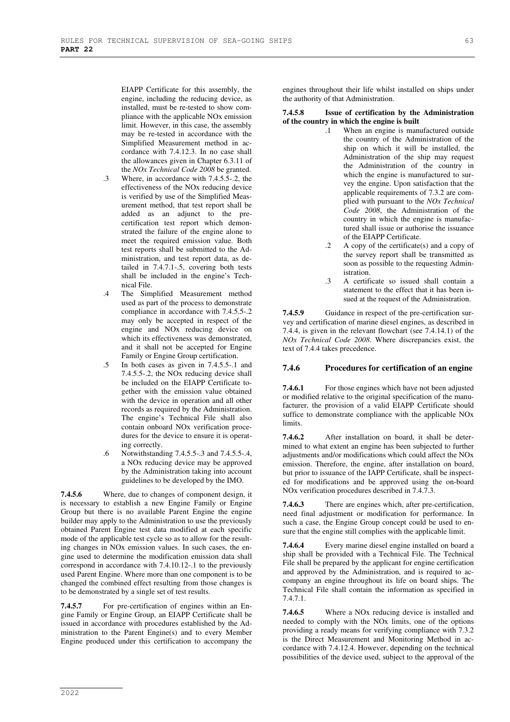EIAPP Certificate for this assembly, the engine, including the reducing device, as installed, must be re-tested to show compliance with the applicable NOx emission limit. However, in this case, the assembly may be re-tested in accordance with the Simplified Measurement method in accordance with 7.4.12.3. In no case shall the allowances given in Chapter 6.3.11 of the *NOx Technical Code 2008* be granted.

- .3 Where, in accordance with 7.4.5.5-.2, the effectiveness of the NOx reducing device is verified by use of the Simplified Measurement method, that test report shall be added as an adjunct to the precertification test report which demonstrated the failure of the engine alone to meet the required emission value. Both test reports shall be submitted to the Administration, and test report data, as detailed in 7.4.7.1-.5, covering both tests shall be included in the engine's Technical File.
- .4 The Simplified Measurement method used as part of the process to demonstrate compliance in accordance with 7.4.5.5-.2 may only be accepted in respect of the engine and NOx reducing device on which its effectiveness was demonstrated, and it shall not be accepted for Engine Family or Engine Group certification.
- .5 In both cases as given in 7.4.5.5-.1 and 7.4.5.5-.2, the NOx reducing device shall be included on the EIAPP Certificate together with the emission value obtained with the device in operation and all other records as required by the Administration. The engine's Technical File shall also contain onboard NOx verification procedures for the device to ensure it is operating correctly.
- .6 Notwithstanding 7.4.5.5-.3 and 7.4.5.5-.4, a NOx reducing device may be approved by the Administration taking into account guidelines to be developed by the IMO.

**7.4.5.6** Where, due to changes of component design, it is necessary to establish a new Engine Family or Engine Group but there is no available Parent Engine the engine builder may apply to the Administration to use the previously obtained Parent Engine test data modified at each specific mode of the applicable test cycle so as to allow for the resulting changes in NOx emission values. In such cases, the engine used to determine the modification emission data shall correspond in accordance with 7.4.10.12-.1 to the previously used Parent Engine. Where more than one component is to be changed the combined effect resulting from those changes is to be demonstrated by a single set of test results.

**7.4.5.7** For pre-certification of engines within an Engine Family or Engine Group, an EIAPP Certificate shall be issued in accordance with procedures established by the Administration to the Parent Engine(s) and to every Member Engine produced under this certification to accompany the engines throughout their life whilst installed on ships under the authority of that Administration.

#### **7.4.5.8 Issue of certification by the Administration of the country in which the engine is built**

- .1 When an engine is manufactured outside the country of the Administration of the ship on which it will be installed, the Administration of the ship may request the Administration of the country in which the engine is manufactured to survey the engine. Upon satisfaction that the applicable requirements of 7.3.2 are complied with pursuant to the *NOx Technical Code 2008*, the Administration of the country in which the engine is manufactured shall issue or authorise the issuance of the EIAPP Certificate.
- .2 A copy of the certificate(s) and a copy of the survey report shall be transmitted as soon as possible to the requesting Administration.
- .3 A certificate so issued shall contain a statement to the effect that it has been issued at the request of the Administration.

**7.4.5.9** Guidance in respect of the pre-certification survey and certification of marine diesel engines, as described in 7.4.4, is given in the relevant flowchart (see 7.4.14.1) of the *NOx Technical Code 2008*. Where discrepancies exist, the text of 7.4.4 takes precedence.

# **7.4.6 Procedures for certification of an engine**

**7.4.6.1** For those engines which have not been adjusted or modified relative to the original specification of the manufacturer, the provision of a valid EIAPP Certificate should suffice to demonstrate compliance with the applicable NOx limits.

**7.4.6.2** After installation on board, it shall be determined to what extent an engine has been subjected to further adjustments and/or modifications which could affect the NOx emission. Therefore, the engine, after installation on board, but prior to issuance of the IAPP Certificate, shall be inspected for modifications and be approved using the on-board NOx verification procedures described in 7.4.7.3.

**7.4.6.3** There are engines which, after pre-certification, need final adjustment or modification for performance. In such a case, the Engine Group concept could be used to ensure that the engine still complies with the applicable limit.

**7.4.6.4** Every marine diesel engine installed on board a ship shall be provided with a Technical File. The Technical File shall be prepared by the applicant for engine certification and approved by the Administration, and is required to accompany an engine throughout its life on board ships. The Technical File shall contain the information as specified in 7.4.7.1.

**7.4.6.5** Where a NOx reducing device is installed and needed to comply with the NOx limits, one of the options providing a ready means for verifying compliance with 7.3.2 is the Direct Measurement and Monitoring Method in accordance with 7.4.12.4. However, depending on the technical possibilities of the device used, subject to the approval of the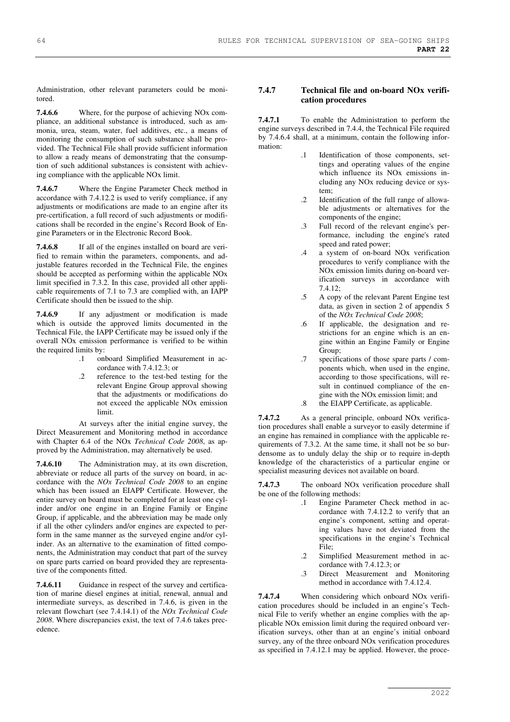Administration, other relevant parameters could be monitored.

**7.4.6.6** Where, for the purpose of achieving NOx compliance, an additional substance is introduced, such as ammonia, urea, steam, water, fuel additives, etc., a means of monitoring the consumption of such substance shall be provided. The Technical File shall provide sufficient information to allow a ready means of demonstrating that the consumption of such additional substances is consistent with achieving compliance with the applicable NOx limit.

**7.4.6.7** Where the Engine Parameter Check method in accordance with 7.4.12.2 is used to verify compliance, if any adjustments or modifications are made to an engine after its pre-certification, a full record of such adjustments or modifications shall be recorded in the engine's Record Book of Engine Parameters or in the Electronic Record Book.

**7.4.6.8** If all of the engines installed on board are verified to remain within the parameters, components, and adjustable features recorded in the Technical File, the engines should be accepted as performing within the applicable NOx limit specified in 7.3.2. In this case, provided all other applicable requirements of 7.1 to 7.3 are complied with, an IAPP Certificate should then be issued to the ship.

**7.4.6.9** If any adjustment or modification is made which is outside the approved limits documented in the Technical File, the IAPP Certificate may be issued only if the overall NOx emission performance is verified to be within the required limits by:

- .1 onboard Simplified Measurement in accordance with 7.4.12.3; or
- .2 reference to the test-bed testing for the relevant Engine Group approval showing that the adjustments or modifications do not exceed the applicable NOx emission limit.

At surveys after the initial engine survey, the Direct Measurement and Monitoring method in accordance with Chapter 6.4 of the NOx *Technical Code 2008*, as approved by the Administration, may alternatively be used.

**7.4.6.10** The Administration may, at its own discretion, abbreviate or reduce all parts of the survey on board, in accordance with the *NOx Technical Code 2008* to an engine which has been issued an EIAPP Certificate. However, the entire survey on board must be completed for at least one cylinder and/or one engine in an Engine Family or Engine Group, if applicable, and the abbreviation may be made only if all the other cylinders and/or engines are expected to perform in the same manner as the surveyed engine and/or cylinder. As an alternative to the examination of fitted components, the Administration may conduct that part of the survey on spare parts carried on board provided they are representative of the components fitted.

**7.4.6.11** Guidance in respect of the survey and certification of marine diesel engines at initial, renewal, annual and intermediate surveys, as described in 7.4.6, is given in the relevant flowchart (see 7.4.14.1) of the *NOx Technical Code 2008*. Where discrepancies exist, the text of 7.4.6 takes precedence.

## **7.4.7 Technical file and on-board NOx verification procedures**

**7.4.7.1** To enable the Administration to perform the engine surveys described in 7.4.4, the Technical File required by 7.4.6.4 shall, at a minimum, contain the following information:

- .1 Identification of those components, settings and operating values of the engine which influence its NOx emissions including any NOx reducing device or system;
- .2 Identification of the full range of allowable adjustments or alternatives for the components of the engine;
- .3 Full record of the relevant engine's performance, including the engine's rated speed and rated power;
- .4 a system of on-board NOx verification procedures to verify compliance with the NOx emission limits during on-board verification surveys in accordance with 7.4.12;
- .5 A copy of the relevant Parent Engine test data, as given in section 2 of appendix 5 of the *NOx Technical Code 2008*;
- .6 If applicable, the designation and restrictions for an engine which is an engine within an Engine Family or Engine Group;
- .7 specifications of those spare parts / components which, when used in the engine, according to those specifications, will result in continued compliance of the engine with the NOx emission limit; and

.8 the EIAPP Certificate, as applicable.

**7.4.7.2** As a general principle, onboard NOx verification procedures shall enable a surveyor to easily determine if an engine has remained in compliance with the applicable requirements of 7.3.2. At the same time, it shall not be so burdensome as to unduly delay the ship or to require in-depth knowledge of the characteristics of a particular engine or specialist measuring devices not available on board.

**7.4.7.3** The onboard NOx verification procedure shall be one of the following methods:

- .1 Engine Parameter Check method in accordance with 7.4.12.2 to verify that an engine's component, setting and operating values have not deviated from the specifications in the engine's Technical File;
	- .2 Simplified Measurement method in accordance with 7.4.12.3; or
	- .3 Direct Measurement and Monitoring method in accordance with 7.4.12.4.

**7.4.7.4** When considering which onboard NOx verification procedures should be included in an engine's Technical File to verify whether an engine complies with the applicable NOx emission limit during the required onboard verification surveys, other than at an engine's initial onboard survey, any of the three onboard NOx verification procedures as specified in 7.4.12.1 may be applied. However, the proce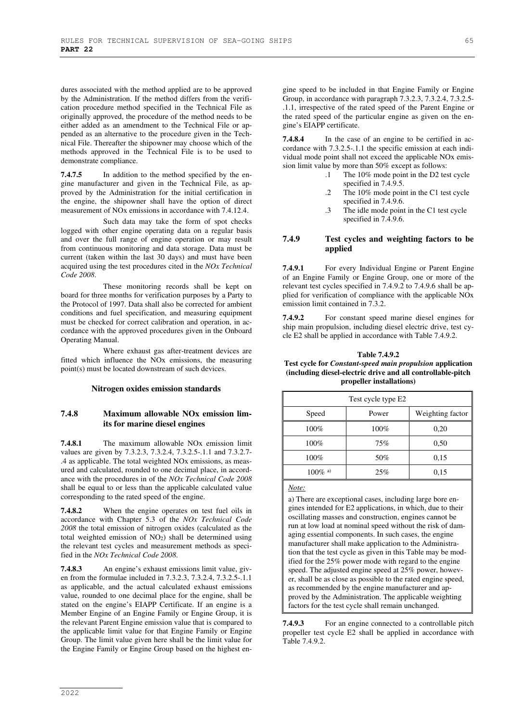dures associated with the method applied are to be approved by the Administration. If the method differs from the verification procedure method specified in the Technical File as originally approved, the procedure of the method needs to be either added as an amendment to the Technical File or appended as an alternative to the procedure given in the Technical File. Thereafter the shipowner may choose which of the methods approved in the Technical File is to be used to demonstrate compliance.

**7.4.7.5** In addition to the method specified by the engine manufacturer and given in the Technical File, as approved by the Administration for the initial certification in the engine, the shipowner shall have the option of direct measurement of NOx emissions in accordance with 7.4.12.4.

Such data may take the form of spot checks logged with other engine operating data on a regular basis and over the full range of engine operation or may result from continuous monitoring and data storage. Data must be current (taken within the last 30 days) and must have been acquired using the test procedures cited in the *NOx Technical Code 2008*.

These monitoring records shall be kept on board for three months for verification purposes by a Party to the Protocol of 1997. Data shall also be corrected for ambient conditions and fuel specification, and measuring equipment must be checked for correct calibration and operation, in accordance with the approved procedures given in the Onboard Operating Manual.

Where exhaust gas after-treatment devices are fitted which influence the NOx emissions, the measuring point(s) must be located downstream of such devices.

## **Nitrogen oxides emission standards**

## **7.4.8 Maximum allowable NOx emission limits for marine diesel engines**

**7.4.8.1** The maximum allowable NOx emission limit values are given by 7.3.2.3, 7.3.2.4, 7.3.2.5-.1.1 and 7.3.2.7- .4 as applicable. The total weighted NOx emissions, as measured and calculated, rounded to one decimal place, in accordance with the procedures in of the *NOx Technical Code 2008* shall be equal to or less than the applicable calculated value corresponding to the rated speed of the engine.

**7.4.8.2** When the engine operates on test fuel oils in accordance with Chapter 5.3 of the *NOx Technical Code 2008* the total emission of nitrogen oxides (calculated as the total weighted emission of NO2) shall be determined using the relevant test cycles and measurement methods as specified in the *NOx Technical Code 2008*.

**7.4.8.3** An engine's exhaust emissions limit value, given from the formulae included in 7.3.2.3, 7.3.2.4, 7.3.2.5-.1.1 as applicable, and the actual calculated exhaust emissions value, rounded to one decimal place for the engine, shall be stated on the engine's EIAPP Certificate. If an engine is a Member Engine of an Engine Family or Engine Group, it is the relevant Parent Engine emission value that is compared to the applicable limit value for that Engine Family or Engine Group. The limit value given here shall be the limit value for the Engine Family or Engine Group based on the highest engine speed to be included in that Engine Family or Engine Group, in accordance with paragraph 7.3.2.3, 7.3.2.4, 7.3.2.5- .1.1, irrespective of the rated speed of the Parent Engine or the rated speed of the particular engine as given on the engine's EIAPP certificate.

**7.4.8.4** In the case of an engine to be certified in accordance with 7.3.2.5-.1.1 the specific emission at each individual mode point shall not exceed the applicable NOx emission limit value by more than 50% except as follows:

- .1 The 10% mode point in the D2 test cycle specified in 7.4.9.5.
- .2 The 10% mode point in the C1 test cycle specified in 7.4.9.6.
- .3 The idle mode point in the C1 test cycle specified in 7.4.9.6.

## **7.4.9 Test cycles and weighting factors to be applied**

**7.4.9.1** For every Individual Engine or Parent Engine of an Engine Family or Engine Group, one or more of the relevant test cycles specified in 7.4.9.2 to 7.4.9.6 shall be applied for verification of compliance with the applicable NOx emission limit contained in 7.3.2.

**7.4.9.2** For constant speed marine diesel engines for ship main propulsion, including diesel electric drive, test cycle E2 shall be applied in accordance with Table 7.4.9.2.

#### **Table 7.4.9.2**

#### **Test cycle for** *Constant-speed main propulsion* **application (including diesel-electric drive and all controllable-pitch propeller installations)**

| Test cycle type E2 |       |                  |  |
|--------------------|-------|------------------|--|
| Speed              | Power | Weighting factor |  |
| 100%               | 100%  | 0,20             |  |
| 100%               | 75%   | 0.50             |  |
| 100%               | 50%   | 0.15             |  |
| $100\%$ a)         | 25%   | 0.15             |  |

#### *Note:*

a) There are exceptional cases, including large bore engines intended for E2 applications, in which, due to their oscillating masses and construction, engines cannot be run at low load at nominal speed without the risk of damaging essential components. In such cases, the engine manufacturer shall make application to the Administration that the test cycle as given in this Table may be modified for the 25% power mode with regard to the engine speed. The adjusted engine speed at 25% power, however, shall be as close as possible to the rated engine speed, as recommended by the engine manufacturer and approved by the Administration. The applicable weighting factors for the test cycle shall remain unchanged.

**7.4.9.3** For an engine connected to a controllable pitch propeller test cycle E2 shall be applied in accordance with Table 7.4.9.2.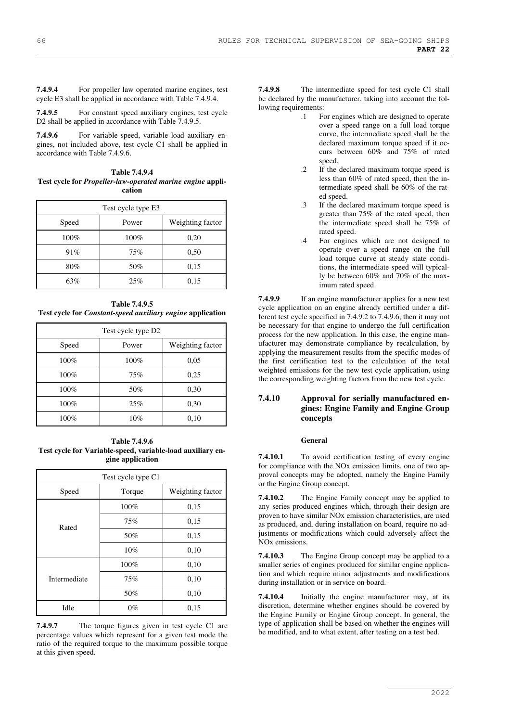**7.4.9.4** For propeller law operated marine engines, test cycle E3 shall be applied in accordance with Table 7.4.9.4.

**7.4.9.5** For constant speed auxiliary engines, test cycle D<sub>2</sub> shall be applied in accordance with Table 7.4.9.5.

**7.4.9.6** For variable speed, variable load auxiliary engines, not included above, test cycle C1 shall be applied in accordance with Table 7.4.9.6.

**Table 7.4.9.4 Test cycle for** *Propeller-law-operated marine engine* **application** 

| Test cycle type E3 |       |                  |
|--------------------|-------|------------------|
| Speed              | Power | Weighting factor |
| 100%               | 100%  | 0,20             |
| 91%                | 75%   | 0.50             |
| 80%                | 50%   | 0,15             |
| 63%                | 25%   | 0.15             |

**Table 7.4.9.5 Test cycle for** *Constant-speed auxiliary engine* **application** 

| Test cycle type D2 |       |                  |  |
|--------------------|-------|------------------|--|
| Speed              | Power | Weighting factor |  |
| 100%               | 100%  | 0,05             |  |
| 100%               | 75%   | 0,25             |  |
| 100%               | 50%   | 0,30             |  |
| 100%               | 25%   | 0,30             |  |
| 100%               | 10%   | 0,10             |  |

**Table 7.4.9.6 Test cycle for Variable-speed, variable-load auxiliary engine application** 

| Test cycle type C1 |        |                  |
|--------------------|--------|------------------|
| Speed              | Torque | Weighting factor |
| Rated              | 100%   | 0,15             |
|                    | 75%    | 0.15             |
|                    | 50%    | 0,15             |
|                    | 10%    | 0,10             |
| Intermediate       | 100%   | 0,10             |
|                    | 75%    | 0,10             |
|                    | 50%    | 0,10             |
| Idle               | $0\%$  | 0,15             |

**7.4.9.7** The torque figures given in test cycle C1 are percentage values which represent for a given test mode the ratio of the required torque to the maximum possible torque at this given speed.

**7.4.9.8** The intermediate speed for test cycle C1 shall be declared by the manufacturer, taking into account the following requirements:

- .1 For engines which are designed to operate over a speed range on a full load torque curve, the intermediate speed shall be the declared maximum torque speed if it occurs between 60% and 75% of rated speed.
- .2 If the declared maximum torque speed is less than 60% of rated speed, then the intermediate speed shall be 60% of the rated speed.
- .3 If the declared maximum torque speed is greater than 75% of the rated speed, then the intermediate speed shall be 75% of rated speed.
- .4 For engines which are not designed to operate over a speed range on the full load torque curve at steady state conditions, the intermediate speed will typically be between 60% and 70% of the maximum rated speed.

**7.4.9.9** If an engine manufacturer applies for a new test cycle application on an engine already certified under a different test cycle specified in 7.4.9.2 to 7.4.9.6, then it may not be necessary for that engine to undergo the full certification process for the new application. In this case, the engine manufacturer may demonstrate compliance by recalculation, by applying the measurement results from the specific modes of the first certification test to the calculation of the total weighted emissions for the new test cycle application, using the corresponding weighting factors from the new test cycle.

## **7.4.10 Approval for serially manufactured engines: Engine Family and Engine Group concepts**

#### **General**

**7.4.10.1** To avoid certification testing of every engine for compliance with the NOx emission limits, one of two approval concepts may be adopted, namely the Engine Family or the Engine Group concept.

**7.4.10.2** The Engine Family concept may be applied to any series produced engines which, through their design are proven to have similar NOx emission characteristics, are used as produced, and, during installation on board, require no adjustments or modifications which could adversely affect the NOx emissions.

**7.4.10.3** The Engine Group concept may be applied to a smaller series of engines produced for similar engine application and which require minor adjustments and modifications during installation or in service on board.

**7.4.10.4** Initially the engine manufacturer may, at its discretion, determine whether engines should be covered by the Engine Family or Engine Group concept. In general, the type of application shall be based on whether the engines will be modified, and to what extent, after testing on a test bed.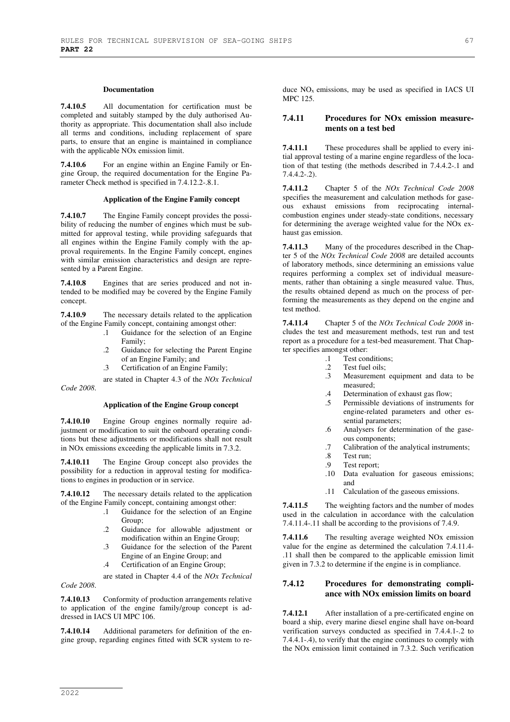#### **Documentation**

**7.4.10.5** All documentation for certification must be completed and suitably stamped by the duly authorised Authority as appropriate. This documentation shall also include all terms and conditions, including replacement of spare parts, to ensure that an engine is maintained in compliance with the applicable NOx emission limit.

**7.4.10.6** For an engine within an Engine Family or Engine Group, the required documentation for the Engine Parameter Check method is specified in 7.4.12.2-.8.1.

#### **Application of the Engine Family concept**

**7.4.10.7** The Engine Family concept provides the possibility of reducing the number of engines which must be submitted for approval testing, while providing safeguards that all engines within the Engine Family comply with the approval requirements. In the Engine Family concept, engines with similar emission characteristics and design are represented by a Parent Engine.

**7.4.10.8** Engines that are series produced and not intended to be modified may be covered by the Engine Family concept.

**7.4.10.9** The necessary details related to the application of the Engine Family concept, containing amongst other:

- .1 Guidance for the selection of an Engine Family;
- .2 Guidance for selecting the Parent Engine of an Engine Family; and
- .3 Certification of an Engine Family;

are stated in Chapter 4.3 of the *NOx Technical Code 2008*.

#### **Application of the Engine Group concept**

**7.4.10.10** Engine Group engines normally require adjustment or modification to suit the onboard operating conditions but these adjustments or modifications shall not result in NOx emissions exceeding the applicable limits in 7.3.2.

**7.4.10.11** The Engine Group concept also provides the possibility for a reduction in approval testing for modifications to engines in production or in service.

**7.4.10.12** The necessary details related to the application of the Engine Family concept, containing amongst other:

- .1 Guidance for the selection of an Engine Group;
- .2 Guidance for allowable adjustment or modification within an Engine Group;
- .3 Guidance for the selection of the Parent Engine of an Engine Group; and
- .4 Certification of an Engine Group;

are stated in Chapter 4.4 of the *NOx Technical Code 2008*.

**7.4.10.13** Conformity of production arrangements relative to application of the engine family/group concept is addressed in IACS UI MPC 106.

**7.4.10.14** Additional parameters for definition of the engine group, regarding engines fitted with SCR system to reduce  $NO<sub>x</sub>$  emissions, may be used as specified in IACS UI MPC 125.

## **7.4.11 Procedures for NOx emission measurements on a test bed**

**7.4.11.1** These procedures shall be applied to every initial approval testing of a marine engine regardless of the location of that testing (the methods described in 7.4.4.2-.1 and 7.4.4.2-.2).

**7.4.11.2** Chapter 5 of the *NOx Technical Code 2008* specifies the measurement and calculation methods for gaseous exhaust emissions from reciprocating internalcombustion engines under steady-state conditions, necessary for determining the average weighted value for the NOx exhaust gas emission.

**7.4.11.3** Many of the procedures described in the Chapter 5 of the *NOx Technical Code 2008* are detailed accounts of laboratory methods, since determining an emissions value requires performing a complex set of individual measurements, rather than obtaining a single measured value. Thus, the results obtained depend as much on the process of performing the measurements as they depend on the engine and test method.

**7.4.11.4** Chapter 5 of the *NOx Technical Code 2008* includes the test and measurement methods, test run and test report as a procedure for a test-bed measurement. That Chapter specifies amongst other:

- .1 Test conditions;
	- .2 Test fuel oils;<br>.3 Measurement
	- Measurement equipment and data to be measured;
	- .4 Determination of exhaust gas flow;
	- .5 Permissible deviations of instruments for engine-related parameters and other essential parameters;
	- .6 Analysers for determination of the gaseous components;
	- .7 Calibration of the analytical instruments;<br>8 Test run:
	- .8 Test run;
	- Test report;
	- .10 Data evaluation for gaseous emissions; and
	- .11 Calculation of the gaseous emissions.

**7.4.11.5** The weighting factors and the number of modes used in the calculation in accordance with the calculation 7.4.11.4-.11 shall be according to the provisions of 7.4.9.

**7.4.11.6** The resulting average weighted NOx emission value for the engine as determined the calculation 7.4.11.4- .11 shall then be compared to the applicable emission limit given in 7.3.2 to determine if the engine is in compliance.

## **7.4.12 Procedures for demonstrating compliance with NOx emission limits on board**

**7.4.12.1** After installation of a pre-certificated engine on board a ship, every marine diesel engine shall have on-board verification surveys conducted as specified in 7.4.4.1-.2 to 7.4.4.1-.4), to verify that the engine continues to comply with the NOx emission limit contained in 7.3.2. Such verification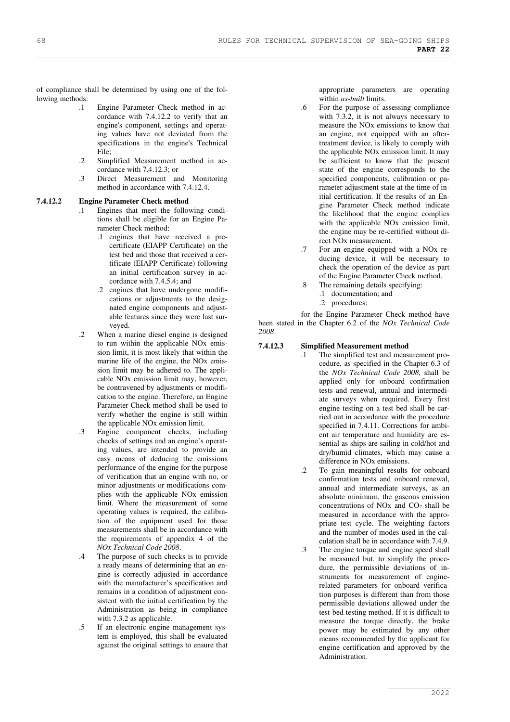of compliance shall be determined by using one of the following methods:

- .1 Engine Parameter Check method in accordance with 7.4.12.2 to verify that an engine's component, settings and operating values have not deviated from the specifications in the engine's Technical File;
- .2 Simplified Measurement method in accordance with 7.4.12.3; or
- .3 Direct Measurement and Monitoring method in accordance with 7.4.12.4.

## **7.4.12.2 Engine Parameter Check method**

- .1 Engines that meet the following conditions shall be eligible for an Engine Parameter Check method:
	- .1 engines that have received a precertificate (EIAPP Certificate) on the test bed and those that received a certificate (EIAPP Certificate) following an initial certification survey in accordance with 7.4.5.4; and
	- .2 engines that have undergone modifications or adjustments to the designated engine components and adjustable features since they were last surveyed.
- .2 When a marine diesel engine is designed to run within the applicable NOx emission limit, it is most likely that within the marine life of the engine, the NOx emission limit may be adhered to. The applicable NOx emission limit may, however, be contravened by adjustments or modification to the engine. Therefore, an Engine Parameter Check method shall be used to verify whether the engine is still within the applicable NOx emission limit.
- .3 Engine component checks, including checks of settings and an engine's operating values, are intended to provide an easy means of deducing the emissions performance of the engine for the purpose of verification that an engine with no, or minor adjustments or modifications complies with the applicable NOx emission limit. Where the measurement of some operating values is required, the calibration of the equipment used for those measurements shall be in accordance with the requirements of appendix 4 of the *NOx Technical Code 2008*.
- .4 The purpose of such checks is to provide a ready means of determining that an engine is correctly adjusted in accordance with the manufacturer's specification and remains in a condition of adjustment consistent with the initial certification by the Administration as being in compliance with 7.3.2 as applicable.
- .5 If an electronic engine management system is employed, this shall be evaluated against the original settings to ensure that

appropriate parameters are operating within *as-built* limits.

- .6 For the purpose of assessing compliance with 7.3.2, it is not always necessary to measure the NOx emissions to know that an engine, not equipped with an aftertreatment device, is likely to comply with the applicable NOx emission limit. It may be sufficient to know that the present state of the engine corresponds to the specified components, calibration or parameter adjustment state at the time of initial certification. If the results of an Engine Parameter Check method indicate the likelihood that the engine complies with the applicable NOx emission limit, the engine may be re-certified without direct NOx measurement.
- .7 For an engine equipped with a NOx reducing device, it will be necessary to check the operation of the device as part of the Engine Parameter Check method.
- .8 The remaining details specifying: .1 documentation; and
	- .2 procedures;

for the Engine Parameter Check method have been stated in the Chapter 6.2 of the *NOx Technical Code 2008*.

### **7.4.12.3 Simplified Measurement method**

- .1 The simplified test and measurement procedure, as specified in the Chapter 6.3 of the *NOx Technical Code 2008*, shall be applied only for onboard confirmation tests and renewal, annual and intermediate surveys when required. Every first engine testing on a test bed shall be carried out in accordance with the procedure specified in 7.4.11. Corrections for ambient air temperature and humidity are essential as ships are sailing in cold/hot and dry/humid climates, which may cause a difference in NOx emissions.
	- .2 To gain meaningful results for onboard confirmation tests and onboard renewal, annual and intermediate surveys, as an absolute minimum, the gaseous emission concentrations of  $NOx$  and  $CO<sub>2</sub>$  shall be measured in accordance with the appropriate test cycle. The weighting factors and the number of modes used in the calculation shall be in accordance with 7.4.9.
	- .3 The engine torque and engine speed shall be measured but, to simplify the procedure, the permissible deviations of instruments for measurement of enginerelated parameters for onboard verification purposes is different than from those permissible deviations allowed under the test-bed testing method. If it is difficult to measure the torque directly, the brake power may be estimated by any other means recommended by the applicant for engine certification and approved by the Administration.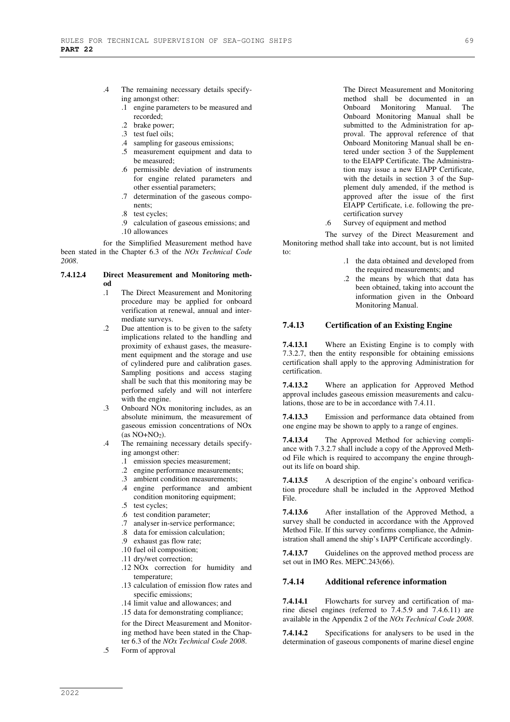- .4 The remaining necessary details specifying amongst other:
	- .1 engine parameters to be measured and recorded;
	- .2 brake power;
	- .3 test fuel oils;
	- .4 sampling for gaseous emissions;
	- .5 measurement equipment and data to be measured;
	- .6 permissible deviation of instruments for engine related parameters and other essential parameters;
	- .7 determination of the gaseous components;
	- .8 test cycles;
	- .9 calculation of gaseous emissions; and .10 allowances

for the Simplified Measurement method have been stated in the Chapter 6.3 of the *NOx Technical Code 2008*.

#### **7.4.12.4 Direct Measurement and Monitoring method**

- .1 The Direct Measurement and Monitoring procedure may be applied for onboard verification at renewal, annual and intermediate surveys.
- .2 Due attention is to be given to the safety implications related to the handling and proximity of exhaust gases, the measurement equipment and the storage and use of cylindered pure and calibration gases. Sampling positions and access staging shall be such that this monitoring may be performed safely and will not interfere with the engine.
- .3 Onboard NOx monitoring includes, as an absolute minimum, the measurement of gaseous emission concentrations of NOx  $(as NO+NO<sub>2</sub>)$ .
- .4 The remaining necessary details specifying amongst other:
	- .1 emission species measurement;
	- .2 engine performance measurements;
	- .3 ambient condition measurements;
	- .4 engine performance and ambient condition monitoring equipment;
	- .5 test cycles;
	- .6 test condition parameter;
	- .7 analyser in-service performance;
	- .8 data for emission calculation;
	- .9 exhaust gas flow rate;
	- .10 fuel oil composition;
	- .11 dry/wet correction;
	- .12 NOx correction for humidity and temperature;
	- .13 calculation of emission flow rates and specific emissions;
	- .14 limit value and allowances; and
	- .15 data for demonstrating compliance;

for the Direct Measurement and Monitoring method have been stated in the Chapter 6.3 of the *NOx Technical Code 2008*.

.5 Form of approval

The Direct Measurement and Monitoring method shall be documented in an Onboard Monitoring Manual. The Onboard Monitoring Manual shall be submitted to the Administration for approval. The approval reference of that Onboard Monitoring Manual shall be entered under section 3 of the Supplement to the EIAPP Certificate. The Administration may issue a new EIAPP Certificate, with the details in section 3 of the Supplement duly amended, if the method is approved after the issue of the first EIAPP Certificate, i.e. following the precertification survey

.6 Survey of equipment and method

The survey of the Direct Measurement and Monitoring method shall take into account, but is not limited to:

- .1 the data obtained and developed from the required measurements; and
- .2 the means by which that data has been obtained, taking into account the information given in the Onboard Monitoring Manual.

## **7.4.13 Certification of an Existing Engine**

**7.4.13.1** Where an Existing Engine is to comply with 7.3.2.7, then the entity responsible for obtaining emissions certification shall apply to the approving Administration for certification.

**7.4.13.2** Where an application for Approved Method approval includes gaseous emission measurements and calculations, those are to be in accordance with 7.4.11.

**7.4.13.3** Emission and performance data obtained from one engine may be shown to apply to a range of engines.

**7.4.13.4** The Approved Method for achieving compliance with 7.3.2.7 shall include a copy of the Approved Method File which is required to accompany the engine throughout its life on board ship.

**7.4.13.5** A description of the engine's onboard verification procedure shall be included in the Approved Method File.

**7.4.13.6** After installation of the Approved Method, a survey shall be conducted in accordance with the Approved Method File. If this survey confirms compliance, the Administration shall amend the ship's IAPP Certificate accordingly.

**7.4.13.7** Guidelines on the approved method process are set out in IMO Res. MEPC.243(66).

## **7.4.14 Additional reference information**

**7.4.14.1** Flowcharts for survey and certification of marine diesel engines (referred to 7.4.5.9 and 7.4.6.11) are available in the Appendix 2 of the *NOx Technical Code 2008*.

**7.4.14.2** Specifications for analysers to be used in the determination of gaseous components of marine diesel engine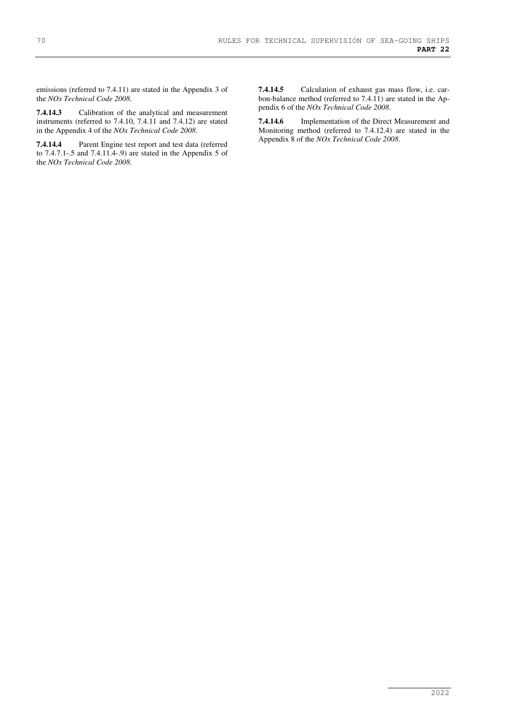emissions (referred to 7.4.11) are stated in the Appendix 3 of the *NOx Technical Code 2008*.

**7.4.14.3** Calibration of the analytical and measurement instruments (referred to 7.4.10, 7.4.11 and 7.4.12) are stated in the Appendix 4 of the *NOx Technical Code 2008*.

**7.4.14.4** Parent Engine test report and test data (referred to 7.4.7.1-.5 and 7.4.11.4-.9) are stated in the Appendix 5 of the *NOx Technical Code 2008*.

**7.4.14.5** Calculation of exhaust gas mass flow, i.e. carbon-balance method (referred to 7.4.11) are stated in the Appendix 6 of the *NOx Technical Code 2008*.

**7.4.14.6** Implementation of the Direct Measurement and Monitoring method (referred to 7.4.12.4) are stated in the Appendix 8 of the *NOx Technical Code 2008*.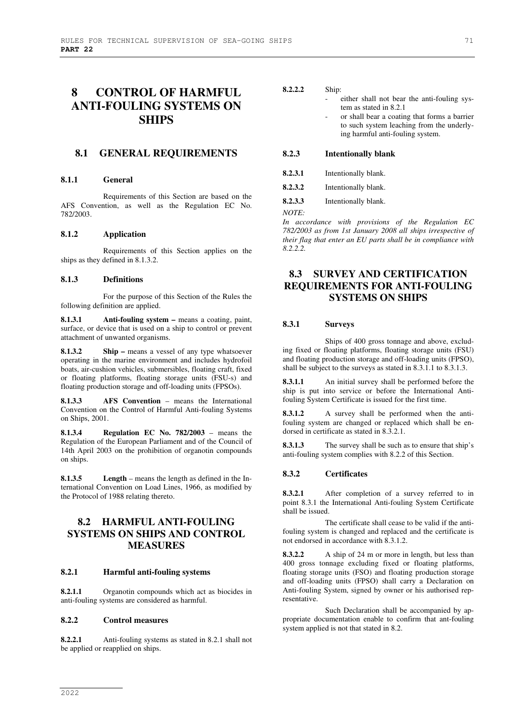71

# **8 CONTROL OF HARMFUL ANTI-FOULING SYSTEMS ON SHIPS**

## **8.1 GENERAL REQUIREMENTS**

#### **8.1.1 General**

Requirements of this Section are based on the AFS Convention, as well as the Regulation EC No. 782/2003.

#### **8.1.2 Application**

Requirements of this Section applies on the ships as they defined in 8.1.3.2.

### **8.1.3 Definitions**

For the purpose of this Section of the Rules the following definition are applied.

**8.1.3.1 Anti-fouling system –** means a coating, paint, surface, or device that is used on a ship to control or prevent attachment of unwanted organisms.

**8.1.3.2 Ship – means a vessel of any type whatsoever** operating in the marine environment and includes hydrofoil boats, air-cushion vehicles, submersibles, floating craft, fixed or floating platforms, floating storage units (FSU-s) and floating production storage and off-loading units (FPSOs).

**8.1.3.3 AFS Convention** – means the International Convention on the Control of Harmful Anti-fouling Systems on Ships, 2001.

**8.1.3.4 Regulation EC No. 782/2003** – means the Regulation of the European Parliament and of the Council of 14th April 2003 on the prohibition of organotin compounds on ships.

**8.1.3.5 Length** – means the length as defined in the International Convention on Load Lines, 1966, as modified by the Protocol of 1988 relating thereto.

# **8.2 HARMFUL ANTI-FOULING SYSTEMS ON SHIPS AND CONTROL MEASURES**

#### **8.2.1 Harmful anti-fouling systems**

**8.2.1.1** Organotin compounds which act as biocides in anti-fouling systems are considered as harmful.

## **8.2.2 Control measures**

**8.2.2.1** Anti-fouling systems as stated in 8.2.1 shall not be applied or reapplied on ships.

#### **8.2.2.2** Ship:

- either shall not bear the anti-fouling system as stated in 8.2.1
- or shall bear a coating that forms a barrier to such system leaching from the underlying harmful anti-fouling system.

## **8.2.3 Intentionally blank**

- **8.2.3.2** Intentionally blank.
- **8.2.3.3** Intentionally blank.

*NOTE:* 

*In accordance with provisions of the Regulation EC 782/2003 as from 1st January 2008 all ships irrespective of their flag that enter an EU parts shall be in compliance with 8.2.2.2.* 

# **8.3 SURVEY AND CERTIFICATION REQUIREMENTS FOR ANTI-FOULING SYSTEMS ON SHIPS**

### **8.3.1 Surveys**

Ships of 400 gross tonnage and above, excluding fixed or floating platforms, floating storage units (FSU) and floating production storage and off-loading units (FPSO), shall be subject to the surveys as stated in 8.3.1.1 to 8.3.1.3.

**8.3.1.1** An initial survey shall be performed before the ship is put into service or before the International Antifouling System Certificate is issued for the first time.

**8.3.1.2** A survey shall be performed when the antifouling system are changed or replaced which shall be endorsed in certificate as stated in 8.3.2.1.

**8.3.1.3** The survey shall be such as to ensure that ship's anti-fouling system complies with 8.2.2 of this Section.

#### **8.3.2 Certificates**

**8.3.2.1** After completion of a survey referred to in point 8.3.1 the International Anti-fouling System Certificate shall be issued.

The certificate shall cease to be valid if the antifouling system is changed and replaced and the certificate is not endorsed in accordance with 8.3.1.2.

**8.3.2.2** A ship of 24 m or more in length, but less than 400 gross tonnage excluding fixed or floating platforms, floating storage units (FSO) and floating production storage and off-loading units (FPSO) shall carry a Declaration on Anti-fouling System, signed by owner or his authorised representative.

Such Declaration shall be accompanied by appropriate documentation enable to confirm that ant-fouling system applied is not that stated in 8.2.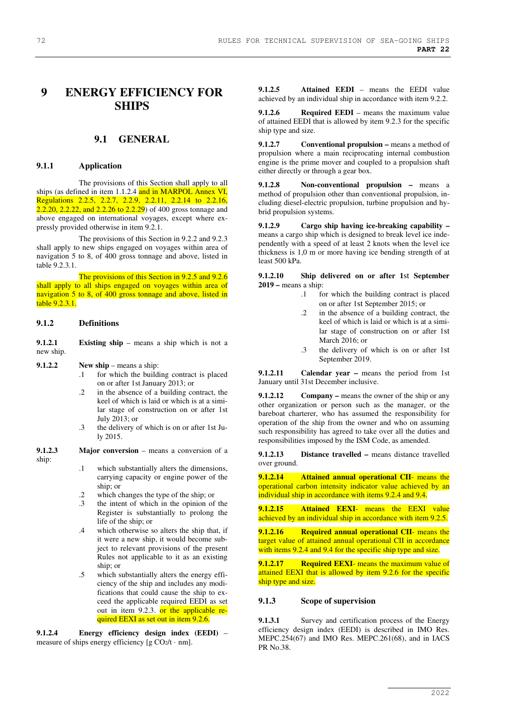# **9 ENERGY EFFICIENCY FOR SHIPS**

## **9.1 GENERAL**

#### **9.1.1 Application**

The provisions of this Section shall apply to all ships (as defined in item 1.1.2.4 and in MARPOL Annex VI, Regulations 2.2.5, 2.2.7, 2.2.9, 2.2.11, 2.2.14 to 2.2.16, 2.2.20, 2.2.22, and 2.2.26 to 2.2.29) of 400 gross tonnage and above engaged on international voyages, except where expressly provided otherwise in item 9.2.1.

The provisions of this Section in 9.2.2 and 9.2.3 shall apply to new ships engaged on voyages within area of navigation 5 to 8, of 400 gross tonnage and above, listed in table 9.2.3.1.

The provisions of this Section in 9.2.5 and 9.2.6 shall apply to all ships engaged on voyages within area of navigation 5 to 8, of 400 gross tonnage and above, listed in table 9.2.3.1.

### **9.1.2 Definitions**

**9.1.2.1 Existing ship** – means a ship which is not a new ship.

- **9.1.2.2 New ship** means a ship:
	- .1 for which the building contract is placed on or after 1st January 2013; or
	- .2 in the absence of a building contract, the keel of which is laid or which is at a similar stage of construction on or after 1st July 2013; or
	- .3 the delivery of which is on or after 1st July 2015.

**9.1.2.3 Major conversion** – means a conversion of a ship:

- .1 which substantially alters the dimensions, carrying capacity or engine power of the ship; or
- .2 which changes the type of the ship; or
- .3 the intent of which in the opinion of the Register is substantially to prolong the life of the ship; or
- .4 which otherwise so alters the ship that, if it were a new ship, it would become subject to relevant provisions of the present Rules not applicable to it as an existing ship; or
- .5 which substantially alters the energy efficiency of the ship and includes any modifications that could cause the ship to exceed the applicable required EEDI as set out in item 9.2.3. or the applicable required EEXI as set out in item 9.2.6.

**9.1.2.4 Energy efficiency design index (EEDI)** – measure of ships energy efficiency  $[g \text{CO}_2/t \cdot nm]$ .

**9.1.2.5 Attained EEDI** – means the EEDI value achieved by an individual ship in accordance with item 9.2.2.

**9.1.2.6 Required EEDI** – means the maximum value of attained EEDI that is allowed by item 9.2.3 for the specific ship type and size.

**9.1.2.7** Conventional propulsion – means a method of propulsion where a main reciprocating internal combustion engine is the prime mover and coupled to a propulsion shaft either directly or through a gear box.

**9.1.2.8 Non-conventional propulsion –** means a method of propulsion other than conventional propulsion, including diesel-electric propulsion, turbine propulsion and hybrid propulsion systems.

**9.1.2.9 Cargo ship having ice-breaking capability –** means a cargo ship which is designed to break level ice independently with a speed of at least 2 knots when the level ice thickness is 1,0 m or more having ice bending strength of at least 500 kPa.

**9.1.2.10 Ship delivered on or after 1**st **September 2019 –** means a ship:

- .1 for which the building contract is placed on or after 1st September 2015; or
- .2 in the absence of a building contract, the keel of which is laid or which is at a similar stage of construction on or after 1st March 2016; or
- .3 the delivery of which is on or after 1st September 2019.

**9.1.2.11 Calendar year –** means the period from 1st January until 31st December inclusive.

**9.1.2.12 Company –** means the owner of the ship or any other organization or person such as the manager, or the bareboat charterer, who has assumed the responsibility for operation of the ship from the owner and who on assuming such responsibility has agreed to take over all the duties and responsibilities imposed by the ISM Code, as amended.

**9.1.2.13 Distance travelled –** means distance travelled over ground.

**9.1.2.14 Attained annual operational CII**- means the operational carbon intensity indicator value achieved by an individual ship in accordance with items 9.2.4 and 9.4.

**9.1.2.15 Attained EEXI**- means the EEXI value achieved by an individual ship in accordance with item 9.2.5.

**9.1.2.16 Required annual operational CII**- means the target value of attained annual operational CII in accordance with items 9.2.4 and 9.4 for the specific ship type and size.

**9.1.2.17** Required EEXI- means the maximum value of attained EEXI that is allowed by item 9.2.6 for the specific ship type and size.

#### **9.1.3 Scope of supervision**

**9.1.3.1** Survey and certification process of the Energy efficiency design index (EEDI) is described in IMO Res. MEPC.254(67) and IMO Res. MEPC.261(68), and in IACS PR No.38.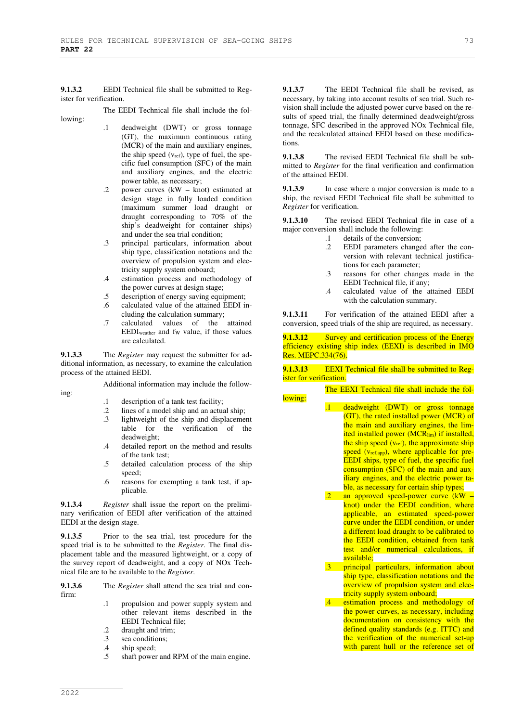**9.1.3.2** EEDI Technical file shall be submitted to Register for verification.

The EEDI Technical file shall include the following:

- .1 deadweight (DWT) or gross tonnage (GT), the maximum continuous rating (MCR) of the main and auxiliary engines, the ship speed  $(v_{ref})$ , type of fuel, the specific fuel consumption (SFC) of the main and auxiliary engines, and the electric power table, as necessary;
- .2 power curves (kW knot) estimated at design stage in fully loaded condition (maximum summer load draught or draught corresponding to 70% of the ship's deadweight for container ships) and under the sea trial condition;
- .3 principal particulars, information about ship type, classification notations and the overview of propulsion system and electricity supply system onboard;
- .4 estimation process and methodology of the power curves at design stage;
- .5 description of energy saving equipment;
- .6 calculated value of the attained EEDI including the calculation summary;
- .7 calculated values of the attained EEDI<sub>weather</sub> and fw value, if those values are calculated.

**9.1.3.3** The *Register* may request the submitter for additional information, as necessary, to examine the calculation process of the attained EEDI.

Additional information may include the follow-

ing:

- .1 description of a tank test facility;
- .2 lines of a model ship and an actual ship;
- .3 lightweight of the ship and displacement table for the verification of the deadweight;
- .4 detailed report on the method and results of the tank test;
- .5 detailed calculation process of the ship speed:
- .6 reasons for exempting a tank test, if applicable.

**9.1.3.4** *Register* shall issue the report on the preliminary verification of EEDI after verification of the attained EEDI at the design stage.

**9.1.3.5** Prior to the sea trial, test procedure for the speed trial is to be submitted to the *Register*. The final displacement table and the measured lightweight, or a copy of the survey report of deadweight, and a copy of NOx Technical file are to be available to the *Register*.

**9.1.3.6** The *Register* shall attend the sea trial and confirm:

- .1 propulsion and power supply system and other relevant items described in the EEDI Technical file;
- .2 draught and trim;<br>.3 sea conditions;
- sea conditions:
- .4 ship speed;
- .5 shaft power and RPM of the main engine.

**9.1.3.7** The EEDI Technical file shall be revised, as necessary, by taking into account results of sea trial. Such revision shall include the adjusted power curve based on the results of speed trial, the finally determined deadweight/gross tonnage, SFC described in the approved NOx Technical file, and the recalculated attained EEDI based on these modifications.

**9.1.3.8** The revised EEDI Technical file shall be submitted to *Register* for the final verification and confirmation of the attained EEDI.

**9.1.3.9** In case where a major conversion is made to a ship, the revised EEDI Technical file shall be submitted to *Register* for verification.

**9.1.3.10** The revised EEDI Technical file in case of a major conversion shall include the following:

- .1 details of the conversion;
- .2 EEDI parameters changed after the conversion with relevant technical justifications for each parameter;
- .3 reasons for other changes made in the EEDI Technical file, if any;
- .4 calculated value of the attained EEDI with the calculation summary.

**9.1.3.11** For verification of the attained EEDI after a conversion, speed trials of the ship are required, as necessary.

**9.1.3.12** Survey and certification process of the Energy efficiency existing ship index (EEXI) is described in IMO  $Res. MEPC.334(76).$ 

#### **9.1.3.13** EEXI Technical file shall be submitted to Register for verification.

lowing:

## The EEXI Technical file shall include the fol-

- .1 deadweight (DWT) or gross tonnage (GT), the rated installed power (MCR) of the main and auxiliary engines, the limited installed power (MCR<sub>lim</sub>) if installed, the ship speed (v<sub>ref</sub>), the approximate ship speed (V<sub>ref,app</sub>), where applicable for pre-EEDI ships, type of fuel, the specific fuel consumption (SFC) of the main and auxiliary engines, and the electric power table, as necessary for certain ship types;
- .2 an approved speed-power curve (kW knot) under the EEDI condition, where applicable, an estimated speed-power curve under the EEDI condition, or under a different load draught to be calibrated to the EEDI condition, obtained from tank test and/or numerical calculations, if available;
- .3 principal particulars, information about ship type, classification notations and the overview of propulsion system and electricity supply system onboard;
- .4 estimation process and methodology of the power curves, as necessary, including documentation on consistency with the defined quality standards (e.g. ITTC) and the verification of the numerical set-up with parent hull or the reference set of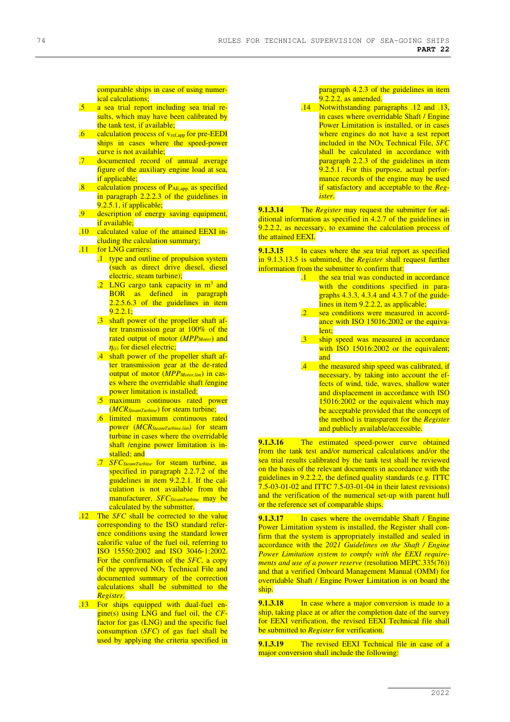- comparable ships in case of using numerical calculations;
- .5 a sea trial report including sea trial results, which may have been calibrated by the tank test, if available;
- $.6$  calculation process of  $v_{ref,app}$  for pre-EEDI ships in cases where the speed-power curve is not available;
- .7 documented record of annual average figure of the auxiliary engine load at sea, if applicable;
- $.8$  calculation process of  $P_{AE,app}$  as specified in paragraph 2.2.2.3 of the guidelines in 9.2.5.1, if applicable;
- .9 description of energy saving equipment, if available;
- .10 calculated value of the attained EEXI including the calculation summary;
- .11 for LNG carriers:
	- .1 type and outline of propulsion system (such as direct drive diesel, diesel electric, steam turbine);
	- $\cdot$  2 LNG cargo tank capacity in  $m<sup>3</sup>$  and BOR as defined in paragraph 2.2.5.6.3 of the guidelines in item  $9.2.2.1;$
	- .3 shaft power of the propeller shaft after transmission gear at 100% of the rated output of motor (*MPPMotor*) and  $\eta_{(i)}$  for diesel electric;
	- .4 shaft power of the propeller shaft after transmission gear at the de-rated output of motor (*MPPMotor,lim*) in cases where the overridable shaft /engine power limitation is installed;
	- .5 maximum continuous rated power (*MCRSteamTurbine*) for steam turbine;
	- .6 limited maximum continuous rated power (*MCRSteamTurbine,lim*) for steam turbine in cases where the overridable shaft /engine power limitation is installed; and
	- .7 *SFCSteamTurbine* for steam turbine, as specified in paragraph 2.2.7.2 of the guidelines in item 9.2.2.1. If the calculation is not available from the manufacturer, *SFCSteamTurbine* may be calculated by the submitter.
- .12 The *SFC* shall be corrected to the value corresponding to the ISO standard reference conditions using the standard lower calorific value of the fuel oil, referring to ISO 15550:2002 and ISO 3046-1:2002. For the confirmation of the *SFC*, a copy of the approved  $NO_X$  Technical File and documented summary of the correction calculations shall be submitted to the *Register*.
- .13 For ships equipped with dual-fuel engine(s) using LNG and fuel oil, the *CF*factor for gas (LNG) and the specific fuel consumption (*SFC*) of gas fuel shall be used by applying the criteria specified in

paragraph 4.2.3 of the guidelines in item **9.2.2.2**, as amended.

.14 Notwithstanding paragraphs .12 and .13, in cases where overridable Shaft / Engine Power Limitation is installed, or in cases where engines do not have a test report included in the NOX Technical File, *SFC*  shall be calculated in accordance with paragraph 2.2.3 of the guidelines in item 9.2.5.1. For this purpose, actual performance records of the engine may be used if satisfactory and acceptable to the *Register*.

**9.1.3.14** The *Register* may request the submitter for additional information as specified in 4.2.7 of the guidelines in 9.2.2.2, as necessary, to examine the calculation process of the attained EEXI.

**9.1.3.15** In cases where the sea trial report as specified in 9.1.3.13.5 is submitted, the *Register* shall request further information from the submitter to confirm that:

- .1 the sea trial was conducted in accordance with the conditions specified in paragraphs 4.3.3, 4.3.4 and 4.3.7 of the guidelines in item 9.2.2.2, as applicable;
- sea conditions were measured in accordance with ISO 15016:2002 or the equivalent<sup>.</sup>
- .3 ship speed was measured in accordance with ISO 15016:2002 or the equivalent; and
- .4 the measured ship speed was calibrated, if necessary, by taking into account the effects of wind, tide, waves, shallow water and displacement in accordance with ISO 15016:2002 or the equivalent which may be acceptable provided that the concept of the method is transparent for the *Register* and publicly available/accessible.

**9.1.3.16** The estimated speed-power curve obtained from the tank test and/or numerical calculations and/or the sea trial results calibrated by the tank test shall be reviewed on the basis of the relevant documents in accordance with the guidelines in 9.2.2.2, the defined quality standards (e.g. ITTC 7.5-03-01-02 and ITTC 7.5-03-01-04 in their latest revisions) and the verification of the numerical set-up with parent hull or the reference set of comparable ships.

**9.1.3.17** In cases where the overridable Shaft / Engine Power Limitation system is installed, the Register shall confirm that the system is appropriately installed and sealed in accordance with the *2021 Guidelines on the Shaft / Engine Power Limitation system to comply with the EEXI requirements and use of a power reserve* (resolution MEPC.335(76)) and that a verified Onboard Management Manual (OMM) for overridable Shaft / Engine Power Limitation is on board the ship.

**9.1.3.18** In case where a major conversion is made to a ship, taking place at or after the completion date of the survey for EEXI verification, the revised EEXI Technical file shall be submitted to *Register* for verification.

**9.1.3.19** The revised EEXI Technical file in case of a major conversion shall include the following: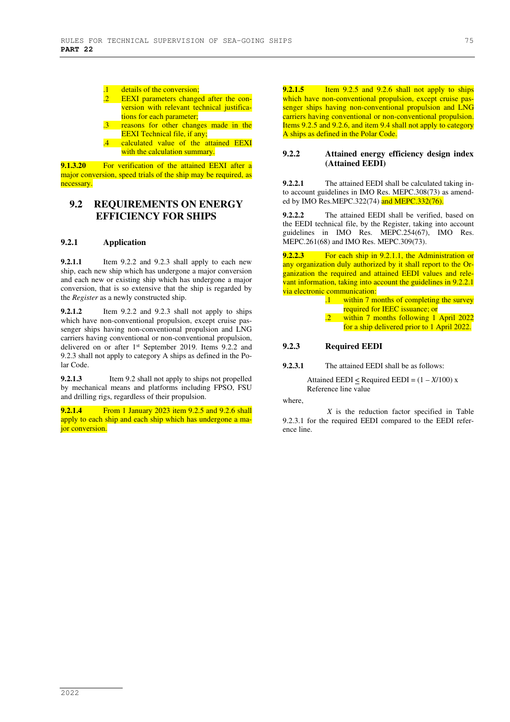### details of the conversion;

- EEXI parameters changed after the conversion with relevant technical justifications for each parameter;
- reasons for other changes made in the EEXI Technical file, if any;
- calculated value of the attained EEXI with the calculation summary.

**9.1.3.20** For verification of the attained EEXI after a major conversion, speed trials of the ship may be required, as necessary.

## **9.2 REQUIREMENTS ON ENERGY EFFICIENCY FOR SHIPS**

## **9.2.1 Application**

**9.2.1.1** Item 9.2.2 and 9.2.3 shall apply to each new ship, each new ship which has undergone a major conversion and each new or existing ship which has undergone a major conversion, that is so extensive that the ship is regarded by the *Register* as a newly constructed ship.

**9.2.1.2** Item 9.2.2 and 9.2.3 shall not apply to ships which have non-conventional propulsion, except cruise passenger ships having non-conventional propulsion and LNG carriers having conventional or non-conventional propulsion, delivered on or after 1<sup>st</sup> September 2019. Items 9.2.2 and 9.2.3 shall not apply to category A ships as defined in the Polar Code.

**9.2.1.3** Item 9.2 shall not apply to ships not propelled by mechanical means and platforms including FPSO, FSU and drilling rigs, regardless of their propulsion.

**9.2.1.4** From 1 January 2023 item 9.2.5 and 9.2.6 shall apply to each ship and each ship which has undergone a maior conversion.

**9.2.1.5** Item 9.2.5 and 9.2.6 shall not apply to ships which have non-conventional propulsion, except cruise passenger ships having non-conventional propulsion and LNG carriers having conventional or non-conventional propulsion. Items 9.2.5 and 9.2.6, and item 9.4 shall not apply to category A ships as defined in the Polar Code.

## **9.2.2 Attained energy efficiency design index (Attained EEDI)**

**9.2.2.1** The attained EEDI shall be calculated taking into account guidelines in IMO Res. MEPC.308(73) as amended by IMO Res.MEPC.322(74) and MEPC.332(76).

**9.2.2.2** The attained EEDI shall be verified, based on the EEDI technical file, by the Register, taking into account guidelines in IMO Res. MEPC.254(67), IMO Res. MEPC.261(68) and IMO Res. MEPC.309(73).

**9.2.2.3** For each ship in 9.2.1.1, the Administration or any organization duly authorized by it shall report to the Organization the required and attained EEDI values and relevant information, taking into account the guidelines in 9.2.2.1 via electronic communication:

> .1 within 7 months of completing the survey required for IEEC issuance; or within 7 months following 1 April 2022 for a ship delivered prior to 1 April 2022.

#### **9.2.3 Required EEDI**

**9.2.3.1** The attained EEDI shall be as follows:

Attained EEDI  $\leq$  Required EEDI =  $(1 - X/100)$  x Reference line value

where,

*X* is the reduction factor specified in Table 9.2.3.1 for the required EEDI compared to the EEDI reference line.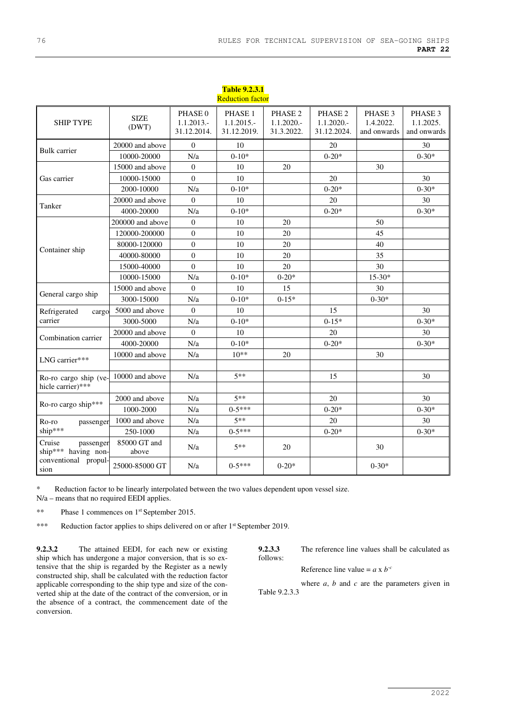| <b>SHIP TYPE</b>                                                           | <b>SIZE</b><br>(DWT)  | PHASE <sub>0</sub><br>1.1.2013.-<br>31.12.2014. | PHASE 1<br>$1.1.2015. -$<br>31.12.2019. | PHASE <sub>2</sub><br>1.1.2020.-<br>31.3.2022. | PHASE <sub>2</sub><br>$1.1.2020. -$<br>31.12.2024. | PHASE 3<br>1.4.2022.<br>and onwards | PHASE 3<br>1.1.2025.<br>and onwards |
|----------------------------------------------------------------------------|-----------------------|-------------------------------------------------|-----------------------------------------|------------------------------------------------|----------------------------------------------------|-------------------------------------|-------------------------------------|
| <b>Bulk</b> carrier                                                        | 20000 and above       | $\mathbf{0}$                                    | 10                                      |                                                | 20                                                 |                                     | 30                                  |
|                                                                            | 10000-20000           | N/a                                             | $0-10*$                                 |                                                | $0-20*$                                            |                                     | $0-30*$                             |
|                                                                            | 15000 and above       | $\theta$                                        | 10                                      | 20                                             |                                                    | 30                                  |                                     |
| Gas carrier                                                                | 10000-15000           | $\boldsymbol{0}$                                | 10                                      |                                                | 20                                                 |                                     | 30                                  |
|                                                                            | 2000-10000            | N/a                                             | $0 - 10*$                               |                                                | $0 - 20*$                                          |                                     | $0 - 30*$                           |
| Tanker                                                                     | 20000 and above       | $\Omega$                                        | 10                                      |                                                | 20                                                 |                                     | 30                                  |
|                                                                            | 4000-20000            | N/a                                             | $0-10*$                                 |                                                | $0-20*$                                            |                                     | $0-30*$                             |
| Container ship                                                             | 200000 and above      | $\boldsymbol{0}$                                | 10                                      | 20                                             |                                                    | 50                                  |                                     |
|                                                                            | 120000-200000         | $\mathbf{0}$                                    | 10                                      | 20                                             |                                                    | 45                                  |                                     |
|                                                                            | 80000-120000          | $\boldsymbol{0}$                                | 10                                      | 20                                             |                                                    | 40                                  |                                     |
|                                                                            | 40000-80000           | $\overline{0}$                                  | 10                                      | 20                                             |                                                    | 35                                  |                                     |
|                                                                            | 15000-40000           | $\theta$                                        | 10                                      | 20                                             |                                                    | 30                                  |                                     |
|                                                                            | 10000-15000           | N/a                                             | $0-10*$                                 | $0-20*$                                        |                                                    | $15 - 30*$                          |                                     |
| General cargo ship                                                         | 15000 and above       | $\boldsymbol{0}$                                | 10                                      | 15                                             |                                                    | 30                                  |                                     |
|                                                                            | 3000-15000            | N/a                                             | $0-10*$                                 | $0-15*$                                        |                                                    | $0-30*$                             |                                     |
| Refrigerated<br>cargo<br>carrier                                           | 5000 and above        | $\mathbf{0}$                                    | 10                                      |                                                | 15                                                 |                                     | 30                                  |
|                                                                            | 3000-5000             | N/a                                             | $0 - 10*$                               |                                                | $0-15*$                                            |                                     | $0 - 30*$                           |
| Combination carrier                                                        | 20000 and above       | $\theta$                                        | 10                                      |                                                | 20                                                 |                                     | 30                                  |
|                                                                            | 4000-20000            | N/a                                             | $0-10*$                                 |                                                | $0-20*$                                            |                                     | $0-30*$                             |
| LNG carrier***                                                             | 10000 and above       | N/a                                             | $10**$                                  | 20                                             |                                                    | 30                                  |                                     |
| Ro-ro cargo ship (ve-<br>hicle carrier)***                                 | 10000 and above       | N/a                                             | $5**$                                   |                                                | 15                                                 |                                     | 30                                  |
| Ro-ro cargo ship***                                                        | 2000 and above        | N/a                                             | $5**$                                   |                                                | 20                                                 |                                     | 30                                  |
|                                                                            | 1000-2000             | N/a                                             | $0-5***$                                |                                                | $0 - 20*$                                          |                                     | $0-30*$                             |
| Ro-ro<br>passenger<br>ship***                                              | 1000 and above        | N/a                                             | $5**$                                   |                                                | 20                                                 |                                     | 30                                  |
|                                                                            | 250-1000              | N/a                                             | $0-5***$                                |                                                | $0-20*$                                            |                                     | $0-30*$                             |
| Cruise<br>passenger<br>ship*** having non-<br>conventional propul-<br>sion | 85000 GT and<br>above | N/a                                             | $5**$                                   | 20                                             |                                                    | 30                                  |                                     |
|                                                                            | 25000-85000 GT        | N/a                                             | $0-5***$                                | $0-20*$                                        |                                                    | $0-30*$                             |                                     |

**Table 9.2.3.1 Reduction factor** 

\* Reduction factor to be linearly interpolated between the two values dependent upon vessel size.

N/a – means that no required EEDI applies.

\*\* Phase 1 commences on 1<sup>st</sup> September 2015.

\*\*\* Reduction factor applies to ships delivered on or after 1<sup>st</sup> September 2019.

**9.2.3.2** The attained EEDI, for each new or existing ship which has undergone a major conversion, that is so extensive that the ship is regarded by the Register as a newly constructed ship, shall be calculated with the reduction factor applicable corresponding to the ship type and size of the converted ship at the date of the contract of the conversion, or in the absence of a contract, the commencement date of the conversion.

**9.2.3.3** The reference line values shall be calculated as follows:

Reference line value =  $a \times b^{-c}$ 

where  $a, b$  and  $c$  are the parameters given in Table 9.2.3.3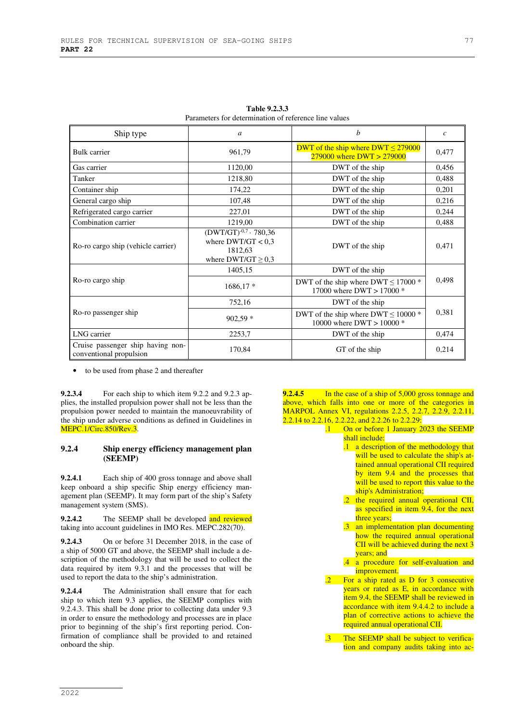| Ship type                                                    | $\mathfrak{a}$                                                                               | h                                                                         | $\mathcal{C}$ |
|--------------------------------------------------------------|----------------------------------------------------------------------------------------------|---------------------------------------------------------------------------|---------------|
| <b>Bulk</b> carrier                                          | 961,79                                                                                       | DWT of the ship where DWT $\leq$ 279000<br>$279000$ where DWT > 279000    | 0,477         |
| Gas carrier                                                  | 1120,00                                                                                      | DWT of the ship                                                           | 0,456         |
| Tanker                                                       | 1218,80                                                                                      | DWT of the ship                                                           | 0,488         |
| Container ship                                               | 174,22                                                                                       | DWT of the ship                                                           | 0,201         |
| General cargo ship                                           | 107,48                                                                                       | DWT of the ship                                                           | 0,216         |
| Refrigerated cargo carrier                                   | 227,01                                                                                       | DWT of the ship                                                           | 0,244         |
| Combination carrier                                          | 1219,00                                                                                      | DWT of the ship                                                           | 0,488         |
| Ro-ro cargo ship (vehicle carrier)                           | $(DWT/GT)^{-0.7} \cdot 780,36$<br>where $DWT/GT < 0.3$<br>1812,63<br>where $DWT/GT \geq 0.3$ | DWT of the ship                                                           | 0,471         |
|                                                              | 1405,15                                                                                      | DWT of the ship                                                           | 0,498         |
| Ro-ro cargo ship                                             | $1686,17*$                                                                                   | DWT of the ship where DWT $\leq$ 17000 $*$<br>17000 where DWT $> 17000$ * |               |
|                                                              | 752,16                                                                                       | DWT of the ship                                                           | 0,381         |
| Ro-ro passenger ship                                         | $902,59*$                                                                                    | DWT of the ship where DWT $\leq$ 10000 $*$<br>10000 where DWT $> 10000$ * |               |
| LNG carrier                                                  | 2253,7                                                                                       | DWT of the ship                                                           | 0,474         |
| Cruise passenger ship having non-<br>conventional propulsion | 170,84                                                                                       | GT of the ship                                                            | 0,214         |

**Table 9.2.3.3**  Parameters for determination of reference line values

• to be used from phase 2 and thereafter

**9.2.3.4** For each ship to which item 9.2.2 and 9.2.3 applies, the installed propulsion power shall not be less than the propulsion power needed to maintain the manoeuvrability of the ship under adverse conditions as defined in Guidelines in MEPC.1/Circ.850/Rev.3.

## **9.2.4 Ship energy efficiency management plan (SEEMP)**

**9.2.4.1** Each ship of 400 gross tonnage and above shall keep onboard a ship specific Ship energy efficiency management plan (SEEMP). It may form part of the ship's Safety management system (SMS).

**9.2.4.2** The SEEMP shall be developed and reviewed taking into account guidelines in IMO Res. MEPC.282(70).

**9.2.4.3** On or before 31 December 2018, in the case of a ship of 5000 GT and above, the SEEMP shall include a description of the methodology that will be used to collect the data required by item 9.3.1 and the processes that will be used to report the data to the ship's administration.

**9.2.4.4** The Administration shall ensure that for each ship to which item 9.3 applies, the SEEMP complies with 9.2.4.3. This shall be done prior to collecting data under 9.3 in order to ensure the methodology and processes are in place prior to beginning of the ship's first reporting period. Confirmation of compliance shall be provided to and retained onboard the ship.

**9.2.4.5** In the case of a ship of 5,000 gross tonnage and above, which falls into one or more of the categories in MARPOL Annex VI, regulations 2.2.5, 2.2.7, 2.2.9, 2.2.11, 2.2.14 to 2.2.16, 2.2.22, and 2.2.26 to 2.2.29:

.1 On or before 1 January 2023 the SEEMP shall include:

- .1 a description of the methodology that will be used to calculate the ship's attained annual operational CII required by item 9.4 and the processes that will be used to report this value to the ship's Administration;
- .2 the required annual operational CII, as specified in item 9.4, for the next three years:
- .3 an implementation plan documenting how the required annual operational CII will be achieved during the next 3 years; and
- .4 a procedure for self-evaluation and improvement.
- .2 For a ship rated as D for 3 consecutive years or rated as E, in accordance with item 9.4, the SEEMP shall be reviewed in accordance with item 9.4.4.2 to include a plan of corrective actions to achieve the required annual operational CII.
- .3 The SEEMP shall be subject to verification and company audits taking into ac-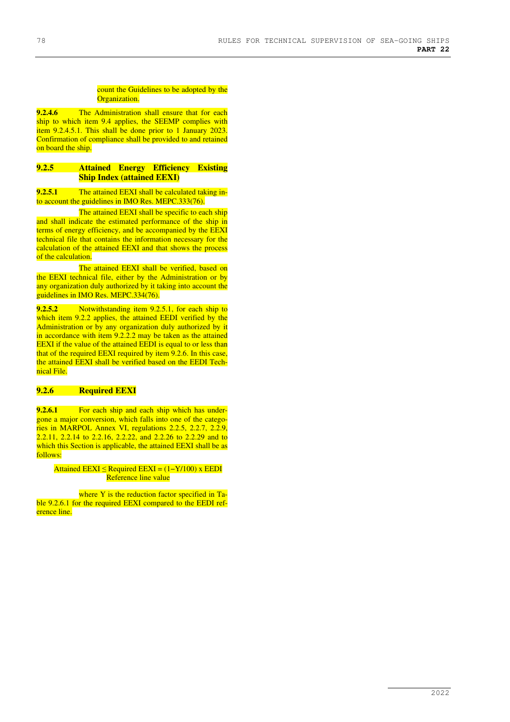#### count the Guidelines to be adopted by the Organization.

**9.2.4.6 The Administration shall ensure that for each** ship to which item 9.4 applies, the SEEMP complies with item 9.2.4.5.1. This shall be done prior to 1 January 2023. Confirmation of compliance shall be provided to and retained on board the ship.

## **9.2.5 Attained Energy Efficiency Existing Ship Index (attained EEXI)**

**9.2.5.1** The attained EEXI shall be calculated taking into account the guidelines in IMO Res. MEPC.333(76).

The attained EEXI shall be specific to each ship and shall indicate the estimated performance of the ship in terms of energy efficiency, and be accompanied by the EEXI technical file that contains the information necessary for the calculation of the attained EEXI and that shows the process of the calculation.

The attained EEXI shall be verified, based on the EEXI technical file, either by the Administration or by any organization duly authorized by it taking into account the guidelines in IMO Res. MEPC.334(76).

**9.2.5.2** Notwithstanding item 9.2.5.1, for each ship to which item 9.2.2 applies, the attained EEDI verified by the Administration or by any organization duly authorized by it in accordance with item  $9.2.2.2$  may be taken as the attained EEXI if the value of the attained EEDI is equal to or less than that of the required EEXI required by item 9.2.6. In this case, the attained EEXI shall be verified based on the EEDI Technical File.

## **9.2.6 Required EEXI**

**9.2.6.1** For each ship and each ship which has undergone a major conversion, which falls into one of the categories in MARPOL Annex VI, regulations 2.2.5, 2.2.7, 2.2.9, 2.2.11, 2.2.14 to 2.2.16, 2.2.22, and 2.2.26 to 2.2.29 and to which this Section is applicable, the attained EEXI shall be as follows:

#### Attained EEXI ≤ Required EEXI = (1−Y/100) x EEDI Reference line value

where Y is the reduction factor specified in Table 9.2.6.1 for the required EEXI compared to the EEDI reference line.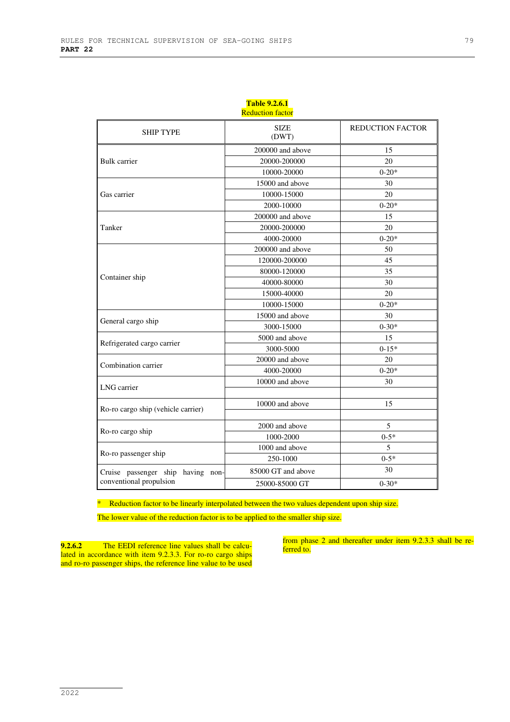| <b>SHIP TYPE</b>                   | <b>SIZE</b><br>(DWT) | <b>REDUCTION FACTOR</b> |  |
|------------------------------------|----------------------|-------------------------|--|
|                                    | 200000 and above     | 15                      |  |
| <b>Bulk</b> carrier                | 20000-200000         | 20                      |  |
|                                    | 10000-20000          | $0 - 20*$               |  |
|                                    | 15000 and above      | 30                      |  |
| Gas carrier                        | 10000-15000          | 20                      |  |
|                                    | 2000-10000           | $0 - 20*$               |  |
|                                    | 200000 and above     | 15                      |  |
| Tanker                             | 20000-200000         | 20                      |  |
|                                    | 4000-20000           | $0 - 20*$               |  |
|                                    | 200000 and above     | 50                      |  |
|                                    | 120000-200000        | 45                      |  |
|                                    | 80000-120000         | 35                      |  |
| Container ship                     | 40000-80000          | 30                      |  |
|                                    | 15000-40000          | 20                      |  |
|                                    | 10000-15000          | $0 - 20*$               |  |
|                                    | 15000 and above      | 30                      |  |
| General cargo ship                 | 3000-15000           | $0 - 30*$               |  |
|                                    | 5000 and above       | 15                      |  |
| Refrigerated cargo carrier         | 3000-5000            | $0-15*$                 |  |
| Combination carrier                | 20000 and above      | 20                      |  |
|                                    | 4000-20000           | $0 - 20*$               |  |
| LNG carrier                        | 10000 and above      | 30                      |  |
| Ro-ro cargo ship (vehicle carrier) | 10000 and above      | 15                      |  |
|                                    | 2000 and above       | 5                       |  |
| Ro-ro cargo ship                   | 1000-2000            | $0 - 5*$                |  |
|                                    | 1000 and above       | 5                       |  |
| Ro-ro passenger ship               | 250-1000             | $0 - 5*$                |  |
| Cruise passenger ship having non-  | 85000 GT and above   | 30                      |  |
| conventional propulsion            | 25000-85000 GT       | $0 - 30*$               |  |

**Table 9.2.6.1 Reduction factor** 

\* Reduction factor to be linearly interpolated between the two values dependent upon ship size.

The lower value of the reduction factor is to be applied to the smaller ship size.

**9.2.6.2** The EEDI reference line values shall be calculated in accordance with item 9.2.3.3. For ro-ro cargo ships and ro-ro passenger ships, the reference line value to be used

from phase 2 and thereafter under item 9.2.3.3 shall be referred to.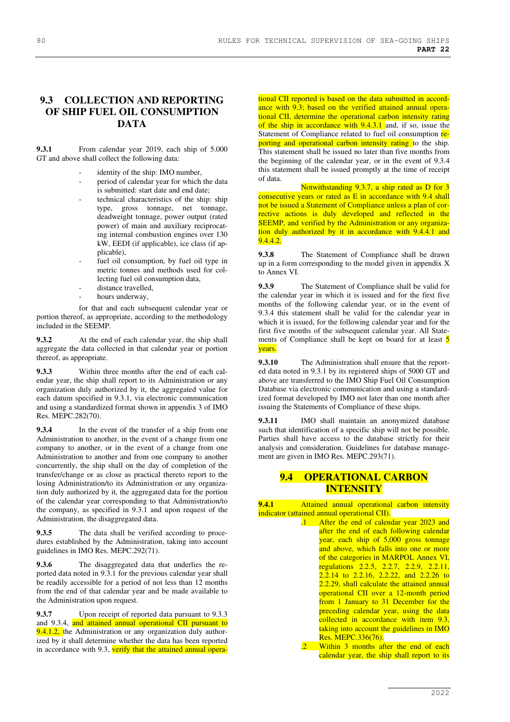# **9.3 COLLECTION AND REPORTING OF SHIP FUEL OIL CONSUMPTION DATA**

**9.3.1 From calendar year 2019, each ship of 5.000** GT and above shall collect the following data:

- identity of the ship: IMO number,
- period of calendar year for which the data is submitted: start date and end date;
- technical characteristics of the ship: ship type, gross tonnage, net tonnage, deadweight tonnage, power output (rated power) of main and auxiliary reciprocating internal combustion engines over 130 kW, EEDI (if applicable), ice class (if applicable),
- fuel oil consumption, by fuel oil type in metric tonnes and methods used for collecting fuel oil consumption data,
- distance travelled,
- hours underway.

for that and each subsequent calendar year or portion thereof, as appropriate, according to the methodology included in the SEEMP.

**9.3.2** At the end of each calendar year, the ship shall aggregate the data collected in that calendar year or portion thereof, as appropriate.

**9.3.3** Within three months after the end of each calendar year, the ship shall report to its Administration or any organization duly authorized by it, the aggregated value for each datum specified in 9.3.1, via electronic communication and using a standardized format shown in appendix 3 of IMO Res. MEPC.282(70).

**9.3.4** In the event of the transfer of a ship from one Administration to another, in the event of a change from one company to another, or in the event of a change from one Administration to another and from one company to another concurrently, the ship shall on the day of completion of the transfer/change or as close as practical thereto report to the losing Administration/to its Administration or any organization duly authorized by it, the aggregated data for the portion of the calendar year corresponding to that Administration/to the company, as specified in 9.3.1 and upon request of the Administration, the disaggregated data.

**9.3.5** The data shall be verified according to procedures established by the Administration, taking into account guidelines in IMO Res. MEPC.292(71).

**9.3.6** The disaggregated data that underlies the reported data noted in 9.3.1 for the previous calendar year shall be readily accessible for a period of not less than 12 months from the end of that calendar year and be made available to the Administration upon request.

**9.3.7** Upon receipt of reported data pursuant to 9.3.3 and 9.3.4, and attained annual operational CII pursuant to 9.4.1.2, the Administration or any organization duly authorized by it shall determine whether the data has been reported in accordance with 9.3, verify that the attained annual operational CII reported is based on the data submitted in accordance with 9.3; based on the verified attained annual operational CII, determine the operational carbon intensity rating of the ship in accordance with 9.4.3.1 and, if so, issue the Statement of Compliance related to fuel oil consumption reporting and operational carbon intensity rating to the ship. This statement shall be issued no later than five months from the beginning of the calendar year, or in the event of 9.3.4 this statement shall be issued promptly at the time of receipt of data.

Notwithstanding 9.3.7, a ship rated as D for 3 consecutive years or rated as E in accordance with 9.4 shall not be issued a Statement of Compliance unless a plan of corrective actions is duly developed and reflected in the SEEMP, and verified by the Administration or any organization duly authorized by it in accordance with 9.4.4.1 and 9.4.4.2.

**9.3.8** The Statement of Compliance shall be drawn up in a form corresponding to the model given in appendix X to Annex VI.

**9.3.9** The Statement of Compliance shall be valid for the calendar year in which it is issued and for the first five months of the following calendar year, or in the event of 9.3.4 this statement shall be valid for the calendar year in which it is issued, for the following calendar year and for the first five months of the subsequent calendar year. All Statements of Compliance shall be kept on board for at least 5 years.

**9.3.10** The Administration shall ensure that the reported data noted in 9.3.1 by its registered ships of 5000 GT and above are transferred to the IMO Ship Fuel Oil Consumption Database via electronic communication and using a standardized format developed by IMO not later than one month after issuing the Statements of Compliance of these ships.

**9.3.11** IMO shall maintain an anonymized database such that identification of a specific ship will not be possible. Parties shall have access to the database strictly for their analysis and consideration. Guidelines for database management are given in IMO Res. MEPC.293(71).

# **9.4 OPERATIONAL CARBON INTENSITY**

**9.4.1** • Attained annual operational carbon intensity indicator (attained annual operational CII).

- .1 After the end of calendar year 2023 and after the end of each following calendar year, each ship of 5,000 gross tonnage and above, which falls into one or more of the categories in MARPOL Annex VI, regulations 2.2.5, 2.2.7, 2.2.9, 2.2.11, 2.2.14 to 2.2.16, 2.2.22, and 2.2.26 to 2.2.29, shall calculate the attained annual operational CII over a 12-month period from 1 January to 31 December for the preceding calendar year, using the data collected in accordance with item 9.3, taking into account the guidelines in IMO Res. MEPC.336(76). Within 3 months after the end of each
	- calendar year, the ship shall report to its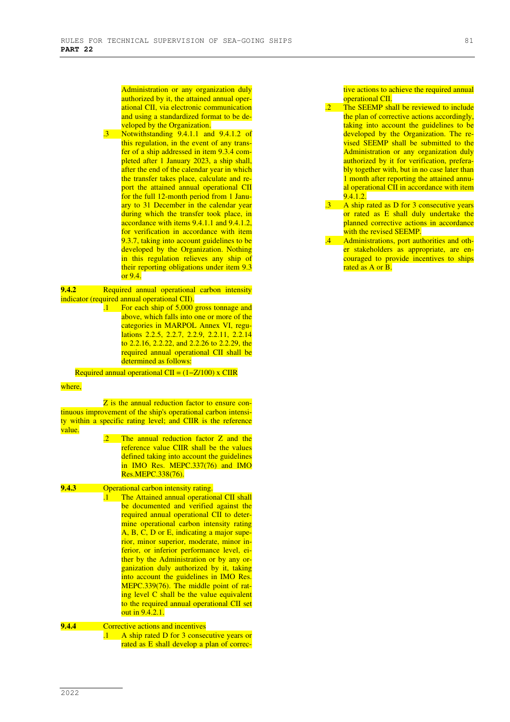81

Administration or any organization duly authorized by it, the attained annual operational CII, via electronic communication and using a standardized format to be developed by the Organization.

.3 Notwithstanding 9.4.1.1 and 9.4.1.2 of this regulation, in the event of any transfer of a ship addressed in item 9.3.4 completed after 1 January 2023, a ship shall, after the end of the calendar year in which the transfer takes place, calculate and report the attained annual operational CII for the full 12-month period from 1 January to 31 December in the calendar year during which the transfer took place, in accordance with items 9.4.1.1 and 9.4.1.2, for verification in accordance with item 9.3.7, taking into account guidelines to be developed by the Organization. Nothing in this regulation relieves any ship of their reporting obligations under item 9.3 or  $9.4.$ 

#### **9.4.2 Required annual operational carbon intensity** indicator (required annual operational CII).

.1 For each ship of 5,000 gross tonnage and above, which falls into one or more of the categories in MARPOL Annex VI, regulations 2.2.5, 2.2.7, 2.2.9, 2.2.11, 2.2.14 to 2.2.16, 2.2.22, and 2.2.26 to 2.2.29, the required annual operational CII shall be determined as follows:

Required annual operational CII =  $(1-Z/100)$  x CIIR

#### where,

Z is the annual reduction factor to ensure continuous improvement of the ship's operational carbon intensity within a specific rating level; and CIIR is the reference value.

The annual reduction factor Z and the reference value CIIR shall be the values defined taking into account the guidelines in IMO Res. MEPC.337(76) and IMO Res.MEPC.338(76).

### **9.4.3 Operational carbon intensity rating.**

.1 The Attained annual operational CII shall be documented and verified against the required annual operational CII to determine operational carbon intensity rating A, B, C, D or E, indicating a major superior, minor superior, moderate, minor inferior, or inferior performance level, either by the Administration or by any organization duly authorized by it, taking into account the guidelines in IMO Res. MEPC.339(76). The middle point of rating level C shall be the value equivalent to the required annual operational CII set out in 9.4.2.1.

#### **9.4.4 Corrective actions and incentives** .1 A ship rated D for 3 consecutive years or rated as E shall develop a plan of correc-

tive actions to achieve the required annual operational CII.

- The SEEMP shall be reviewed to include the plan of corrective actions accordingly, taking into account the guidelines to be developed by the Organization. The revised SEEMP shall be submitted to the Administration or any organization duly authorized by it for verification, preferably together with, but in no case later than 1 month after reporting the attained annual operational CII in accordance with item  $9.4.1.2.$
- .3 A ship rated as D for 3 consecutive years or rated as E shall duly undertake the planned corrective actions in accordance with the revised **SEEMP**.
	- Administrations, port authorities and other stakeholders as appropriate, are encouraged to provide incentives to ships rated as A or B.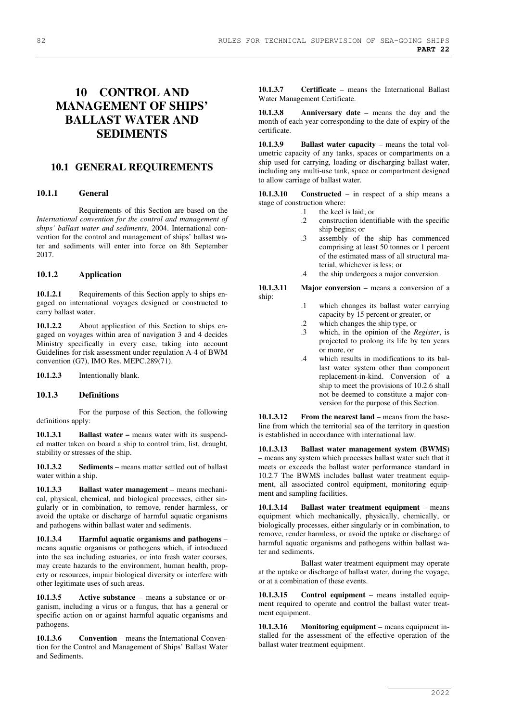# **10 CONTROL AND MANAGEMENT OF SHIPS' BALLAST WATER AND SEDIMENTS**

## **10.1 GENERAL REQUIREMENTS**

## **10.1.1 General**

Requirements of this Section are based on the *International convention for the control and management of ships' ballast water and sediments*, 2004. International convention for the control and management of ships' ballast water and sediments will enter into force on 8th September 2017.

#### **10.1.2 Application**

**10.1.2.1** Requirements of this Section apply to ships engaged on international voyages designed or constructed to carry ballast water.

**10.1.2.2** About application of this Section to ships engaged on voyages within area of navigation 3 and 4 decides Ministry specifically in every case, taking into account Guidelines for risk assessment under regulation A-4 of BWM convention (G7), IMO Res. MEPC.289(71).

**10.1.2.3** Intentionally blank.

#### **10.1.3 Definitions**

For the purpose of this Section, the following definitions apply:

**10.1.3.1 Ballast water –** means water with its suspended matter taken on board a ship to control trim, list, draught, stability or stresses of the ship.

**10.1.3.2 Sediments** – means matter settled out of ballast water within a ship.

**10.1.3.3 Ballast water management** – means mechanical, physical, chemical, and biological processes, either singularly or in combination, to remove, render harmless, or avoid the uptake or discharge of harmful aquatic organisms and pathogens within ballast water and sediments.

**10.1.3.4 Harmful aquatic organisms and pathogens** – means aquatic organisms or pathogens which, if introduced into the sea including estuaries, or into fresh water courses, may create hazards to the environment, human health, property or resources, impair biological diversity or interfere with other legitimate uses of such areas.

**10.1.3.5 Active substance** – means a substance or organism, including a virus or a fungus, that has a general or specific action on or against harmful aquatic organisms and pathogens.

**10.1.3.6 Convention** – means the International Convention for the Control and Management of Ships' Ballast Water and Sediments.

**10.1.3.7 Certificate** – means the International Ballast Water Management Certificate.

**10.1.3.8 Anniversary date** – means the day and the month of each year corresponding to the date of expiry of the certificate.

**10.1.3.9 Ballast water capacity** – means the total volumetric capacity of any tanks, spaces or compartments on a ship used for carrying, loading or discharging ballast water, including any multi-use tank, space or compartment designed to allow carriage of ballast water.

**10.1.3.10 Constructed** – in respect of a ship means a stage of construction where:

- .1 the keel is laid; or
- .2 construction identifiable with the specific ship begins; or
- .3 assembly of the ship has commenced comprising at least 50 tonnes or 1 percent of the estimated mass of all structural material, whichever is less; or
- .4 the ship undergoes a major conversion.

**10.1.3.11 Major conversion** – means a conversion of a ship:

- .1 which changes its ballast water carrying capacity by 15 percent or greater, or
- .2 which changes the ship type, or
- .3 which, in the opinion of the *Register*, is projected to prolong its life by ten years or more, or
- .4 which results in modifications to its ballast water system other than component replacement-in-kind. Conversion of a ship to meet the provisions of 10.2.6 shall not be deemed to constitute a major conversion for the purpose of this Section.

**10.1.3.12 From the nearest land** – means from the baseline from which the territorial sea of the territory in question is established in accordance with international law.

**10.1.3.13 Ballast water management system (BWMS)** – means any system which processes ballast water such that it meets or exceeds the ballast water performance standard in 10.2.7 The BWMS includes ballast water treatment equipment, all associated control equipment, monitoring equipment and sampling facilities.

**10.1.3.14 Ballast water treatment equipment** – means equipment which mechanically, physically, chemically, or biologically processes, either singularly or in combination, to remove, render harmless, or avoid the uptake or discharge of harmful aquatic organisms and pathogens within ballast water and sediments.

Ballast water treatment equipment may operate at the uptake or discharge of ballast water, during the voyage, or at a combination of these events.

**10.1.3.15 Control equipment** – means installed equipment required to operate and control the ballast water treatment equipment.

**10.1.3.16 Monitoring equipment** – means equipment installed for the assessment of the effective operation of the ballast water treatment equipment.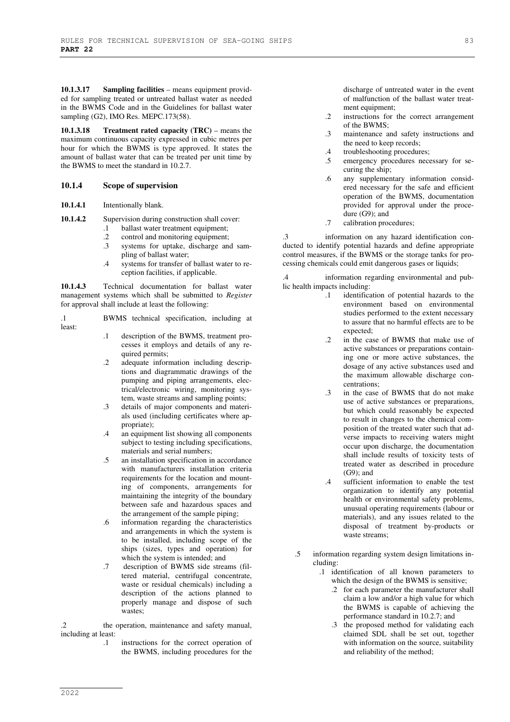**10.1.3.17 Sampling facilities** – means equipment provided for sampling treated or untreated ballast water as needed in the BWMS Code and in the Guidelines for ballast water sampling (G2), IMO Res. MEPC.173(58).

**10.1.3.18 Treatment rated capacity (TRC)** – means the maximum continuous capacity expressed in cubic metres per hour for which the BWMS is type approved. It states the amount of ballast water that can be treated per unit time by the BWMS to meet the standard in 10.2.7.

#### **10.1.4 Scope of supervision**

**10.1.4.1** Intentionally blank.

10.1.4.2 Supervision during construction shall cover:

- .1 ballast water treatment equipment;
- 2 control and monitoring equipment;<br>3 systems for untake, discharge and systems for uptake, discharge and sam-
- pling of ballast water; .4 systems for transfer of ballast water to re-

ception facilities, if applicable. **10.1.4.3** Technical documentation for ballast water management systems which shall be submitted to *Register* 

.1 BWMS technical specification, including at least:

for approval shall include at least the following:

- .1 description of the BWMS, treatment processes it employs and details of any required permits;
- .2 adequate information including descriptions and diagrammatic drawings of the pumping and piping arrangements, electrical/electronic wiring, monitoring system, waste streams and sampling points;
- .3 details of major components and materials used (including certificates where appropriate);
- .4 an equipment list showing all components subject to testing including specifications, materials and serial numbers;
- .5 an installation specification in accordance with manufacturers installation criteria requirements for the location and mounting of components, arrangements for maintaining the integrity of the boundary between safe and hazardous spaces and the arrangement of the sample piping;
- .6 information regarding the characteristics and arrangements in which the system is to be installed, including scope of the ships (sizes, types and operation) for which the system is intended; and
- .7 description of BWMS side streams (filtered material, centrifugal concentrate, waste or residual chemicals) including a description of the actions planned to properly manage and dispose of such wastes;

.2 the operation, maintenance and safety manual, including at least:

.1 instructions for the correct operation of the BWMS, including procedures for the

discharge of untreated water in the event of malfunction of the ballast water treatment equipment;

- .2 instructions for the correct arrangement of the BWMS;
- .3 maintenance and safety instructions and the need to keep records;
- .4 troubleshooting procedures;
- .5 emergency procedures necessary for securing the ship;
- .6 any supplementary information considered necessary for the safe and efficient operation of the BWMS, documentation provided for approval under the procedure (G9); and
- .7 calibration procedures;

.3 information on any hazard identification conducted to identify potential hazards and define appropriate control measures, if the BWMS or the storage tanks for processing chemicals could emit dangerous gases or liquids;

.4 information regarding environmental and public health impacts including:

- .1 identification of potential hazards to the environment based on environmental studies performed to the extent necessary to assure that no harmful effects are to be expected;
- .2 in the case of BWMS that make use of active substances or preparations containing one or more active substances, the dosage of any active substances used and the maximum allowable discharge concentrations;
- .3 in the case of BWMS that do not make use of active substances or preparations, but which could reasonably be expected to result in changes to the chemical composition of the treated water such that adverse impacts to receiving waters might occur upon discharge, the documentation shall include results of toxicity tests of treated water as described in procedure (G9); and
- .4 sufficient information to enable the test organization to identify any potential health or environmental safety problems, unusual operating requirements (labour or materials), and any issues related to the disposal of treatment by-products or waste streams;
- .5 information regarding system design limitations including:
	- .1 identification of all known parameters to which the design of the BWMS is sensitive;
		- .2 for each parameter the manufacturer shall claim a low and/or a high value for which the BWMS is capable of achieving the performance standard in 10.2.7; and
		- .3 the proposed method for validating each claimed SDL shall be set out, together with information on the source, suitability and reliability of the method;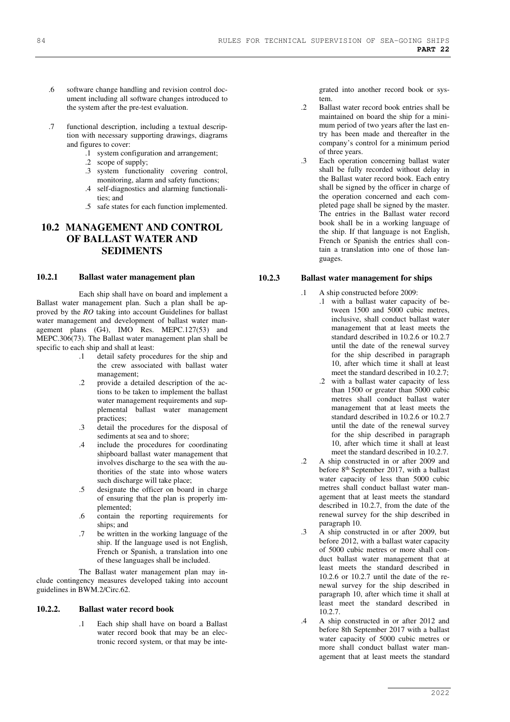- .6 software change handling and revision control document including all software changes introduced to the system after the pre-test evaluation.
- .7 functional description, including a textual description with necessary supporting drawings, diagrams and figures to cover:
	- .1 system configuration and arrangement;
	- .2 scope of supply;
	- .3 system functionality covering control, monitoring, alarm and safety functions;
	- .4 self-diagnostics and alarming functionalities; and
	- .5 safe states for each function implemented.

# **10.2 MANAGEMENT AND CONTROL OF BALLAST WATER AND SEDIMENTS**

### **10.2.1 Ballast water management plan**

Each ship shall have on board and implement a Ballast water management plan. Such a plan shall be approved by the *RO* taking into account Guidelines for ballast water management and development of ballast water management plans (G4), IMO Res. MEPC.127(53) and MEPC.306(73). The Ballast water management plan shall be specific to each ship and shall at least:

- .1 detail safety procedures for the ship and the crew associated with ballast water management;
- .2 provide a detailed description of the actions to be taken to implement the ballast water management requirements and supplemental ballast water management practices;
- .3 detail the procedures for the disposal of sediments at sea and to shore:
- .4 include the procedures for coordinating shipboard ballast water management that involves discharge to the sea with the authorities of the state into whose waters such discharge will take place;
- .5 designate the officer on board in charge of ensuring that the plan is properly implemented;
- .6 contain the reporting requirements for ships; and
- .7 be written in the working language of the ship. If the language used is not English, French or Spanish, a translation into one of these languages shall be included.

The Ballast water management plan may include contingency measures developed taking into account guidelines in BWM.2/Circ.62.

### **10.2.2. Ballast water record book**

.1 Each ship shall have on board a Ballast water record book that may be an electronic record system, or that may be inte-

grated into another record book or system.

- .2 Ballast water record book entries shall be maintained on board the ship for a minimum period of two years after the last entry has been made and thereafter in the company's control for a minimum period of three years.
- .3 Each operation concerning ballast water shall be fully recorded without delay in the Ballast water record book. Each entry shall be signed by the officer in charge of the operation concerned and each completed page shall be signed by the master. The entries in the Ballast water record book shall be in a working language of the ship. If that language is not English, French or Spanish the entries shall contain a translation into one of those languages.

## **10.2.3 Ballast water management for ships**

- .1 A ship constructed before 2009:
	- .1 with a ballast water capacity of between 1500 and 5000 cubic metres, inclusive, shall conduct ballast water management that at least meets the standard described in 10.2.6 or 10.2.7 until the date of the renewal survey for the ship described in paragraph 10, after which time it shall at least meet the standard described in 10.2.7;
	- .2 with a ballast water capacity of less than 1500 or greater than 5000 cubic metres shall conduct ballast water management that at least meets the standard described in 10.2.6 or 10.2.7 until the date of the renewal survey for the ship described in paragraph 10, after which time it shall at least meet the standard described in 10.2.7.
	- .2 A ship constructed in or after 2009 and before 8<sup>th</sup> September 2017, with a ballast water capacity of less than 5000 cubic metres shall conduct ballast water management that at least meets the standard described in 10.2.7, from the date of the renewal survey for the ship described in paragraph 10.
	- .3 A ship constructed in or after 2009, but before 2012, with a ballast water capacity of 5000 cubic metres or more shall conduct ballast water management that at least meets the standard described in 10.2.6 or 10.2.7 until the date of the renewal survey for the ship described in paragraph 10, after which time it shall at least meet the standard described in 10.2.7.
	- .4 A ship constructed in or after 2012 and before 8th September 2017 with a ballast water capacity of 5000 cubic metres or more shall conduct ballast water management that at least meets the standard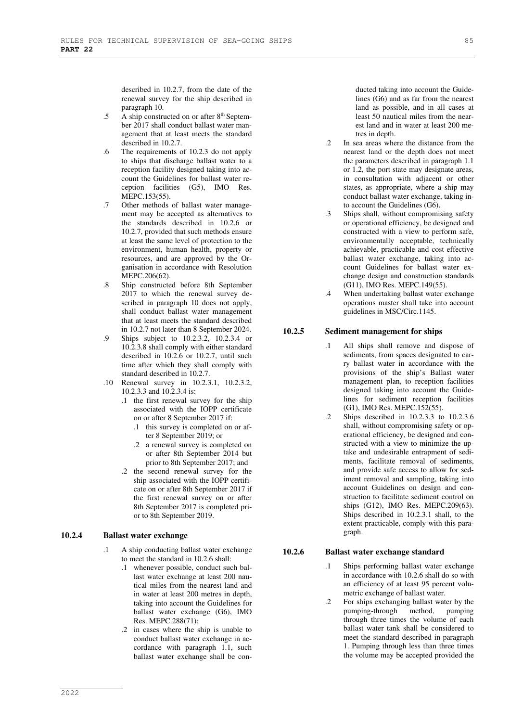described in 10.2.7, from the date of the renewal survey for the ship described in paragraph 10.

- .5 A ship constructed on or after 8th September 2017 shall conduct ballast water management that at least meets the standard described in 10.2.7.
- .6 The requirements of 10.2.3 do not apply to ships that discharge ballast water to a reception facility designed taking into account the Guidelines for ballast water reception facilities (G5), IMO Res. MEPC.153(55).
- .7 Other methods of ballast water management may be accepted as alternatives to the standards described in 10.2.6 or 10.2.7, provided that such methods ensure at least the same level of protection to the environment, human health, property or resources, and are approved by the Organisation in accordance with Resolution MEPC.206(62).
- .8 Ship constructed before 8th September 2017 to which the renewal survey described in paragraph 10 does not apply, shall conduct ballast water management that at least meets the standard described in 10.2.7 not later than 8 September 2024.
- .9 Ships subject to 10.2.3.2, 10.2.3.4 or 10.2.3.8 shall comply with either standard described in 10.2.6 or 10.2.7, until such time after which they shall comply with standard described in 10.2.7.
- .10 Renewal survey in 10.2.3.1, 10.2.3.2, 10.2.3.3 and 10.2.3.4 is:
	- .1 the first renewal survey for the ship associated with the IOPP certificate on or after 8 September 2017 if:
		- .1 this survey is completed on or after 8 September 2019; or
		- .2 a renewal survey is completed on or after 8th September 2014 but prior to 8th September 2017; and
	- .2 the second renewal survey for the ship associated with the IOPP certificate on or after 8th September 2017 if the first renewal survey on or after 8th September 2017 is completed prior to 8th September 2019.

## **10.2.4 Ballast water exchange**

- .1 A ship conducting ballast water exchange to meet the standard in 10.2.6 shall:
	- .1 whenever possible, conduct such ballast water exchange at least 200 nautical miles from the nearest land and in water at least 200 metres in depth, taking into account the Guidelines for ballast water exchange (G6), IMO Res. MEPC.288(71);
	- .2 in cases where the ship is unable to conduct ballast water exchange in accordance with paragraph 1.1, such ballast water exchange shall be con-

ducted taking into account the Guidelines (G6) and as far from the nearest land as possible, and in all cases at least 50 nautical miles from the nearest land and in water at least 200 metres in depth.

- .2 In sea areas where the distance from the nearest land or the depth does not meet the parameters described in paragraph 1.1 or 1.2, the port state may designate areas, in consultation with adjacent or other states, as appropriate, where a ship may conduct ballast water exchange, taking into account the Guidelines (G6).
- .3 Ships shall, without compromising safety or operational efficiency, be designed and constructed with a view to perform safe, environmentally acceptable, technically achievable, practicable and cost effective ballast water exchange, taking into account Guidelines for ballast water exchange design and construction standards (G11), IMO Res. MEPC.149(55).
- .4 When undertaking ballast water exchange operations master shall take into account guidelines in MSC/Circ.1145.

## **10.2.5 Sediment management for ships**

- .1 All ships shall remove and dispose of sediments, from spaces designated to carry ballast water in accordance with the provisions of the ship's Ballast water management plan, to reception facilities designed taking into account the Guidelines for sediment reception facilities (G1), IMO Res. MEPC.152(55).
- .2 Ships described in 10.2.3.3 to 10.2.3.6 shall, without compromising safety or operational efficiency, be designed and constructed with a view to minimize the uptake and undesirable entrapment of sediments, facilitate removal of sediments, and provide safe access to allow for sediment removal and sampling, taking into account Guidelines on design and construction to facilitate sediment control on ships (G12), IMO Res. MEPC.209(63). Ships described in 10.2.3.1 shall, to the extent practicable, comply with this paragraph.

### **10.2.6 Ballast water exchange standard**

- .1 Ships performing ballast water exchange in accordance with 10.2.6 shall do so with an efficiency of at least 95 percent volumetric exchange of ballast water.
- .2 For ships exchanging ballast water by the pumping-through method, pumping through three times the volume of each ballast water tank shall be considered to meet the standard described in paragraph 1. Pumping through less than three times the volume may be accepted provided the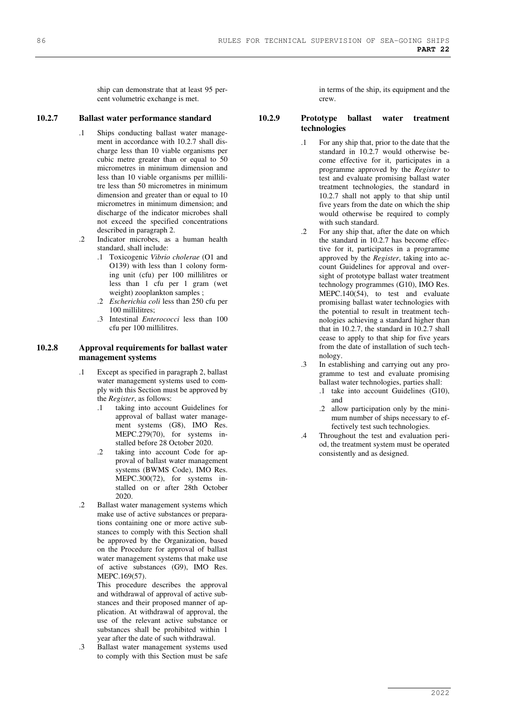ship can demonstrate that at least 95 percent volumetric exchange is met.

### **10.2.7 Ballast water performance standard**

- .1 Ships conducting ballast water management in accordance with 10.2.7 shall discharge less than 10 viable organisms per cubic metre greater than or equal to 50 micrometres in minimum dimension and less than 10 viable organisms per millilitre less than 50 micrometres in minimum dimension and greater than or equal to 10 micrometres in minimum dimension; and discharge of the indicator microbes shall not exceed the specified concentrations described in paragraph 2.
- .2 Indicator microbes, as a human health standard, shall include:
	- .1 Toxicogenic *Vibrio cholerae* (O1 and O139) with less than 1 colony forming unit (cfu) per 100 millilitres or less than 1 cfu per 1 gram (wet weight) zooplankton samples ;
	- .2 *Escherichia coli* less than 250 cfu per 100 millilitres;
	- .3 Intestinal *Enterococci* less than 100 cfu per 100 millilitres.

## **10.2.8 Approval requirements for ballast water management systems**

- .1 Except as specified in paragraph 2, ballast water management systems used to comply with this Section must be approved by the *Register*, as follows:
	- .1 taking into account Guidelines for approval of ballast water management systems (G8), IMO Res. MEPC.279(70), for systems installed before 28 October 2020.
	- .2 taking into account Code for approval of ballast water management systems (BWMS Code), IMO Res. MEPC.300(72), for systems installed on or after 28th October 2020.
- .2 Ballast water management systems which make use of active substances or preparations containing one or more active substances to comply with this Section shall be approved by the Organization, based on the Procedure for approval of ballast water management systems that make use of active substances (G9), IMO Res. MEPC.169(57).

This procedure describes the approval and withdrawal of approval of active substances and their proposed manner of application. At withdrawal of approval, the use of the relevant active substance or substances shall be prohibited within 1 year after the date of such withdrawal.

.3 Ballast water management systems used to comply with this Section must be safe in terms of the ship, its equipment and the crew.

## **10.2.9 Prototype ballast water treatment technologies**

- .1 For any ship that, prior to the date that the standard in 10.2.7 would otherwise become effective for it, participates in a programme approved by the *Register* to test and evaluate promising ballast water treatment technologies, the standard in 10.2.7 shall not apply to that ship until five years from the date on which the ship would otherwise be required to comply with such standard.
- .2 For any ship that, after the date on which the standard in 10.2.7 has become effective for it, participates in a programme approved by the *Register*, taking into account Guidelines for approval and oversight of prototype ballast water treatment technology programmes (G10), IMO Res. MEPC.140(54), to test and evaluate promising ballast water technologies with the potential to result in treatment technologies achieving a standard higher than that in 10.2.7, the standard in 10.2.7 shall cease to apply to that ship for five years from the date of installation of such technology.
- .3 In establishing and carrying out any programme to test and evaluate promising ballast water technologies, parties shall:
	- .1 take into account Guidelines (G10), and
	- .2 allow participation only by the minimum number of ships necessary to effectively test such technologies.
- .4 Throughout the test and evaluation period, the treatment system must be operated consistently and as designed.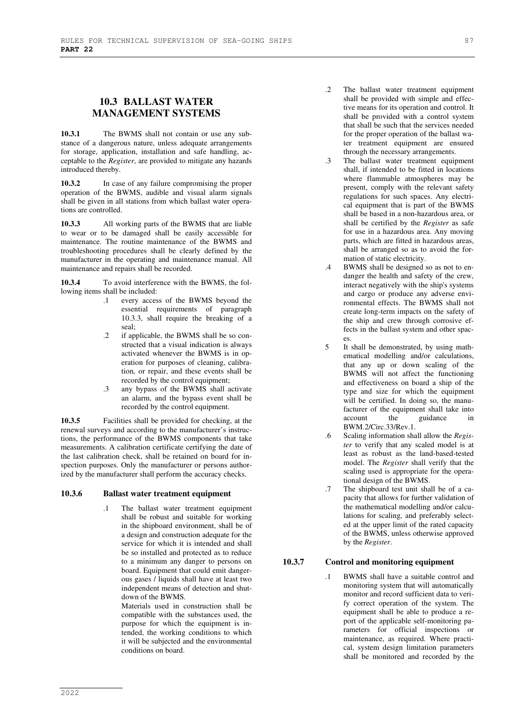# **10.3 BALLAST WATER MANAGEMENT SYSTEMS**

**10.3.1** The BWMS shall not contain or use any substance of a dangerous nature, unless adequate arrangements for storage, application, installation and safe handling, acceptable to the *Register*, are provided to mitigate any hazards introduced thereby.

**10.3.2** In case of any failure compromising the proper operation of the BWMS, audible and visual alarm signals shall be given in all stations from which ballast water operations are controlled.

**10.3.3** All working parts of the BWMS that are liable to wear or to be damaged shall be easily accessible for maintenance. The routine maintenance of the BWMS and troubleshooting procedures shall be clearly defined by the manufacturer in the operating and maintenance manual. All maintenance and repairs shall be recorded.

**10.3.4** To avoid interference with the BWMS, the following items shall be included:

- .1 every access of the BWMS beyond the essential requirements of paragraph 10.3.3, shall require the breaking of a seal;
- .2 if applicable, the BWMS shall be so constructed that a visual indication is always activated whenever the BWMS is in operation for purposes of cleaning, calibration, or repair, and these events shall be recorded by the control equipment;
- .3 any bypass of the BWMS shall activate an alarm, and the bypass event shall be recorded by the control equipment.

**10.3.5** Facilities shall be provided for checking, at the renewal surveys and according to the manufacturer's instructions, the performance of the BWMS components that take measurements. A calibration certificate certifying the date of the last calibration check, shall be retained on board for inspection purposes. Only the manufacturer or persons authorized by the manufacturer shall perform the accuracy checks.

## **10.3.6 Ballast water treatment equipment**

.1 The ballast water treatment equipment shall be robust and suitable for working in the shipboard environment, shall be of a design and construction adequate for the service for which it is intended and shall be so installed and protected as to reduce to a minimum any danger to persons on board. Equipment that could emit dangerous gases / liquids shall have at least two independent means of detection and shutdown of the BWMS.

Materials used in construction shall be compatible with the substances used, the purpose for which the equipment is intended, the working conditions to which it will be subjected and the environmental conditions on board.

- .2 The ballast water treatment equipment shall be provided with simple and effective means for its operation and control. It shall be provided with a control system that shall be such that the services needed for the proper operation of the ballast water treatment equipment are ensured through the necessary arrangements.
- .3 The ballast water treatment equipment shall, if intended to be fitted in locations where flammable atmospheres may be present, comply with the relevant safety regulations for such spaces. Any electrical equipment that is part of the BWMS shall be based in a non-hazardous area, or shall be certified by the *Register* as safe for use in a hazardous area. Any moving parts, which are fitted in hazardous areas, shall be arranged so as to avoid the formation of static electricity.
- BWMS shall be designed so as not to endanger the health and safety of the crew, interact negatively with the ship's systems and cargo or produce any adverse environmental effects. The BWMS shall not create long-term impacts on the safety of the ship and crew through corrosive effects in the ballast system and other spaces.
- 5 It shall be demonstrated, by using mathematical modelling and/or calculations, that any up or down scaling of the BWMS will not affect the functioning and effectiveness on board a ship of the type and size for which the equipment will be certified. In doing so, the manufacturer of the equipment shall take into account the guidance in BWM.2/Circ.33/Rev.1.
- .6 Scaling information shall allow the *Register* to verify that any scaled model is at least as robust as the land-based-tested model. The *Register* shall verify that the scaling used is appropriate for the operational design of the BWMS.
- .7 The shipboard test unit shall be of a capacity that allows for further validation of the mathematical modelling and/or calculations for scaling, and preferably selected at the upper limit of the rated capacity of the BWMS, unless otherwise approved by the *Register*.

## **10.3.7 Control and monitoring equipment**

.1 BWMS shall have a suitable control and monitoring system that will automatically monitor and record sufficient data to verify correct operation of the system. The equipment shall be able to produce a report of the applicable self-monitoring parameters for official inspections or maintenance, as required. Where practical, system design limitation parameters shall be monitored and recorded by the